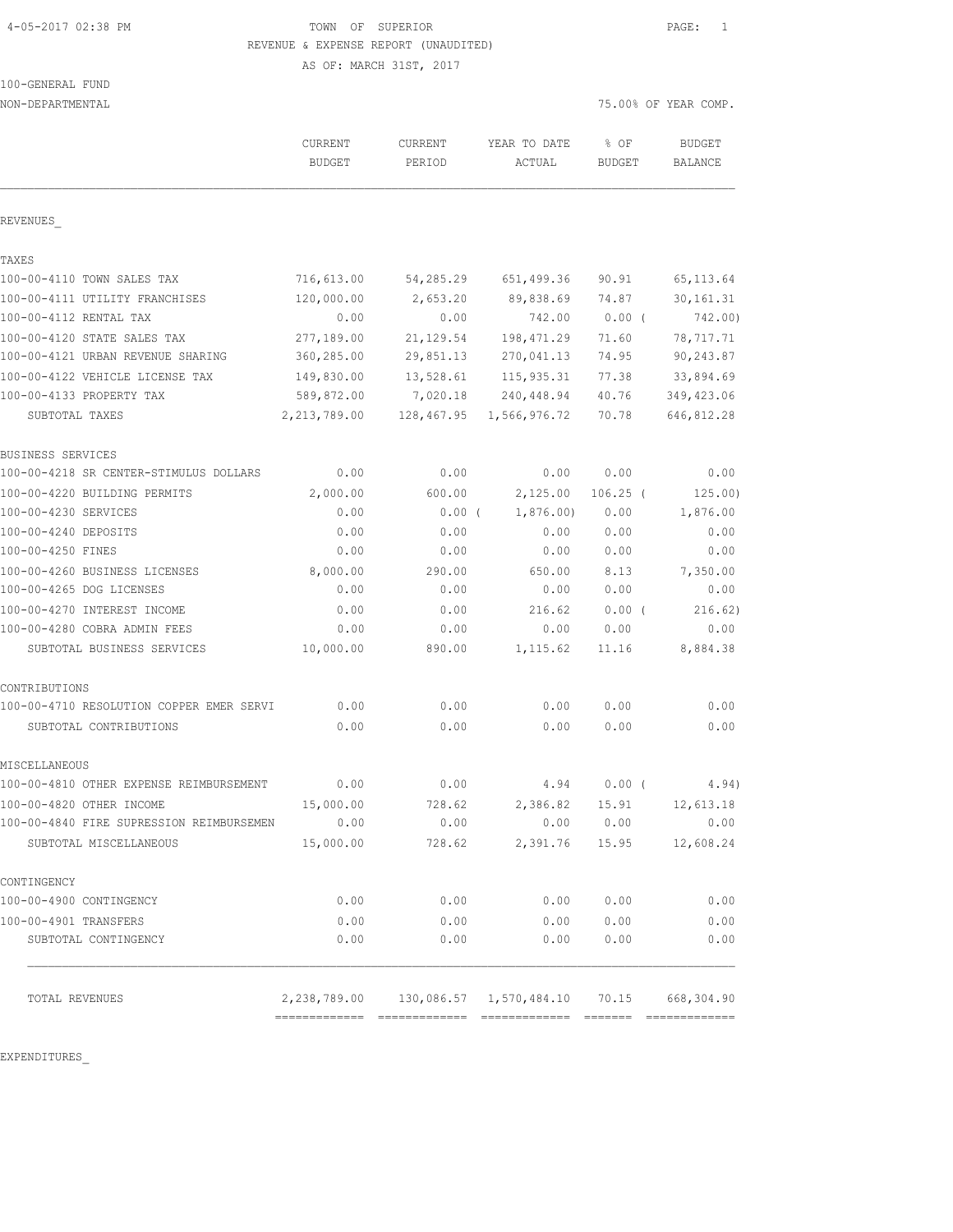4-05-2017 02:38 PM TOWN OF SUPERIOR PAGE: 1 REVENUE & EXPENSE REPORT (UNAUDITED)

AS OF: MARCH 31ST, 2017

| 100-GENERAL FUND |  |
|------------------|--|
|                  |  |

| NON-DEPARTMENTAL                                                   |                          |                          |                            | 75.00% OF YEAR COMP.  |                          |
|--------------------------------------------------------------------|--------------------------|--------------------------|----------------------------|-----------------------|--------------------------|
|                                                                    | CURRENT<br><b>BUDGET</b> | <b>CURRENT</b><br>PERIOD | YEAR TO DATE<br>ACTUAL     | % OF<br><b>BUDGET</b> | <b>BUDGET</b><br>BALANCE |
| REVENUES                                                           |                          |                          |                            |                       |                          |
| TAXES                                                              |                          |                          |                            |                       |                          |
| 100-00-4110 TOWN SALES TAX                                         | 716,613.00               | 54,285.29                | 651,499.36                 | 90.91                 | 65, 113.64               |
| 100-00-4111 UTILITY FRANCHISES                                     | 120,000.00               | 2,653.20                 | 89,838.69                  | 74.87                 | 30, 161.31               |
| 100-00-4112 RENTAL TAX                                             | 0.00                     | 0.00                     | 742.00                     | $0.00$ (              | 742.00)                  |
| 100-00-4120 STATE SALES TAX                                        | 277,189.00               | 21,129.54                | 198, 471.29                | 71.60                 | 78, 717.71               |
| 100-00-4121 URBAN REVENUE SHARING                                  | 360,285.00               | 29,851.13                | 270,041.13                 | 74.95                 | 90,243.87                |
| 100-00-4122 VEHICLE LICENSE TAX                                    | 149,830.00               | 13,528.61                | 115,935.31                 | 77.38                 | 33,894.69                |
| 100-00-4133 PROPERTY TAX                                           | 589,872.00               | 7,020.18                 | 240,448.94                 | 40.76                 | 349, 423.06              |
| SUBTOTAL TAXES                                                     | 2, 213, 789.00           |                          | 128, 467.95 1, 566, 976.72 | 70.78                 | 646, 812.28              |
| BUSINESS SERVICES                                                  |                          |                          |                            |                       |                          |
| 100-00-4218 SR CENTER-STIMULUS DOLLARS                             | 0.00                     | 0.00                     | 0.00                       | 0.00                  | 0.00                     |
| 100-00-4220 BUILDING PERMITS                                       | 2,000.00                 | 600.00                   | 2,125.00                   | $106.25$ (            | 125.00)                  |
| 100-00-4230 SERVICES                                               | 0.00                     | $0.00$ (                 | 1,876.00                   | 0.00                  | 1,876.00                 |
| 100-00-4240 DEPOSITS                                               | 0.00                     | 0.00                     | 0.00                       | 0.00                  | 0.00                     |
| 100-00-4250 FINES                                                  | 0.00                     | 0.00                     | 0.00                       | 0.00                  | 0.00                     |
| 100-00-4260 BUSINESS LICENSES                                      | 8,000.00                 | 290.00                   | 650.00                     | 8.13                  | 7,350.00                 |
| 100-00-4265 DOG LICENSES                                           | 0.00                     | 0.00                     | 0.00                       | 0.00                  | 0.00                     |
| 100-00-4270 INTEREST INCOME                                        | 0.00                     | 0.00                     | 216.62                     | $0.00$ (              | 216.62)                  |
| 100-00-4280 COBRA ADMIN FEES                                       | 0.00                     | 0.00                     | 0.00                       | 0.00                  | 0.00                     |
| SUBTOTAL BUSINESS SERVICES                                         | 10,000.00                | 890.00                   | 1,115.62                   | 11.16                 | 8,884.38                 |
| CONTRIBUTIONS                                                      |                          |                          |                            |                       |                          |
| 100-00-4710 RESOLUTION COPPER EMER SERVI                           | 0.00                     | 0.00                     | 0.00                       | 0.00                  | 0.00                     |
| SUBTOTAL CONTRIBUTIONS                                             | 0.00                     | 0.00                     | 0.00                       | 0.00                  | 0.00                     |
| MISCELLANEOUS                                                      |                          |                          |                            |                       |                          |
| 100-00-4810 OTHER EXPENSE REIMBURSEMENT                            | 0.00                     | 0.00                     | 4.94                       | 0.00(                 | 4.94)                    |
| 100-00-4820 OTHER INCOME                                           | 15,000.00                | 728.62                   | 2,386.82                   | 15.91                 | 12,613.18                |
| 100-00-4840 FIRE SUPRESSION REIMBURSEMEN<br>SUBTOTAL MISCELLANEOUS | 0.00<br>15,000.00        | 0.00<br>728.62           | 0.00<br>2,391.76           | 0.00<br>15.95         | 0.00<br>12,608.24        |
|                                                                    |                          |                          |                            |                       |                          |
| CONTINGENCY                                                        |                          |                          |                            |                       |                          |
| 100-00-4900 CONTINGENCY<br>100-00-4901 TRANSFERS                   | 0.00                     | 0.00                     | 0.00                       | 0.00                  | 0.00                     |
| SUBTOTAL CONTINGENCY                                               | 0.00<br>0.00             | 0.00<br>0.00             | 0.00<br>0.00               | 0.00<br>0.00          | 0.00<br>0.00             |
| TOTAL REVENUES                                                     |                          |                          |                            |                       | 668,304.90               |
|                                                                    |                          |                          |                            |                       |                          |

EXPENDITURES\_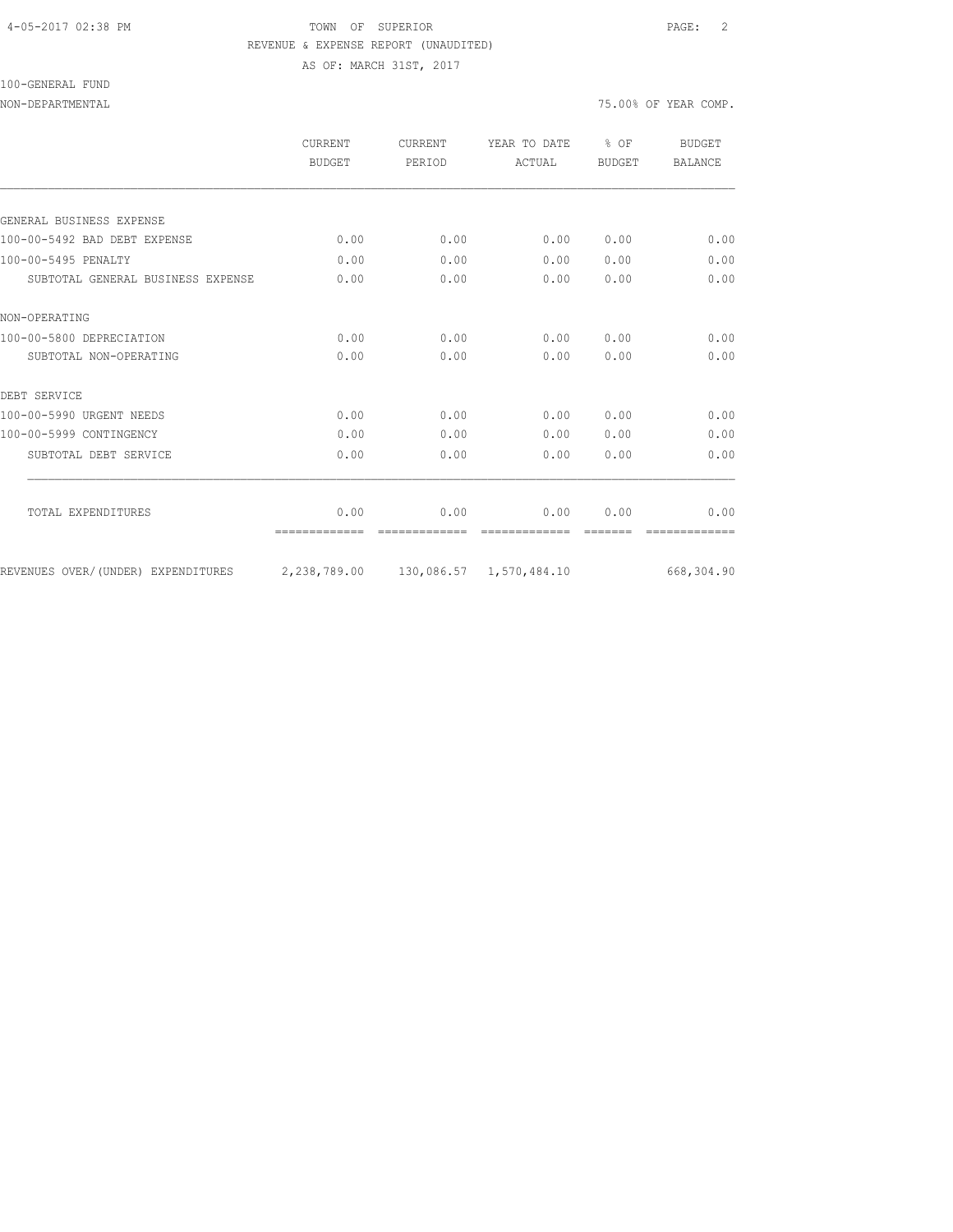### 4-05-2017 02:38 PM TOWN OF SUPERIOR PAGE: 2 REVENUE & EXPENSE REPORT (UNAUDITED) AS OF: MARCH 31ST, 2017

#### 100-GENERAL FUND

|                                    | CURRENT<br><b>BUDGET</b> | <b>CURRENT</b><br>PERIOD | YEAR TO DATE<br>ACTUAL     | $8$ OF<br>BUDGET | <b>BUDGET</b><br><b>BALANCE</b> |
|------------------------------------|--------------------------|--------------------------|----------------------------|------------------|---------------------------------|
|                                    |                          |                          |                            |                  |                                 |
| GENERAL BUSINESS EXPENSE           |                          |                          |                            |                  |                                 |
| 100-00-5492 BAD DEBT EXPENSE       | 0.00                     | 0.00                     | 0.00                       | 0.00             | 0.00                            |
| 100-00-5495 PENALTY                | 0.00                     | 0.00                     | 0.00                       | 0.00             | 0.00                            |
| SUBTOTAL GENERAL BUSINESS EXPENSE  | 0.00                     | 0.00                     | 0.00                       | 0.00             | 0.00                            |
| NON-OPERATING                      |                          |                          |                            |                  |                                 |
| 100-00-5800 DEPRECIATION           | 0.00                     | 0.00                     | 0.00                       | 0.00             | 0.00                            |
| SUBTOTAL NON-OPERATING             | 0.00                     | 0.00                     | 0.00                       | 0.00             | 0.00                            |
| DEBT SERVICE                       |                          |                          |                            |                  |                                 |
| 100-00-5990 URGENT NEEDS           | 0.00                     | 0.00                     | 0.00                       | 0.00             | 0.00                            |
| 100-00-5999 CONTINGENCY            | 0.00                     | 0.00                     | 0.00                       | 0.00             | 0.00                            |
| SUBTOTAL DEBT SERVICE              | 0.00                     | 0.00                     | 0.00                       | 0.00             | 0.00                            |
|                                    |                          |                          |                            |                  |                                 |
| TOTAL EXPENDITURES                 | 0.00                     | 0.00                     | 0.00                       | 0.00             | 0.00                            |
| REVENUES OVER/(UNDER) EXPENDITURES | 2,238,789.00             |                          | 130,086.57    1,570,484.10 |                  | 668,304.90                      |
|                                    |                          |                          |                            |                  |                                 |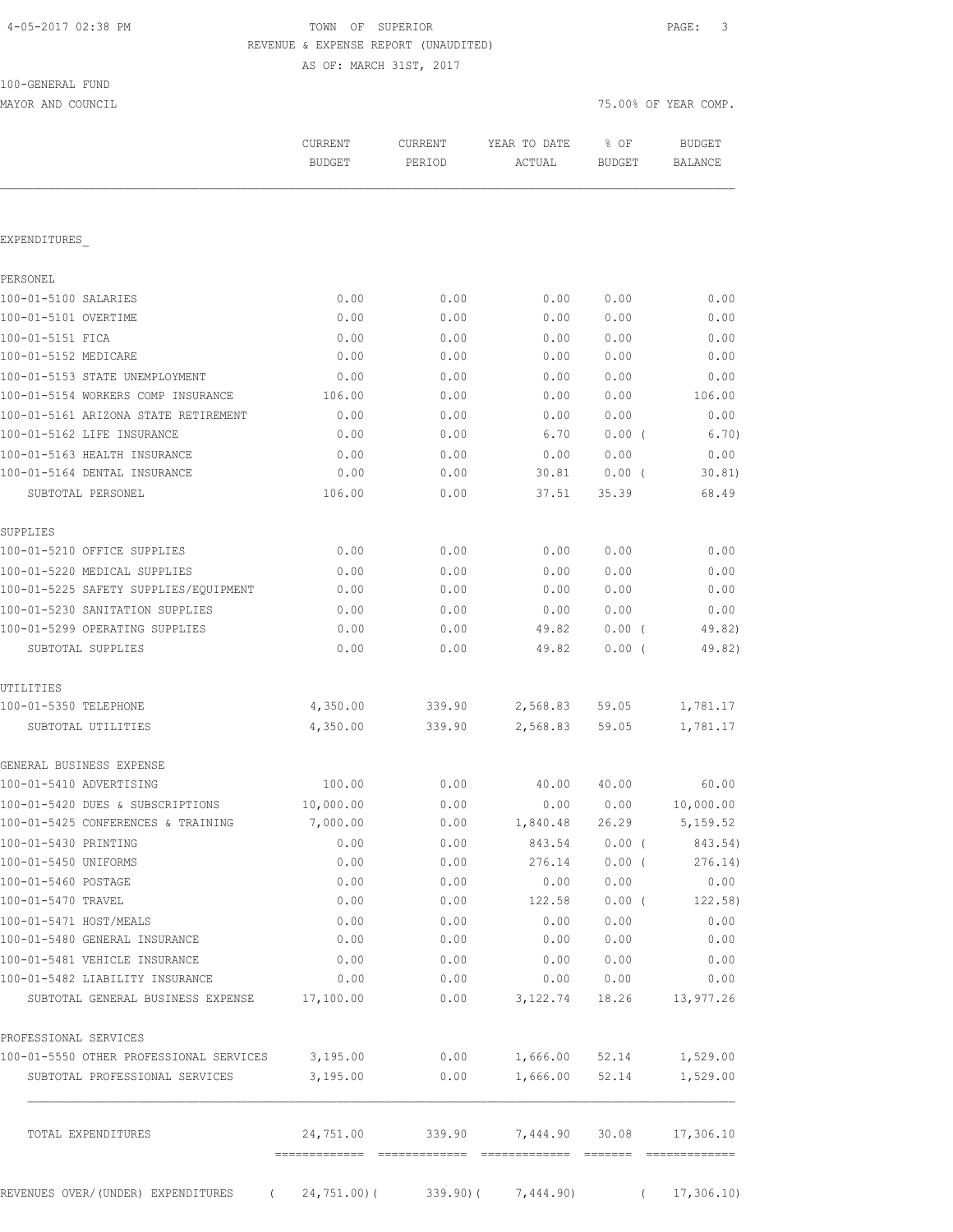# TOWN OF SUPERIOR **PAGE:** 3 REVENUE & EXPENSE REPORT (UNAUDITED)

AS OF: MARCH 31ST, 2017

| 100-GENERAL FUND |  |
|------------------|--|
|                  |  |

MAYOR AND COUNCIL COUNCIL COUNCIL COMP. THE SERVICE OF SAMPLE COMP.

|                                                                           | CURRENT<br><b>BUDGET</b> | CURRENT<br>PERIOD | YEAR TO DATE<br>ACTUAL | % OF<br><b>BUDGET</b> | <b>BUDGET</b><br><b>BALANCE</b> |
|---------------------------------------------------------------------------|--------------------------|-------------------|------------------------|-----------------------|---------------------------------|
| EXPENDITURES                                                              |                          |                   |                        |                       |                                 |
| PERSONEL                                                                  |                          |                   |                        |                       |                                 |
| 100-01-5100 SALARIES                                                      | 0.00                     | 0.00              | 0.00                   | 0.00                  | 0.00                            |
| 100-01-5101 OVERTIME                                                      | 0.00                     | 0.00              | 0.00                   | 0.00                  | 0.00                            |
| 100-01-5151 FICA                                                          | 0.00                     | 0.00              | 0.00                   | 0.00                  | 0.00                            |
| 100-01-5152 MEDICARE                                                      | 0.00                     | 0.00              | 0.00                   | 0.00                  | 0.00                            |
| 100-01-5153 STATE UNEMPLOYMENT                                            | 0.00                     | 0.00              | 0.00                   | 0.00                  | 0.00                            |
| 100-01-5154 WORKERS COMP INSURANCE                                        | 106.00                   | 0.00              | 0.00                   | 0.00                  | 106.00                          |
| 100-01-5161 ARIZONA STATE RETIREMENT                                      | 0.00                     | 0.00              | 0.00                   | 0.00                  | 0.00                            |
| 100-01-5162 LIFE INSURANCE                                                | 0.00                     | 0.00              | 6.70                   | $0.00$ (              | 6.70)                           |
| 100-01-5163 HEALTH INSURANCE                                              | 0.00                     | 0.00              | 0.00                   | 0.00                  | 0.00                            |
| 100-01-5164 DENTAL INSURANCE                                              | 0.00                     | 0.00              | 30.81                  | $0.00$ (              | 30.81)                          |
| SUBTOTAL PERSONEL                                                         | 106.00                   | 0.00              | 37.51                  | 35.39                 | 68.49                           |
| SUPPLIES                                                                  |                          |                   |                        |                       |                                 |
| 100-01-5210 OFFICE SUPPLIES                                               | 0.00                     | 0.00              | 0.00                   | 0.00                  | 0.00                            |
| 100-01-5220 MEDICAL SUPPLIES                                              | 0.00                     | 0.00              | 0.00                   | 0.00                  | 0.00                            |
| 100-01-5225 SAFETY SUPPLIES/EQUIPMENT                                     | 0.00                     | 0.00              | 0.00                   | 0.00                  | 0.00                            |
| 100-01-5230 SANITATION SUPPLIES                                           | 0.00                     | 0.00              | 0.00                   | 0.00                  | 0.00                            |
| 100-01-5299 OPERATING SUPPLIES                                            | 0.00                     | 0.00              | 49.82                  | $0.00$ (              | 49.82)                          |
| SUBTOTAL SUPPLIES                                                         | 0.00                     | 0.00              | 49.82                  | $0.00$ (              | 49.82)                          |
| UTILITIES                                                                 |                          |                   |                        |                       |                                 |
| 100-01-5350 TELEPHONE                                                     | 4,350.00                 | 339.90            | 2,568.83               | 59.05                 | 1,781.17                        |
| SUBTOTAL UTILITIES                                                        | 4,350.00                 | 339.90            | 2,568.83               | 59.05                 | 1,781.17                        |
| GENERAL BUSINESS EXPENSE                                                  |                          |                   |                        |                       |                                 |
| 100-01-5410 ADVERTISING                                                   | 100.00                   | 0.00              | 40.00                  | 40.00                 | 60.00                           |
| 100-01-5420 DUES & SUBSCRIPTIONS                                          | 10,000.00                | 0.00              | 0.00                   | 0.00                  | 10,000.00                       |
| 100-01-5425 CONFERENCES & TRAINING                                        | 7,000.00                 | 0.00              | 1,840.48               | 26.29                 | 5,159.52                        |
| 100-01-5430 PRINTING                                                      | 0.00                     | 0.00              | 843.54                 | $0.00$ (              | 843.54)                         |
| 100-01-5450 UNIFORMS                                                      | 0.00                     | 0.00              | 276.14                 | $0.00$ (              | 276.14)                         |
| 100-01-5460 POSTAGE                                                       | 0.00                     | 0.00              | 0.00                   | 0.00                  | 0.00                            |
| 100-01-5470 TRAVEL                                                        | 0.00                     | 0.00              | 122.58                 | $0.00$ (              | 122.58)                         |
| 100-01-5471 HOST/MEALS                                                    | 0.00                     | 0.00              | 0.00                   | 0.00                  | 0.00                            |
| 100-01-5480 GENERAL INSURANCE                                             | 0.00                     | 0.00              | 0.00                   | 0.00                  | 0.00                            |
| 100-01-5481 VEHICLE INSURANCE                                             | 0.00                     | 0.00              | 0.00                   | 0.00                  | 0.00                            |
| 100-01-5482 LIABILITY INSURANCE<br>SUBTOTAL GENERAL BUSINESS EXPENSE      | 0.00<br>17,100.00        | 0.00<br>0.00      | 0.00<br>3,122.74       | 0.00<br>18.26         | 0.00<br>13,977.26               |
|                                                                           |                          |                   |                        |                       |                                 |
| PROFESSIONAL SERVICES                                                     |                          |                   |                        |                       |                                 |
| 100-01-5550 OTHER PROFESSIONAL SERVICES<br>SUBTOTAL PROFESSIONAL SERVICES | 3,195.00<br>3,195.00     | 0.00<br>0.00      | 1,666.00<br>1,666.00   | 52.14<br>52.14        | 1,529.00<br>1,529.00            |
| TOTAL EXPENDITURES                                                        | 24,751.00                | 339.90            | 7,444.90               | 30.08                 | 17,306.10                       |

REVENUES OVER/(UNDER) EXPENDITURES ( 24,751.00)( 339.90)( 7,444.90) ( 17,306.10)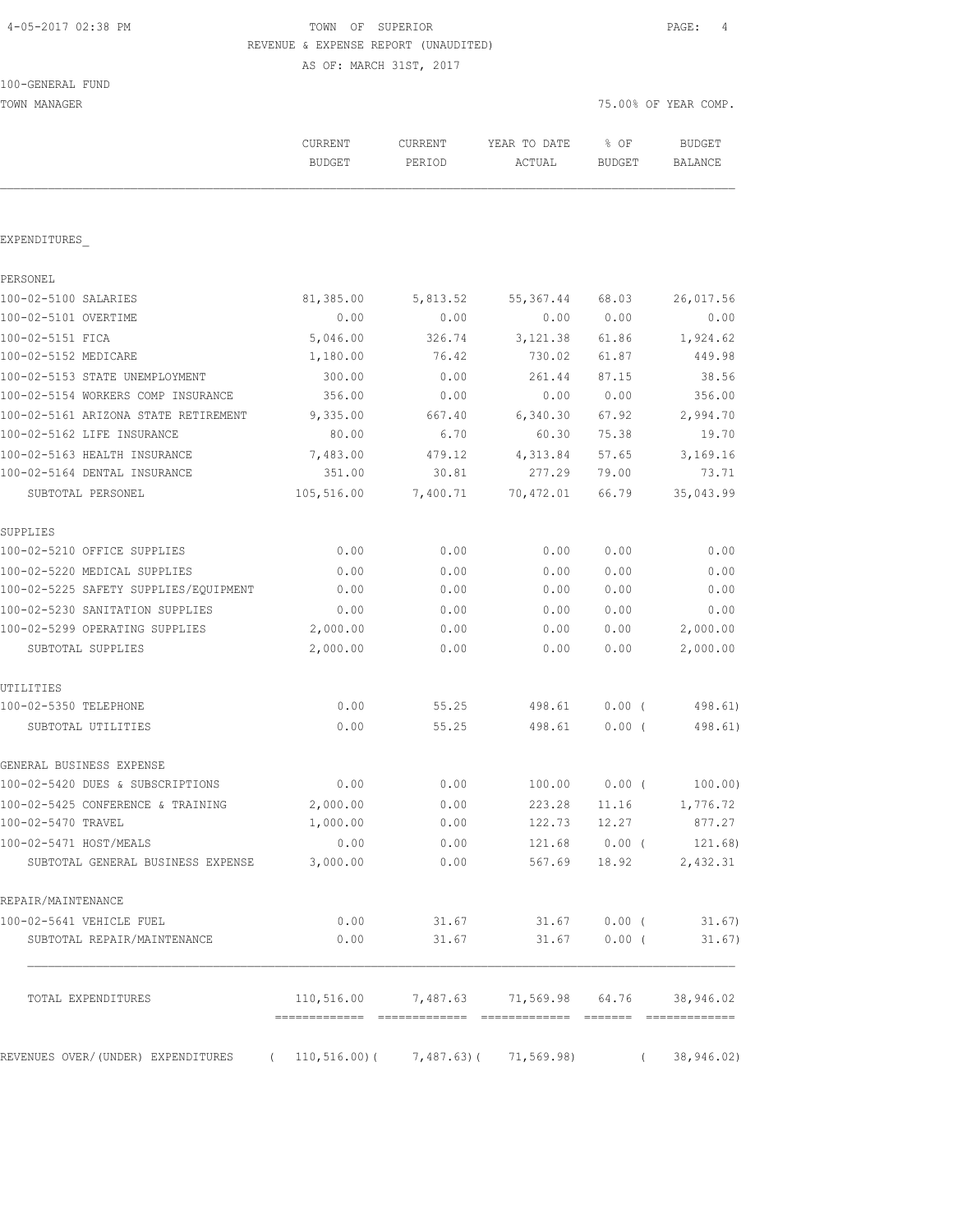### 4-05-2017 02:38 PM TOWN OF SUPERIOR PAGE: 4 REVENUE & EXPENSE REPORT (UNAUDITED) AS OF: MARCH 31ST, 2017

100-GENERAL FUND TOWN MANAGER TO THE SERIES OF THE SERIES OF THE SERIES OF THE SERIES OF THE SERIES OF THE SERIES OF THE SERIES OF THE SERIES OF THE SERIES OF THE SERIES OF THE SERIES OF THE SERIES OF THE SERIES OF THE SERIES OF THE SERIES

|                                                             | CURRENT<br><b>BUDGET</b>     | <b>CURRENT</b><br>PERIOD                     | YEAR TO DATE<br>ACTUAL              | % OF<br><b>BUDGET</b>  | <b>BUDGET</b><br>BALANCE |
|-------------------------------------------------------------|------------------------------|----------------------------------------------|-------------------------------------|------------------------|--------------------------|
| EXPENDITURES                                                |                              |                                              |                                     |                        |                          |
| PERSONEL                                                    |                              |                                              |                                     |                        |                          |
| 100-02-5100 SALARIES                                        | 81,385.00                    | 5,813.52                                     | 55, 367.44                          | 68.03                  | 26,017.56                |
| 100-02-5101 OVERTIME                                        | 0.00                         | 0.00                                         | 0.00                                | 0.00                   | 0.00                     |
| 100-02-5151 FICA                                            | 5,046.00                     | 326.74                                       | 3, 121.38                           | 61.86                  | 1,924.62                 |
| 100-02-5152 MEDICARE                                        | 1,180.00                     | 76.42                                        | 730.02                              | 61.87                  | 449.98                   |
| 100-02-5153 STATE UNEMPLOYMENT                              | 300.00                       | 0.00                                         | 261.44                              | 87.15                  | 38.56                    |
| 100-02-5154 WORKERS COMP INSURANCE                          | 356.00                       | 0.00                                         | 0.00                                | 0.00                   | 356.00                   |
| 100-02-5161 ARIZONA STATE RETIREMENT                        | 9,335.00                     | 667.40                                       | 6,340.30                            | 67.92                  | 2,994.70                 |
| 100-02-5162 LIFE INSURANCE                                  | 80.00                        | 6.70                                         | 60.30                               | 75.38                  | 19.70                    |
| 100-02-5163 HEALTH INSURANCE                                | 7,483.00                     | 479.12                                       | 4,313.84                            | 57.65                  | 3,169.16                 |
| 100-02-5164 DENTAL INSURANCE                                | 351.00                       | 30.81                                        | 277.29                              | 79.00                  | 73.71                    |
| SUBTOTAL PERSONEL                                           | 105,516.00                   | 7,400.71                                     | 70,472.01                           | 66.79                  | 35,043.99                |
| SUPPLIES                                                    |                              |                                              |                                     |                        |                          |
| 100-02-5210 OFFICE SUPPLIES                                 | 0.00                         | 0.00                                         | 0.00                                | 0.00                   | 0.00                     |
| 100-02-5220 MEDICAL SUPPLIES                                | 0.00                         | 0.00                                         | 0.00                                | 0.00                   | 0.00                     |
| 100-02-5225 SAFETY SUPPLIES/EQUIPMENT                       | 0.00                         | 0.00                                         | 0.00                                | 0.00                   | 0.00                     |
| 100-02-5230 SANITATION SUPPLIES                             | 0.00                         | 0.00                                         | 0.00                                | 0.00                   | 0.00                     |
| 100-02-5299 OPERATING SUPPLIES                              | 2,000.00                     | 0.00                                         | 0.00                                | 0.00                   | 2,000.00                 |
| SUBTOTAL SUPPLIES                                           | 2,000.00                     | 0.00                                         | 0.00                                | 0.00                   | 2,000.00                 |
| UTILITIES                                                   |                              |                                              |                                     |                        |                          |
| 100-02-5350 TELEPHONE                                       | 0.00                         | 55.25                                        | 498.61                              | $0.00$ (               | 498.61)                  |
| SUBTOTAL UTILITIES                                          | 0.00                         | 55.25                                        | 498.61                              | 0.00(                  | 498.61)                  |
| GENERAL BUSINESS EXPENSE                                    |                              |                                              |                                     |                        |                          |
| 100-02-5420 DUES & SUBSCRIPTIONS                            | 0.00                         | 0.00                                         | 100.00                              | $0.00$ (               | 100.00)                  |
| 100-02-5425 CONFERENCE & TRAINING                           | 2,000.00                     | 0.00                                         | 223.28                              | 11.16                  | 1,776.72                 |
| 100-02-5470 TRAVEL                                          | 1,000.00                     | 0.00                                         | 122.73                              | 12.27                  | 877.27                   |
| 100-02-5471 HOST/MEALS<br>SUBTOTAL GENERAL BUSINESS EXPENSE | 0.00<br>3,000.00             | 0.00<br>0.00                                 | 567.69                              | 121.68 0.00 (<br>18.92 | 121.68)<br>2,432.31      |
| REPAIR/MAINTENANCE                                          |                              |                                              |                                     |                        |                          |
| 100-02-5641 VEHICLE FUEL                                    | 0.00                         | 31.67                                        | 31.67                               | $0.00$ (               | 31.67                    |
| SUBTOTAL REPAIR/MAINTENANCE                                 | 0.00                         | 31.67                                        | 31.67                               | $0.00$ (               | 31.67)                   |
| TOTAL EXPENDITURES                                          |                              |                                              | 110,516.00 7,487.63 71,569.98 64.76 |                        | 38,946.02                |
|                                                             | -------------- ------------- |                                              | ========================            |                        | =============            |
| REVENUES OVER/(UNDER) EXPENDITURES                          | $\sqrt{2}$                   | $110, 516.00$ ( $7, 487.63$ ( $71, 569.98$ ) |                                     |                        | 38, 946.02               |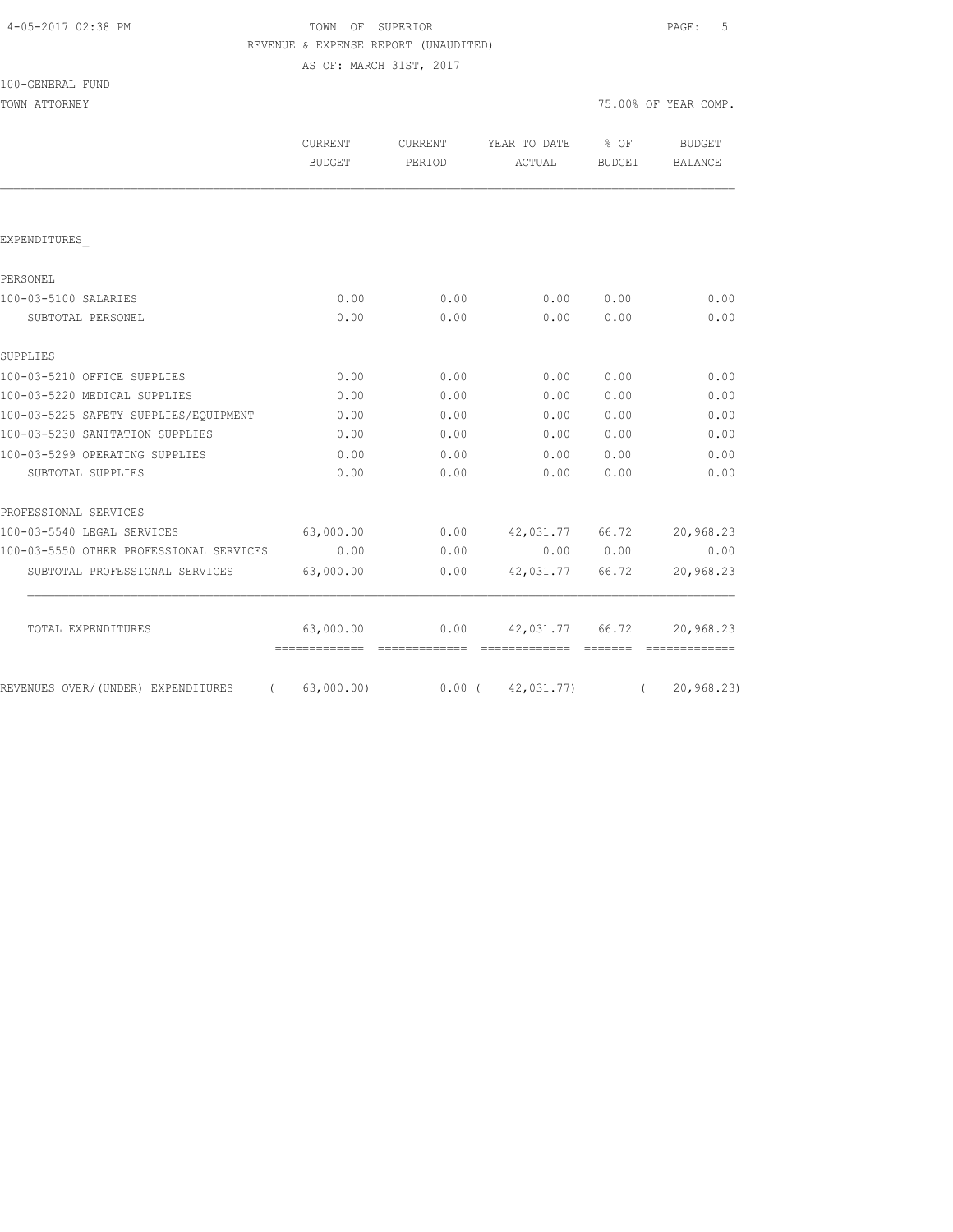# TOWN OF SUPERIOR **PAGE:** 5 REVENUE & EXPENSE REPORT (UNAUDITED)

AS OF: MARCH 31ST, 2017

| 100-GENERAL | FUND |
|-------------|------|
|-------------|------|

| CURRENT<br>BUDGET | CURRENT<br>PERIOD | YEAR TO DATE % OF<br>ACTUAL | <b>BUDGET</b> | <b>BUDGET</b><br><b>BALANCE</b>                                                 |
|-------------------|-------------------|-----------------------------|---------------|---------------------------------------------------------------------------------|
|                   |                   |                             |               |                                                                                 |
|                   |                   |                             |               |                                                                                 |
|                   |                   |                             |               |                                                                                 |
| 0.00              | 0.00              |                             | 0.00          | 0.00                                                                            |
| 0.00              | 0.00              | 0.00                        | 0.00          | 0.00                                                                            |
|                   |                   |                             |               |                                                                                 |
| 0.00              | 0.00              | 0.00                        | 0.00          | 0.00                                                                            |
| 0.00              | 0.00              | 0.00                        | 0.00          | 0.00                                                                            |
| 0.00              | 0.00              | 0.00                        | 0.00          | 0.00                                                                            |
| 0.00              | 0.00              | 0.00                        | 0.00          | 0.00                                                                            |
| 0.00              | 0.00              | 0.00                        | 0.00          | 0.00                                                                            |
| 0.00              | 0.00              | 0.00                        | 0.00          | 0.00                                                                            |
|                   |                   |                             |               |                                                                                 |
| 63,000.00         |                   |                             |               | 20,968.23                                                                       |
| 0.00              | 0.00              |                             |               | 0.00                                                                            |
| 63,000.00         | 0.00              |                             | 66.72         | 20,968.23                                                                       |
| 63,000.00         | 0.00              |                             |               | 20,968.23                                                                       |
|                   |                   |                             |               | 0.00<br>$0.00$ $42,031.77$ $66.72$<br>0.00 0.00<br>42,031.77<br>42,031.77 66.72 |

REVENUES OVER/(UNDER) EXPENDITURES ( 63,000.00) 0.00 ( 42,031.77) ( 20,968.23)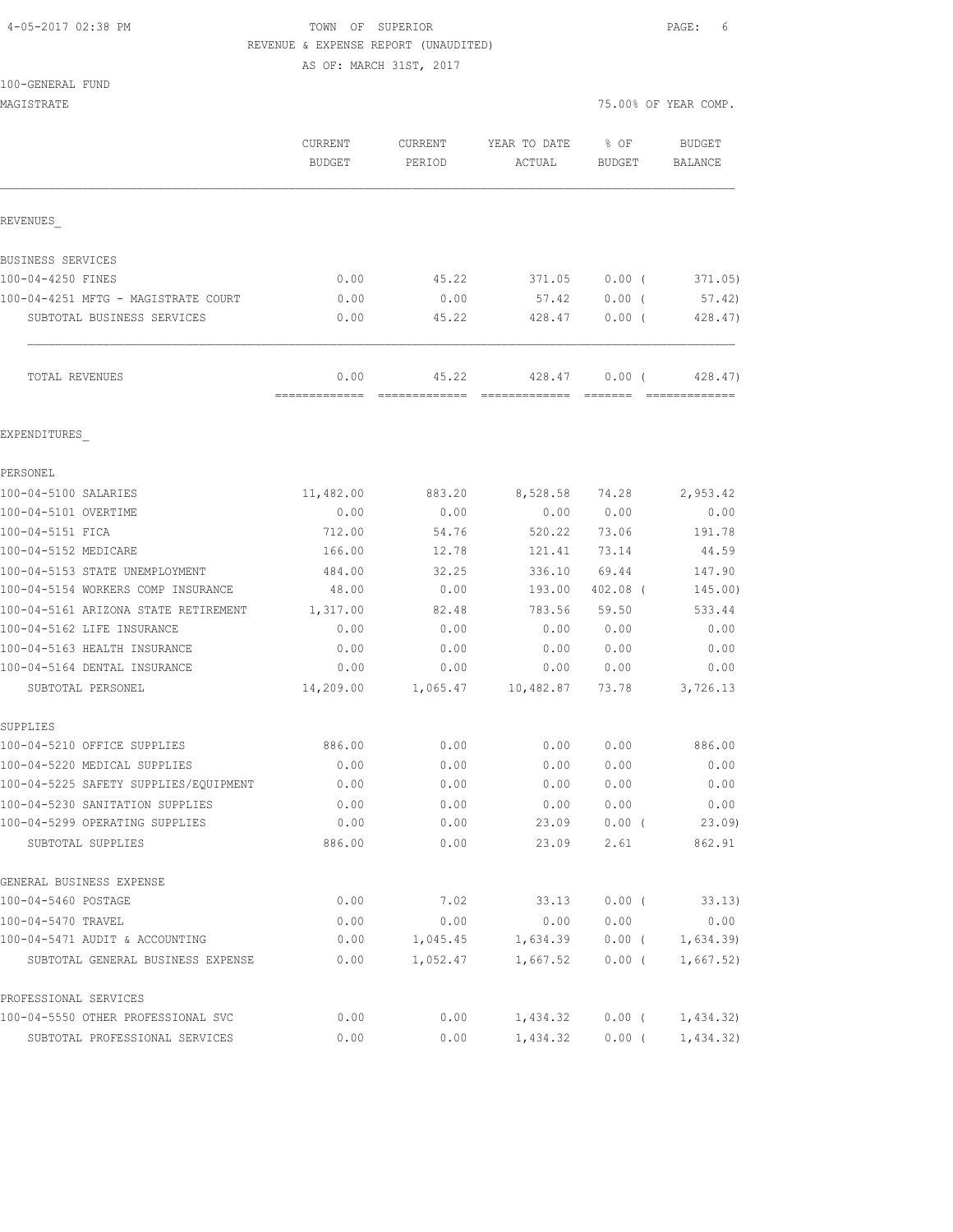### 4-05-2017 02:38 PM TOWN OF SUPERIOR PAGE: 6 REVENUE & EXPENSE REPORT (UNAUDITED)

AS OF: MARCH 31ST, 2017

| MAGISTRATE                                                  |                   |                   |                        |                  | 75.00% OF YEAR COMP.     |
|-------------------------------------------------------------|-------------------|-------------------|------------------------|------------------|--------------------------|
|                                                             | CURRENT<br>BUDGET | CURRENT<br>PERIOD | YEAR TO DATE<br>ACTUAL | $8$ OF<br>BUDGET | <b>BUDGET</b><br>BALANCE |
| REVENUES                                                    |                   |                   |                        |                  |                          |
| BUSINESS SERVICES                                           |                   |                   |                        |                  |                          |
| 100-04-4250 FINES                                           | 0.00              | 45.22             | 371.05                 | $0.00$ (         | 371.05)                  |
| 100-04-4251 MFTG - MAGISTRATE COURT                         | 0.00              | 0.00              | 57.42                  | 0.00(            | 57.42)                   |
| SUBTOTAL BUSINESS SERVICES                                  | 0.00              | 45.22             | 428.47                 | $0.00$ (         | 428.47)                  |
| TOTAL REVENUES                                              | 0.00              | 45.22             | 428.47                 | 0.00(            | 428.47)                  |
| EXPENDITURES                                                |                   |                   |                        |                  |                          |
| PERSONEL                                                    |                   |                   |                        |                  |                          |
| 100-04-5100 SALARIES                                        | 11,482.00         | 883.20            | 8,528.58               | 74.28            | 2,953.42                 |
| 100-04-5101 OVERTIME                                        | 0.00              | 0.00              | 0.00                   | 0.00             | 0.00                     |
| 100-04-5151 FICA                                            | 712.00            | 54.76             | 520.22                 | 73.06            | 191.78                   |
| 100-04-5152 MEDICARE                                        | 166.00            | 12.78             | 121.41                 | 73.14            | 44.59                    |
| 100-04-5153 STATE UNEMPLOYMENT                              | 484.00            | 32.25             | 336.10                 | 69.44            | 147.90                   |
| 100-04-5154 WORKERS COMP INSURANCE                          | 48.00             | 0.00              | 193.00                 | 402.08 (         | 145.00)                  |
| 100-04-5161 ARIZONA STATE RETIREMENT                        | 1,317.00          | 82.48             | 783.56                 | 59.50            | 533.44                   |
| 100-04-5162 LIFE INSURANCE                                  | 0.00              | 0.00              | 0.00                   | 0.00             | 0.00                     |
| 100-04-5163 HEALTH INSURANCE                                | 0.00              | 0.00              | 0.00                   | 0.00             | 0.00                     |
| 100-04-5164 DENTAL INSURANCE                                | 0.00              | 0.00              | 0.00                   | 0.00             | 0.00                     |
| SUBTOTAL PERSONEL                                           | 14,209.00         | 1,065.47          | 10,482.87              | 73.78            | 3,726.13                 |
| SUPPLIES<br>100-04-5210 OFFICE SUPPLIES                     | 886.00            | 0.00              | 0.00                   | 0.00             | 886.00                   |
| 100-04-5220 MEDICAL SUPPLIES                                | 0.00              | 0.00              | 0.00                   | 0.00             | 0.00                     |
| 100-04-5225 SAFETY SUPPLIES/EQUIPMENT                       | 0.00              | 0.00              | 0.00                   | 0.00             | 0.00                     |
| 100-04-5230 SANITATION SUPPLIES                             | 0.00              | 0.00              | 0.00                   | 0.00             | 0.00                     |
| 100-04-5299 OPERATING SUPPLIES                              | 0.00              | 0.00              | 23.09                  | $0.00$ (         | 23.09                    |
| SUBTOTAL SUPPLIES                                           | 886.00            | 0.00              | 23.09                  | 2.61             | 862.91                   |
| GENERAL BUSINESS EXPENSE                                    |                   |                   |                        |                  |                          |
| 100-04-5460 POSTAGE                                         | 0.00              | 7.02              | 33.13                  | $0.00$ (         | 33.13)                   |
| 100-04-5470 TRAVEL                                          | 0.00              | 0.00              | 0.00                   | 0.00             | 0.00                     |
| 100-04-5471 AUDIT & ACCOUNTING                              | 0.00              | 1,045.45          | 1,634.39               | $0.00$ (         | 1,634.39                 |
| SUBTOTAL GENERAL BUSINESS EXPENSE                           | 0.00              | 1,052.47          | 1,667.52               | $0.00$ (         | 1,667.52)                |
| PROFESSIONAL SERVICES<br>100-04-5550 OTHER PROFESSIONAL SVC | 0.00              | 0.00              | 1,434.32               | $0.00$ (         | 1,434.32)                |
| SUBTOTAL PROFESSIONAL SERVICES                              | 0.00              | 0.00              | 1,434.32               | $0.00$ (         | 1,434.32)                |
|                                                             |                   |                   |                        |                  |                          |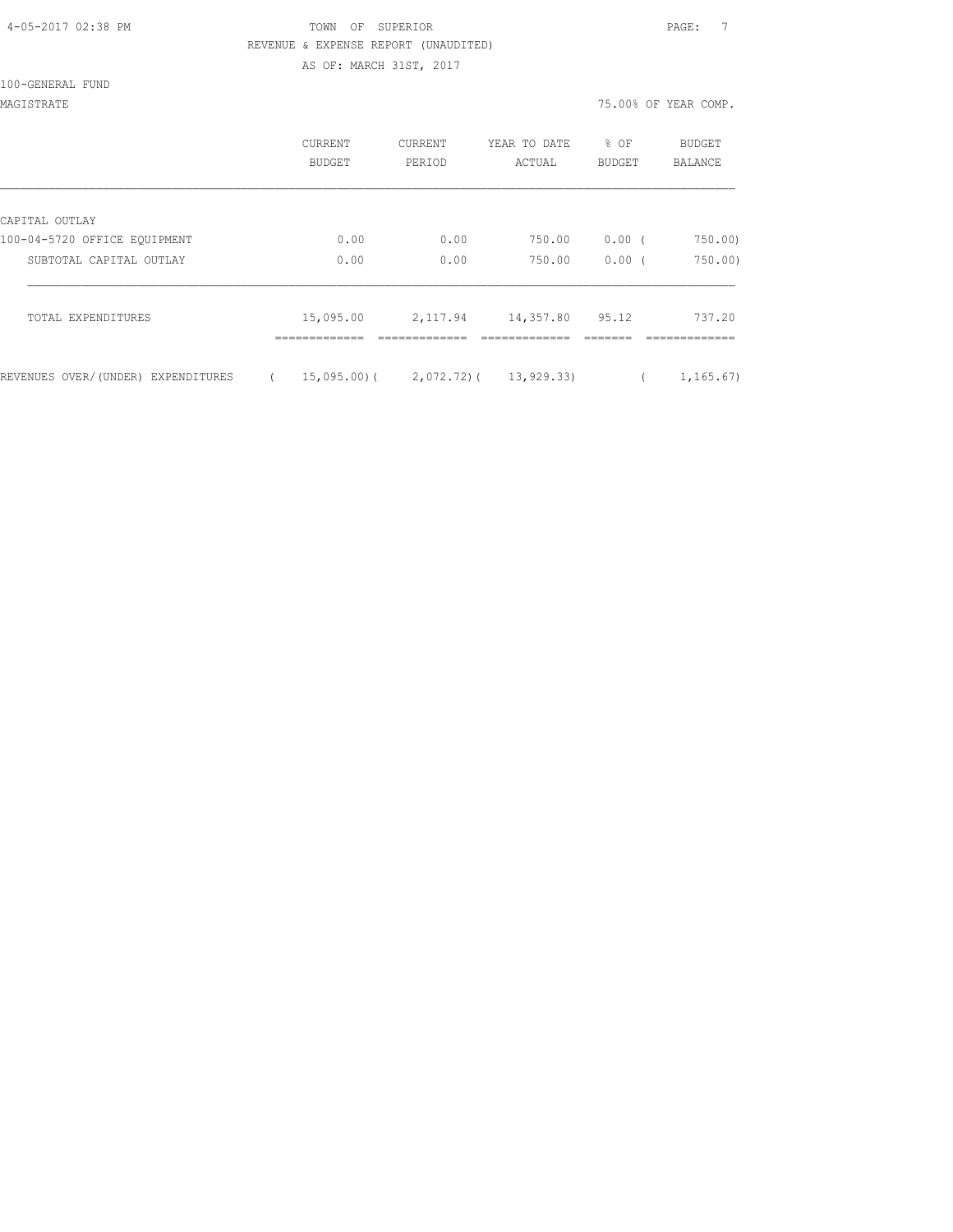### 4-05-2017 02:38 PM TOWN OF SUPERIOR PAGE: 7 REVENUE & EXPENSE REPORT (UNAUDITED) AS OF: MARCH 31ST, 2017

100-GENERAL FUND

MAGISTRATE 75.00% OF YEAR COMP.

|                                    | CURRENT<br><b>BUDGET</b> | <b>CURRENT</b><br>PERIOD             | YEAR TO DATE<br>ACTUAL | % OF<br><b>BUDGET</b> | <b>BUDGET</b><br><b>BALANCE</b> |
|------------------------------------|--------------------------|--------------------------------------|------------------------|-----------------------|---------------------------------|
| CAPITAL OUTLAY                     |                          |                                      |                        |                       |                                 |
| 100-04-5720 OFFICE EQUIPMENT       | 0.00                     | 0.00                                 | 750.00                 | 0.00(                 | 750.00)                         |
| SUBTOTAL CAPITAL OUTLAY            | 0.00                     | 0.00                                 | 750.00                 | $0.00$ (              | 750.00                          |
| TOTAL EXPENDITURES                 | 15,095.00                | 2,117.94                             | 14,357.80 95.12        |                       | 737.20                          |
| REVENUES OVER/(UNDER) EXPENDITURES |                          | $15,095,00$ ( 2,072,72) ( 13,929,33) |                        |                       | 1,165.67)                       |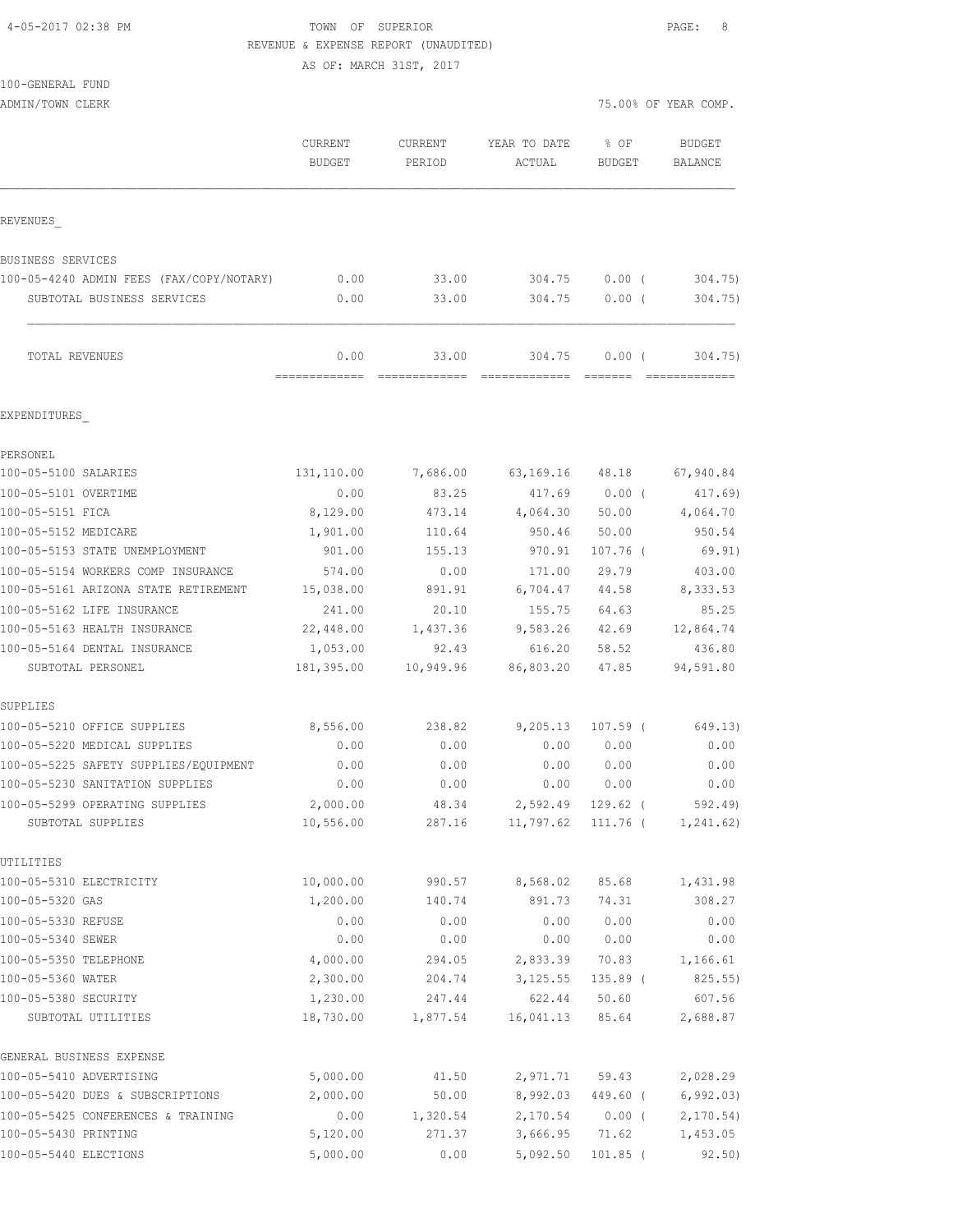4-05-2017 02:38 PM **TOWN** OF SUPERIOR **PAGE: 8** REVENUE & EXPENSE REPORT (UNAUDITED)

|                                                     | AS OF: MARCH 31ST, 2017  |                          |                        |                         |                          |
|-----------------------------------------------------|--------------------------|--------------------------|------------------------|-------------------------|--------------------------|
| 100-GENERAL FUND                                    |                          |                          |                        |                         |                          |
| ADMIN/TOWN CLERK                                    |                          |                          |                        |                         | 75.00% OF YEAR COMP.     |
|                                                     | CURRENT<br><b>BUDGET</b> | <b>CURRENT</b><br>PERIOD | YEAR TO DATE<br>ACTUAL | $8$ OF<br><b>BUDGET</b> | <b>BUDGET</b><br>BALANCE |
| REVENUES                                            |                          |                          |                        |                         |                          |
| BUSINESS SERVICES                                   |                          |                          |                        |                         |                          |
| 100-05-4240 ADMIN FEES (FAX/COPY/NOTARY)            | 0.00                     | 33.00                    | 304.75                 | 0.00(                   | 304.75)                  |
| SUBTOTAL BUSINESS SERVICES                          | 0.00                     | 33.00                    | 304.75                 | 0.00(                   | 304.75)                  |
| TOTAL REVENUES                                      | 0.00                     | 33.00                    | 304.75                 | $0.00$ (                | 304.75)                  |
| EXPENDITURES                                        |                          |                          |                        |                         |                          |
| PERSONEL                                            |                          |                          |                        |                         |                          |
| 100-05-5100 SALARIES                                | 131,110.00               | 7,686.00                 |                        | 63, 169. 16 48. 18      | 67,940.84                |
| 100-05-5101 OVERTIME                                | 0.00                     | 83.25                    | 417.69                 | $0.00$ (                | $417.69$ )               |
| 100-05-5151 FICA                                    | 8,129.00                 | 473.14                   | 4,064.30               | 50.00                   | 4,064.70                 |
| 100-05-5152 MEDICARE                                | 1,901.00                 | 110.64                   | 950.46                 | 50.00                   | 950.54                   |
| 100-05-5153 STATE UNEMPLOYMENT                      | 901.00                   | 155.13                   | 970.91                 | $107.76$ (              | 69.91)                   |
| 100-05-5154 WORKERS COMP INSURANCE                  | 574.00                   | 0.00                     | 171.00                 | 29.79                   | 403.00                   |
| 100-05-5161 ARIZONA STATE RETIREMENT                | 15,038.00                | 891.91                   | 6,704.47 44.58         |                         | 8,333.53                 |
| 100-05-5162 LIFE INSURANCE                          | 241.00                   | 20.10                    | 155.75                 | 64.63                   | 85.25                    |
| 100-05-5163 HEALTH INSURANCE                        | 22,448.00                | 1,437.36                 |                        | 9,583.26 42.69          | 12,864.74                |
| 100-05-5164 DENTAL INSURANCE<br>SUBTOTAL PERSONEL   | 1,053.00<br>181,395.00   | 92.43<br>10,949.96       | 86,803.20              | 616.20 58.52<br>47.85   | 436.80<br>94,591.80      |
| SUPPLIES                                            |                          |                          |                        |                         |                          |
| 100-05-5210 OFFICE SUPPLIES                         | 8,556.00                 | 238.82                   | 9,205.13               | $107.59$ (              | 649.13)                  |
| 100-05-5220 MEDICAL SUPPLIES                        | 0.00                     | 0.00                     | 0.00                   | 0.00                    | 0.00                     |
| 100-05-5225 SAFETY SUPPLIES/EQUIPMENT               | 0.00                     | 0.00                     | 0.00                   | 0.00                    | 0.00                     |
| 100-05-5230 SANITATION SUPPLIES                     | 0.00                     | 0.00                     | 0.00                   | 0.00                    | 0.00                     |
| 100-05-5299 OPERATING SUPPLIES<br>SUBTOTAL SUPPLIES | 2,000.00<br>10,556.00    | 48.34<br>287.16          | 2,592.49<br>11,797.62  | $129.62$ (<br>111.76 (  | 592.49)<br>1, 241.62)    |
| UTILITIES                                           |                          |                          |                        |                         |                          |
| 100-05-5310 ELECTRICITY                             | 10,000.00                | 990.57                   | 8,568.02               | 85.68                   | 1,431.98                 |
| 100-05-5320 GAS                                     | 1,200.00                 | 140.74                   | 891.73                 | 74.31                   | 308.27                   |
| 100-05-5330 REFUSE                                  | 0.00                     | 0.00                     | 0.00                   | 0.00                    | 0.00                     |
| 100-05-5340 SEWER                                   | 0.00                     | 0.00                     | 0.00                   | 0.00                    | 0.00                     |
| 100-05-5350 TELEPHONE                               | 4,000.00                 | 294.05                   | 2,833.39               | 70.83                   | 1,166.61                 |
| 100-05-5360 WATER                                   | 2,300.00                 | 204.74                   | 3,125.55               | $135.89$ (              | 825.55)                  |
| 100-05-5380 SECURITY<br>SUBTOTAL UTILITIES          | 1,230.00<br>18,730.00    | 247.44<br>1,877.54       | 622.44<br>16,041.13    | 50.60<br>85.64          | 607.56<br>2,688.87       |
| GENERAL BUSINESS EXPENSE                            |                          |                          |                        |                         |                          |
| 100-05-5410 ADVERTISING                             | 5,000.00                 | 41.50                    | 2,971.71               | 59.43                   | 2,028.29                 |
| 100-05-5420 DUES & SUBSCRIPTIONS                    | 2,000.00                 | 50.00                    | 8,992.03               | 449.60 (                | 6, 992.03)               |

100-05-5425 CONFERENCES & TRAINING  $\begin{array}{cccc} 0.00 & 1,320.54 & 2,170.54 & 0.00 & (2,170.54) \ 5,120.00 & 271.37 & 3,666.95 & 71.62 & 1,453.05 \end{array}$ 100-05-5430 PRINTING 5,120.00 271.37 3,666.95 71.62 1,453.05 100-05-5440 ELECTIONS 5,000.00 0.00 5,092.50 101.85 ( 92.50)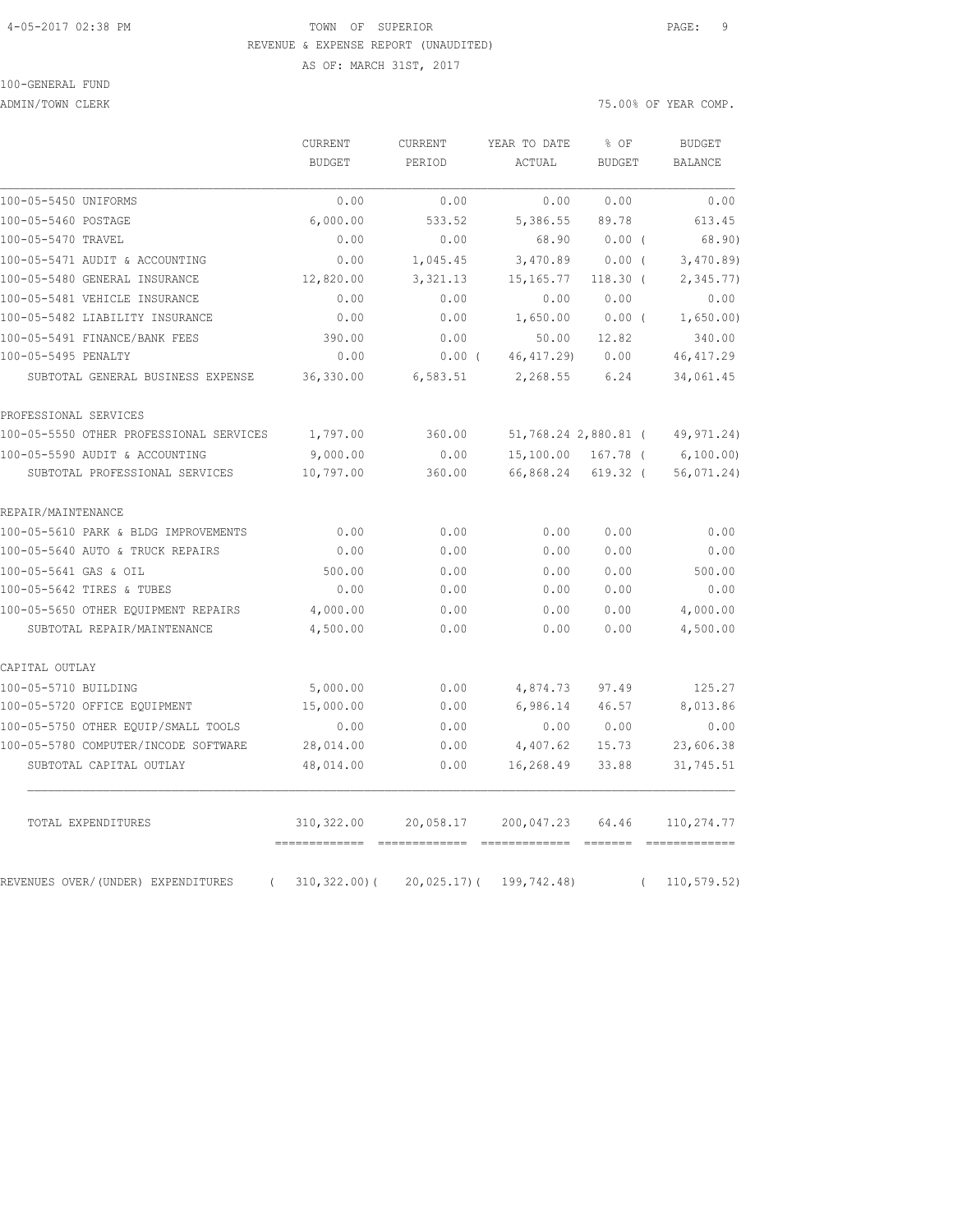#### 4-05-2017 02:38 PM TOWN OF SUPERIOR PAGE: 9 REVENUE & EXPENSE REPORT (UNAUDITED)

AS OF: MARCH 31ST, 2017

ADMIN/TOWN CLERK  $75.00\%$  OF YEAR COMP.

|                                                | CURRENT<br><b>BUDGET</b>               | CURRENT<br>PERIOD | YEAR TO DATE<br>ACTUAL | % OF<br><b>BUDGET</b> | <b>BUDGET</b><br>BALANCE |
|------------------------------------------------|----------------------------------------|-------------------|------------------------|-----------------------|--------------------------|
| 100-05-5450 UNIFORMS                           | 0.00                                   | 0.00              | 0.00                   | 0.00                  | 0.00                     |
| 100-05-5460 POSTAGE                            | 6,000.00                               | 533.52            | 5,386.55               | 89.78                 | 613.45                   |
| 100-05-5470 TRAVEL                             | 0.00                                   | 0.00              | 68.90                  | $0.00$ (              | 68.90)                   |
| 100-05-5471 AUDIT & ACCOUNTING                 | 0.00                                   | 1,045.45          | 3,470.89               | $0.00$ (              | 3,470.89                 |
| 100-05-5480 GENERAL INSURANCE                  | 12,820.00                              | 3,321.13          | 15, 165.77             | $118.30$ (            | 2,345.77                 |
| 100-05-5481 VEHICLE INSURANCE                  | 0.00                                   | 0.00              | 0.00                   | 0.00                  | 0.00                     |
| 100-05-5482 LIABILITY INSURANCE                | 0.00                                   | 0.00              | 1,650.00               | $0.00$ (              | 1,650.00)                |
| 100-05-5491 FINANCE/BANK FEES                  | 390.00                                 | 0.00              | 50.00                  | 12.82                 | 340.00                   |
| 100-05-5495 PENALTY                            | 0.00                                   | $0.00$ (          | 46, 417.29)            | 0.00                  | 46, 417.29               |
| SUBTOTAL GENERAL BUSINESS EXPENSE              | 36,330.00                              | 6,583.51          | 2,268.55               | 6.24                  | 34,061.45                |
| PROFESSIONAL SERVICES                          |                                        |                   |                        |                       |                          |
| 100-05-5550 OTHER PROFESSIONAL SERVICES        | 1,797.00                               | 360.00            |                        | 51,768.24 2,880.81 (  | 49,971.24)               |
| 100-05-5590 AUDIT & ACCOUNTING                 | 9,000.00                               | 0.00              |                        | 15,100.00 167.78 (    | 6,100.00)                |
| SUBTOTAL PROFESSIONAL SERVICES                 | 10,797.00                              | 360.00            | 66,868.24              | $619.32$ (            | 56,071.24)               |
| REPAIR/MAINTENANCE                             |                                        |                   |                        |                       |                          |
| 100-05-5610 PARK & BLDG IMPROVEMENTS           | 0.00                                   | 0.00              | 0.00                   | 0.00                  | 0.00                     |
| 100-05-5640 AUTO & TRUCK REPAIRS               | 0.00                                   | 0.00              | 0.00                   | 0.00                  | 0.00                     |
| 100-05-5641 GAS & OIL                          | 500.00                                 | 0.00              | 0.00                   | 0.00                  | 500.00                   |
| 100-05-5642 TIRES & TUBES                      | 0.00                                   | 0.00              | 0.00                   | 0.00                  | 0.00                     |
| 100-05-5650 OTHER EQUIPMENT REPAIRS            | 4,000.00                               | 0.00              | 0.00                   | 0.00                  | 4,000.00                 |
| SUBTOTAL REPAIR/MAINTENANCE                    | 4,500.00                               | 0.00              | 0.00                   | 0.00                  | 4,500.00                 |
| CAPITAL OUTLAY                                 |                                        |                   |                        |                       |                          |
| 100-05-5710 BUILDING                           | 5,000.00                               | 0.00              | 4,874.73               | 97.49                 | 125.27                   |
| 100-05-5720 OFFICE EQUIPMENT                   | 15,000.00                              | 0.00              | 6,986.14               | 46.57                 | 8,013.86                 |
| 100-05-5750 OTHER EQUIP/SMALL TOOLS            | 0.00                                   | 0.00              | 0.00                   | 0.00                  | 0.00                     |
| 100-05-5780 COMPUTER/INCODE SOFTWARE           | 28,014.00                              | 0.00              | 4,407.62               | 15.73                 | 23,606.38                |
| SUBTOTAL CAPITAL OUTLAY                        | 48,014.00                              | 0.00              | 16,268.49              | 33.88                 | 31,745.51                |
| TOTAL EXPENDITURES                             | 310,322.00<br>======================== | 20,058.17         | 200,047.23             | 64.46<br>- 2222222    | 110,274.77               |
| REVENUES OVER/(UNDER) EXPENDITURES<br>$\left($ | $310, 322.00$ (                        | $20,025.17$ ) (   | 199,742.48)            | $\left($              | 110, 579.52)             |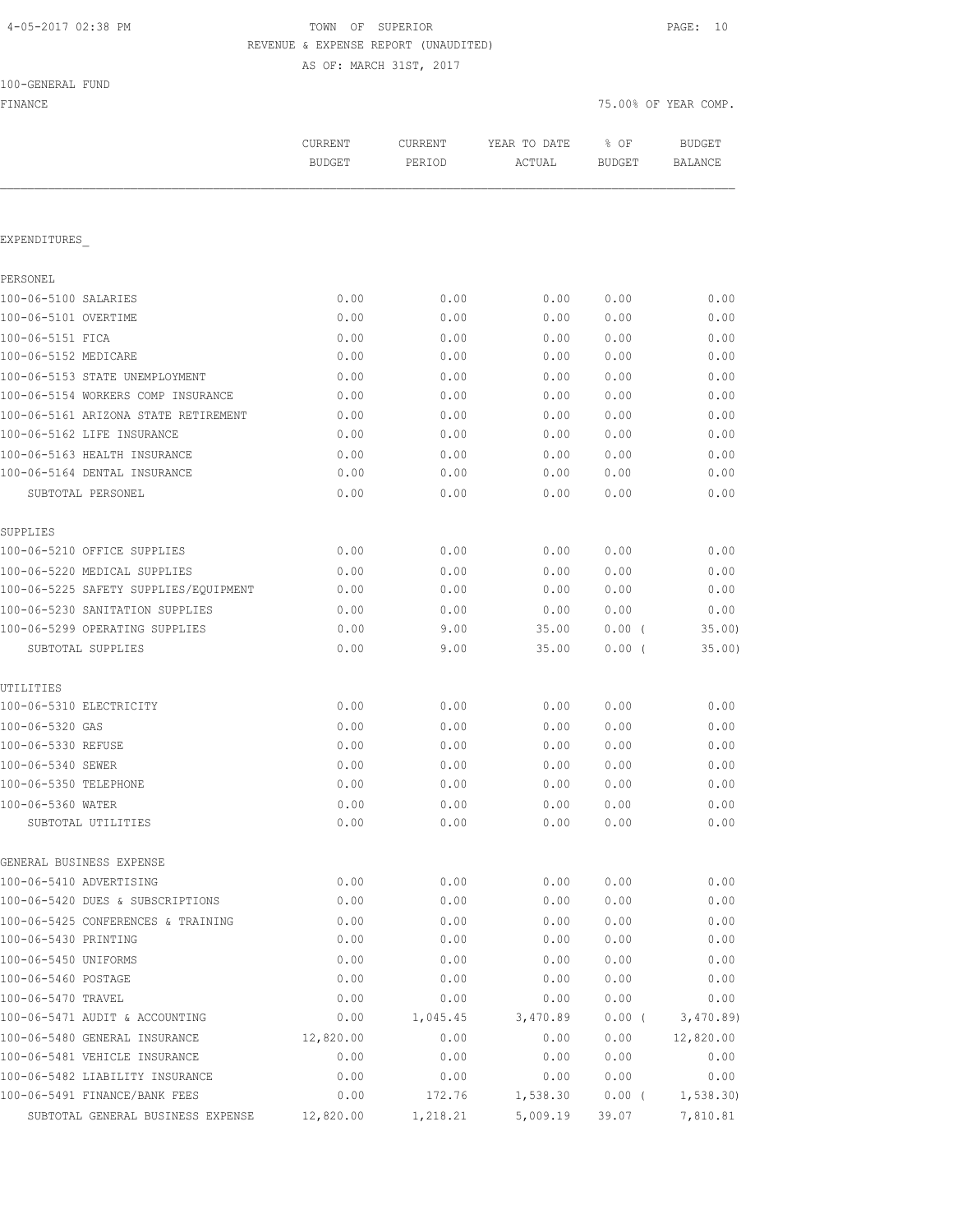| 4-05-2017 02:38 PM |  |  |  |  |
|--------------------|--|--|--|--|
|--------------------|--|--|--|--|

## TOWN OF SUPERIOR **PAGE:** 10 REVENUE & EXPENSE REPORT (UNAUDITED)

AS OF: MARCH 31ST, 2017

|  | 100-GENERAL FUND |  |
|--|------------------|--|
|  |                  |  |

| FINANCE                               |                          |                   |                        |                       | 75.00% OF YEAR COMP.     |
|---------------------------------------|--------------------------|-------------------|------------------------|-----------------------|--------------------------|
|                                       | CURRENT<br><b>BUDGET</b> | CURRENT<br>PERIOD | YEAR TO DATE<br>ACTUAL | % OF<br><b>BUDGET</b> | <b>BUDGET</b><br>BALANCE |
|                                       |                          |                   |                        |                       |                          |
| EXPENDITURES                          |                          |                   |                        |                       |                          |
| PERSONEL                              |                          |                   |                        |                       |                          |
| 100-06-5100 SALARIES                  | 0.00                     | 0.00              | 0.00                   | 0.00                  | 0.00                     |
| 100-06-5101 OVERTIME                  | 0.00                     | 0.00              | 0.00                   | 0.00                  | 0.00                     |
| 100-06-5151 FICA                      | 0.00                     | 0.00              | 0.00                   | 0.00                  | 0.00                     |
| 100-06-5152 MEDICARE                  | 0.00                     | 0.00              | 0.00                   | 0.00                  | 0.00                     |
| 100-06-5153 STATE UNEMPLOYMENT        | 0.00                     | 0.00              | 0.00                   | 0.00                  | 0.00                     |
| 100-06-5154 WORKERS COMP INSURANCE    | 0.00                     | 0.00              | 0.00                   | 0.00                  | 0.00                     |
| 100-06-5161 ARIZONA STATE RETIREMENT  | 0.00                     | 0.00              | 0.00                   | 0.00                  | 0.00                     |
| 100-06-5162 LIFE INSURANCE            | 0.00                     | 0.00              | 0.00                   | 0.00                  | 0.00                     |
| 100-06-5163 HEALTH INSURANCE          | 0.00                     | 0.00              | 0.00                   | 0.00                  | 0.00                     |
| 100-06-5164 DENTAL INSURANCE          | 0.00                     | 0.00              | 0.00                   | 0.00                  | 0.00                     |
| SUBTOTAL PERSONEL                     | 0.00                     | 0.00              | 0.00                   | 0.00                  | 0.00                     |
| SUPPLIES                              |                          |                   |                        |                       |                          |
| 100-06-5210 OFFICE SUPPLIES           | 0.00                     | 0.00              | 0.00                   | 0.00                  | 0.00                     |
| 100-06-5220 MEDICAL SUPPLIES          | 0.00                     | 0.00              | 0.00                   | 0.00                  | 0.00                     |
| 100-06-5225 SAFETY SUPPLIES/EQUIPMENT | 0.00                     | 0.00              | 0.00                   | 0.00                  | 0.00                     |
| 100-06-5230 SANITATION SUPPLIES       | 0.00                     | 0.00              | 0.00                   | 0.00                  | 0.00                     |
| 100-06-5299 OPERATING SUPPLIES        | 0.00                     | 9.00              | 35.00                  | 0.00(                 | 35.00                    |
| SUBTOTAL SUPPLIES                     | 0.00                     | 9.00              | 35.00                  | $0.00$ (              | 35.00)                   |
| UTILITIES                             |                          |                   |                        |                       |                          |
| 100-06-5310 ELECTRICITY               | 0.00                     | 0.00              | 0.00                   | 0.00                  | 0.00                     |
| 100-06-5320 GAS                       | 0.00                     | 0.00              | 0.00                   | 0.00                  | 0.00                     |
| 100-06-5330 REFUSE                    | 0.00                     | 0.00              | 0.00                   | 0.00                  | 0.00                     |
| 100-06-5340 SEWER                     | 0.00                     | 0.00              | 0.00                   | 0.00                  | 0.00                     |
| 100-06-5350 TELEPHONE                 | 0.00                     | 0.00              | 0.00                   | 0.00                  | 0.00                     |
| 100-06-5360 WATER                     | 0.00                     | 0.00              | 0.00                   | 0.00                  | 0.00                     |
| SUBTOTAL UTILITIES                    | 0.00                     | 0.00              | 0.00                   | 0.00                  | 0.00                     |
| GENERAL BUSINESS EXPENSE              |                          |                   |                        |                       |                          |
| 100-06-5410 ADVERTISING               | 0.00                     | 0.00              | 0.00                   | 0.00                  | 0.00                     |
| 100-06-5420 DUES & SUBSCRIPTIONS      | 0.00                     | 0.00              | 0.00                   | 0.00                  | 0.00                     |
| 100-06-5425 CONFERENCES & TRAINING    | 0.00                     | 0.00              | 0.00                   | 0.00                  | 0.00                     |
| 100-06-5430 PRINTING                  | 0.00                     | 0.00              | 0.00                   | 0.00                  | 0.00                     |
| 100-06-5450 UNIFORMS                  | 0.00                     | 0.00              | 0.00                   | 0.00                  | 0.00                     |
| 100-06-5460 POSTAGE                   | 0.00                     | 0.00              | 0.00                   | 0.00                  | 0.00                     |
| 100-06-5470 TRAVEL                    | 0.00                     | 0.00              | 0.00                   | 0.00                  | 0.00                     |
| 100-06-5471 AUDIT & ACCOUNTING        | 0.00                     | 1,045.45          | 3,470.89               | 0.00(                 | 3,470.89                 |
| 100-06-5480 GENERAL INSURANCE         | 12,820.00                | 0.00              | 0.00                   | 0.00                  | 12,820.00                |
| 100-06-5481 VEHICLE INSURANCE         | 0.00                     | 0.00              | 0.00                   | 0.00                  | 0.00                     |
| 100-06-5482 LIABILITY INSURANCE       | 0.00                     | 0.00              | 0.00                   | 0.00                  | 0.00                     |
| 100-06-5491 FINANCE/BANK FEES         | 0.00                     | 172.76            | 1,538.30               | $0.00$ (              | 1, 538.30                |

SUBTOTAL GENERAL BUSINESS EXPENSE 12,820.00 1,218.21 5,009.19 39.07 7,810.81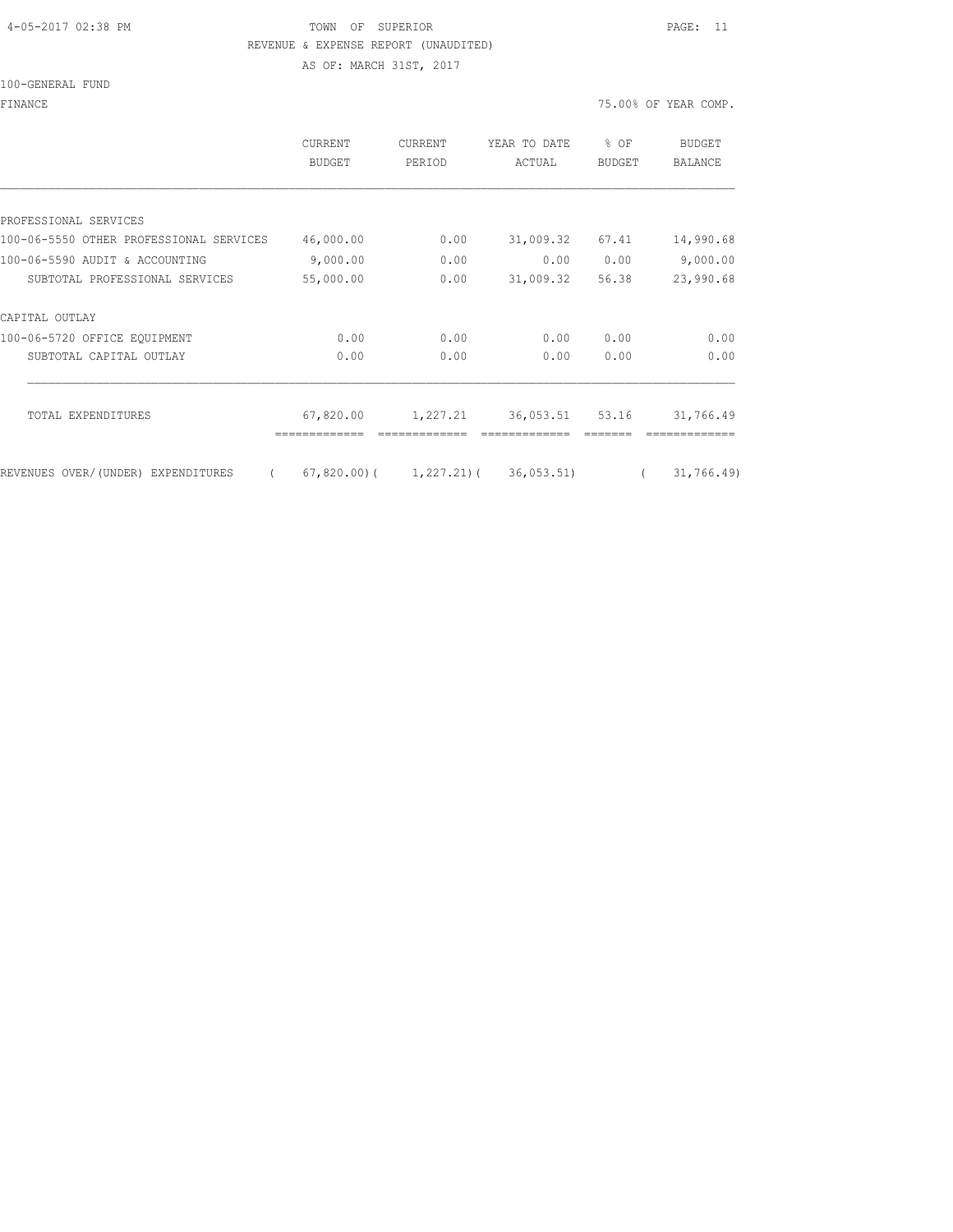### 4-05-2017 02:38 PM TOWN OF SUPERIOR PAGE: 11 REVENUE & EXPENSE REPORT (UNAUDITED)

AS OF: MARCH 31ST, 2017

|                                                | <b>CURRENT</b><br>BUDGET | CURRENT<br>PERIOD | YEAR TO DATE<br>ACTUAL                          | % OF<br><b>BUDGET</b> | <b>BUDGET</b><br><b>BALANCE</b> |
|------------------------------------------------|--------------------------|-------------------|-------------------------------------------------|-----------------------|---------------------------------|
|                                                |                          |                   |                                                 |                       |                                 |
| PROFESSIONAL SERVICES                          |                          |                   |                                                 |                       |                                 |
| 100-06-5550 OTHER PROFESSIONAL SERVICES        | 46,000.00                | 0.00              | 31,009.32                                       | 67.41                 | 14,990.68                       |
| 100-06-5590 AUDIT & ACCOUNTING                 | 9,000.00                 | 0.00              | 0.00                                            | 0.00                  | 9,000.00                        |
| SUBTOTAL PROFESSIONAL SERVICES                 | 55,000.00                | 0.00              | 31,009.32                                       | 56.38                 | 23,990.68                       |
| CAPITAL OUTLAY                                 |                          |                   |                                                 |                       |                                 |
| 100-06-5720 OFFICE EOUIPMENT                   | 0.00                     | 0.00              | 0.00                                            | 0.00                  | 0.00                            |
| SUBTOTAL CAPITAL OUTLAY                        | 0.00                     | 0.00              | 0.00                                            | 0.00                  | 0.00                            |
|                                                |                          |                   |                                                 |                       |                                 |
| TOTAL EXPENDITURES                             | 67,820.00                | 1,227.21          | 36,053.51                                       | 53.16                 | 31,766.49                       |
|                                                |                          |                   |                                                 |                       |                                 |
| REVENUES OVER/(UNDER) EXPENDITURES<br>$\left($ |                          |                   | $(67, 820.00)$ ( $1, 227.21$ ) ( $36, 053.51$ ) | $\left($              | 31,766.49                       |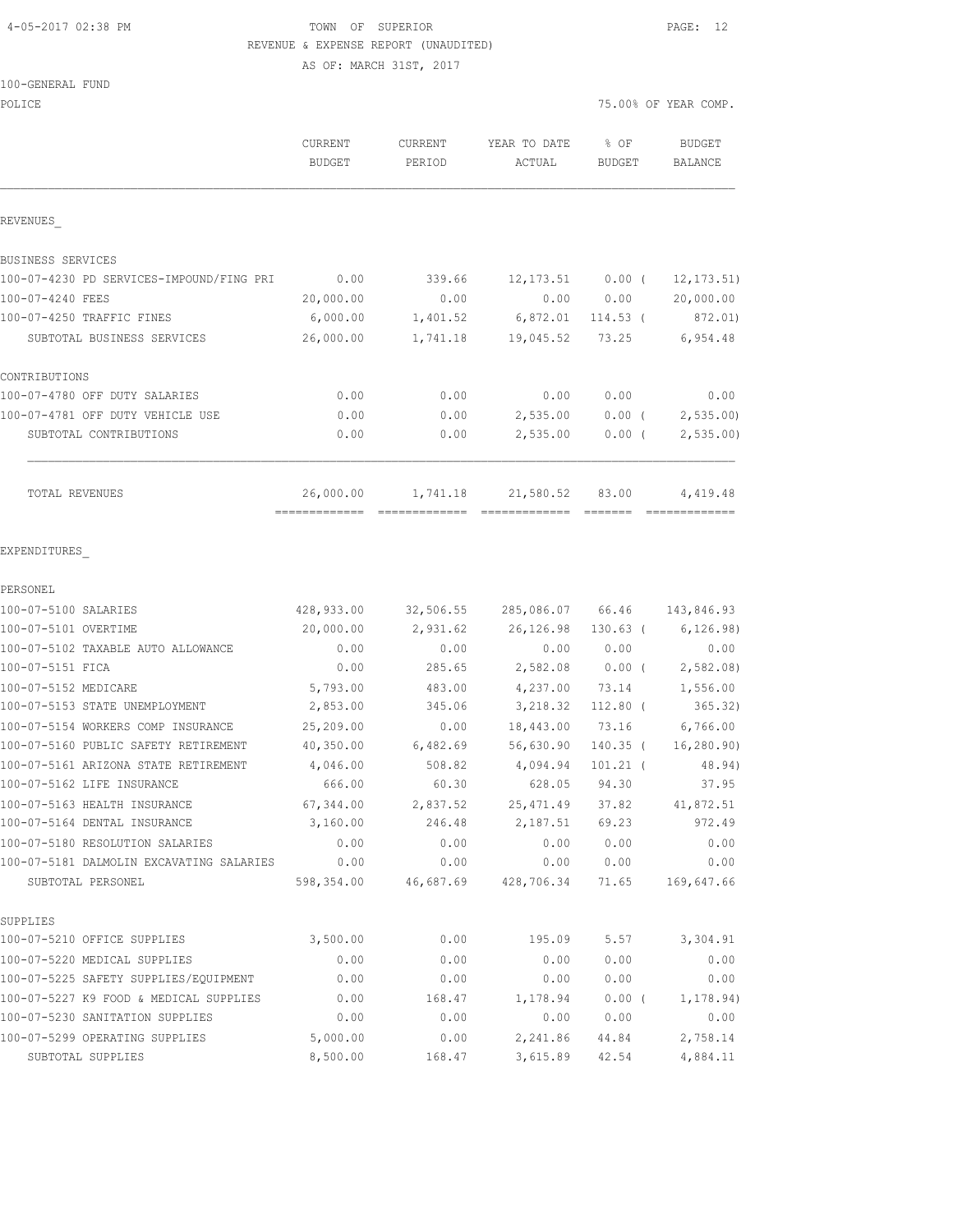### 4-05-2017 02:38 PM TOWN OF SUPERIOR PAGE: 12 REVENUE & EXPENSE REPORT (UNAUDITED)

AS OF: MARCH 31ST, 2017

| 100-GENERAL FUND |  |
|------------------|--|
|------------------|--|

POLICE THE STATE OF POLICE THE STATE OF STATE OF STATE OF STATE OF STATE OF STATE OF STATE OF STATE OF STATE OF STATE OF STATE OF STATE OF STATE OF STATE OF STATE OF STATE OF STATE OF STATE OF STATE OF STATE OF STATE OF ST

|                                          | <b>CURRENT</b><br><b>BUDGET</b> | CURRENT<br>PERIOD | YEAR TO DATE     | $8$ OF<br><b>BUDGET</b> | <b>BUDGET</b><br>BALANCE |
|------------------------------------------|---------------------------------|-------------------|------------------|-------------------------|--------------------------|
|                                          |                                 |                   | ACTUAL           |                         |                          |
| REVENUES                                 |                                 |                   |                  |                         |                          |
| BUSINESS SERVICES                        |                                 |                   |                  |                         |                          |
| 100-07-4230 PD SERVICES-IMPOUND/FING PRI | 0.00                            | 339.66            |                  | $12, 173.51$ 0.00 (     | 12, 173.51)              |
| 100-07-4240 FEES                         | 20,000.00                       | 0.00              | 0.00             | 0.00                    | 20,000.00                |
| 100-07-4250 TRAFFIC FINES                | 6,000.00                        | 1,401.52          |                  | 6,872.01 114.53 (       | 872.01)                  |
| SUBTOTAL BUSINESS SERVICES               | 26,000.00                       | 1,741.18          | 19,045.52        | 73.25                   | 6,954.48                 |
| CONTRIBUTIONS                            |                                 |                   |                  |                         |                          |
| 100-07-4780 OFF DUTY SALARIES            | 0.00                            | 0.00              | 0.00             | 0.00                    | 0.00                     |
| 100-07-4781 OFF DUTY VEHICLE USE         | 0.00                            | 0.00              | 2,535.00         | 0.00(                   | 2, 535.00                |
| SUBTOTAL CONTRIBUTIONS                   | 0.00                            | 0.00              | 2,535.00         | $0.00$ (                | 2, 535.00                |
| TOTAL REVENUES                           | 26,000.00                       | 1,741.18          | 21,580.52        | 83.00                   | 4,419.48                 |
| EXPENDITURES                             |                                 |                   |                  |                         |                          |
| PERSONEL                                 |                                 |                   |                  |                         |                          |
| 100-07-5100 SALARIES                     | 428,933.00                      | 32,506.55         | 285,086.07 66.46 |                         | 143,846.93               |
| 100-07-5101 OVERTIME                     | 20,000.00                       | 2,931.62          | 26,126.98        | $130.63$ (              | 6, 126.98)               |
| 100-07-5102 TAXABLE AUTO ALLOWANCE       | 0.00                            | 0.00              | 0.00             | 0.00                    | 0.00                     |
| 100-07-5151 FICA                         | 0.00                            | 285.65            | 2,582.08         | $0.00$ (                | 2,582.08                 |
| 100-07-5152 MEDICARE                     | 5,793.00                        | 483.00            | 4,237.00         | 73.14                   | 1,556.00                 |
| 100-07-5153 STATE UNEMPLOYMENT           | 2,853.00                        | 345.06            | 3,218.32         | $112.80$ (              | 365.32)                  |
| 100-07-5154 WORKERS COMP INSURANCE       | 25,209.00                       | 0.00              | 18,443.00        | 73.16                   | 6,766.00                 |
| 100-07-5160 PUBLIC SAFETY RETIREMENT     | 40,350.00                       | 6,482.69          | 56,630.90        | 140.35 (                | 16, 280.90)              |
| 100-07-5161 ARIZONA STATE RETIREMENT     | 4,046.00                        | 508.82            | 4,094.94         | $101.21$ (              | 48.94)                   |
| 100-07-5162 LIFE INSURANCE               | 666.00                          | 60.30             | 628.05           | 94.30                   | 37.95                    |
| 100-07-5163 HEALTH INSURANCE             | 67,344.00                       | 2,837.52          | 25, 471.49       | 37.82                   | 41,872.51                |
| 100-07-5164 DENTAL INSURANCE             | 3,160.00                        | 246.48            | 2,187.51         | 69.23                   | 972.49                   |
| 100-07-5180 RESOLUTION SALARIES          | 0.00                            | 0.00              | 0.00             | 0.00                    | 0.00                     |
| 100-07-5181 DALMOLIN EXCAVATING SALARIES | 0.00                            | 0.00              | 0.00             | 0.00                    | 0.00                     |
| SUBTOTAL PERSONEL                        | 598,354.00                      | 46,687.69         | 428,706.34       | 71.65                   | 169,647.66               |
| SUPPLIES                                 |                                 |                   |                  |                         |                          |
| 100-07-5210 OFFICE SUPPLIES              | 3,500.00                        | 0.00              | 195.09           | 5.57                    | 3,304.91                 |
| 100-07-5220 MEDICAL SUPPLIES             | 0.00                            | 0.00              | 0.00             | 0.00                    | 0.00                     |
| 100-07-5225 SAFETY SUPPLIES/EQUIPMENT    | 0.00                            | 0.00              | 0.00             | 0.00                    | 0.00                     |
| 100-07-5227 K9 FOOD & MEDICAL SUPPLIES   | 0.00                            | 168.47            | 1,178.94         | 0.00(                   | 1, 178.94)               |
| 100-07-5230 SANITATION SUPPLIES          | 0.00                            | 0.00              | 0.00             | 0.00                    | 0.00                     |
| 100-07-5299 OPERATING SUPPLIES           | 5,000.00                        | 0.00              | 2,241.86         | 44.84                   | 2,758.14                 |
| SUBTOTAL SUPPLIES                        | 8,500.00                        | 168.47            | 3,615.89         | 42.54                   | 4,884.11                 |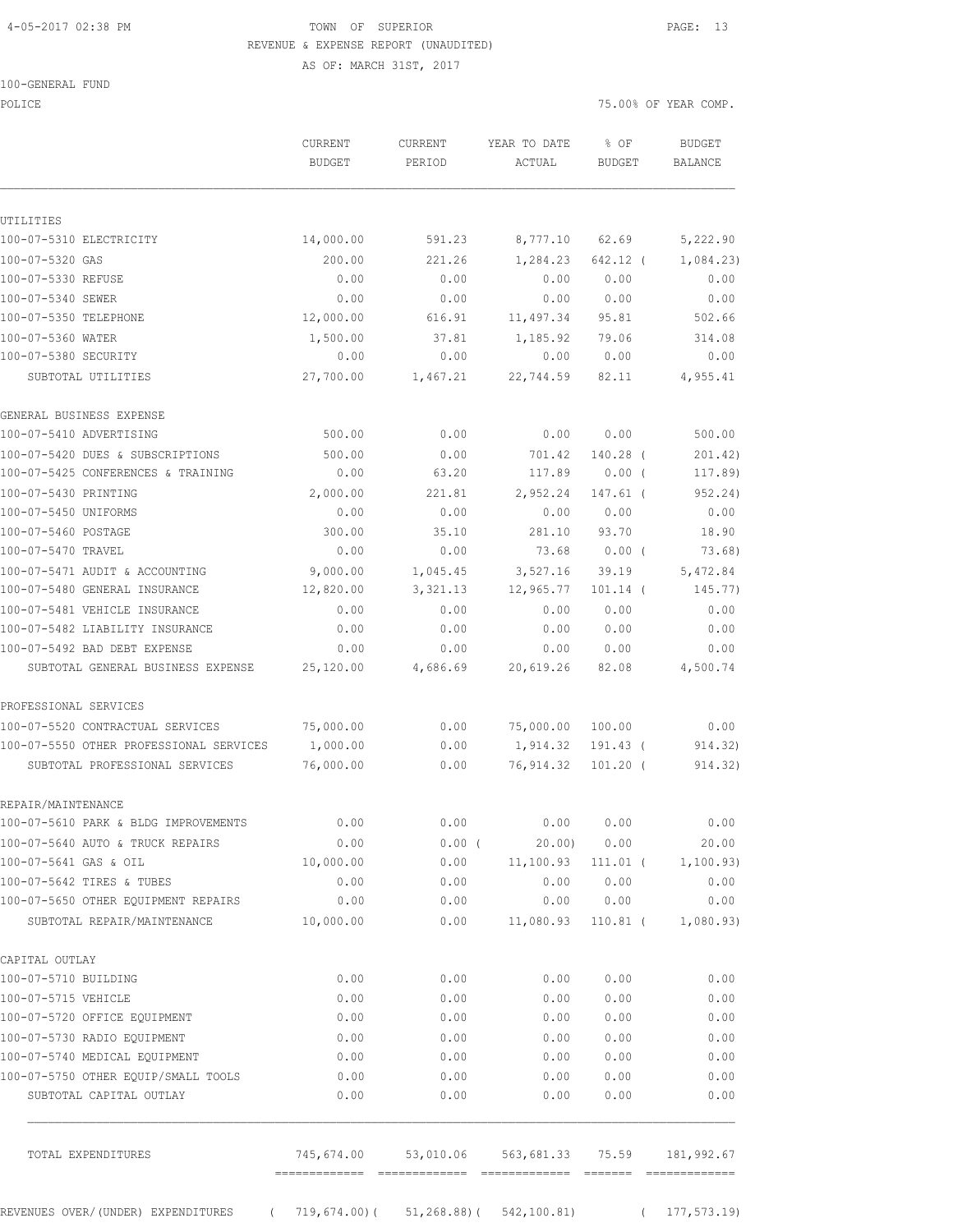### 4-05-2017 02:38 PM TOWN OF SUPERIOR PAGE: 13 REVENUE & EXPENSE REPORT (UNAUDITED)

AS OF: MARCH 31ST, 2017

|  | 100-GENERAL FUND |  |
|--|------------------|--|
|  |                  |  |

POLICE 75.00% OF YEAR COMP.

|                                                                | CURRENT<br><b>BUDGET</b> | CURRENT<br>PERIOD                     | YEAR TO DATE<br>ACTUAL | % OF<br><b>BUDGET</b> | <b>BUDGET</b><br>BALANCE |
|----------------------------------------------------------------|--------------------------|---------------------------------------|------------------------|-----------------------|--------------------------|
| UTILITIES                                                      |                          |                                       |                        |                       |                          |
| 100-07-5310 ELECTRICITY                                        | 14,000.00                | 591.23                                | 8,777.10               | 62.69                 | 5,222.90                 |
| 100-07-5320 GAS                                                | 200.00                   | 221.26                                | 1,284.23               | 642.12 (              | 1,084.23                 |
| 100-07-5330 REFUSE                                             | 0.00                     | 0.00                                  | 0.00                   | 0.00                  | 0.00                     |
| 100-07-5340 SEWER                                              | 0.00                     | 0.00                                  | 0.00                   | 0.00                  | 0.00                     |
| 100-07-5350 TELEPHONE                                          | 12,000.00                | 616.91                                | 11,497.34              | 95.81                 | 502.66                   |
| 100-07-5360 WATER                                              | 1,500.00                 | 37.81                                 | 1,185.92               | 79.06                 | 314.08                   |
| 100-07-5380 SECURITY                                           | 0.00                     | 0.00                                  | 0.00                   | 0.00                  | 0.00                     |
| SUBTOTAL UTILITIES                                             | 27,700.00                | 1,467.21                              | 22,744.59              | 82.11                 | 4,955.41                 |
| GENERAL BUSINESS EXPENSE                                       |                          |                                       |                        |                       |                          |
| 100-07-5410 ADVERTISING                                        | 500.00                   | 0.00                                  | 0.00                   | 0.00                  | 500.00                   |
| 100-07-5420 DUES & SUBSCRIPTIONS                               | 500.00                   | 0.00                                  | 701.42                 | 140.28 (              | 201.42)                  |
| 100-07-5425 CONFERENCES & TRAINING                             | 0.00                     | 63.20                                 | 117.89                 | $0.00$ (              | 117.89)                  |
| 100-07-5430 PRINTING                                           | 2,000.00                 | 221.81                                | 2,952.24               | $147.61$ (            | 952.24)                  |
| 100-07-5450 UNIFORMS                                           | 0.00                     | 0.00                                  | 0.00                   | 0.00                  | 0.00                     |
| 100-07-5460 POSTAGE                                            | 300.00                   | 35.10                                 | 281.10                 | 93.70                 | 18.90                    |
| 100-07-5470 TRAVEL                                             | 0.00                     | 0.00                                  | 73.68                  | $0.00$ (              | 73.68)                   |
| 100-07-5471 AUDIT & ACCOUNTING                                 | 9,000.00                 | 1,045.45                              | 3,527.16               | 39.19                 | 5,472.84                 |
| 100-07-5480 GENERAL INSURANCE                                  | 12,820.00                | 3,321.13                              | 12,965.77              | $101.14$ (            | 145.77)                  |
| 100-07-5481 VEHICLE INSURANCE                                  | 0.00                     | 0.00                                  | 0.00                   | 0.00                  | 0.00                     |
| 100-07-5482 LIABILITY INSURANCE                                | 0.00                     | 0.00                                  | 0.00                   | 0.00                  | 0.00                     |
| 100-07-5492 BAD DEBT EXPENSE                                   | 0.00                     | 0.00                                  | 0.00                   | 0.00                  | 0.00                     |
| SUBTOTAL GENERAL BUSINESS EXPENSE                              | 25,120.00                | 4,686.69                              | 20,619.26              | 82.08                 | 4,500.74                 |
| PROFESSIONAL SERVICES                                          |                          |                                       |                        |                       |                          |
| 100-07-5520 CONTRACTUAL SERVICES                               | 75,000.00                | 0.00                                  | 75,000.00              | 100.00                | 0.00                     |
| 100-07-5550 OTHER PROFESSIONAL SERVICES                        | 1,000.00                 | 0.00                                  | 1,914.32               | 191.43 (              | 914.32)                  |
| SUBTOTAL PROFESSIONAL SERVICES                                 | 76,000.00                | 0.00                                  | 76,914.32              | $101.20$ (            | 914.32)                  |
| REPAIR/MAINTENANCE                                             |                          |                                       |                        |                       |                          |
| 100-07-5610 PARK & BLDG IMPROVEMENTS                           | 0.00                     | 0.00                                  | 0.00                   | 0.00                  | 0.00                     |
| 100-07-5640 AUTO & TRUCK REPAIRS                               | 0.00                     | $0.00$ (                              | 20.00                  | 0.00                  | 20.00                    |
| 100-07-5641 GAS & OIL                                          | 10,000.00                | 0.00                                  | 11,100.93              | $111.01$ (            | 1,100.93)                |
| 100-07-5642 TIRES & TUBES                                      | 0.00                     | 0.00                                  | 0.00                   | 0.00                  | 0.00                     |
| 100-07-5650 OTHER EQUIPMENT REPAIRS                            | 0.00                     | 0.00                                  | 0.00                   | 0.00                  | 0.00                     |
| SUBTOTAL REPAIR/MAINTENANCE                                    | 10,000.00                | 0.00                                  | 11,080.93              | $110.81$ (            | 1,080.93)                |
| CAPITAL OUTLAY                                                 |                          |                                       |                        |                       |                          |
| 100-07-5710 BUILDING                                           | 0.00                     | 0.00                                  | 0.00                   | 0.00                  | 0.00                     |
| 100-07-5715 VEHICLE                                            | 0.00                     | 0.00                                  | 0.00                   | 0.00                  | 0.00                     |
| 100-07-5720 OFFICE EOUIPMENT                                   | 0.00                     | 0.00                                  | 0.00                   | 0.00                  | 0.00                     |
| 100-07-5730 RADIO EQUIPMENT                                    | 0.00                     | 0.00                                  | 0.00                   | 0.00                  | 0.00                     |
| 100-07-5740 MEDICAL EQUIPMENT                                  | 0.00                     | 0.00                                  | 0.00                   | 0.00                  | 0.00                     |
| 100-07-5750 OTHER EQUIP/SMALL TOOLS<br>SUBTOTAL CAPITAL OUTLAY | 0.00<br>0.00             | 0.00<br>0.00                          | 0.00<br>0.00           | 0.00<br>0.00          | 0.00<br>0.00             |
| TOTAL EXPENDITURES                                             | 745,674.00               | 53,010.06                             | 563,681.33             | 75.59                 | 181,992.67               |
| REVENUES OVER/ (UNDER) EXPENDITURES<br>$\sqrt{2}$              |                          | $719,674.00$ (51,268.88) (542,100.81) |                        | $\left($              | 177,573.19)              |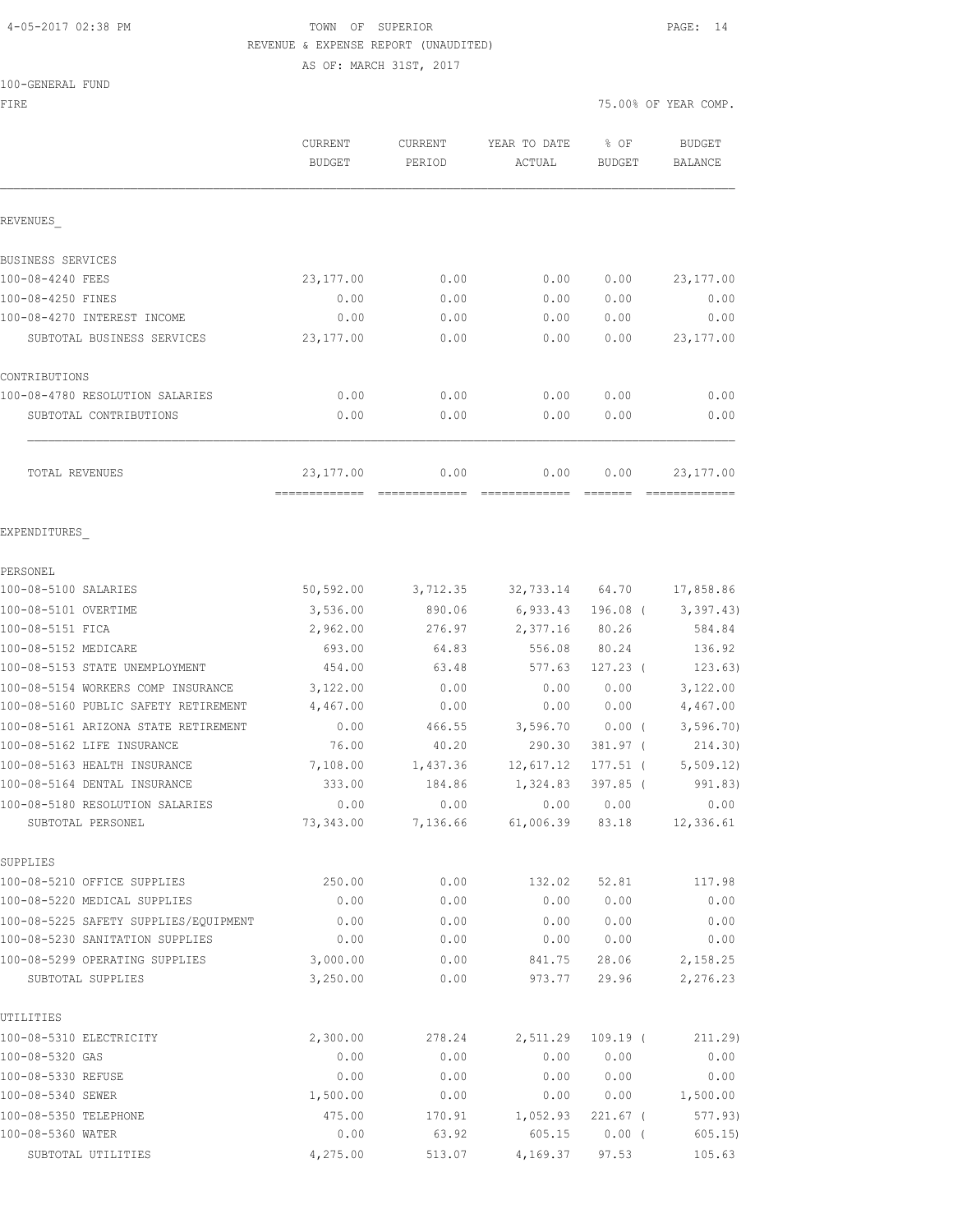# 4-05-2017 02:38 PM TOWN OF SUPERIOR PAGE: 14 REVENUE & EXPENSE REPORT (UNAUDITED)

AS OF: MARCH 31ST, 2017

#### 100-GENERAL FUND

| FIRE                                  |                                 |                          |                        |                       | 75.00% OF YEAR COMP.            |
|---------------------------------------|---------------------------------|--------------------------|------------------------|-----------------------|---------------------------------|
|                                       | <b>CURRENT</b><br><b>BUDGET</b> | <b>CURRENT</b><br>PERIOD | YEAR TO DATE<br>ACTUAL | % OF<br><b>BUDGET</b> | <b>BUDGET</b><br><b>BALANCE</b> |
| REVENUES                              |                                 |                          |                        |                       |                                 |
| BUSINESS SERVICES                     |                                 |                          |                        |                       |                                 |
| 100-08-4240 FEES                      | 23, 177.00                      | 0.00                     | 0.00                   | 0.00                  | 23, 177.00                      |
| 100-08-4250 FINES                     | 0.00                            | 0.00                     | 0.00                   | 0.00                  | 0.00                            |
| 100-08-4270 INTEREST INCOME           | 0.00                            | 0.00                     | 0.00                   | 0.00                  | 0.00                            |
| SUBTOTAL BUSINESS SERVICES            | 23,177.00                       | 0.00                     | 0.00                   | 0.00                  | 23, 177.00                      |
| CONTRIBUTIONS                         |                                 |                          |                        |                       |                                 |
| 100-08-4780 RESOLUTION SALARIES       | 0.00                            | 0.00                     | 0.00                   | 0.00                  | 0.00                            |
| SUBTOTAL CONTRIBUTIONS                | 0.00                            | 0.00                     | 0.00                   | 0.00                  | 0.00                            |
| TOTAL REVENUES                        | 23,177.00                       | 0.00                     | 0.00                   | 0.00                  | 23, 177.00                      |
| EXPENDITURES                          |                                 |                          |                        |                       |                                 |
|                                       |                                 |                          |                        |                       |                                 |
| PERSONEL<br>100-08-5100 SALARIES      | 50,592.00                       |                          |                        |                       |                                 |
| 100-08-5101 OVERTIME                  | 3,536.00                        | 3,712.35                 | 32,733.14<br>6,933.43  | 64.70                 | 17,858.86                       |
| 100-08-5151 FICA                      | 2,962.00                        | 890.06<br>276.97         | 2,377.16               | 196.08 (<br>80.26     | 3,397.43)<br>584.84             |
| 100-08-5152 MEDICARE                  | 693.00                          | 64.83                    | 556.08                 | 80.24                 | 136.92                          |
| 100-08-5153 STATE UNEMPLOYMENT        | 454.00                          | 63.48                    | 577.63                 | $127.23$ (            | 123.63)                         |
| 100-08-5154 WORKERS COMP INSURANCE    | 3,122.00                        | 0.00                     | 0.00                   | 0.00                  | 3,122.00                        |
| 100-08-5160 PUBLIC SAFETY RETIREMENT  | 4,467.00                        | 0.00                     | 0.00                   | 0.00                  | 4,467.00                        |
| 100-08-5161 ARIZONA STATE RETIREMENT  | 0.00                            | 466.55                   | 3,596.70               | 0.00(                 | 3, 596.70                       |
| 100-08-5162 LIFE INSURANCE            | 76.00                           | 40.20                    | 290.30                 | 381.97 (              | 214.30)                         |
| 100-08-5163 HEALTH INSURANCE          | 7,108.00                        | 1,437.36                 | 12,617.12              | $177.51$ (            | 5, 509.12)                      |
| 100-08-5164 DENTAL INSURANCE          | 333.00                          | 184.86                   | 1,324.83               | 397.85 (              | 991.83)                         |
| 100-08-5180 RESOLUTION SALARIES       | 0.00                            | 0.00                     | 0.00                   | 0.00                  | 0.00                            |
| SUBTOTAL PERSONEL                     | 73,343.00                       | 7,136.66                 | 61,006.39              | 83.18                 | 12,336.61                       |
| SUPPLIES                              |                                 |                          |                        |                       |                                 |
| 100-08-5210 OFFICE SUPPLIES           | 250.00                          | 0.00                     | 132.02                 | 52.81                 | 117.98                          |
| 100-08-5220 MEDICAL SUPPLIES          | 0.00                            | 0.00                     | 0.00                   | 0.00                  | 0.00                            |
| 100-08-5225 SAFETY SUPPLIES/EQUIPMENT | 0.00                            | 0.00                     | 0.00                   | 0.00                  | 0.00                            |
| 100-08-5230 SANITATION SUPPLIES       | 0.00                            | 0.00                     | 0.00                   | 0.00                  | 0.00                            |
| 100-08-5299 OPERATING SUPPLIES        | 3,000.00                        | 0.00                     | 841.75                 | 28.06                 | 2,158.25                        |
| SUBTOTAL SUPPLIES                     | 3,250.00                        | 0.00                     | 973.77                 | 29.96                 | 2,276.23                        |
| UTILITIES                             |                                 |                          |                        |                       |                                 |
| 100-08-5310 ELECTRICITY               | 2,300.00                        | 278.24                   | 2,511.29               | $109.19$ (            | 211.29)                         |
| 100-08-5320 GAS                       | 0.00                            | 0.00                     | 0.00                   | 0.00                  | 0.00                            |
| 100-08-5330 REFUSE                    | 0.00                            | 0.00                     | 0.00                   | 0.00                  | 0.00                            |
| 100-08-5340 SEWER                     | 1,500.00                        | 0.00                     | 0.00                   | 0.00                  | 1,500.00                        |
| 100-08-5350 TELEPHONE                 | 475.00                          | 170.91                   | 1,052.93               | $221.67$ (            | 577.93)                         |
| 100-08-5360 WATER                     | 0.00                            | 63.92                    | 605.15                 | $0.00$ (              | 605.15                          |

SUBTOTAL UTILITIES 4,275.00 513.07 4,169.37 97.53 105.63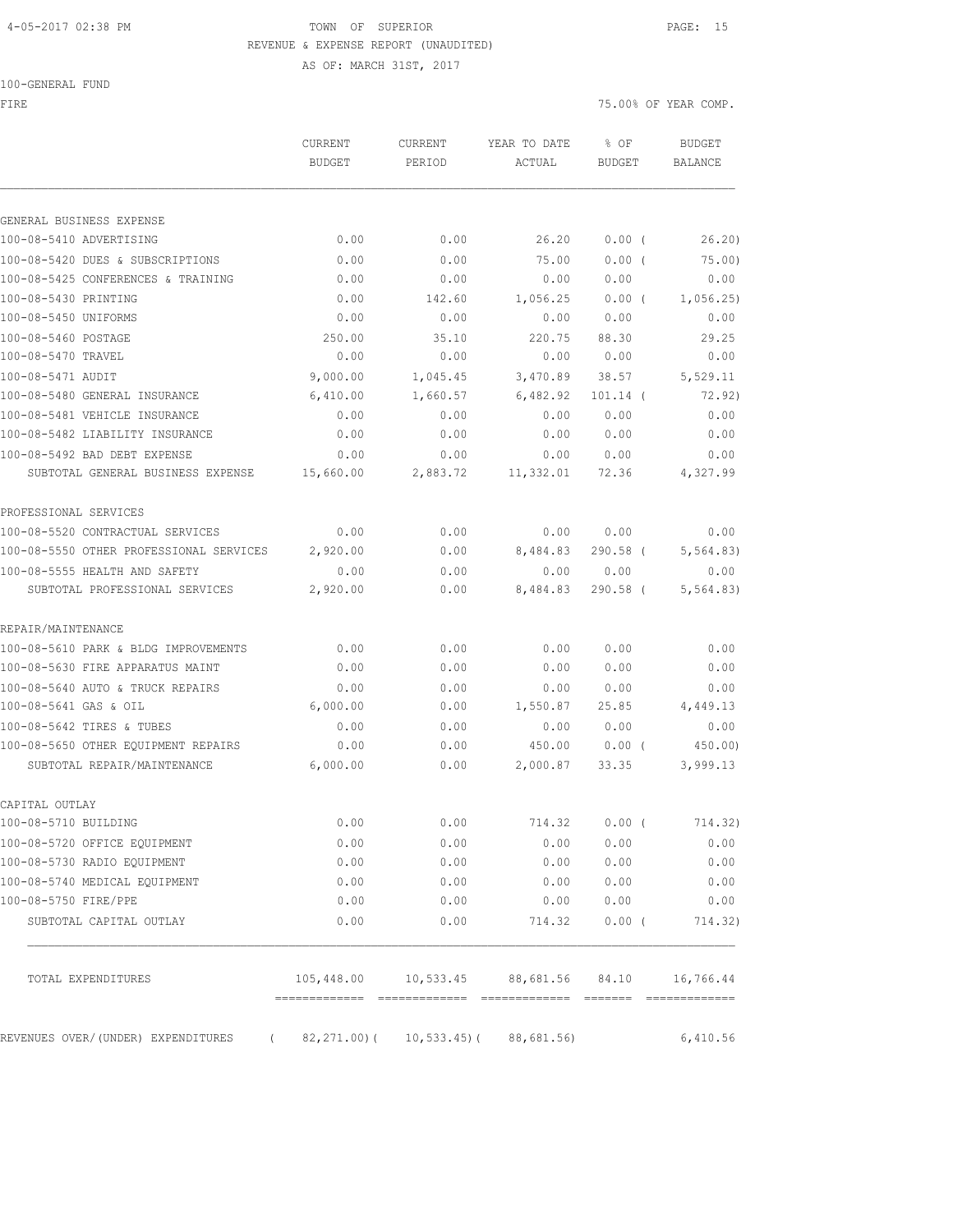#### 4-05-2017 02:38 PM TOWN OF SUPERIOR PAGE: 15 REVENUE & EXPENSE REPORT (UNAUDITED)

100-GENERAL FUND

FIRE THE SERIES OF YEAR COMP.

|                                         | <b>CURRENT</b><br><b>BUDGET</b>          | CURRENT<br>PERIOD | YEAR TO DATE<br>ACTUAL               | % OF<br><b>BUDGET</b> | <b>BUDGET</b><br><b>BALANCE</b> |
|-----------------------------------------|------------------------------------------|-------------------|--------------------------------------|-----------------------|---------------------------------|
|                                         |                                          |                   |                                      |                       |                                 |
| GENERAL BUSINESS EXPENSE                |                                          |                   |                                      |                       |                                 |
| 100-08-5410 ADVERTISING                 | 0.00                                     | 0.00              | 26.20                                | $0.00$ (              | 26.20                           |
| 100-08-5420 DUES & SUBSCRIPTIONS        | 0.00                                     | 0.00              | 75.00                                | 0.00(                 | 75.00)                          |
| 100-08-5425 CONFERENCES & TRAINING      | 0.00                                     | 0.00              | 0.00                                 | 0.00                  | 0.00                            |
| 100-08-5430 PRINTING                    | 0.00                                     | 142.60            | 1,056.25                             | 0.00(                 | 1,056.25                        |
| 100-08-5450 UNIFORMS                    | 0.00                                     | 0.00              | 0.00                                 | 0.00                  | 0.00                            |
| 100-08-5460 POSTAGE                     | 250.00                                   | 35.10             | 220.75                               | 88.30                 | 29.25                           |
| 100-08-5470 TRAVEL                      | 0.00                                     | 0.00              | 0.00                                 | 0.00                  | 0.00                            |
| 100-08-5471 AUDIT                       | 9,000.00                                 | 1,045.45          | 3,470.89                             | 38.57                 | 5,529.11                        |
| 100-08-5480 GENERAL INSURANCE           | 6,410.00                                 | 1,660.57          | 6,482.92                             | $101.14$ (            | 72.92)                          |
| 100-08-5481 VEHICLE INSURANCE           | 0.00                                     | 0.00              | 0.00                                 | 0.00                  | 0.00                            |
| 100-08-5482 LIABILITY INSURANCE         | 0.00                                     | 0.00              | 0.00                                 | 0.00                  | 0.00                            |
| 100-08-5492 BAD DEBT EXPENSE            | 0.00                                     | 0.00              | 0.00                                 | 0.00                  | 0.00                            |
| SUBTOTAL GENERAL BUSINESS EXPENSE       | 15,660.00                                | 2,883.72          | 11,332.01                            | 72.36                 | 4,327.99                        |
| PROFESSIONAL SERVICES                   |                                          |                   |                                      |                       |                                 |
| 100-08-5520 CONTRACTUAL SERVICES        | 0.00                                     | 0.00              | 0.00                                 | 0.00                  | 0.00                            |
| 100-08-5550 OTHER PROFESSIONAL SERVICES | 2,920.00                                 | 0.00              | 8,484.83                             | $290.58$ (            | 5, 564.83)                      |
| 100-08-5555 HEALTH AND SAFETY           | 0.00                                     | 0.00              | 0.00                                 | 0.00                  | 0.00                            |
| SUBTOTAL PROFESSIONAL SERVICES          | 2,920.00                                 | 0.00              | 8,484.83                             | $290.58$ (            | 5, 564.83)                      |
| REPAIR/MAINTENANCE                      |                                          |                   |                                      |                       |                                 |
| 100-08-5610 PARK & BLDG IMPROVEMENTS    | 0.00                                     | 0.00              | 0.00                                 | 0.00                  | 0.00                            |
| 100-08-5630 FIRE APPARATUS MAINT        | 0.00                                     | 0.00              | 0.00                                 | 0.00                  | 0.00                            |
| 100-08-5640 AUTO & TRUCK REPAIRS        | 0.00                                     | 0.00              | 0.00                                 | 0.00                  | 0.00                            |
| 100-08-5641 GAS & OIL                   | 6,000.00                                 | 0.00              | 1,550.87                             | 25.85                 | 4,449.13                        |
| 100-08-5642 TIRES & TUBES               | 0.00                                     | 0.00              | 0.00                                 | 0.00                  | 0.00                            |
| 100-08-5650 OTHER EQUIPMENT REPAIRS     | 0.00                                     | 0.00              | 450.00                               | $0.00$ (              | 450.00)                         |
| SUBTOTAL REPAIR/MAINTENANCE             | 6,000.00                                 | 0.00              | 2,000.87                             | 33.35                 | 3,999.13                        |
| CAPITAL OUTLAY                          |                                          |                   |                                      |                       |                                 |
| 100-08-5710 BUILDING                    | 0.00                                     | 0.00              | 714.32                               | $0.00$ (              | 714.32)                         |
| 100-08-5720 OFFICE EQUIPMENT            | 0.00                                     | 0.00              | 0.00                                 | 0.00                  | 0.00                            |
| 100-08-5730 RADIO EQUIPMENT             | 0.00                                     | 0.00              | 0.00                                 | 0.00                  | 0.00                            |
| 100-08-5740 MEDICAL EQUIPMENT           | 0.00                                     | 0.00              | 0.00                                 | 0.00                  | 0.00                            |
| 100-08-5750 FIRE/PPE                    | 0.00                                     | 0.00              | 0.00                                 | 0.00                  | 0.00                            |
| SUBTOTAL CAPITAL OUTLAY                 | 0.00                                     | 0.00              | 714.32                               | $0.00$ (              | 714.32)                         |
| TOTAL EXPENDITURES                      |                                          |                   | 105,448.00 10,533.45 88,681.56 84.10 |                       | 16,766.44                       |
|                                         |                                          |                   |                                      |                       |                                 |
| REVENUES OVER/(UNDER) EXPENDITURES      | $(82, 271.00) (10, 533.45) (88, 681.56)$ |                   |                                      |                       | 6,410.56                        |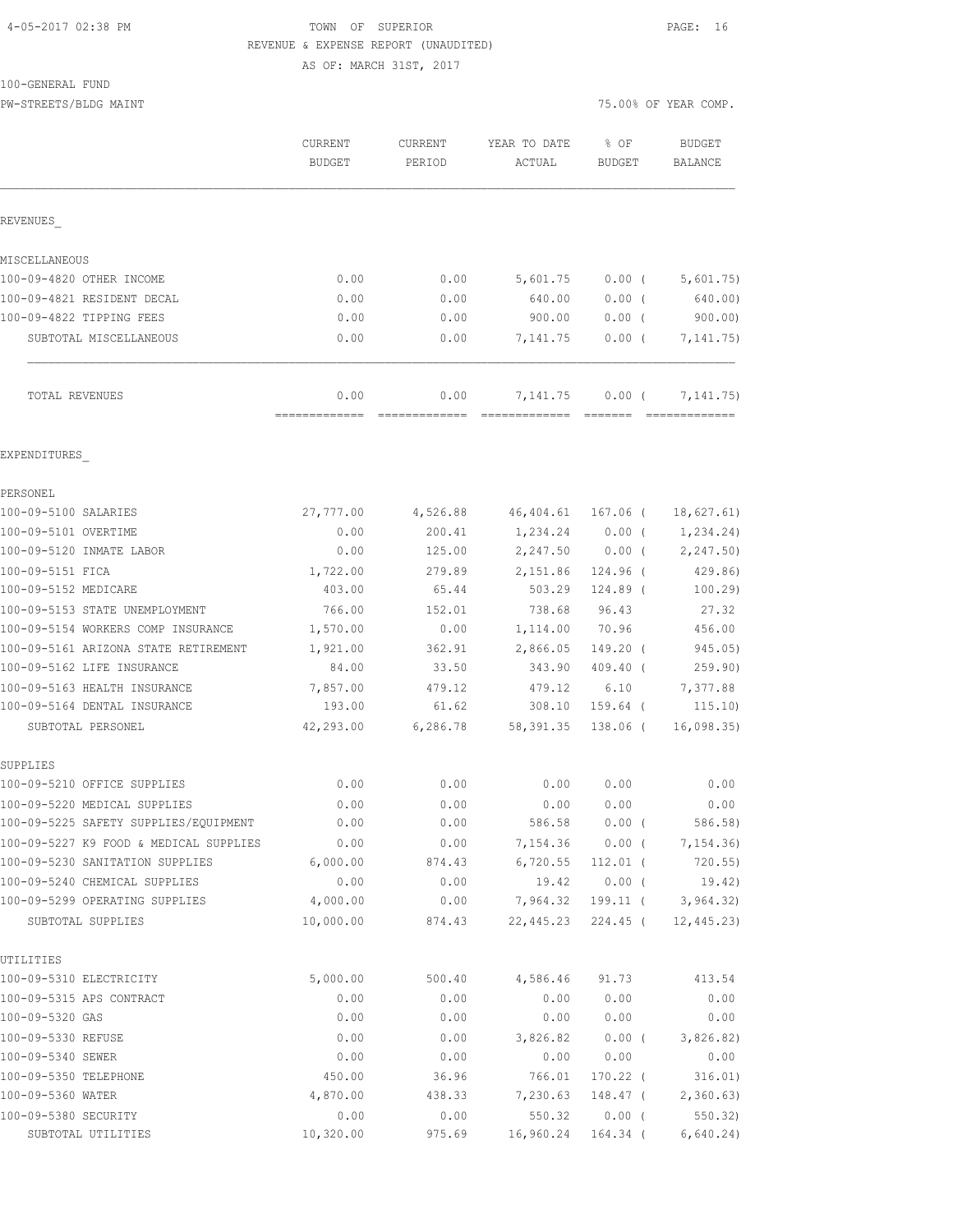### 4-05-2017 02:38 PM TOWN OF SUPERIOR PAGE: 16 REVENUE & EXPENSE REPORT (UNAUDITED) AS OF: MARCH 31ST, 2017

100-GENERAL FUND

|                                                                 | <b>CURRENT</b><br><b>BUDGET</b> | <b>CURRENT</b><br>PERIOD | YEAR TO DATE<br>ACTUAL | % OF<br>BUDGET       | <b>BUDGET</b><br>BALANCE |
|-----------------------------------------------------------------|---------------------------------|--------------------------|------------------------|----------------------|--------------------------|
| REVENUES                                                        |                                 |                          |                        |                      |                          |
| MISCELLANEOUS                                                   |                                 |                          |                        |                      |                          |
| 100-09-4820 OTHER INCOME                                        | 0.00                            | 0.00                     | 5,601.75               | $0.00$ (             | 5,601.75)                |
| 100-09-4821 RESIDENT DECAL                                      | 0.00                            | 0.00                     | 640.00                 | 0.00(                | 640.00)                  |
| 100-09-4822 TIPPING FEES                                        | 0.00                            | 0.00                     | 900.00                 | $0.00$ (             | 900.00                   |
| SUBTOTAL MISCELLANEOUS                                          | 0.00                            | 0.00                     | 7,141.75               | $0.00$ (             | 7, 141. 75)              |
| TOTAL REVENUES                                                  | 0.00<br>--------------          | 0.00                     | 7,141.75               | 0.00(                | 7, 141.75)               |
| EXPENDITURES                                                    |                                 |                          |                        |                      |                          |
| PERSONEL                                                        |                                 |                          |                        |                      |                          |
| 100-09-5100 SALARIES                                            | 27,777.00                       | 4,526.88                 | 46,404.61              | 167.06 (             | 18,627.61)               |
| 100-09-5101 OVERTIME                                            | 0.00                            | 200.41                   | 1,234.24               | 0.00(                | 1,234.24)                |
| 100-09-5120 INMATE LABOR                                        | 0.00                            | 125.00                   | 2,247.50               | $0.00$ (             | 2,247.50)                |
| 100-09-5151 FICA                                                | 1,722.00                        | 279.89                   | 2,151.86               | 124.96 (             | 429.86                   |
| 100-09-5152 MEDICARE                                            | 403.00                          | 65.44                    | 503.29                 | 124.89 (             | 100.29                   |
| 100-09-5153 STATE UNEMPLOYMENT                                  | 766.00                          | 152.01                   | 738.68                 | 96.43                | 27.32                    |
| 100-09-5154 WORKERS COMP INSURANCE                              | 1,570.00                        | 0.00                     | 1,114.00               | 70.96                | 456.00                   |
| 100-09-5161 ARIZONA STATE RETIREMENT                            | 1,921.00                        | 362.91                   | 2,866.05               | 149.20 (             | 945.05)                  |
| 100-09-5162 LIFE INSURANCE                                      | 84.00                           | 33.50                    | 343.90                 | $409.40$ (           | 259.90)                  |
| 100-09-5163 HEALTH INSURANCE                                    | 7,857.00                        | 479.12                   | 479.12                 | 6.10                 | 7,377.88                 |
| 100-09-5164 DENTAL INSURANCE                                    | 193.00                          | 61.62                    | 308.10                 | $159.64$ (           | 115.10)                  |
| SUBTOTAL PERSONEL                                               | 42,293.00                       | 6,286.78                 | 58,391.35              | 138.06 (             | 16,098.35                |
| SUPPLIES                                                        |                                 |                          |                        |                      |                          |
| 100-09-5210 OFFICE SUPPLIES                                     | 0.00                            | 0.00                     | 0.00                   | 0.00                 | 0.00                     |
| 100-09-5220 MEDICAL SUPPLIES                                    | 0.00                            | 0.00                     | 0.00                   | 0.00                 | 0.00                     |
| 100-09-5225 SAFETY SUPPLIES/EQUIPMENT                           | 0.00                            | 0.00                     | 586.58                 | $0.00$ (             | 586.58)                  |
| 100-09-5227 K9 FOOD & MEDICAL SUPPLIES                          | 0.00                            | 0.00                     | 7,154.36               | $0.00$ (             | 7,154.36)                |
| 100-09-5230 SANITATION SUPPLIES                                 | 6,000.00                        | 874.43                   | 6,720.55               | $112.01$ (           | $720.55$ )               |
| 100-09-5240 CHEMICAL SUPPLIES<br>100-09-5299 OPERATING SUPPLIES | 0.00<br>4,000.00                | 0.00<br>0.00             | 19.42<br>7,964.32      | $0.00$ (             | 19.42)                   |
| SUBTOTAL SUPPLIES                                               | 10,000.00                       | 874.43                   | 22,445.23              | 199.11 (<br>224.45 ( | 3,964.32)<br>12,445.23)  |
| UTILITIES                                                       |                                 |                          |                        |                      |                          |
| 100-09-5310 ELECTRICITY                                         | 5,000.00                        | 500.40                   | 4,586.46               | 91.73                | 413.54                   |
| 100-09-5315 APS CONTRACT                                        | 0.00                            | 0.00                     | 0.00                   | 0.00                 | 0.00                     |
| 100-09-5320 GAS                                                 | 0.00                            | 0.00                     | 0.00                   | 0.00                 | 0.00                     |
| 100-09-5330 REFUSE                                              | 0.00                            | 0.00                     | 3,826.82               | $0.00$ (             | 3,826.82)                |
| 100-09-5340 SEWER                                               | 0.00                            | 0.00                     | 0.00                   | 0.00                 | 0.00                     |
| 100-09-5350 TELEPHONE                                           | 450.00                          | 36.96                    | 766.01                 | $170.22$ (           | 316.01)                  |
| 100-09-5360 WATER                                               | 4,870.00                        | 438.33                   | 7,230.63               | 148.47 (             | 2,360.63)                |
| 100-09-5380 SECURITY                                            | 0.00                            | 0.00                     | 550.32                 | $0.00$ (             | 550.32)                  |
| SUBTOTAL UTILITIES                                              | 10,320.00                       | 975.69                   | 16,960.24              | $164.34$ (           | 6,640.24)                |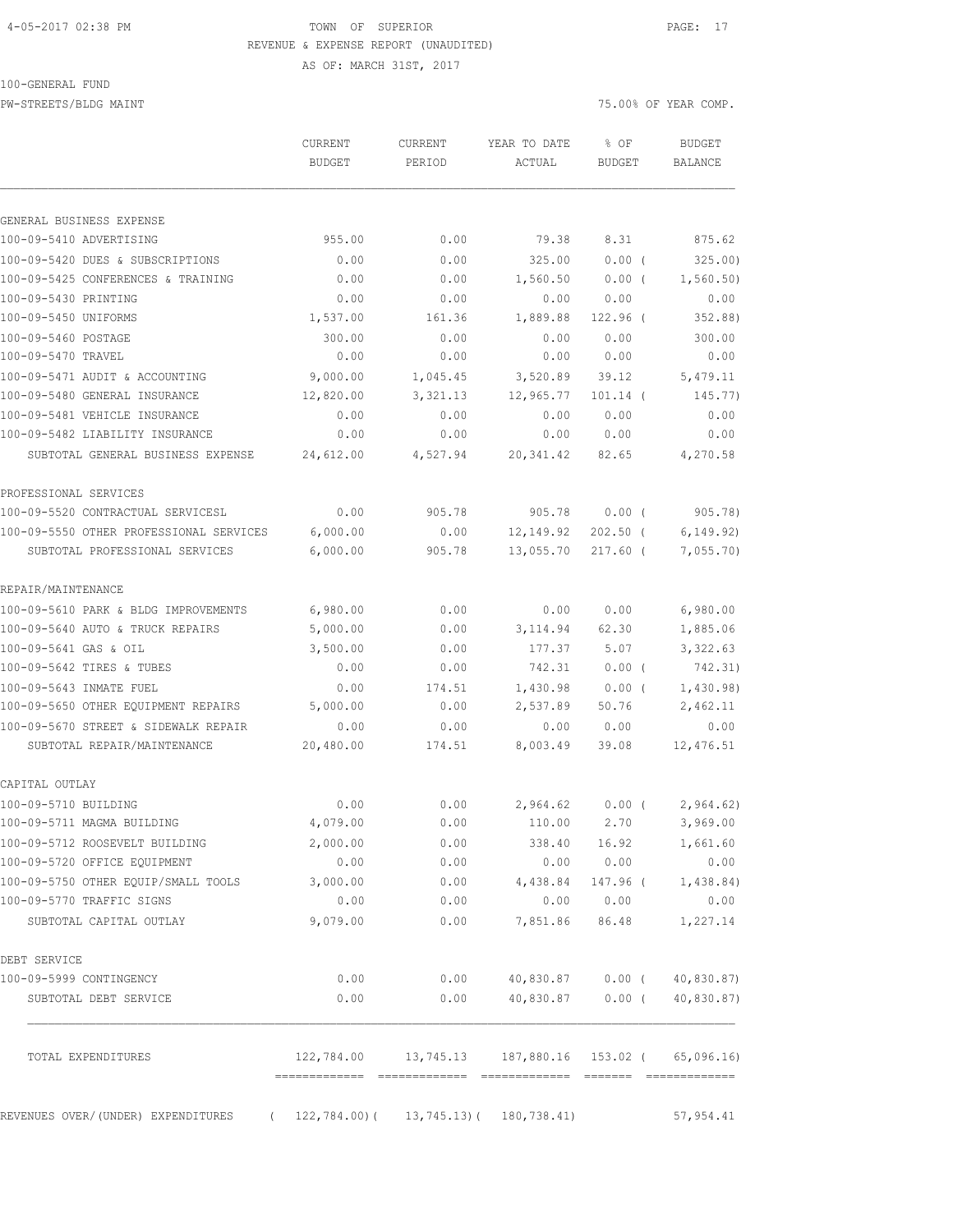### 4-05-2017 02:38 PM **TOWN** OF SUPERIOR **PAGE:** 17 REVENUE & EXPENSE REPORT (UNAUDITED) AS OF: MARCH 31ST, 2017

100-GENERAL FUND

PW-STREETS/BLDG MAINT 75.00% OF YEAR COMP.

|                                         | CURRENT<br><b>BUDGET</b> | <b>CURRENT</b><br>PERIOD | YEAR TO DATE<br>ACTUAL | % OF<br><b>BUDGET</b> | <b>BUDGET</b><br><b>BALANCE</b> |
|-----------------------------------------|--------------------------|--------------------------|------------------------|-----------------------|---------------------------------|
| GENERAL BUSINESS EXPENSE                |                          |                          |                        |                       |                                 |
| 100-09-5410 ADVERTISING                 | 955.00                   | 0.00                     | 79.38                  | 8.31                  | 875.62                          |
| 100-09-5420 DUES & SUBSCRIPTIONS        | 0.00                     | 0.00                     | 325.00                 | $0.00$ (              | 325.00)                         |
| 100-09-5425 CONFERENCES & TRAINING      | 0.00                     | 0.00                     | 1,560.50               | $0.00$ (              | 1,560.50)                       |
| 100-09-5430 PRINTING                    | 0.00                     | 0.00                     | 0.00                   | 0.00                  | 0.00                            |
| 100-09-5450 UNIFORMS                    | 1,537.00                 | 161.36                   | 1,889.88               | 122.96 (              | 352.88)                         |
| 100-09-5460 POSTAGE                     | 300.00                   | 0.00                     | 0.00                   | 0.00                  | 300.00                          |
| 100-09-5470 TRAVEL                      | 0.00                     | 0.00                     | 0.00                   | 0.00                  | 0.00                            |
| 100-09-5471 AUDIT & ACCOUNTING          | 9,000.00                 | 1,045.45                 | 3,520.89               | 39.12                 | 5,479.11                        |
| 100-09-5480 GENERAL INSURANCE           | 12,820.00                | 3,321.13                 | 12,965.77              | $101.14$ (            | 145.77)                         |
| 100-09-5481 VEHICLE INSURANCE           | 0.00                     | 0.00                     | 0.00                   | 0.00                  | 0.00                            |
| 100-09-5482 LIABILITY INSURANCE         | 0.00                     | 0.00                     | 0.00                   | 0.00                  | 0.00                            |
| SUBTOTAL GENERAL BUSINESS EXPENSE       | 24,612.00                | 4,527.94                 | 20, 341.42             | 82.65                 | 4,270.58                        |
| PROFESSIONAL SERVICES                   |                          |                          |                        |                       |                                 |
| 100-09-5520 CONTRACTUAL SERVICESL       | 0.00                     | 905.78                   | 905.78                 | $0.00$ (              | 905.78)                         |
| 100-09-5550 OTHER PROFESSIONAL SERVICES | 6,000.00                 | 0.00                     | 12,149.92              | $202.50$ (            | 6, 149.92)                      |
| SUBTOTAL PROFESSIONAL SERVICES          | 6,000.00                 | 905.78                   | 13,055.70              | $217.60$ (            | 7,055.70                        |
| REPAIR/MAINTENANCE                      |                          |                          |                        |                       |                                 |
| 100-09-5610 PARK & BLDG IMPROVEMENTS    | 6,980.00                 | 0.00                     | 0.00                   | 0.00                  | 6,980.00                        |
| 100-09-5640 AUTO & TRUCK REPAIRS        | 5,000.00                 | 0.00                     | 3, 114.94              | 62.30                 | 1,885.06                        |
| 100-09-5641 GAS & OIL                   | 3,500.00                 | 0.00                     | 177.37                 | 5.07                  | 3,322.63                        |
| 100-09-5642 TIRES & TUBES               | 0.00                     | 0.00                     | 742.31                 | 0.00(                 | 742.31)                         |
| 100-09-5643 INMATE FUEL                 | 0.00                     | 174.51                   | 1,430.98               | $0.00$ (              | 1,430.98)                       |
| 100-09-5650 OTHER EQUIPMENT REPAIRS     | 5,000.00                 | 0.00                     | 2,537.89               | 50.76                 | 2,462.11                        |
| 100-09-5670 STREET & SIDEWALK REPAIR    | 0.00                     | 0.00                     | 0.00                   | 0.00                  | 0.00                            |
| SUBTOTAL REPAIR/MAINTENANCE             | 20,480.00                | 174.51                   | 8,003.49               | 39.08                 | 12,476.51                       |
| CAPITAL OUTLAY                          |                          |                          |                        |                       |                                 |
| 100-09-5710 BUILDING                    | 0.00                     | 0.00                     | 2,964.62               | $0.00$ (              | 2,964.62)                       |
| 100-09-5711 MAGMA BUILDING              | 4,079.00                 | 0.00                     | 110.00                 | 2.70                  | 3,969.00                        |
| 100-09-5712 ROOSEVELT BUILDING          | 2,000.00                 | 0.00                     | 338.40                 | 16.92                 | 1,661.60                        |
| 100-09-5720 OFFICE EQUIPMENT            | 0.00                     | 0.00                     | 0.00                   | 0.00                  | 0.00                            |
| 100-09-5750 OTHER EQUIP/SMALL TOOLS     | 3,000.00                 | 0.00                     | 4,438.84               | 147.96 (              | 1,438.84)                       |
| 100-09-5770 TRAFFIC SIGNS               | 0.00                     | 0.00                     | 0.00                   | 0.00                  | 0.00                            |
| SUBTOTAL CAPITAL OUTLAY                 | 9,079.00                 | 0.00                     | 7,851.86               | 86.48                 | 1,227.14                        |
| DEBT SERVICE                            |                          |                          |                        |                       |                                 |
| 100-09-5999 CONTINGENCY                 | 0.00                     | 0.00                     | 40,830.87              | $0.00$ (              | 40,830.87)                      |
| SUBTOTAL DEBT SERVICE                   | 0.00                     | 0.00                     | 40,830.87              | $0.00$ (              | 40,830.87)                      |
| TOTAL EXPENDITURES                      | 122,784.00               | 13,745.13                | 187,880.16             | 153.02 (              | 65,096.16                       |

REVENUES OVER/(UNDER) EXPENDITURES ( 122,784.00)( 13,745.13)( 180,738.41) 57,954.41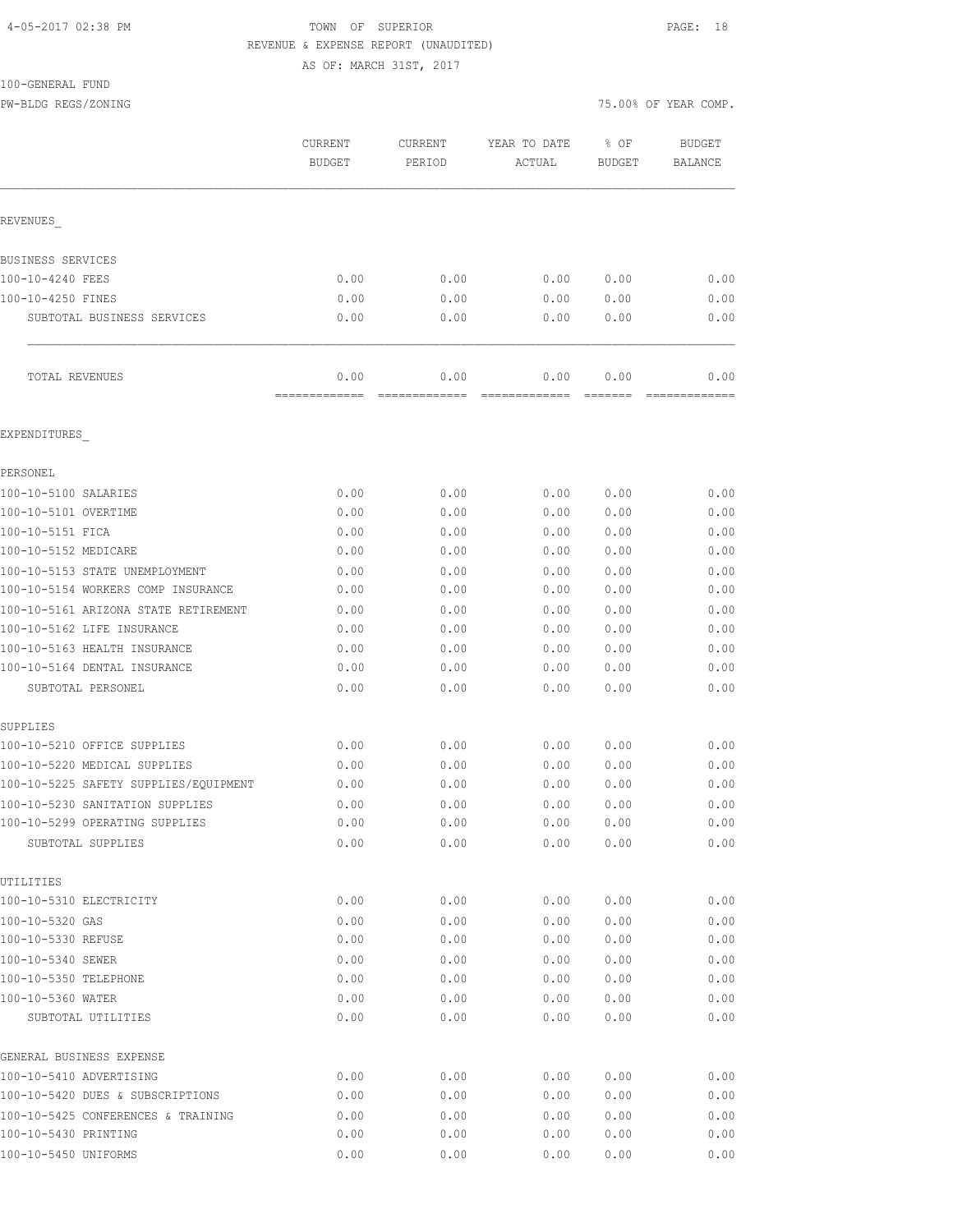## 4-05-2017 02:38 PM TOWN OF SUPERIOR PAGE: 18 REVENUE & EXPENSE REPORT (UNAUDITED)

AS OF: MARCH 31ST, 2017

#### 100-GENERAL FUND

PW-BLDG REGS/ZONING 75.000

| 75.00% OF YEAR COMP. |  |  |  |  |  |
|----------------------|--|--|--|--|--|
|----------------------|--|--|--|--|--|

|                                                     | CURRENT<br><b>BUDGET</b> | CURRENT<br>PERIOD     | YEAR TO DATE<br>ACTUAL | % OF<br><b>BUDGET</b> | <b>BUDGET</b><br><b>BALANCE</b> |
|-----------------------------------------------------|--------------------------|-----------------------|------------------------|-----------------------|---------------------------------|
| REVENUES                                            |                          |                       |                        |                       |                                 |
| BUSINESS SERVICES                                   |                          |                       |                        |                       |                                 |
| 100-10-4240 FEES                                    | 0.00                     | 0.00                  | 0.00                   | 0.00                  | 0.00                            |
| 100-10-4250 FINES                                   | 0.00                     | 0.00                  | 0.00                   | 0.00                  | 0.00                            |
| SUBTOTAL BUSINESS SERVICES                          | 0.00                     | 0.00                  | 0.00                   | 0.00                  | 0.00                            |
| TOTAL REVENUES                                      | 0.00<br>-------------    | 0.00<br>============= | 0.00<br>=============  | 0.00<br>=======       | 0.00                            |
| EXPENDITURES                                        |                          |                       |                        |                       |                                 |
| PERSONEL                                            |                          |                       |                        |                       |                                 |
| 100-10-5100 SALARIES                                | 0.00                     | 0.00                  | 0.00                   | 0.00                  | 0.00                            |
| 100-10-5101 OVERTIME                                | 0.00                     | 0.00                  | 0.00                   | 0.00                  | 0.00                            |
| 100-10-5151 FICA                                    | 0.00                     | 0.00                  | 0.00                   | 0.00                  | 0.00                            |
| 100-10-5152 MEDICARE                                | 0.00                     | 0.00                  | 0.00                   | 0.00                  | 0.00                            |
| 100-10-5153 STATE UNEMPLOYMENT                      | 0.00                     | 0.00                  | 0.00                   | 0.00                  | 0.00                            |
| 100-10-5154 WORKERS COMP INSURANCE                  | 0.00                     | 0.00                  | 0.00                   | 0.00                  | 0.00                            |
| 100-10-5161 ARIZONA STATE RETIREMENT                | 0.00                     | 0.00                  | 0.00                   | 0.00                  | 0.00                            |
| 100-10-5162 LIFE INSURANCE                          | 0.00                     | 0.00                  | 0.00                   | 0.00                  | 0.00                            |
| 100-10-5163 HEALTH INSURANCE                        | 0.00                     | 0.00                  | 0.00                   | 0.00                  | 0.00                            |
| 100-10-5164 DENTAL INSURANCE                        | 0.00                     | 0.00                  | 0.00                   | 0.00                  | 0.00                            |
| SUBTOTAL PERSONEL                                   | 0.00                     | 0.00                  | 0.00                   | 0.00                  | 0.00                            |
| SUPPLIES                                            |                          |                       |                        |                       |                                 |
| 100-10-5210 OFFICE SUPPLIES                         | 0.00                     | 0.00                  | 0.00                   | 0.00                  | 0.00                            |
| 100-10-5220 MEDICAL SUPPLIES                        | 0.00                     | 0.00                  | 0.00                   | 0.00                  | 0.00                            |
| 100-10-5225 SAFETY SUPPLIES/EQUIPMENT               | 0.00                     | 0.00                  | 0.00                   | 0.00                  | 0.00                            |
| 100-10-5230 SANITATION SUPPLIES                     | 0.00                     | 0.00                  | 0.00                   | 0.00                  | 0.00                            |
| 100-10-5299 OPERATING SUPPLIES<br>SUBTOTAL SUPPLIES | 0.00<br>0.00             | 0.00<br>0.00          | 0.00<br>0.00           | 0.00<br>0.00          | 0.00<br>0.00                    |
| UTILITIES                                           |                          |                       |                        |                       |                                 |
| 100-10-5310 ELECTRICITY                             | 0.00                     | 0.00                  | 0.00                   | 0.00                  | 0.00                            |
| 100-10-5320 GAS                                     | 0.00                     | 0.00                  | 0.00                   | 0.00                  | 0.00                            |
| 100-10-5330 REFUSE                                  | 0.00                     | 0.00                  | 0.00                   | 0.00                  | 0.00                            |
| 100-10-5340 SEWER                                   | 0.00                     | 0.00                  | 0.00                   | 0.00                  | 0.00                            |
| 100-10-5350 TELEPHONE                               | 0.00                     | 0.00                  | 0.00                   | 0.00                  | 0.00                            |
| 100-10-5360 WATER                                   | 0.00                     | 0.00                  | 0.00                   | 0.00                  | 0.00                            |
| SUBTOTAL UTILITIES                                  | 0.00                     | 0.00                  | 0.00                   | 0.00                  | 0.00                            |
| GENERAL BUSINESS EXPENSE                            |                          |                       |                        |                       |                                 |
| 100-10-5410 ADVERTISING                             | 0.00                     | 0.00                  | 0.00                   | 0.00                  | 0.00                            |
| 100-10-5420 DUES & SUBSCRIPTIONS                    | 0.00                     | 0.00                  | 0.00                   | 0.00                  | 0.00                            |
| 100-10-5425 CONFERENCES & TRAINING                  | 0.00                     | 0.00                  | 0.00                   | 0.00                  | 0.00                            |
| 100-10-5430 PRINTING                                | 0.00                     | 0.00                  | 0.00                   | 0.00                  | 0.00                            |

100-10-5450 UNIFORMS 0.00 0.00 0.00 0.00 0.00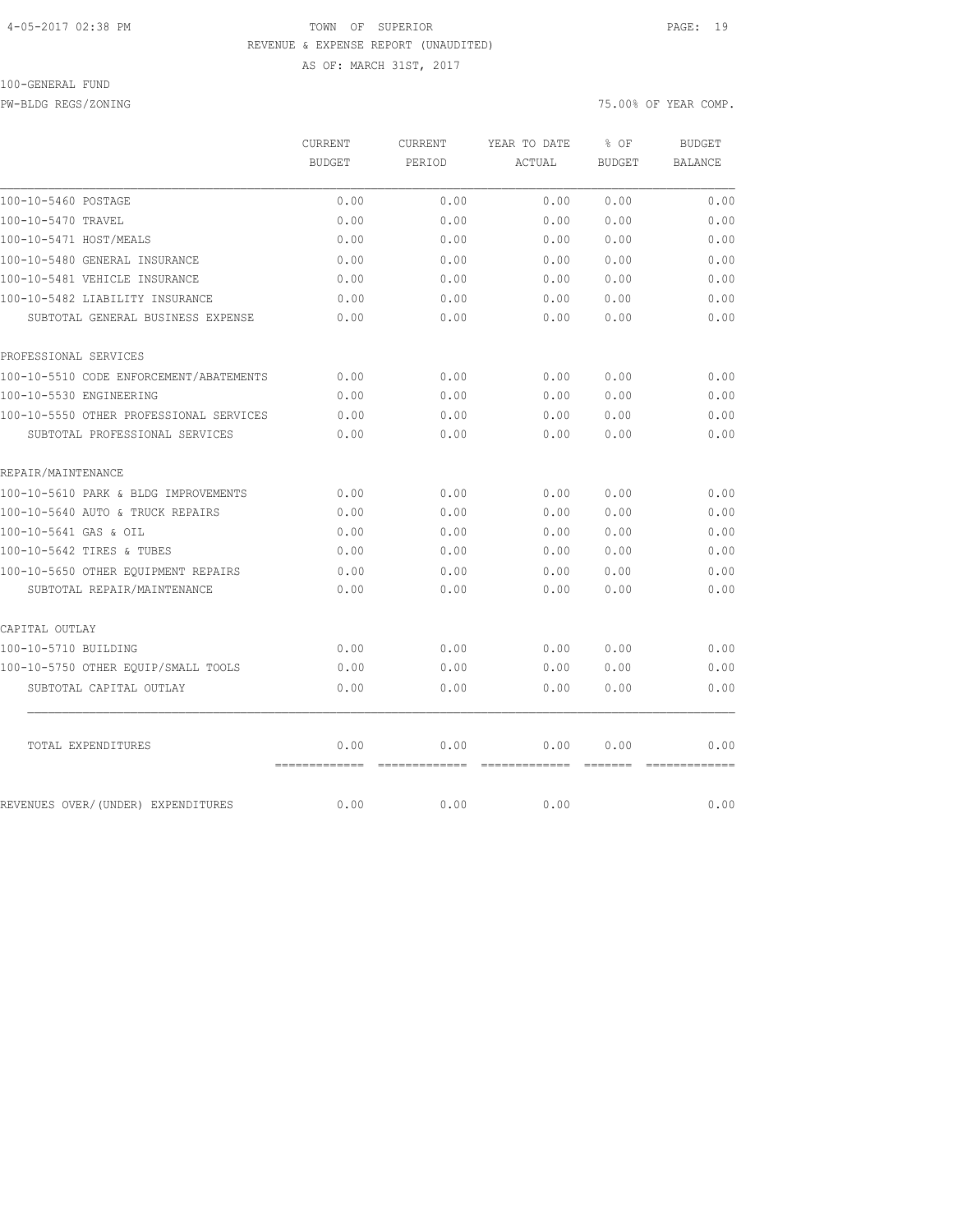### 4-05-2017 02:38 PM TOWN OF SUPERIOR PAGE: 19 REVENUE & EXPENSE REPORT (UNAUDITED)

AS OF: MARCH 31ST, 2017

### 100-GENERAL FUND

PW-BLDG REGS/ZONING 75.00% OF YEAR COMP.

|                                         | CURRENT               | CURRENT | YEAR TO DATE                                                                                                                                                                                                                                                                                                                                                                                                                                                                                   | % OF                                | <b>BUDGET</b>  |
|-----------------------------------------|-----------------------|---------|------------------------------------------------------------------------------------------------------------------------------------------------------------------------------------------------------------------------------------------------------------------------------------------------------------------------------------------------------------------------------------------------------------------------------------------------------------------------------------------------|-------------------------------------|----------------|
|                                         | <b>BUDGET</b>         | PERIOD  | ACTUAL                                                                                                                                                                                                                                                                                                                                                                                                                                                                                         | <b>BUDGET</b>                       | <b>BALANCE</b> |
| 100-10-5460 POSTAGE                     | 0.00                  | 0.00    | 0.00                                                                                                                                                                                                                                                                                                                                                                                                                                                                                           | 0.00                                | 0.00           |
| 100-10-5470 TRAVEL                      | 0.00                  | 0.00    | 0.00                                                                                                                                                                                                                                                                                                                                                                                                                                                                                           | 0.00                                | 0.00           |
| 100-10-5471 HOST/MEALS                  | 0.00                  | 0.00    | 0.00                                                                                                                                                                                                                                                                                                                                                                                                                                                                                           | 0.00                                | 0.00           |
| 100-10-5480 GENERAL INSURANCE           | 0.00                  | 0.00    | 0.00                                                                                                                                                                                                                                                                                                                                                                                                                                                                                           | 0.00                                | 0.00           |
| 100-10-5481 VEHICLE INSURANCE           | 0.00                  | 0.00    | 0.00                                                                                                                                                                                                                                                                                                                                                                                                                                                                                           | 0.00                                | 0.00           |
| 100-10-5482 LIABILITY INSURANCE         | 0.00                  | 0.00    | 0.00                                                                                                                                                                                                                                                                                                                                                                                                                                                                                           | 0.00                                | 0.00           |
| SUBTOTAL GENERAL BUSINESS EXPENSE       | 0.00                  | 0.00    | 0.00                                                                                                                                                                                                                                                                                                                                                                                                                                                                                           | 0.00                                | 0.00           |
| PROFESSIONAL SERVICES                   |                       |         |                                                                                                                                                                                                                                                                                                                                                                                                                                                                                                |                                     |                |
| 100-10-5510 CODE ENFORCEMENT/ABATEMENTS | 0.00                  | 0.00    | 0.00                                                                                                                                                                                                                                                                                                                                                                                                                                                                                           | 0.00                                | 0.00           |
| 100-10-5530 ENGINEERING                 | 0.00                  | 0.00    | 0.00                                                                                                                                                                                                                                                                                                                                                                                                                                                                                           | 0.00                                | 0.00           |
| 100-10-5550 OTHER PROFESSIONAL SERVICES | 0.00                  | 0.00    | 0.00                                                                                                                                                                                                                                                                                                                                                                                                                                                                                           | 0.00                                | 0.00           |
| SUBTOTAL PROFESSIONAL SERVICES          | 0.00                  | 0.00    | 0.00                                                                                                                                                                                                                                                                                                                                                                                                                                                                                           | 0.00                                | 0.00           |
| REPAIR/MAINTENANCE                      |                       |         |                                                                                                                                                                                                                                                                                                                                                                                                                                                                                                |                                     |                |
| 100-10-5610 PARK & BLDG IMPROVEMENTS    | 0.00                  | 0.00    | 0.00                                                                                                                                                                                                                                                                                                                                                                                                                                                                                           | 0.00                                | 0.00           |
| 100-10-5640 AUTO & TRUCK REPAIRS        | 0.00                  | 0.00    | 0.00                                                                                                                                                                                                                                                                                                                                                                                                                                                                                           | 0.00                                | 0.00           |
| 100-10-5641 GAS & OIL                   | 0.00                  | 0.00    | 0.00                                                                                                                                                                                                                                                                                                                                                                                                                                                                                           | 0.00                                | 0.00           |
| 100-10-5642 TIRES & TUBES               | 0.00                  | 0.00    | 0.00                                                                                                                                                                                                                                                                                                                                                                                                                                                                                           | 0.00                                | 0.00           |
| 100-10-5650 OTHER EOUIPMENT REPAIRS     | 0.00                  | 0.00    | 0.00                                                                                                                                                                                                                                                                                                                                                                                                                                                                                           | 0.00                                | 0.00           |
| SUBTOTAL REPAIR/MAINTENANCE             | 0.00                  | 0.00    | 0.00                                                                                                                                                                                                                                                                                                                                                                                                                                                                                           | 0.00                                | 0.00           |
| CAPITAL OUTLAY                          |                       |         |                                                                                                                                                                                                                                                                                                                                                                                                                                                                                                |                                     |                |
| 100-10-5710 BUILDING                    | 0.00                  | 0.00    | 0.00                                                                                                                                                                                                                                                                                                                                                                                                                                                                                           | 0.00                                | 0.00           |
| 100-10-5750 OTHER EQUIP/SMALL TOOLS     | 0.00                  | 0.00    | 0.00                                                                                                                                                                                                                                                                                                                                                                                                                                                                                           | 0.00                                | 0.00           |
| SUBTOTAL CAPITAL OUTLAY                 | 0.00                  | 0.00    | 0.00                                                                                                                                                                                                                                                                                                                                                                                                                                                                                           | 0.00                                | 0.00           |
| TOTAL EXPENDITURES                      | 0.00<br>------------- | 0.00    | 0.00<br>$\begin{array}{cccccccccc} \multicolumn{2}{c}{} & \multicolumn{2}{c}{} & \multicolumn{2}{c}{} & \multicolumn{2}{c}{} & \multicolumn{2}{c}{} & \multicolumn{2}{c}{} & \multicolumn{2}{c}{} & \multicolumn{2}{c}{} & \multicolumn{2}{c}{} & \multicolumn{2}{c}{} & \multicolumn{2}{c}{} & \multicolumn{2}{c}{} & \multicolumn{2}{c}{} & \multicolumn{2}{c}{} & \multicolumn{2}{c}{} & \multicolumn{2}{c}{} & \multicolumn{2}{c}{} & \multicolumn{2}{c}{} & \multicolumn{2}{c}{} & \mult$ | 0.00<br>$=$ $=$ $=$ $=$ $=$ $=$ $=$ | 0.00           |
| REVENUES OVER/(UNDER) EXPENDITURES      | 0.00                  | 0.00    | 0.00                                                                                                                                                                                                                                                                                                                                                                                                                                                                                           |                                     | 0.00           |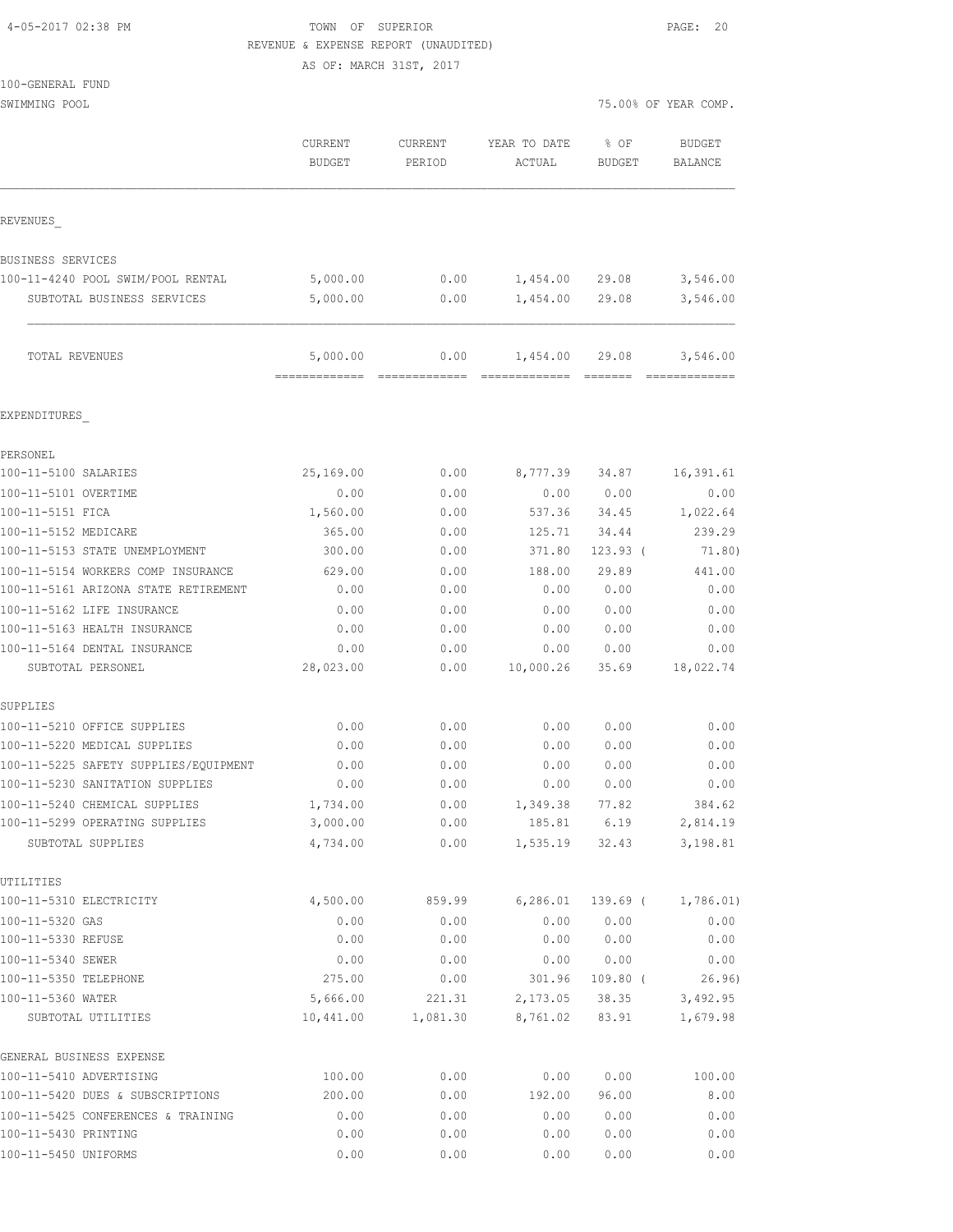| 4-05-2017 02:38 PM |  |
|--------------------|--|
|                    |  |

### TOWN OF SUPERIOR **PAGE: 20** REVENUE & EXPENSE REPORT (UNAUDITED)

|                                                             | AS OF: MARCH 31ST, 2017  |                   |                        |                       |                          |
|-------------------------------------------------------------|--------------------------|-------------------|------------------------|-----------------------|--------------------------|
| 100-GENERAL FUND<br>SWIMMING POOL                           |                          |                   |                        |                       | 75.00% OF YEAR COMP.     |
|                                                             | CURRENT<br><b>BUDGET</b> | CURRENT<br>PERIOD | YEAR TO DATE<br>ACTUAL | % OF<br><b>BUDGET</b> | <b>BUDGET</b><br>BALANCE |
| REVENUES                                                    |                          |                   |                        |                       |                          |
| BUSINESS SERVICES                                           |                          |                   |                        |                       |                          |
| 100-11-4240 POOL SWIM/POOL RENTAL                           | 5,000.00                 | 0.00              | 1,454.00 29.08         |                       | 3,546.00                 |
| SUBTOTAL BUSINESS SERVICES                                  | 5,000.00                 | 0.00              | 1,454.00 29.08         |                       | 3,546.00                 |
| TOTAL REVENUES                                              | 5,000.00                 | 0.00              | 1,454.00 29.08         |                       | 3,546.00                 |
| EXPENDITURES                                                |                          |                   |                        |                       |                          |
| PERSONEL                                                    |                          |                   |                        |                       |                          |
| 100-11-5100 SALARIES                                        | 25,169.00                | 0.00              |                        | 8,777.39 34.87        | 16,391.61                |
| 100-11-5101 OVERTIME                                        | 0.00                     | 0.00              |                        | 0.00 0.00             | 0.00                     |
| 100-11-5151 FICA                                            | 1,560.00                 | 0.00              |                        | 537.36 34.45          | 1,022.64                 |
| 100-11-5152 MEDICARE                                        | 365.00                   | 0.00              |                        | 125.71 34.44          | 239.29                   |
| 100-11-5153 STATE UNEMPLOYMENT                              | 300.00                   | 0.00              | 371.80                 | $123.93$ (            | 71.80)                   |
| 100-11-5154 WORKERS COMP INSURANCE                          | 629.00                   | 0.00              | 188.00                 | 29.89                 | 441.00                   |
| 100-11-5161 ARIZONA STATE RETIREMENT                        | 0.00                     | 0.00              | 0.00                   | 0.00                  | 0.00                     |
| 100-11-5162 LIFE INSURANCE                                  | 0.00                     | 0.00              | 0.00                   | 0.00                  | 0.00                     |
| 100-11-5163 HEALTH INSURANCE                                | 0.00                     | 0.00              | 0.00                   | 0.00                  | 0.00                     |
| 100-11-5164 DENTAL INSURANCE<br>SUBTOTAL PERSONEL           | 0.00<br>28,023.00        | 0.00<br>0.00      | 0.00<br>10,000.26      | 0.00<br>35.69         | 0.00<br>18,022.74        |
| SUPPLIES                                                    |                          |                   |                        |                       |                          |
| 100-11-5210 OFFICE SUPPLIES                                 | 0.00                     | 0.00              | 0.00                   | 0.00                  | 0.00                     |
| 100-11-5220 MEDICAL SUPPLIES                                | 0.00                     | 0.00              | 0.00                   | 0.00                  | 0.00                     |
| 100-11-5225 SAFETY SUPPLIES/EQUIPMENT                       | 0.00                     | 0.00              | 0.00                   | 0.00                  | 0.00                     |
| 100-11-5230 SANITATION SUPPLIES                             | 0.00                     | 0.00              | 0.00                   | 0.00                  | 0.00                     |
| 100-11-5240 CHEMICAL SUPPLIES                               | 1,734.00                 | 0.00              | 1,349.38               | 77.82                 | 384.62                   |
| 100-11-5299 OPERATING SUPPLIES<br>SUBTOTAL SUPPLIES         | 3,000.00<br>4,734.00     | 0.00<br>0.00      | 185.81<br>1,535.19     | 6.19<br>32.43         | 2,814.19<br>3,198.81     |
| UTILITIES                                                   |                          |                   |                        |                       |                          |
| 100-11-5310 ELECTRICITY                                     | 4,500.00                 | 859.99            | 6, 286.01              | 139.69 (              | 1,786.01)                |
| 100-11-5320 GAS                                             | 0.00                     | 0.00              | 0.00                   | 0.00                  | 0.00                     |
| 100-11-5330 REFUSE                                          | 0.00                     | 0.00              | 0.00                   | 0.00                  | 0.00                     |
| 100-11-5340 SEWER                                           | 0.00                     | 0.00              | 0.00                   | 0.00                  | 0.00                     |
| 100-11-5350 TELEPHONE                                       | 275.00                   | 0.00              | 301.96                 | $109.80$ (            | 26.96)                   |
| 100-11-5360 WATER                                           | 5,666.00                 | 221.31            | 2,173.05               | 38.35                 | 3,492.95                 |
| SUBTOTAL UTILITIES                                          | 10,441.00                | 1,081.30          | 8,761.02               | 83.91                 | 1,679.98                 |
| GENERAL BUSINESS EXPENSE                                    |                          |                   |                        |                       |                          |
| 100-11-5410 ADVERTISING<br>100-11-5420 DUES & SUBSCRIPTIONS | 100.00<br>200.00         | 0.00<br>0.00      | 0.00<br>192.00         | 0.00<br>96.00         | 100.00<br>8.00           |
|                                                             |                          |                   |                        |                       |                          |

100-11-5420 DUES & SUBSCRIPTIONS 200.00 0.00 192.00 96.00 8.00 100-11-5425 CONFERENCES & TRAINING 0.00 0.00 0.00 0.00 0.00 100-11-5430 PRINTING 0.00 0.00 0.00 0.00 0.00 100-11-5450 UNIFORMS 0.00 0.00 0.00 0.00 0.00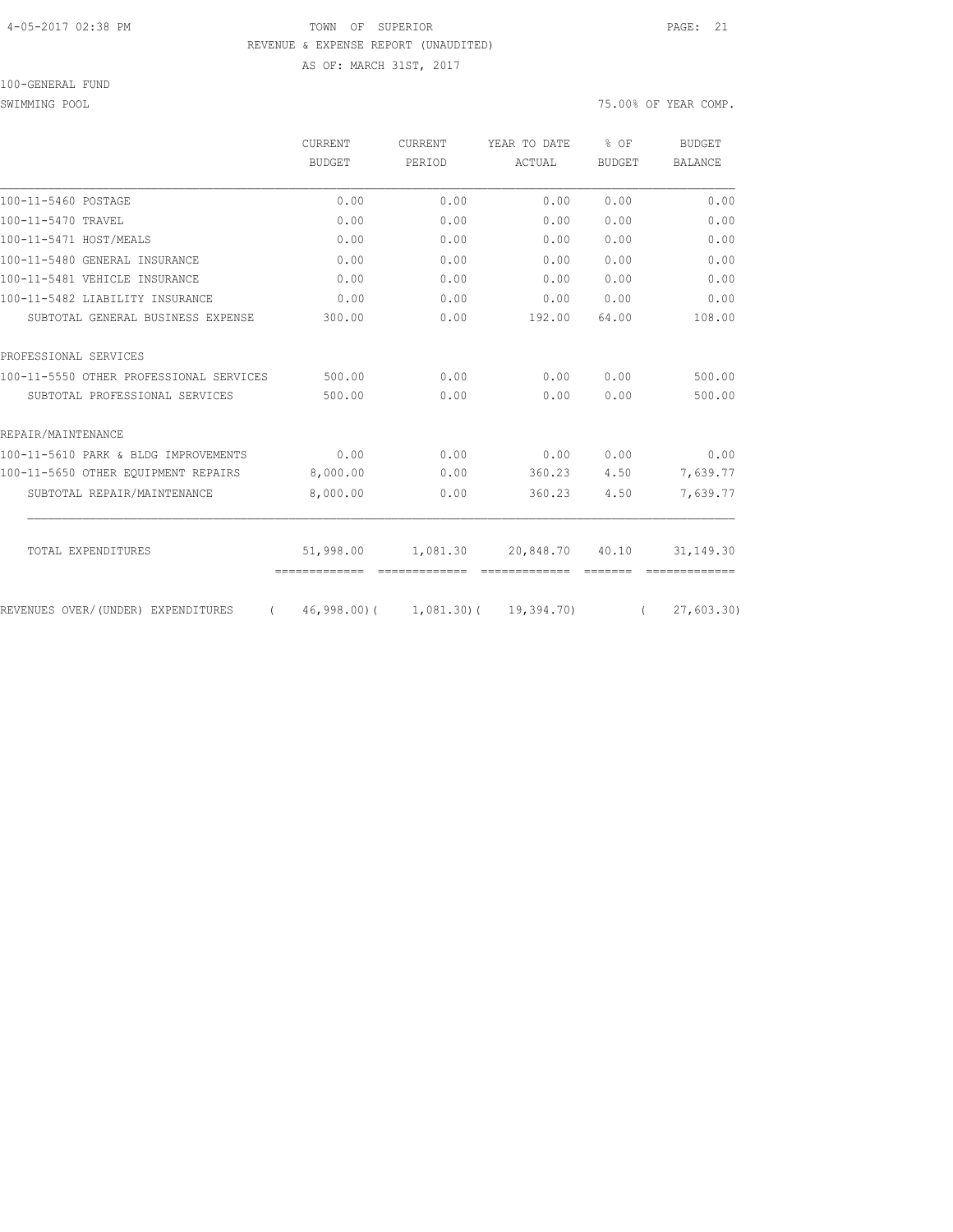### 4-05-2017 02:38 PM TOWN OF SUPERIOR PAGE: 21 REVENUE & EXPENSE REPORT (UNAUDITED) AS OF: MARCH 31ST, 2017

100-GENERAL FUND

SWIMMING POOL 75.00% OF YEAR COMP.

|                                                | CURRENT       | <b>CURRENT</b>                       | YEAR TO DATE | $8$ OF        | <b>BUDGET</b>  |
|------------------------------------------------|---------------|--------------------------------------|--------------|---------------|----------------|
|                                                | BUDGET        | PERIOD                               | ACTUAL       | <b>BUDGET</b> | <b>BALANCE</b> |
| 100-11-5460 POSTAGE                            | 0.00          | 0.00                                 | 0.00         | 0.00          | 0.00           |
| 100-11-5470 TRAVEL                             | 0.00          | 0.00                                 | 0.00         | 0.00          | 0.00           |
| 100-11-5471 HOST/MEALS                         | 0.00          | 0.00                                 | 0.00         | 0.00          | 0.00           |
| 100-11-5480 GENERAL INSURANCE                  | 0.00          | 0.00                                 | 0.00         | 0.00          | 0.00           |
| 100-11-5481 VEHICLE INSURANCE                  | 0.00          | 0.00                                 | 0.00         | 0.00          | 0.00           |
| 100-11-5482 LIABILITY INSURANCE                | 0.00          | 0.00                                 | 0.00         | 0.00          | 0.00           |
| SUBTOTAL GENERAL BUSINESS EXPENSE              | 300.00        | 0.00                                 | 192.00       | 64.00         | 108.00         |
| PROFESSIONAL SERVICES                          |               |                                      |              |               |                |
| 100-11-5550 OTHER PROFESSIONAL SERVICES        | 500.00        | 0.00                                 | 0.00         | 0.00          | 500.00         |
| SUBTOTAL PROFESSIONAL SERVICES                 | 500.00        | 0.00                                 | 0.00         | 0.00          | 500.00         |
| REPAIR/MAINTENANCE                             |               |                                      |              |               |                |
| 100-11-5610 PARK & BLDG IMPROVEMENTS           | 0.00          | 0.00                                 | 0.00         | 0.00          | 0.00           |
| 100-11-5650 OTHER EOUIPMENT REPAIRS            | 8,000.00      | 0.00                                 | 360.23       | 4.50          | 7,639.77       |
| SUBTOTAL REPAIR/MAINTENANCE                    | 8,000.00      | 0.00                                 | 360.23       | 4.50          | 7,639.77       |
| TOTAL EXPENDITURES                             | 51,998.00     | 1,081.30                             | 20,848.70    | 40.10         | 31, 149.30     |
|                                                | ============= | --------------                       |              | =======       |                |
| REVENUES OVER/(UNDER) EXPENDITURES<br>$\left($ |               | $46,998,00$ ( 1,081,30) ( 19,394,70) |              | $\sqrt{2}$    | 27,603.30      |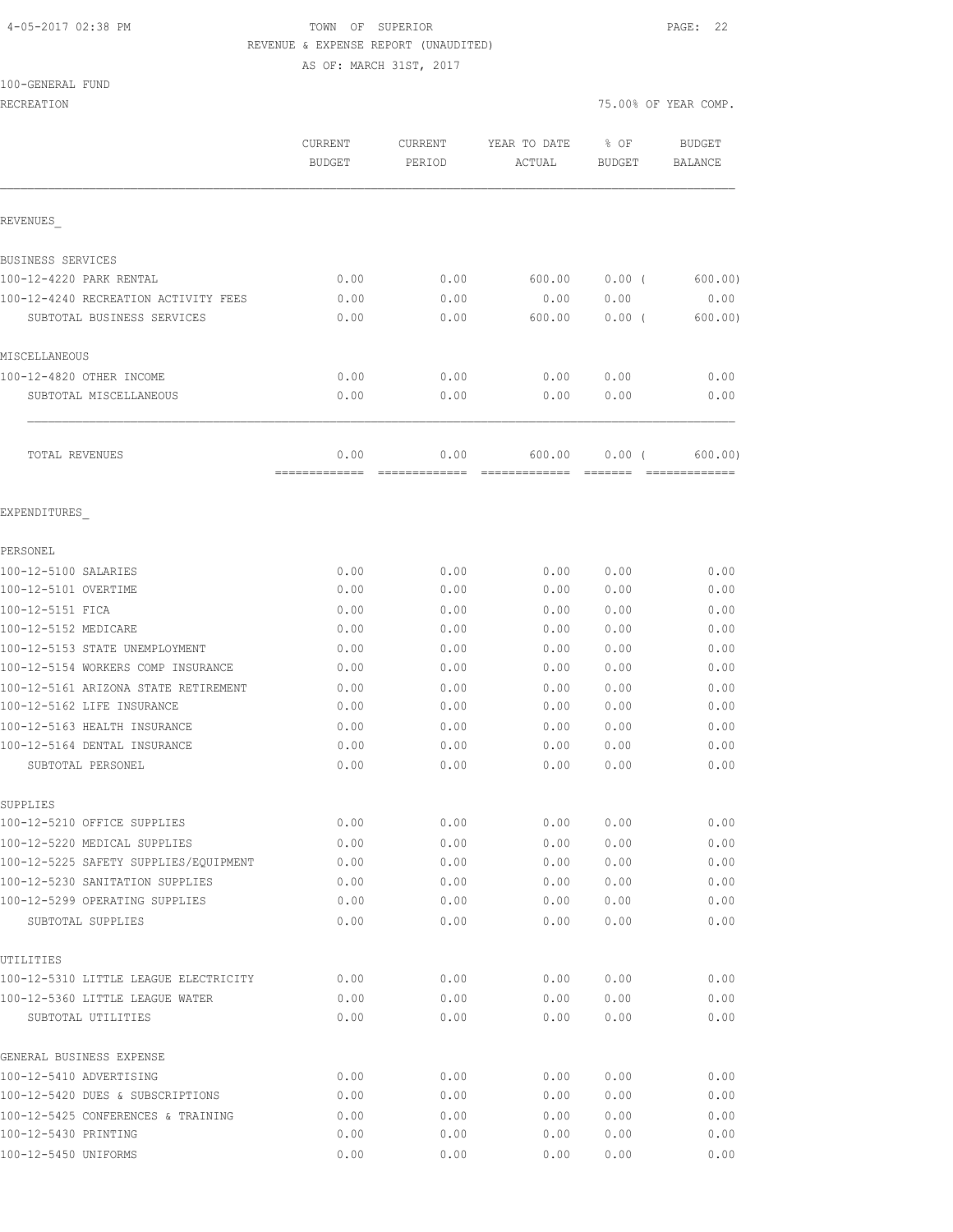#### 4-05-2017 02:38 PM TOWN OF SUPERIOR PAGE: 22 REVENUE & EXPENSE REPORT (UNAUDITED) AS OF: MARCH 31ST, 2017

100-GENERAL FUND

RECREATION 75.00% OF YEAR COMP. CURRENT CURRENT YEAR TO DATE % OF BUDGET BUDGET PERIOD ACTUAL BUDGET BALANCE REVENUES\_ BUSINESS SERVICES 100-12-4220 PARK RENTAL 0.00 0.00 600.00 0.00 ( 600.00) 100-12-4240 RECREATION ACTIVITY FEES 0.00 0.00 0.00 0.00 0.00 SUBTOTAL BUSINESS SERVICES 0.00 0.00 600.00 0.00 ( 600.00) MISCELLANEOUS 100-12-4820 OTHER INCOME 0.00 0.00 0.00 0.00 0.00 SUBTOTAL MISCELLANEOUS 0.00 0.00 0.00 0.00 0.00 TOTAL REVENUES 0.00 0.00 600.00 0.00 ( 600.00) ============= ============= ============= ======= ============= EXPENDITURES\_ PERSONEL 100-12-5100 SALARIES 0.00 0.00 0.00 0.00 0.00 100-12-5101 OVERTIME 0.00 0.00 0.00 0.00 0.00 100-12-5151 FICA 0.00 0.00 0.00 0.00 0.00 100-12-5152 MEDICARE 0.00 0.00 0.00 0.00 0.00 100-12-5153 STATE UNEMPLOYMENT 0.00 0.00 0.00 0.00 0.00 100-12-5154 WORKERS COMP INSURANCE 0.00 0.00 0.00 0.00 0.00 100-12-5161 ARIZONA STATE RETIREMENT 0.00 0.00 0.00 0.00 0.00 100-12-5162 LIFE INSURANCE 0.00 0.00 0.00 0.00 0.00 100-12-5163 HEALTH INSURANCE 0.00 0.00 0.00 0.00 0.00 100-12-5164 DENTAL INSURANCE 0.00 0.00 0.00 0.00 0.00 SUBTOTAL PERSONEL  $0.00$   $0.00$   $0.00$   $0.00$   $0.00$   $0.00$   $0.00$ SUPPLIES 100-12-5210 OFFICE SUPPLIES 0.00 0.00 0.00 0.00 0.00 100-12-5220 MEDICAL SUPPLIES 0.00 0.00 0.00 0.00 0.00 100-12-5225 SAFETY SUPPLIES/EQUIPMENT 0.00 0.00 0.00 0.00 0.00 100-12-5230 SANITATION SUPPLIES 0.00 0.00 0.00 0.00 0.00 100-12-5299 OPERATING SUPPLIES 0.00 0.00 0.00 0.00 0.00 SUBTOTAL SUPPLIES 0.00 0.00 0.00 0.00 0.00 UTILITIES 100-12-5310 LITTLE LEAGUE ELECTRICITY 0.00 0.00 0.00 0.00 0.00 100-12-5360 LITTLE LEAGUE WATER 0.00 0.00 0.00 0.00 0.00 SUBTOTAL UTILITIES 0.00 0.00 0.00 0.00 0.00 GENERAL BUSINESS EXPENSE 100-12-5410 ADVERTISING 0.00 0.00 0.00 0.00 0.00 100-12-5420 DUES & SUBSCRIPTIONS 0.00 0.00 0.00 0.00 0.00 100-12-5425 CONFERENCES & TRAINING 0.00 0.00 0.00 0.00 0.00 100-12-5430 PRINTING 0.00 0.00 0.00 0.00 0.00

100-12-5450 UNIFORMS 0.00 0.00 0.00 0.00 0.00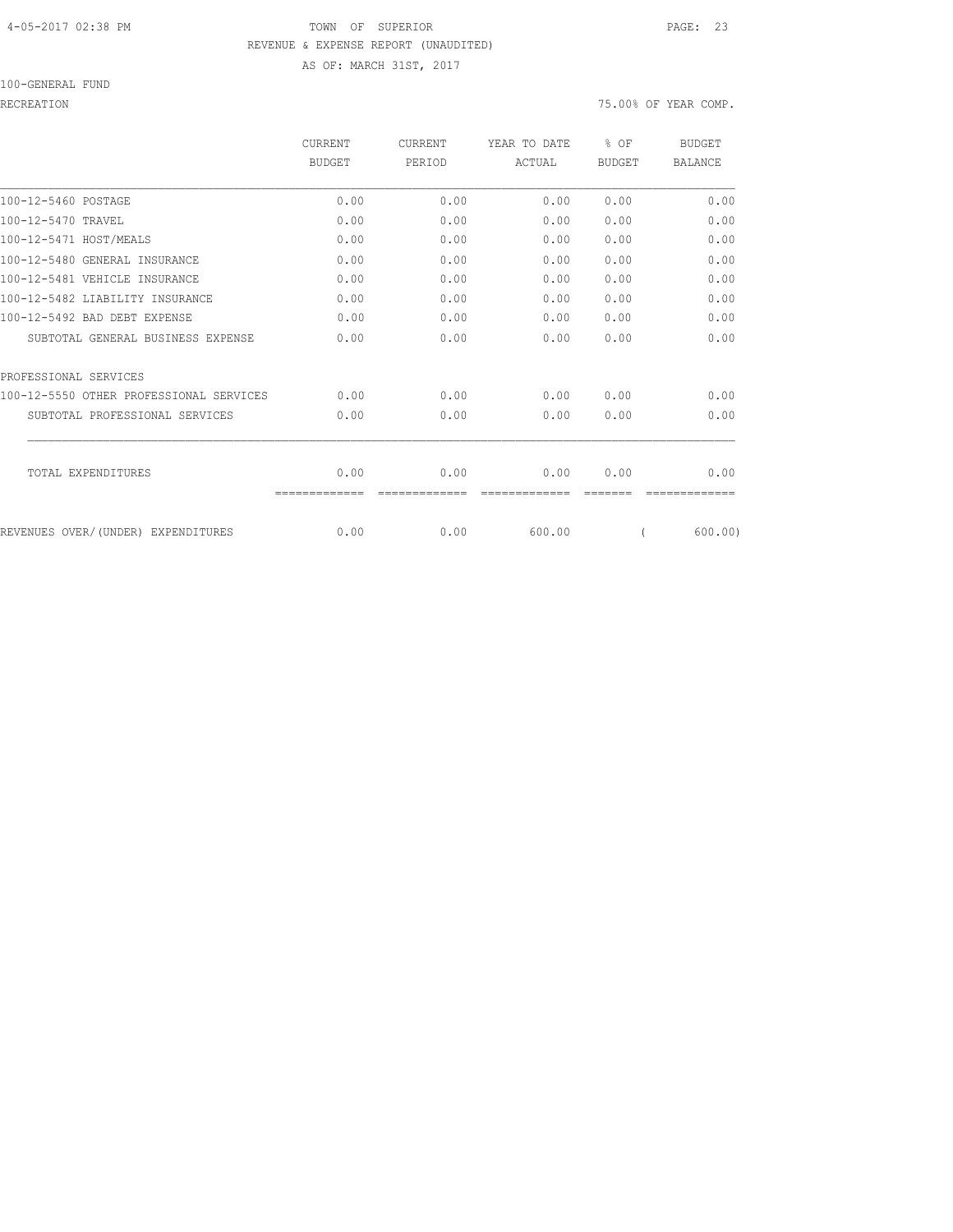### 4-05-2017 02:38 PM TOWN OF SUPERIOR PAGE: 23 REVENUE & EXPENSE REPORT (UNAUDITED) AS OF: MARCH 31ST, 2017

#### 100-GENERAL FUND

#### RECREATION 75.00% OF YEAR COMP.

|                                         | CURRENT       | <b>CURRENT</b> | YEAR TO DATE | % OF          | <b>BUDGET</b>  |
|-----------------------------------------|---------------|----------------|--------------|---------------|----------------|
|                                         | <b>BUDGET</b> | PERIOD         | ACTUAL       | <b>BUDGET</b> | <b>BALANCE</b> |
| 100-12-5460 POSTAGE                     | 0.00          | 0.00           | 0.00         | 0.00          | 0.00           |
| 100-12-5470 TRAVEL                      | 0.00          | 0.00           | 0.00         | 0.00          | 0.00           |
| 100-12-5471 HOST/MEALS                  | 0.00          | 0.00           | 0.00         | 0.00          | 0.00           |
| 100-12-5480 GENERAL INSURANCE           | 0.00          | 0.00           | 0.00         | 0.00          | 0.00           |
| 100-12-5481 VEHICLE INSURANCE           | 0.00          | 0.00           | 0.00         | 0.00          | 0.00           |
| 100-12-5482 LIABILITY INSURANCE         | 0.00          | 0.00           | 0.00         | 0.00          | 0.00           |
| 100-12-5492 BAD DEBT EXPENSE            | 0.00          | 0.00           | 0.00         | 0.00          | 0.00           |
| SUBTOTAL GENERAL BUSINESS EXPENSE       | 0.00          | 0.00           | 0.00         | 0.00          | 0.00           |
| PROFESSIONAL SERVICES                   |               |                |              |               |                |
| 100-12-5550 OTHER PROFESSIONAL SERVICES | 0.00          | 0.00           | 0.00         | 0.00          | 0.00           |
| SUBTOTAL PROFESSIONAL SERVICES          | 0.00          | 0.00           | 0.00         | 0.00          | 0.00           |
| TOTAL EXPENDITURES                      | 0.00          | 0.00           | 0.00         | 0.00          | 0.00           |
|                                         |               |                |              |               |                |
| REVENUES OVER/(UNDER) EXPENDITURES      | 0.00          | 0.00           | 600.00       |               | 600.00)        |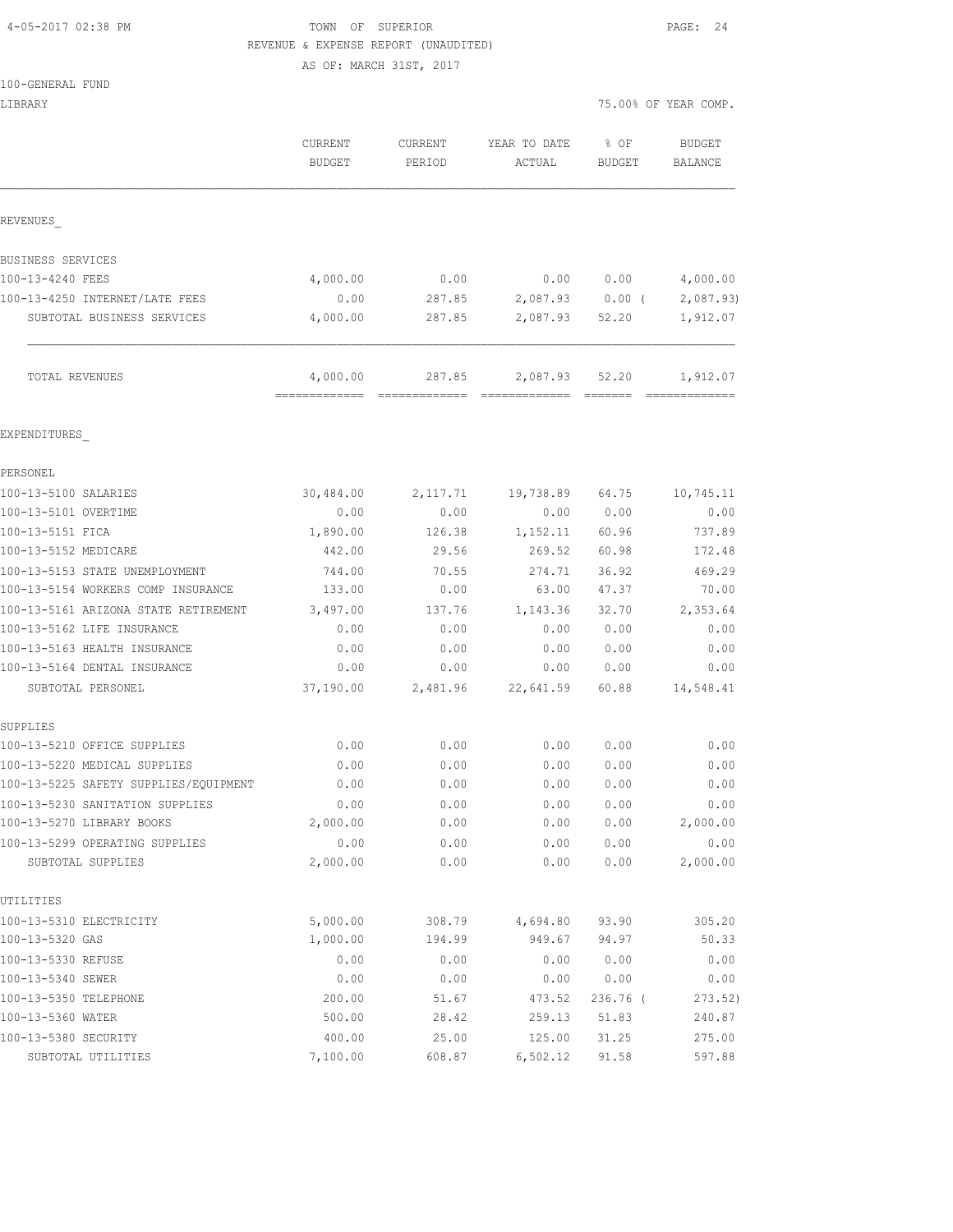### 4-05-2017 02:38 PM TOWN OF SUPERIOR PAGE: 24 REVENUE & EXPENSE REPORT (UNAUDITED)

AS OF: MARCH 31ST, 2017

| LIBRARY                                 |                                           |                   |                        | 75.00% OF YEAR COMP. |                   |
|-----------------------------------------|-------------------------------------------|-------------------|------------------------|----------------------|-------------------|
|                                         | <b>CURRENT</b><br>BUDGET                  | CURRENT<br>PERIOD | YEAR TO DATE<br>ACTUAL | % OF<br>BUDGET       | BUDGET<br>BALANCE |
| REVENUES                                |                                           |                   |                        |                      |                   |
| BUSINESS SERVICES                       |                                           |                   |                        |                      |                   |
| 100-13-4240 FEES                        | 4,000.00                                  | 0.00              | 0.00                   | 0.00                 | 4,000.00          |
| 100-13-4250 INTERNET/LATE FEES          | 0.00                                      | 287.85            |                        | 2,087.93 0.00 (      | 2,087.93          |
| SUBTOTAL BUSINESS SERVICES              | 4,000.00                                  | 287.85            | 2,087.93               | 52.20                | 1,912.07          |
| TOTAL REVENUES                          | 4,000.00<br>-------------- -------------- | 287.85            | 2,087.93               | 52.20                | 1,912.07          |
| EXPENDITURES                            |                                           |                   |                        |                      |                   |
| PERSONEL                                |                                           |                   |                        |                      |                   |
| 100-13-5100 SALARIES                    | 30,484.00                                 | 2,117.71          | 19,738.89              | 64.75                | 10,745.11         |
| 100-13-5101 OVERTIME                    | 0.00                                      | 0.00              | 0.00                   | 0.00                 | 0.00              |
| 100-13-5151 FICA                        | 1,890.00                                  | 126.38            | 1,152.11               | 60.96                | 737.89            |
| 100-13-5152 MEDICARE                    | 442.00                                    | 29.56             | 269.52                 | 60.98                | 172.48            |
| 100-13-5153 STATE UNEMPLOYMENT          | 744.00                                    | 70.55             | 274.71                 | 36.92                | 469.29            |
| 100-13-5154 WORKERS COMP INSURANCE      | 133.00                                    | 0.00              | 63.00                  | 47.37                | 70.00             |
| 100-13-5161 ARIZONA STATE RETIREMENT    | 3,497.00                                  | 137.76            | 1,143.36               | 32.70                | 2,353.64          |
| 100-13-5162 LIFE INSURANCE              | 0.00                                      | 0.00              | 0.00                   | 0.00                 | 0.00              |
| 100-13-5163 HEALTH INSURANCE            | 0.00                                      | 0.00              | 0.00                   | 0.00                 | 0.00              |
| 100-13-5164 DENTAL INSURANCE            | 0.00                                      | 0.00              | 0.00                   | 0.00                 | 0.00              |
| SUBTOTAL PERSONEL                       | 37,190.00                                 |                   | 2,481.96 22,641.59     | 60.88                | 14,548.41         |
| SUPPLIES<br>100-13-5210 OFFICE SUPPLIES | 0.00                                      | 0.00              | 0.00                   | 0.00                 | 0.00              |
| 100-13-5220 MEDICAL SUPPLIES            | 0.00                                      | 0.00              | 0.00                   | 0.00                 | 0.00              |
| 100-13-5225 SAFETY SUPPLIES/EOUIPMENT   | 0.00                                      | 0.00              | 0.00                   | 0.00                 | 0.00              |
| 100-13-5230 SANITATION SUPPLIES         | 0.00                                      | 0.00              | 0.00                   | 0.00                 | 0.00              |
| 100-13-5270 LIBRARY BOOKS               | 2,000.00                                  | 0.00              | 0.00                   | 0.00                 | 2,000.00          |
| 100-13-5299 OPERATING SUPPLIES          | 0.00                                      | 0.00              | 0.00                   | 0.00                 | 0.00              |
| SUBTOTAL SUPPLIES                       | 2,000.00                                  | 0.00              | 0.00                   | 0.00                 | 2,000.00          |
| UTILITIES                               |                                           |                   |                        |                      |                   |
| 100-13-5310 ELECTRICITY                 | 5,000.00                                  | 308.79            | 4,694.80               | 93.90                | 305.20            |
| 100-13-5320 GAS                         | 1,000.00                                  | 194.99            | 949.67                 | 94.97                | 50.33             |
| 100-13-5330 REFUSE                      | 0.00                                      | 0.00              | 0.00                   | 0.00                 | 0.00              |
| 100-13-5340 SEWER                       | 0.00                                      | 0.00              | 0.00                   | 0.00                 | 0.00              |
| 100-13-5350 TELEPHONE                   | 200.00                                    | 51.67             | 473.52                 | 236.76 (             | 273.52)           |
| 100-13-5360 WATER                       | 500.00                                    | 28.42             | 259.13                 | 51.83                | 240.87            |
| 100-13-5380 SECURITY                    | 400.00                                    | 25.00             | 125.00                 | 31.25                | 275.00            |

SUBTOTAL UTILITIES 7,100.00 608.87 6,502.12 91.58 597.88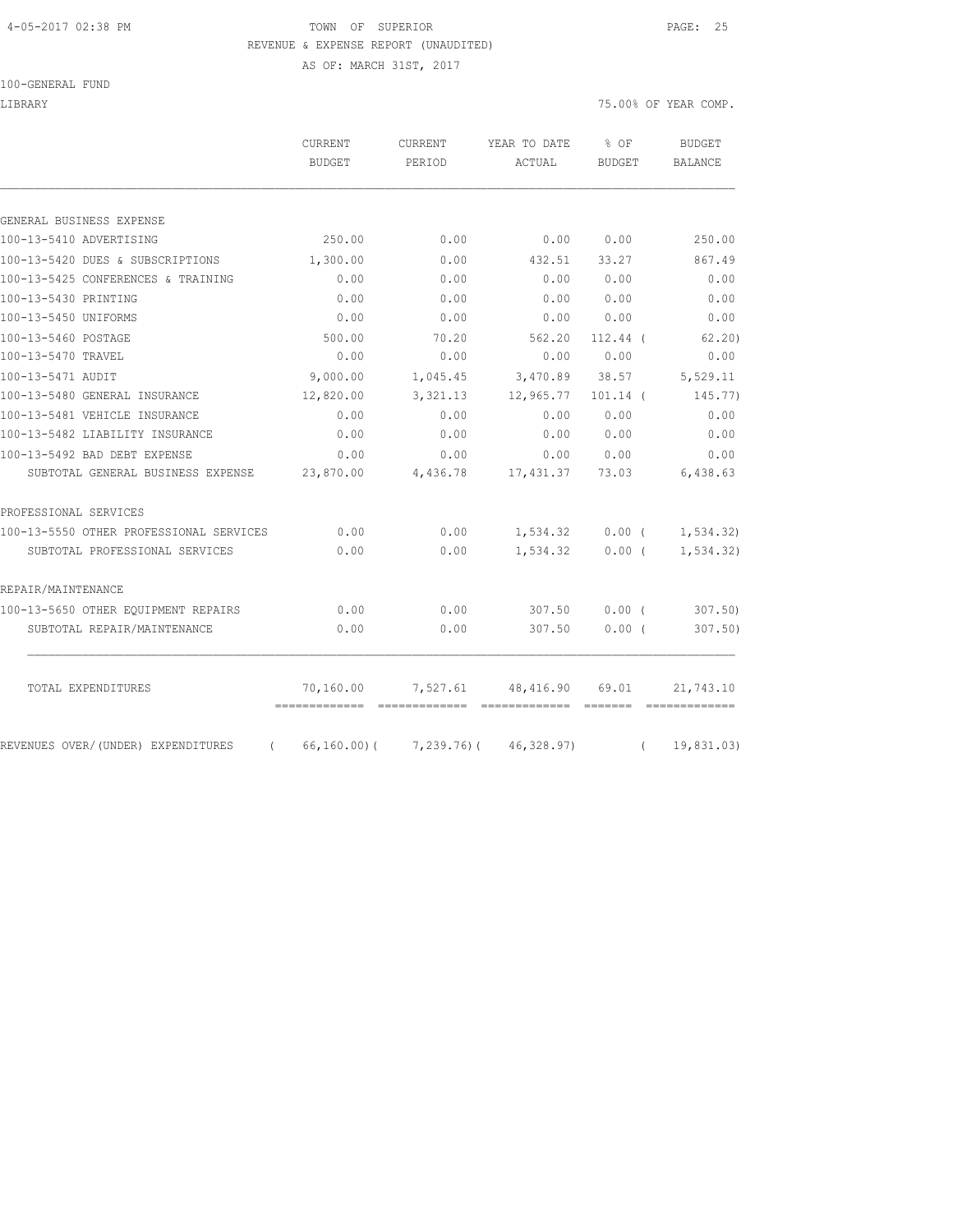### 4-05-2017 02:38 PM TOWN OF SUPERIOR PAGE: 25 REVENUE & EXPENSE REPORT (UNAUDITED)

AS OF: MARCH 31ST, 2017

100-GENERAL FUND

LIBRARY 75.00% OF YEAR COMP.

|                                                | <b>CURRENT</b><br><b>BUDGET</b> | <b>CURRENT</b><br>PERIOD | YEAR TO DATE<br>ACTUAL                        | $8$ OF<br><b>BUDGET</b> |          | <b>BUDGET</b><br><b>BALANCE</b> |
|------------------------------------------------|---------------------------------|--------------------------|-----------------------------------------------|-------------------------|----------|---------------------------------|
|                                                |                                 |                          |                                               |                         |          |                                 |
| GENERAL BUSINESS EXPENSE                       |                                 |                          |                                               |                         |          |                                 |
| 100-13-5410 ADVERTISING                        | 250.00                          | 0.00                     | 0.00                                          | 0.00                    |          | 250.00                          |
| 100-13-5420 DUES & SUBSCRIPTIONS               | 1,300.00                        | 0.00                     | 432.51                                        | 33.27                   |          | 867.49                          |
| 100-13-5425 CONFERENCES & TRAINING             | 0.00                            | 0.00                     | 0.00                                          | 0.00                    |          | 0.00                            |
| 100-13-5430 PRINTING                           | 0.00                            | 0.00                     | 0.00                                          | 0.00                    |          | 0.00                            |
| 100-13-5450 UNIFORMS                           | 0.00                            | 0.00                     | 0.00                                          | 0.00                    |          | 0.00                            |
| 100-13-5460 POSTAGE                            | 500.00                          | 70.20                    | 562.20                                        | 112.44 (                |          | 62, 20)                         |
| 100-13-5470 TRAVEL                             | 0.00                            | 0.00                     | 0.00                                          | 0.00                    |          | 0.00                            |
| 100-13-5471 AUDIT                              | 9,000.00                        | 1,045.45                 | 3,470.89                                      | 38.57                   |          | 5,529.11                        |
| 100-13-5480 GENERAL INSURANCE                  | 12,820.00                       | 3,321.13                 | 12,965.77                                     | $101.14$ (              |          | 145.77)                         |
| 100-13-5481 VEHICLE INSURANCE                  | 0.00                            | 0.00                     | 0.00                                          | 0.00                    |          | 0.00                            |
| 100-13-5482 LIABILITY INSURANCE                | 0.00                            | 0.00                     | 0.00                                          | 0.00                    |          | 0.00                            |
| 100-13-5492 BAD DEBT EXPENSE                   | 0.00                            | 0.00                     | 0.00                                          | 0.00                    |          | 0.00                            |
| SUBTOTAL GENERAL BUSINESS EXPENSE              | 23,870.00                       | 4,436.78                 | 17,431.37                                     | 73.03                   |          | 6,438.63                        |
| PROFESSIONAL SERVICES                          |                                 |                          |                                               |                         |          |                                 |
| 100-13-5550 OTHER PROFESSIONAL SERVICES        | 0.00                            | 0.00                     | 1,534.32                                      | $0.00$ (                |          | 1,534.32)                       |
| SUBTOTAL PROFESSIONAL SERVICES                 | 0.00                            | 0.00                     | 1,534.32                                      | $0.00$ (                |          | 1, 534.32)                      |
| REPAIR/MAINTENANCE                             |                                 |                          |                                               |                         |          |                                 |
| 100-13-5650 OTHER EQUIPMENT REPAIRS            | 0.00                            | 0.00                     | 307.50                                        | 0.00(                   |          | 307.50                          |
| SUBTOTAL REPAIR/MAINTENANCE                    | 0.00                            | 0.00                     | 307.50                                        | 0.00(                   |          | 307.50                          |
| TOTAL EXPENDITURES                             | 70,160.00                       | 7,527.61                 | 48,416.90                                     | 69.01                   |          | 21,743.10                       |
|                                                | ==============================  |                          |                                               |                         |          |                                 |
| REVENUES OVER/(UNDER) EXPENDITURES<br>$\left($ |                                 |                          | $66, 160.00$ ( $7, 239.76$ ) ( $46, 328.97$ ) |                         | $\left($ | 19,831.03)                      |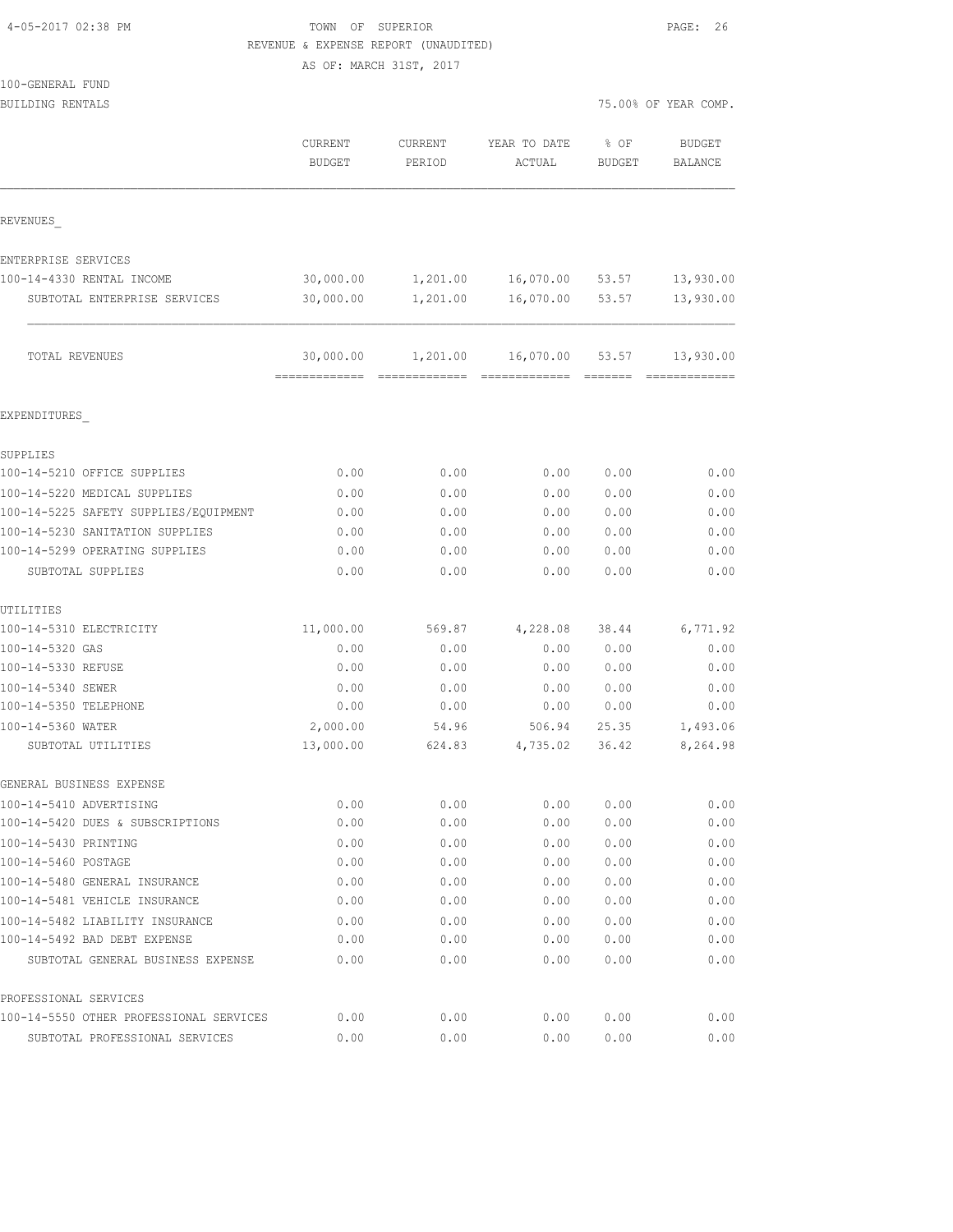| 4-05-2017 02:38 PM |  |  |
|--------------------|--|--|
|                    |  |  |

### TOWN OF SUPERIOR **PAGE: 26** REVENUE & EXPENSE REPORT (UNAUDITED)

AS OF: MARCH 31ST, 2017

| BUILDING RENTALS                        |                                             |                   |                            |                                                                                                                                                                                                                                                                                                                                                                                                                                                                                                 | 75.00% OF YEAR COMP.     |
|-----------------------------------------|---------------------------------------------|-------------------|----------------------------|-------------------------------------------------------------------------------------------------------------------------------------------------------------------------------------------------------------------------------------------------------------------------------------------------------------------------------------------------------------------------------------------------------------------------------------------------------------------------------------------------|--------------------------|
|                                         | CURRENT<br><b>BUDGET</b>                    | CURRENT<br>PERIOD | YEAR TO DATE<br>ACTUAL     | % OF<br><b>BUDGET</b>                                                                                                                                                                                                                                                                                                                                                                                                                                                                           | <b>BUDGET</b><br>BALANCE |
| REVENUES                                |                                             |                   |                            |                                                                                                                                                                                                                                                                                                                                                                                                                                                                                                 |                          |
| ENTERPRISE SERVICES                     |                                             |                   |                            |                                                                                                                                                                                                                                                                                                                                                                                                                                                                                                 |                          |
| 100-14-4330 RENTAL INCOME               | 30,000.00                                   | 1,201.00          | 16,070.00 53.57            |                                                                                                                                                                                                                                                                                                                                                                                                                                                                                                 | 13,930.00                |
| SUBTOTAL ENTERPRISE SERVICES            | 30,000.00                                   | 1,201.00          | 16,070.00                  | 53.57                                                                                                                                                                                                                                                                                                                                                                                                                                                                                           | 13,930.00                |
| TOTAL REVENUES                          | 30,000.00<br>============================== | 1,201.00          | 16,070.00<br>------------- | 53.57<br>$\begin{array}{cccccccccc} \multicolumn{2}{c}{} & \multicolumn{2}{c}{} & \multicolumn{2}{c}{} & \multicolumn{2}{c}{} & \multicolumn{2}{c}{} & \multicolumn{2}{c}{} & \multicolumn{2}{c}{} & \multicolumn{2}{c}{} & \multicolumn{2}{c}{} & \multicolumn{2}{c}{} & \multicolumn{2}{c}{} & \multicolumn{2}{c}{} & \multicolumn{2}{c}{} & \multicolumn{2}{c}{} & \multicolumn{2}{c}{} & \multicolumn{2}{c}{} & \multicolumn{2}{c}{} & \multicolumn{2}{c}{} & \multicolumn{2}{c}{} & \mult$ | 13,930.00                |
| EXPENDITURES                            |                                             |                   |                            |                                                                                                                                                                                                                                                                                                                                                                                                                                                                                                 |                          |
| SUPPLIES                                |                                             |                   |                            |                                                                                                                                                                                                                                                                                                                                                                                                                                                                                                 |                          |
| 100-14-5210 OFFICE SUPPLIES             | 0.00                                        | 0.00              | 0.00                       | 0.00                                                                                                                                                                                                                                                                                                                                                                                                                                                                                            | 0.00                     |
| 100-14-5220 MEDICAL SUPPLIES            | 0.00                                        | 0.00              | 0.00                       | 0.00                                                                                                                                                                                                                                                                                                                                                                                                                                                                                            | 0.00                     |
| 100-14-5225 SAFETY SUPPLIES/EQUIPMENT   | 0.00                                        | 0.00              | 0.00                       | 0.00                                                                                                                                                                                                                                                                                                                                                                                                                                                                                            | 0.00                     |
| 100-14-5230 SANITATION SUPPLIES         | 0.00                                        | 0.00              | 0.00                       | 0.00                                                                                                                                                                                                                                                                                                                                                                                                                                                                                            | 0.00                     |
| 100-14-5299 OPERATING SUPPLIES          | 0.00                                        | 0.00              | 0.00                       | 0.00                                                                                                                                                                                                                                                                                                                                                                                                                                                                                            | 0.00                     |
| SUBTOTAL SUPPLIES                       | 0.00                                        | 0.00              | 0.00                       | 0.00                                                                                                                                                                                                                                                                                                                                                                                                                                                                                            | 0.00                     |
| UTILITIES                               |                                             |                   |                            |                                                                                                                                                                                                                                                                                                                                                                                                                                                                                                 |                          |
| 100-14-5310 ELECTRICITY                 | 11,000.00                                   | 569.87            | 4,228.08                   | 38.44                                                                                                                                                                                                                                                                                                                                                                                                                                                                                           | 6,771.92                 |
| 100-14-5320 GAS                         | 0.00                                        | 0.00              | 0.00                       | 0.00                                                                                                                                                                                                                                                                                                                                                                                                                                                                                            | 0.00                     |
| 100-14-5330 REFUSE                      | 0.00                                        | 0.00              | 0.00                       | 0.00                                                                                                                                                                                                                                                                                                                                                                                                                                                                                            | 0.00                     |
| 100-14-5340 SEWER                       | 0.00                                        | 0.00              | 0.00                       | 0.00                                                                                                                                                                                                                                                                                                                                                                                                                                                                                            | 0.00                     |
| 100-14-5350 TELEPHONE                   | 0.00                                        | 0.00              | 0.00                       | 0.00                                                                                                                                                                                                                                                                                                                                                                                                                                                                                            | 0.00                     |
| 100-14-5360 WATER                       | 2,000.00                                    | 54.96             | 506.94                     | 25.35                                                                                                                                                                                                                                                                                                                                                                                                                                                                                           | 1,493.06                 |
| SUBTOTAL UTILITIES                      | 13,000.00                                   | 624.83            | 4,735.02                   | 36.42                                                                                                                                                                                                                                                                                                                                                                                                                                                                                           | 8,264.98                 |
| GENERAL BUSINESS EXPENSE                |                                             |                   |                            |                                                                                                                                                                                                                                                                                                                                                                                                                                                                                                 |                          |
| 100-14-5410 ADVERTISING                 | 0.00                                        | 0.00              | 0.00                       | 0.00                                                                                                                                                                                                                                                                                                                                                                                                                                                                                            | 0.00                     |
| 100-14-5420 DUES & SUBSCRIPTIONS        | 0.00                                        | 0.00              | 0.00                       | 0.00                                                                                                                                                                                                                                                                                                                                                                                                                                                                                            | 0.00                     |
| 100-14-5430 PRINTING                    | 0.00                                        | 0.00              | 0.00                       | 0.00                                                                                                                                                                                                                                                                                                                                                                                                                                                                                            | 0.00                     |
| 100-14-5460 POSTAGE                     | 0.00                                        | 0.00              | 0.00                       | 0.00                                                                                                                                                                                                                                                                                                                                                                                                                                                                                            | 0.00                     |
| 100-14-5480 GENERAL INSURANCE           | 0.00                                        | 0.00              | 0.00                       | 0.00                                                                                                                                                                                                                                                                                                                                                                                                                                                                                            | 0.00                     |
| 100-14-5481 VEHICLE INSURANCE           | 0.00                                        | 0.00              | 0.00                       | 0.00                                                                                                                                                                                                                                                                                                                                                                                                                                                                                            | 0.00                     |
| 100-14-5482 LIABILITY INSURANCE         | 0.00                                        | 0.00              | 0.00                       | 0.00                                                                                                                                                                                                                                                                                                                                                                                                                                                                                            | 0.00                     |
| 100-14-5492 BAD DEBT EXPENSE            | 0.00                                        | 0.00              | 0.00                       | 0.00                                                                                                                                                                                                                                                                                                                                                                                                                                                                                            | 0.00                     |
| SUBTOTAL GENERAL BUSINESS EXPENSE       | 0.00                                        | 0.00              | 0.00                       | 0.00                                                                                                                                                                                                                                                                                                                                                                                                                                                                                            | 0.00                     |
| PROFESSIONAL SERVICES                   |                                             |                   |                            |                                                                                                                                                                                                                                                                                                                                                                                                                                                                                                 |                          |
| 100-14-5550 OTHER PROFESSIONAL SERVICES | 0.00                                        | 0.00              | 0.00                       | 0.00                                                                                                                                                                                                                                                                                                                                                                                                                                                                                            | 0.00                     |

SUBTOTAL PROFESSIONAL SERVICES 0.00 0.00 0.00 0.00 0.00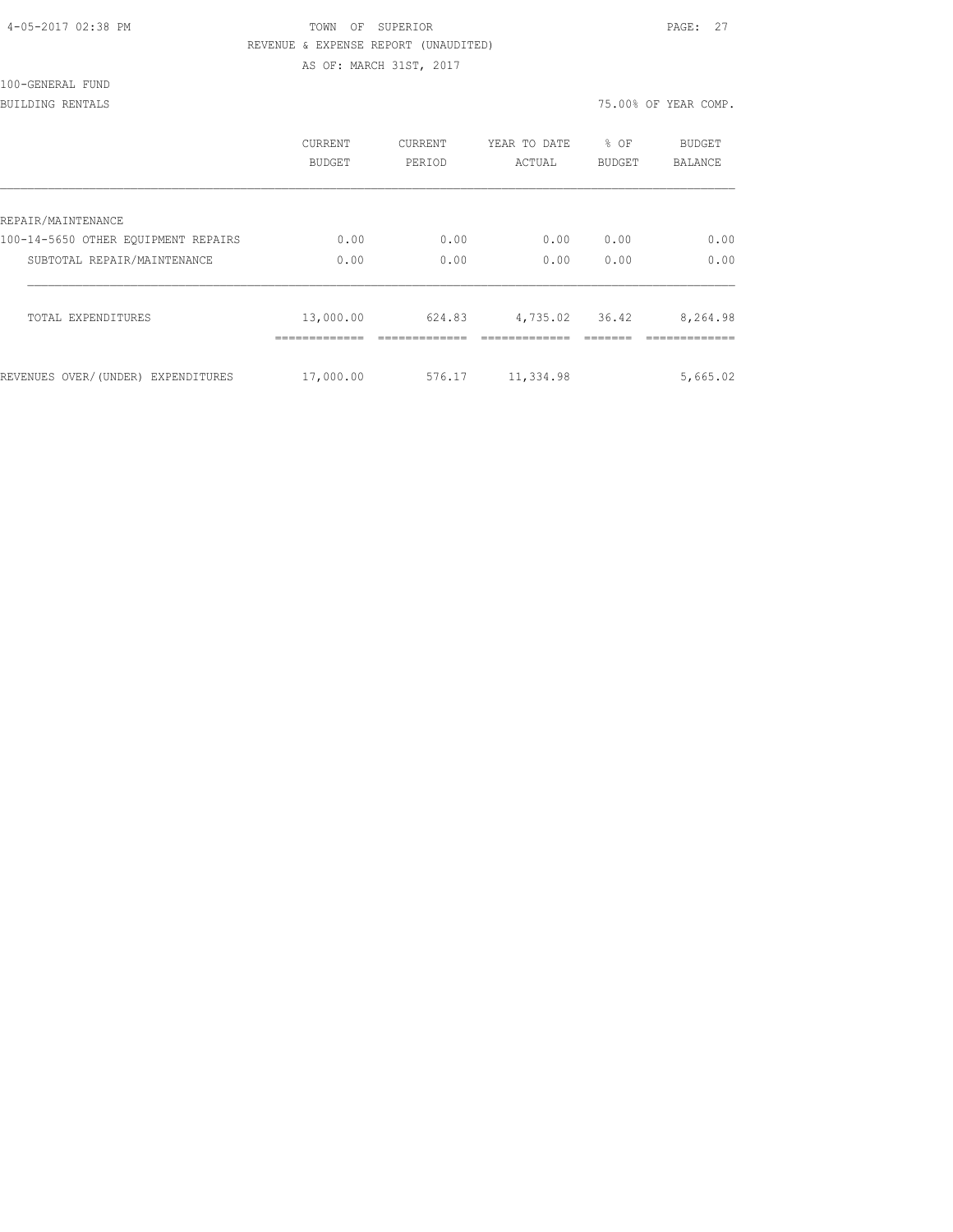## TOWN OF SUPERIOR **PAGE:** 27 REVENUE & EXPENSE REPORT (UNAUDITED)

AS OF: MARCH 31ST, 2017

| 100-GENERAL FUND |
|------------------|
|------------------|

BUILDING RENTALS 75.00% OF YEAR COMP.

|                                     | <b>CURRENT</b><br>BUDGET | <b>CURRENT</b><br>PERIOD | YEAR TO DATE<br>ACTUAL | % OF<br><b>BUDGET</b> | <b>BUDGET</b><br><b>BALANCE</b> |
|-------------------------------------|--------------------------|--------------------------|------------------------|-----------------------|---------------------------------|
| REPAIR/MAINTENANCE                  |                          |                          |                        |                       |                                 |
| 100-14-5650 OTHER EOUIPMENT REPAIRS | 0.00                     | 0.00                     | 0.00                   | 0.00                  | 0.00                            |
| SUBTOTAL REPAIR/MAINTENANCE         | 0.00                     | 0.00                     | 0.00                   | 0.00                  | 0.00                            |
| TOTAL EXPENDITURES                  | 13,000.00                | 624.83                   | 4,735.02               | 36.42                 | 8,264.98                        |
| REVENUES OVER/(UNDER) EXPENDITURES  | 17,000.00                | 576.17                   | 11,334.98              |                       | 5,665.02                        |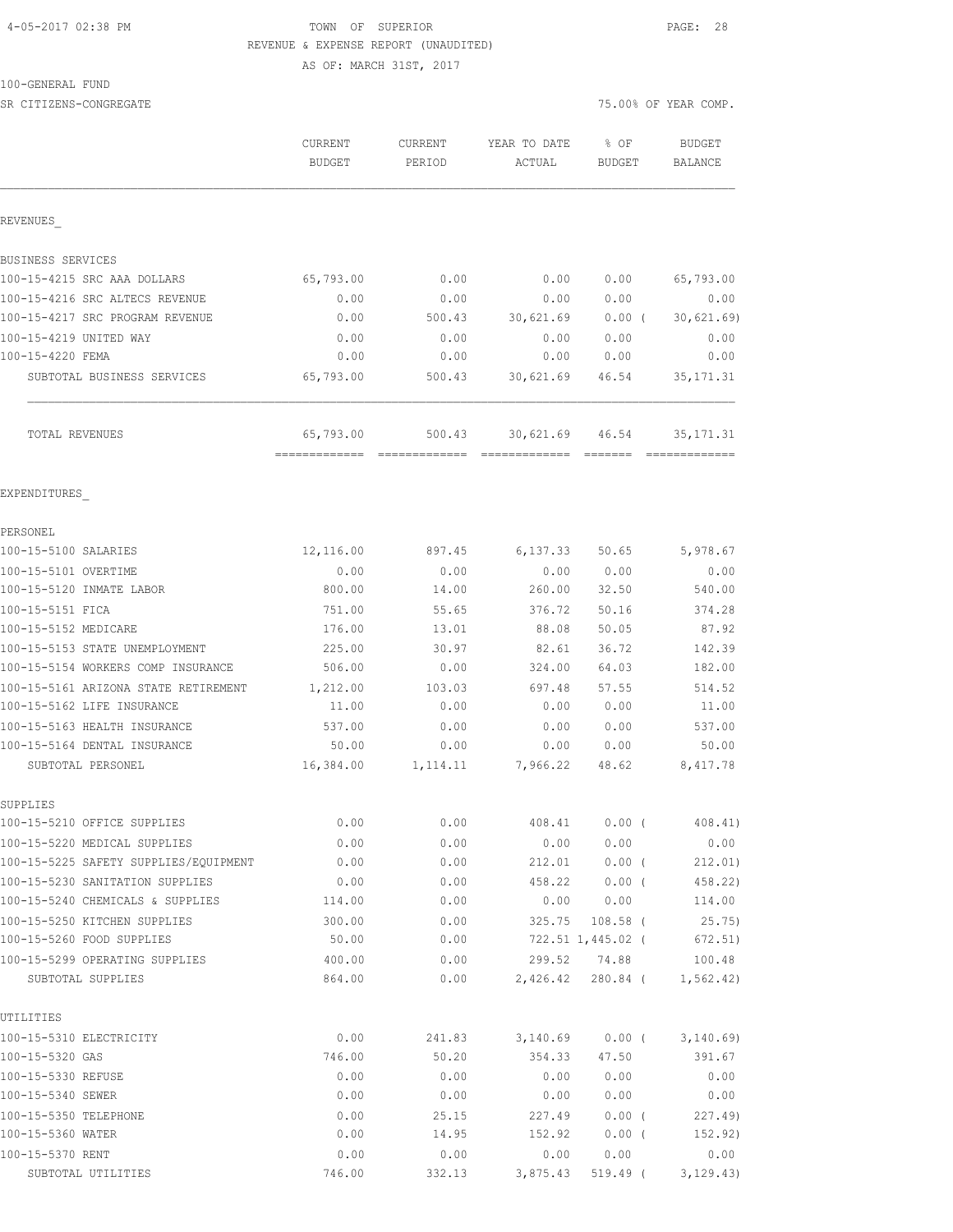## 4-05-2017 02:38 PM TOWN OF SUPERIOR PAGE: 28 REVENUE & EXPENSE REPORT (UNAUDITED)

AS OF: MARCH 31ST, 2017

#### 100-GENERAL FUND

| SR CITIZENS-CONGREGATE                                      |                          |                   |                        |                          | 75.00% OF YEAR COMP.            |
|-------------------------------------------------------------|--------------------------|-------------------|------------------------|--------------------------|---------------------------------|
|                                                             | CURRENT<br><b>BUDGET</b> | CURRENT<br>PERIOD | YEAR TO DATE<br>ACTUAL | % OF<br><b>BUDGET</b>    | <b>BUDGET</b><br><b>BALANCE</b> |
| REVENUES                                                    |                          |                   |                        |                          |                                 |
| BUSINESS SERVICES                                           |                          |                   |                        |                          |                                 |
| 100-15-4215 SRC AAA DOLLARS                                 | 65,793.00                | 0.00              | 0.00                   | 0.00                     | 65,793.00                       |
| 100-15-4216 SRC ALTECS REVENUE                              | 0.00                     | 0.00              | 0.00                   | 0.00                     | 0.00                            |
| 100-15-4217 SRC PROGRAM REVENUE                             | 0.00                     | 500.43            | 30,621.69              | $0.00$ (                 | 30,621.69)                      |
| 100-15-4219 UNITED WAY                                      | 0.00                     | 0.00              | 0.00                   | 0.00                     | 0.00                            |
| 100-15-4220 FEMA                                            | 0.00                     | 0.00              | 0.00                   | 0.00                     | 0.00                            |
| SUBTOTAL BUSINESS SERVICES                                  | 65,793.00                | 500.43            | 30,621.69              | 46.54                    | 35, 171.31                      |
| TOTAL REVENUES                                              | 65,793.00                | 500.43            | 30,621.69              | 46.54                    | 35, 171.31                      |
| EXPENDITURES                                                |                          |                   |                        |                          |                                 |
| PERSONEL                                                    |                          |                   |                        |                          |                                 |
| 100-15-5100 SALARIES                                        | 12,116.00                | 897.45            | 6, 137.33              | 50.65                    | 5,978.67                        |
| 100-15-5101 OVERTIME                                        | 0.00                     | 0.00              | 0.00                   | 0.00                     | 0.00                            |
| 100-15-5120 INMATE LABOR                                    | 800.00                   | 14.00             | 260.00                 | 32.50                    | 540.00                          |
| 100-15-5151 FICA                                            | 751.00                   | 55.65             | 376.72                 | 50.16                    | 374.28                          |
| 100-15-5152 MEDICARE                                        | 176.00                   | 13.01             | 88.08                  | 50.05                    | 87.92                           |
| 100-15-5153 STATE UNEMPLOYMENT                              | 225.00                   | 30.97             | 82.61                  | 36.72                    | 142.39                          |
| 100-15-5154 WORKERS COMP INSURANCE                          | 506.00                   | 0.00              | 324.00                 | 64.03                    | 182.00                          |
| 100-15-5161 ARIZONA STATE RETIREMENT                        | 1,212.00                 | 103.03            | 697.48                 | 57.55                    | 514.52                          |
| 100-15-5162 LIFE INSURANCE                                  | 11.00                    | 0.00              | 0.00                   | 0.00                     | 11.00                           |
| 100-15-5163 HEALTH INSURANCE                                | 537.00                   | 0.00              | 0.00                   | 0.00                     | 537.00                          |
| 100-15-5164 DENTAL INSURANCE                                | 50.00                    | 0.00              | 0.00                   | 0.00                     | 50.00                           |
| SUBTOTAL PERSONEL                                           | 16,384.00                | 1,114.11          | 7,966.22               | 48.62                    | 8,417.78                        |
| SUPPLIES                                                    |                          |                   |                        |                          |                                 |
| 100-15-5210 OFFICE SUPPLIES                                 | 0.00                     | 0.00              | 408.41                 | $0.00$ (                 | 408.41)                         |
| 100-15-5220 MEDICAL SUPPLIES                                | 0.00                     | 0.00              | 0.00                   | 0.00                     | 0.00                            |
| 100-15-5225 SAFETY SUPPLIES/EQUIPMENT                       | 0.00                     | 0.00              | 212.01                 | $0.00$ (                 | 212.01)                         |
| 100-15-5230 SANITATION SUPPLIES                             | 0.00                     | 0.00              | 458.22                 | 0.00(                    | 458.22)                         |
| 100-15-5240 CHEMICALS & SUPPLIES                            | 114.00                   | 0.00              | 0.00                   | 0.00                     | 114.00                          |
| 100-15-5250 KITCHEN SUPPLIES                                | 300.00                   | 0.00              | 325.75                 | $108.58$ (               | 25.75)                          |
| 100-15-5260 FOOD SUPPLIES<br>100-15-5299 OPERATING SUPPLIES | 50.00                    | 0.00              |                        | 722.51 1,445.02 (        | 672.51)                         |
| SUBTOTAL SUPPLIES                                           | 400.00<br>864.00         | 0.00<br>0.00      | 2,426.42               | 299.52 74.88<br>280.84 ( | 100.48<br>1, 562.42)            |
| UTILITIES                                                   |                          |                   |                        |                          |                                 |
| 100-15-5310 ELECTRICITY                                     | 0.00                     | 241.83            | 3,140.69               | $0.00$ (                 | 3,140.69                        |
| 100-15-5320 GAS                                             | 746.00                   | 50.20             | 354.33                 | 47.50                    | 391.67                          |
| 100-15-5330 REFUSE                                          | 0.00                     | 0.00              | 0.00                   | 0.00                     | 0.00                            |
| 100-15-5340 SEWER                                           | 0.00                     | 0.00              | 0.00                   | 0.00                     | 0.00                            |
| 100-15-5350 TELEPHONE                                       | 0.00                     | 25.15             | 227.49                 | $0.00$ (                 | 227.49                          |
| 100-15-5360 WATER                                           | 0.00                     | 14.95             | 152.92                 | 0.00(                    | 152.92)                         |

100-15-5370 RENT 0.00 0.00 0.00 0.00 0.00 SUBTOTAL UTILITIES 746.00 332.13 3,875.43 519.49 ( 3,129.43)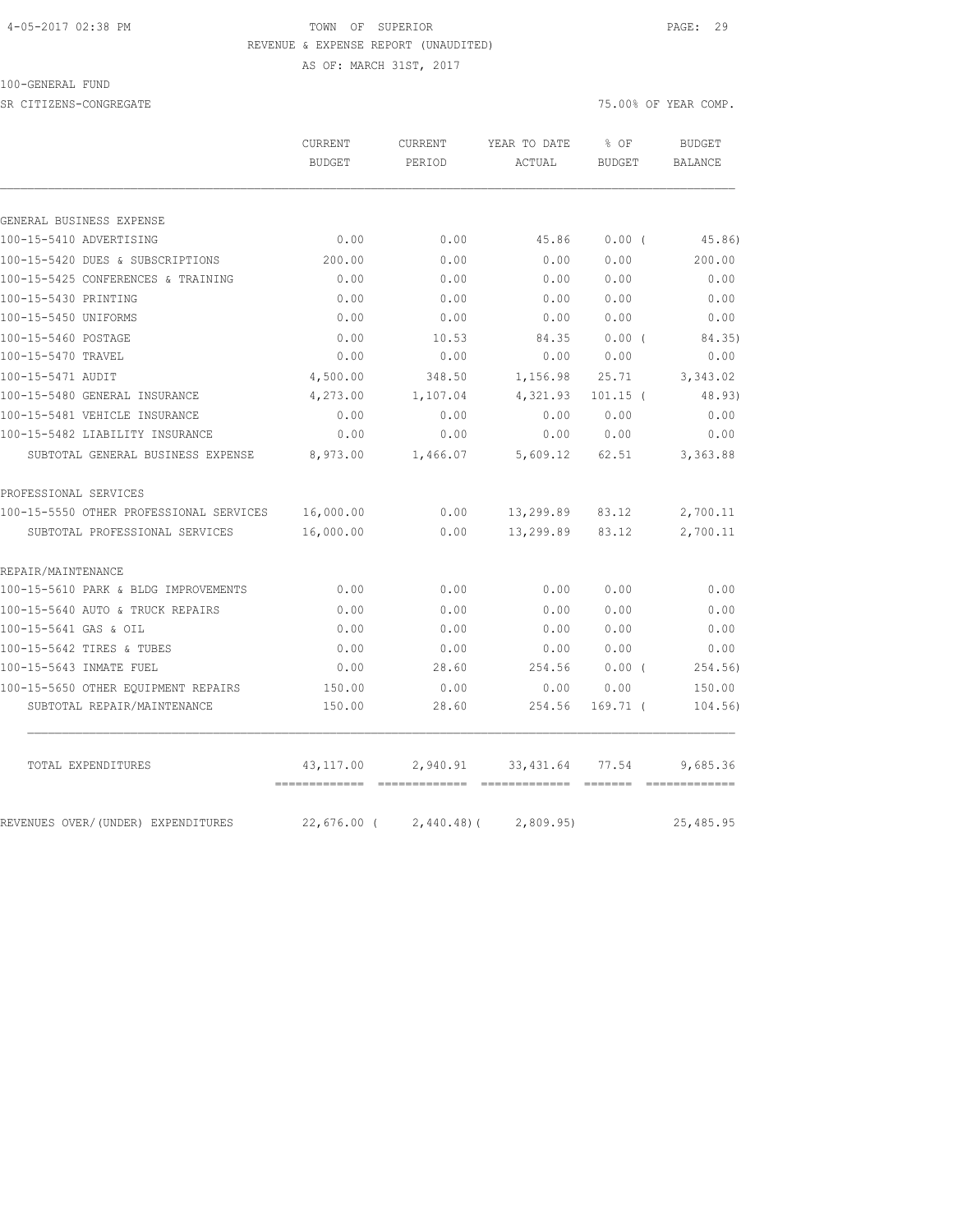#### 4-05-2017 02:38 PM TOWN OF SUPERIOR PAGE: 29 REVENUE & EXPENSE REPORT (UNAUDITED)

AS OF: MARCH 31ST, 2017

100-GENERAL FUND

SR CITIZENS-CONGREGATE SERVICES AND RESOLUTION OF THE SERVICES OF STRAINING OF YEAR COMP.

|                                         | CURRENT                      | <b>CURRENT</b><br>YEAR TO DATE<br>% OF<br><b>BUDGET</b><br>PERIOD<br>ACTUAL<br><b>BUDGET</b> |            | <b>BUDGET</b>                                                                                                                                                                                                                                                                                                                                                                                                                                                                          |                |
|-----------------------------------------|------------------------------|----------------------------------------------------------------------------------------------|------------|----------------------------------------------------------------------------------------------------------------------------------------------------------------------------------------------------------------------------------------------------------------------------------------------------------------------------------------------------------------------------------------------------------------------------------------------------------------------------------------|----------------|
|                                         |                              |                                                                                              |            |                                                                                                                                                                                                                                                                                                                                                                                                                                                                                        | <b>BALANCE</b> |
|                                         |                              |                                                                                              |            |                                                                                                                                                                                                                                                                                                                                                                                                                                                                                        |                |
| GENERAL BUSINESS EXPENSE                |                              |                                                                                              |            |                                                                                                                                                                                                                                                                                                                                                                                                                                                                                        |                |
| 100-15-5410 ADVERTISING                 | 0.00                         | 0.00                                                                                         | 45.86      | 0.00(                                                                                                                                                                                                                                                                                                                                                                                                                                                                                  | 45.86)         |
| 100-15-5420 DUES & SUBSCRIPTIONS        | 200.00                       | 0.00                                                                                         | 0.00       | 0.00                                                                                                                                                                                                                                                                                                                                                                                                                                                                                   | 200.00         |
| 100-15-5425 CONFERENCES & TRAINING      | 0.00                         | 0.00                                                                                         | 0.00       | 0.00                                                                                                                                                                                                                                                                                                                                                                                                                                                                                   | 0.00           |
| 100-15-5430 PRINTING                    | 0.00                         | 0.00                                                                                         | 0.00       | 0.00                                                                                                                                                                                                                                                                                                                                                                                                                                                                                   | 0.00           |
| 100-15-5450 UNIFORMS                    | 0.00                         | 0.00                                                                                         | 0.00       | 0.00                                                                                                                                                                                                                                                                                                                                                                                                                                                                                   | 0.00           |
| 100-15-5460 POSTAGE                     | 0.00                         | 10.53                                                                                        | 84.35      | 0.00(                                                                                                                                                                                                                                                                                                                                                                                                                                                                                  | 84.35)         |
| 100-15-5470 TRAVEL                      | 0.00                         | 0.00                                                                                         | 0.00       | 0.00                                                                                                                                                                                                                                                                                                                                                                                                                                                                                   | 0.00           |
| 100-15-5471 AUDIT                       | 4,500.00                     | 348.50                                                                                       | 1,156.98   | 25.71                                                                                                                                                                                                                                                                                                                                                                                                                                                                                  | 3,343.02       |
| 100-15-5480 GENERAL INSURANCE           | 4,273.00                     | 1,107.04                                                                                     | 4,321.93   | $101.15$ (                                                                                                                                                                                                                                                                                                                                                                                                                                                                             | 48.93)         |
| 100-15-5481 VEHICLE INSURANCE           | 0.00                         | 0.00                                                                                         | 0.00       | 0.00                                                                                                                                                                                                                                                                                                                                                                                                                                                                                   | 0.00           |
| 100-15-5482 LIABILITY INSURANCE         | 0.00                         | 0.00                                                                                         | 0.00       | 0.00                                                                                                                                                                                                                                                                                                                                                                                                                                                                                   | 0.00           |
| SUBTOTAL GENERAL BUSINESS EXPENSE       | 8,973.00                     | 1,466.07                                                                                     | 5,609.12   | 62.51                                                                                                                                                                                                                                                                                                                                                                                                                                                                                  | 3,363.88       |
| PROFESSIONAL SERVICES                   |                              |                                                                                              |            |                                                                                                                                                                                                                                                                                                                                                                                                                                                                                        |                |
| 100-15-5550 OTHER PROFESSIONAL SERVICES | 16,000.00                    | 0.00                                                                                         | 13,299.89  | 83.12                                                                                                                                                                                                                                                                                                                                                                                                                                                                                  | 2,700.11       |
| SUBTOTAL PROFESSIONAL SERVICES          | 16,000.00                    | 0.00                                                                                         | 13,299.89  | 83.12                                                                                                                                                                                                                                                                                                                                                                                                                                                                                  | 2,700.11       |
| REPAIR/MAINTENANCE                      |                              |                                                                                              |            |                                                                                                                                                                                                                                                                                                                                                                                                                                                                                        |                |
| 100-15-5610 PARK & BLDG IMPROVEMENTS    | 0.00                         | 0.00                                                                                         | 0.00       | 0.00                                                                                                                                                                                                                                                                                                                                                                                                                                                                                   | 0.00           |
| 100-15-5640 AUTO & TRUCK REPAIRS        | 0.00                         | 0.00                                                                                         | 0.00       | 0.00                                                                                                                                                                                                                                                                                                                                                                                                                                                                                   | 0.00           |
| 100-15-5641 GAS & OIL                   | 0.00                         | 0.00                                                                                         | 0.00       | 0.00                                                                                                                                                                                                                                                                                                                                                                                                                                                                                   | 0.00           |
| 100-15-5642 TIRES & TUBES               | 0.00                         | 0.00                                                                                         | 0.00       | 0.00                                                                                                                                                                                                                                                                                                                                                                                                                                                                                   | 0.00           |
| 100-15-5643 INMATE FUEL                 | 0.00                         | 28.60                                                                                        | 254.56     | $0.00$ (                                                                                                                                                                                                                                                                                                                                                                                                                                                                               | 254.56)        |
| 100-15-5650 OTHER EQUIPMENT REPAIRS     | 150.00                       | 0.00                                                                                         | 0.00       | 0.00                                                                                                                                                                                                                                                                                                                                                                                                                                                                                   | 150.00         |
| SUBTOTAL REPAIR/MAINTENANCE             | 150.00                       | 28.60                                                                                        | 254.56     | $169.71$ (                                                                                                                                                                                                                                                                                                                                                                                                                                                                             | 104.56)        |
| TOTAL EXPENDITURES                      | 43, 117.00                   | 2,940.91                                                                                     | 33, 431.64 | 77.54                                                                                                                                                                                                                                                                                                                                                                                                                                                                                  | 9,685.36       |
| REVENUES OVER/(UNDER) EXPENDITURES      | =============<br>22,676.00 ( | $2,440.48$ ) (                                                                               | 2,809.95   | $\begin{array}{cccccccccc} \multicolumn{2}{c}{} & \multicolumn{2}{c}{} & \multicolumn{2}{c}{} & \multicolumn{2}{c}{} & \multicolumn{2}{c}{} & \multicolumn{2}{c}{} & \multicolumn{2}{c}{} & \multicolumn{2}{c}{} & \multicolumn{2}{c}{} & \multicolumn{2}{c}{} & \multicolumn{2}{c}{} & \multicolumn{2}{c}{} & \multicolumn{2}{c}{} & \multicolumn{2}{c}{} & \multicolumn{2}{c}{} & \multicolumn{2}{c}{} & \multicolumn{2}{c}{} & \multicolumn{2}{c}{} & \multicolumn{2}{c}{} & \mult$ | 25, 485.95     |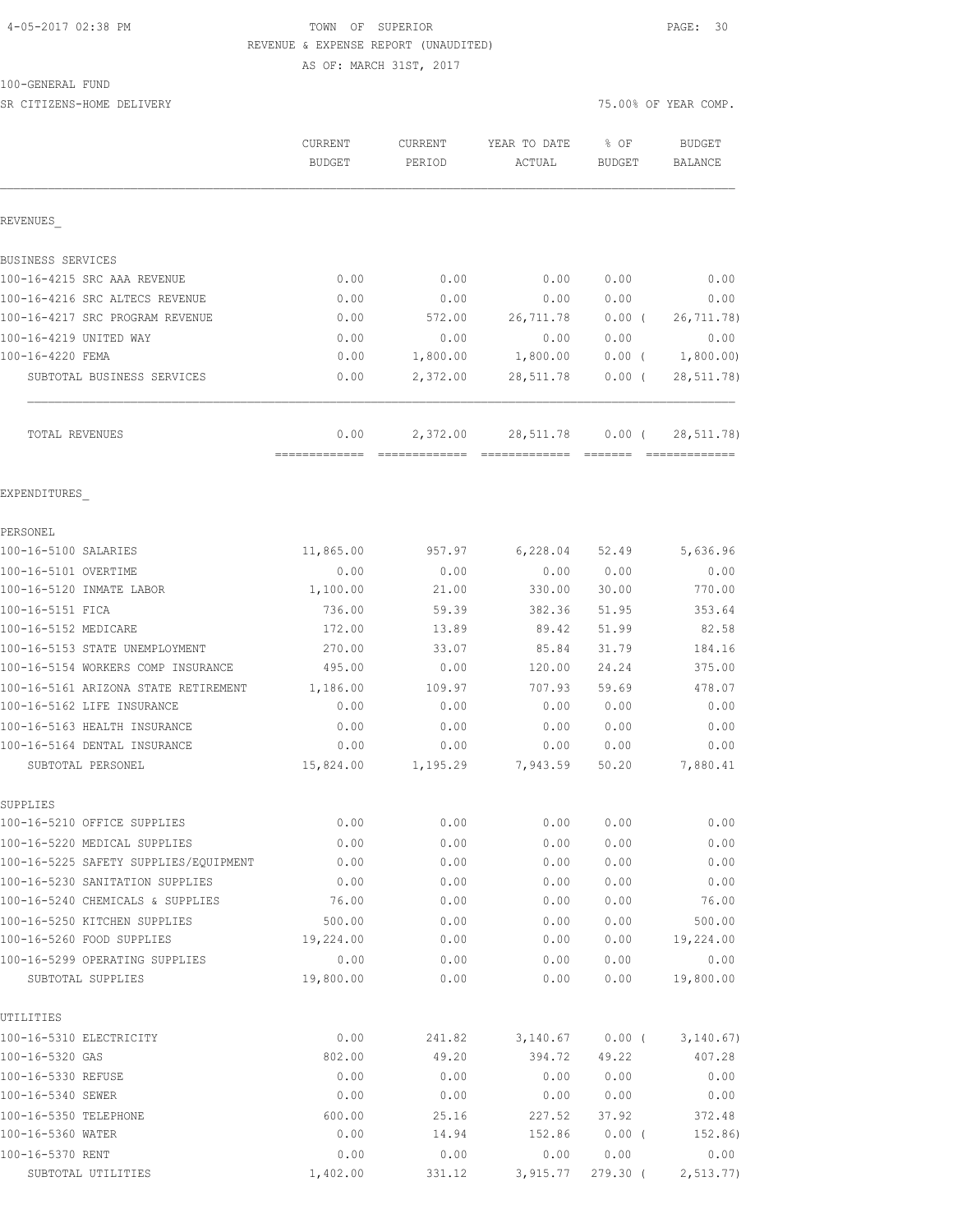## 4-05-2017 02:38 PM TOWN OF SUPERIOR PAGE: 30 REVENUE & EXPENSE REPORT (UNAUDITED)

AS OF: MARCH 31ST, 2017

#### 100-GENERAL FUND

SR CITIZENS-HOME DELIVERY 75.00% OF YEAR COMP.

|                                            | CURRENT<br><b>BUDGET</b> | <b>CURRENT</b><br>PERIOD | YEAR TO DATE<br>ACTUAL | % OF<br><b>BUDGET</b>           | <b>BUDGET</b><br>BALANCE |
|--------------------------------------------|--------------------------|--------------------------|------------------------|---------------------------------|--------------------------|
| REVENUES                                   |                          |                          |                        |                                 |                          |
| BUSINESS SERVICES                          |                          |                          |                        |                                 |                          |
| 100-16-4215 SRC AAA REVENUE                | 0.00                     | 0.00                     | 0.00                   | 0.00                            | 0.00                     |
| 100-16-4216 SRC ALTECS REVENUE             | 0.00                     | 0.00                     | 0.00                   | 0.00                            | 0.00                     |
| 100-16-4217 SRC PROGRAM REVENUE            | 0.00                     | 572.00                   | 26,711.78              | 0.00(                           | 26,711.78)               |
| 100-16-4219 UNITED WAY                     | 0.00                     | 0.00                     | 0.00                   | 0.00                            | 0.00                     |
| 100-16-4220 FEMA                           | 0.00                     | 1,800.00                 | 1,800.00               | 0.00(                           | 1,800.00)                |
| SUBTOTAL BUSINESS SERVICES                 | 0.00                     | 2,372.00                 | 28,511.78              | $0.00$ (                        | 28, 511.78)              |
| TOTAL REVENUES                             | 0.00                     | 2,372.00                 | 28,511.78              | $0.00$ (<br>$=$ $=$ $=$ $=$ $=$ | 28, 511.78)              |
| EXPENDITURES                               |                          |                          |                        |                                 |                          |
| PERSONEL                                   |                          |                          |                        |                                 |                          |
| 100-16-5100 SALARIES                       | 11,865.00                | 957.97                   | 6,228.04               | 52.49                           | 5,636.96                 |
| 100-16-5101 OVERTIME                       | 0.00                     | 0.00                     | 0.00                   | 0.00                            | 0.00                     |
| 100-16-5120 INMATE LABOR                   | 1,100.00                 | 21.00                    | 330.00                 | 30.00                           | 770.00                   |
| 100-16-5151 FICA                           | 736.00                   | 59.39                    | 382.36                 | 51.95                           | 353.64                   |
| 100-16-5152 MEDICARE                       | 172.00                   | 13.89                    | 89.42                  | 51.99                           | 82.58                    |
| 100-16-5153 STATE UNEMPLOYMENT             | 270.00                   | 33.07                    | 85.84                  | 31.79                           | 184.16                   |
| 100-16-5154 WORKERS COMP INSURANCE         | 495.00                   | 0.00                     | 120.00                 | 24.24                           | 375.00                   |
| 100-16-5161 ARIZONA STATE RETIREMENT       | 1,186.00                 | 109.97                   | 707.93                 | 59.69                           | 478.07                   |
| 100-16-5162 LIFE INSURANCE                 | 0.00                     | 0.00                     | 0.00                   | 0.00                            | 0.00                     |
| 100-16-5163 HEALTH INSURANCE               | 0.00                     | 0.00                     | 0.00                   | 0.00                            | 0.00                     |
| 100-16-5164 DENTAL INSURANCE               | 0.00                     | 0.00                     | 0.00                   | 0.00                            | 0.00                     |
| SUBTOTAL PERSONEL                          | 15,824.00                | 1,195.29                 | 7,943.59               | 50.20                           | 7,880.41                 |
| SUPPLIES<br>100-16-5210 OFFICE SUPPLIES    | 0.00                     | 0.00                     | 0.00                   | 0.00                            | 0.00                     |
| 100-16-5220 MEDICAL SUPPLIES               | 0.00                     | 0.00                     | 0.00                   | 0.00                            | 0.00                     |
| 100-16-5225 SAFETY SUPPLIES/EQUIPMENT      | 0.00                     | 0.00                     | 0.00                   | 0.00                            | 0.00                     |
| 100-16-5230 SANITATION SUPPLIES            | 0.00                     | 0.00                     | 0.00                   | 0.00                            | 0.00                     |
| 100-16-5240 CHEMICALS & SUPPLIES           | 76.00                    | 0.00                     | 0.00                   | 0.00                            | 76.00                    |
| 100-16-5250 KITCHEN SUPPLIES               | 500.00                   | 0.00                     | 0.00                   | 0.00                            | 500.00                   |
| 100-16-5260 FOOD SUPPLIES                  | 19,224.00                | 0.00                     | 0.00                   | 0.00                            | 19,224.00                |
| 100-16-5299 OPERATING SUPPLIES             | 0.00                     | 0.00                     | 0.00                   | 0.00                            | 0.00                     |
| SUBTOTAL SUPPLIES                          | 19,800.00                | 0.00                     | 0.00                   | 0.00                            | 19,800.00                |
| UTILITIES                                  |                          |                          |                        |                                 |                          |
| 100-16-5310 ELECTRICITY                    | 0.00                     | 241.82                   | 3,140.67               | $0.00$ (                        | 3, 140.67)               |
| 100-16-5320 GAS                            | 802.00                   | 49.20                    | 394.72                 | 49.22                           | 407.28                   |
| 100-16-5330 REFUSE                         | 0.00                     | 0.00                     | 0.00                   | 0.00                            | 0.00                     |
| 100-16-5340 SEWER                          | 0.00                     | 0.00                     | 0.00                   | 0.00                            | 0.00                     |
| 100-16-5350 TELEPHONE<br>100-16-5360 WATER | 600.00<br>0.00           | 25.16<br>14.94           | 227.52<br>152.86       | 37.92<br>$0.00$ (               | 372.48<br>152.86)        |
| 100-16-5370 RENT                           | 0.00                     |                          |                        | 0.00                            | 0.00                     |
|                                            |                          | 0.00                     | 0.00                   |                                 |                          |

SUBTOTAL UTILITIES 1,402.00 331.12 3,915.77 279.30 ( 2,513.77)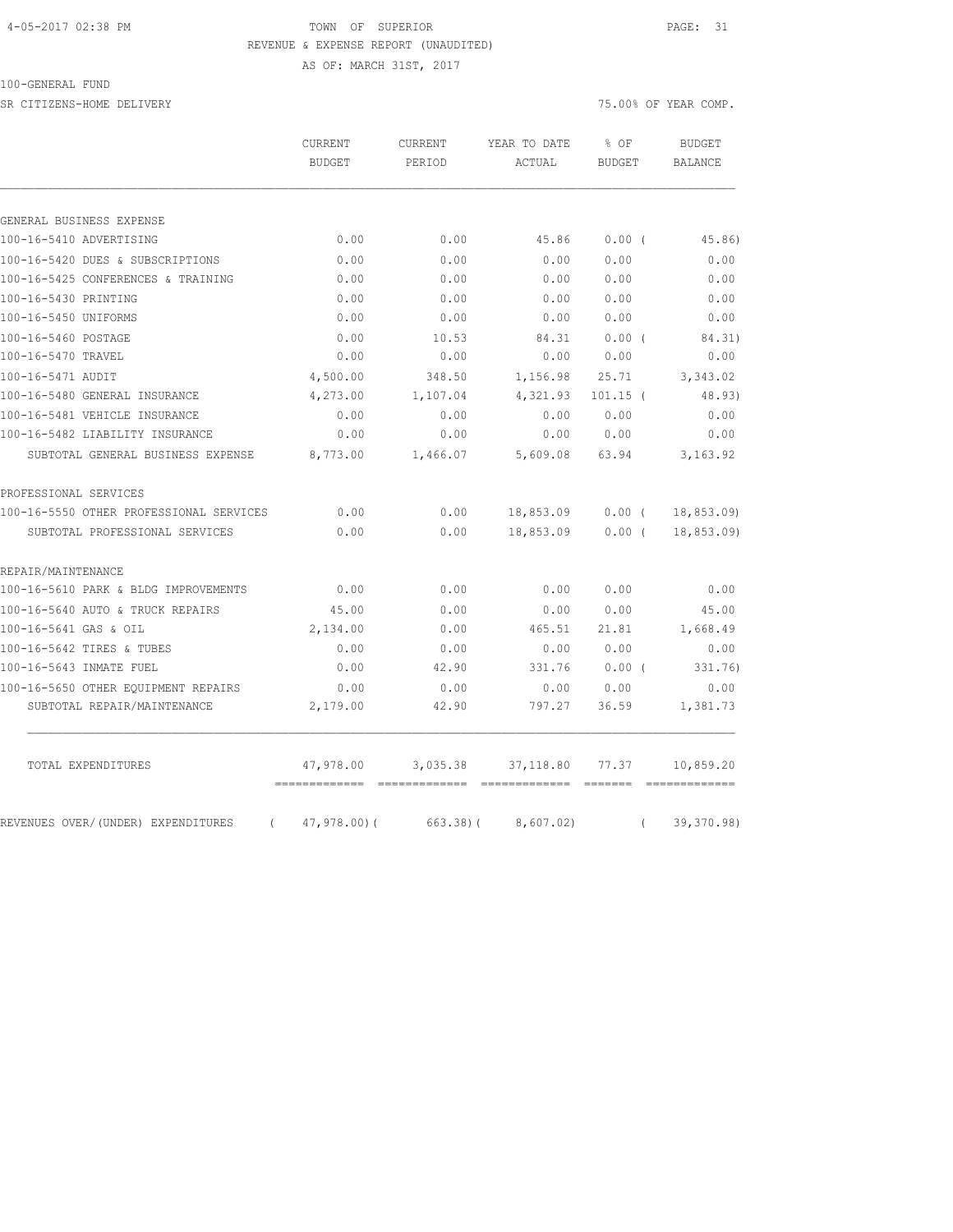#### 4-05-2017 02:38 PM TOWN OF SUPERIOR PAGE: 31 REVENUE & EXPENSE REPORT (UNAUDITED)

AS OF: MARCH 31ST, 2017

#### 100-GENERAL FUND

SR CITIZENS-HOME DELIVERY 75.00% OF YEAR COMP.

|                                                | <b>CURRENT</b><br><b>BUDGET</b> | CURRENT<br>PERIOD | YEAR TO DATE<br>ACTUAL | % OF          | <b>BUDGET</b>  |  |
|------------------------------------------------|---------------------------------|-------------------|------------------------|---------------|----------------|--|
|                                                |                                 |                   |                        | <b>BUDGET</b> | <b>BALANCE</b> |  |
|                                                |                                 |                   |                        |               |                |  |
| GENERAL BUSINESS EXPENSE                       |                                 |                   |                        |               |                |  |
| 100-16-5410 ADVERTISING                        | 0.00                            | 0.00              | 45.86                  | 0.00(         | 45.86)         |  |
| 100-16-5420 DUES & SUBSCRIPTIONS               | 0.00                            | 0.00              | 0.00                   | 0.00          | 0.00           |  |
| 100-16-5425 CONFERENCES & TRAINING             | 0.00                            | 0.00              | 0.00                   | 0.00          | 0.00           |  |
| 100-16-5430 PRINTING                           | 0.00                            | 0.00              | 0.00                   | 0.00          | 0.00           |  |
| 100-16-5450 UNIFORMS                           | 0.00                            | 0.00              | 0.00                   | 0.00          | 0.00           |  |
| 100-16-5460 POSTAGE                            | 0.00                            | 10.53             | 84.31                  | 0.00(         | 84.31)         |  |
| 100-16-5470 TRAVEL                             | 0.00                            | 0.00              | 0.00                   | 0.00          | 0.00           |  |
| 100-16-5471 AUDIT                              | 4,500.00                        | 348.50            | 1,156.98               | 25.71         | 3,343.02       |  |
| 100-16-5480 GENERAL INSURANCE                  | 4,273.00                        | 1,107.04          | 4,321.93               | $101.15$ (    | 48.93)         |  |
| 100-16-5481 VEHICLE INSURANCE                  | 0.00                            | 0.00              | 0.00                   | 0.00          | 0.00           |  |
| 100-16-5482 LIABILITY INSURANCE                | 0.00                            | 0.00              | 0.00                   | 0.00          | 0.00           |  |
| SUBTOTAL GENERAL BUSINESS EXPENSE              | 8,773.00                        | 1,466.07          | 5,609.08               | 63.94         | 3, 163.92      |  |
| PROFESSIONAL SERVICES                          |                                 |                   |                        |               |                |  |
| 100-16-5550 OTHER PROFESSIONAL SERVICES        | 0.00                            | 0.00              | 18,853.09              | $0.00$ (      | 18, 853.09     |  |
| SUBTOTAL PROFESSIONAL SERVICES                 | 0.00                            | 0.00              | 18,853.09              | 0.00(         | 18,853.09)     |  |
| REPAIR/MAINTENANCE                             |                                 |                   |                        |               |                |  |
| 100-16-5610 PARK & BLDG IMPROVEMENTS           | 0.00                            | 0.00              | 0.00                   | 0.00          | 0.00           |  |
| 100-16-5640 AUTO & TRUCK REPAIRS               | 45.00                           | 0.00              | 0.00                   | 0.00          | 45.00          |  |
| 100-16-5641 GAS & OIL                          | 2,134.00                        | 0.00              | 465.51                 | 21.81         | 1,668.49       |  |
| 100-16-5642 TIRES & TUBES                      | 0.00                            | 0.00              | 0.00                   | 0.00          | 0.00           |  |
| 100-16-5643 INMATE FUEL                        | 0.00                            | 42.90             | 331.76                 | $0.00$ (      | 331.76)        |  |
| 100-16-5650 OTHER EQUIPMENT REPAIRS            | 0.00                            | 0.00              | 0.00                   | 0.00          | 0.00           |  |
| SUBTOTAL REPAIR/MAINTENANCE                    | 2,179.00                        | 42.90             | 797.27                 | 36.59         | 1,381.73       |  |
| TOTAL EXPENDITURES                             | 47,978.00                       | 3,035.38          | 37,118.80              | 77.37         | 10,859.20      |  |
| REVENUES OVER/(UNDER) EXPENDITURES<br>$\left($ | $47,978.00$ (                   | $663.38$ ) (      | 8,607.02)              | $\left($      | 39,370.98)     |  |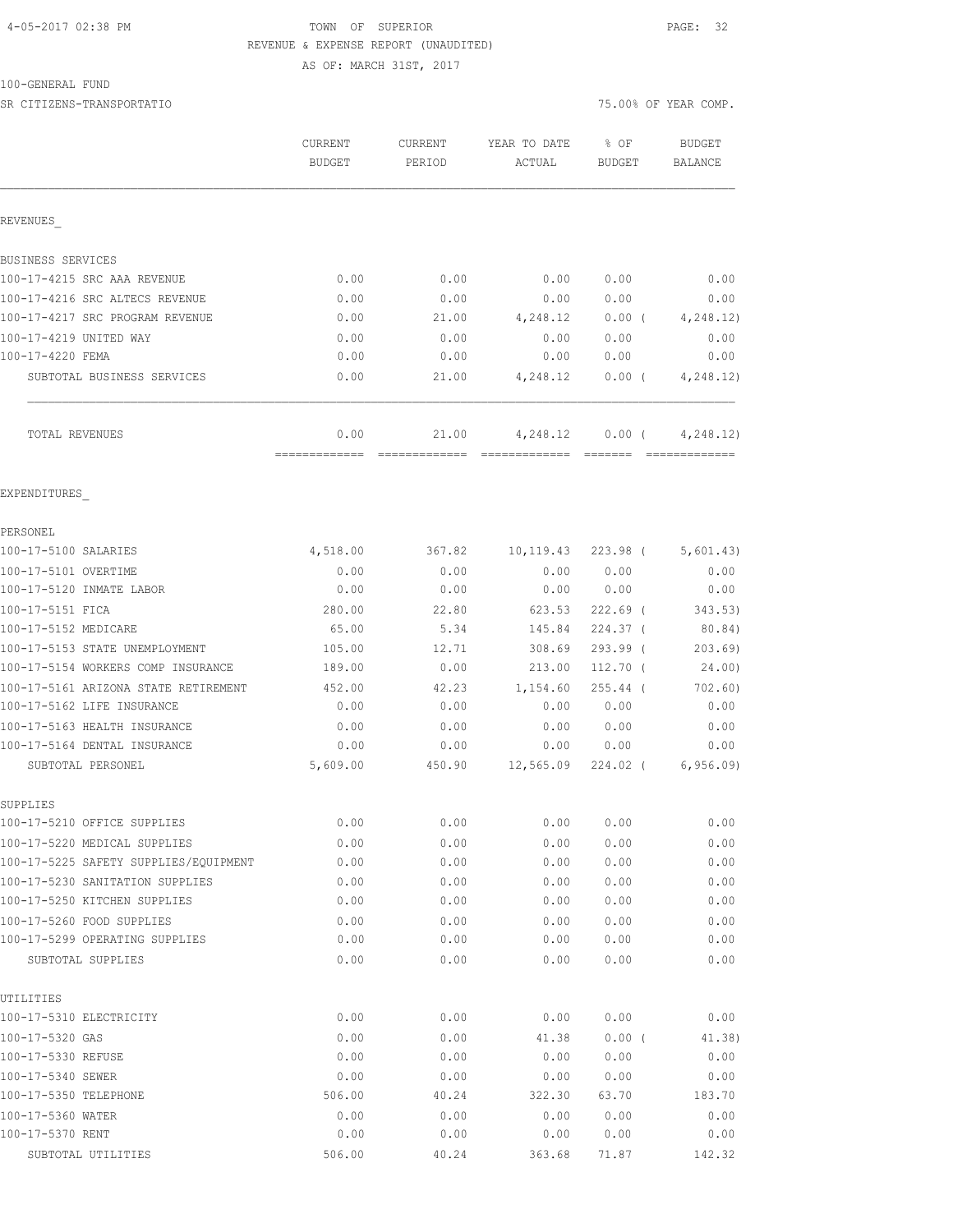## 4-05-2017 02:38 PM TOWN OF SUPERIOR PAGE: 32 REVENUE & EXPENSE REPORT (UNAUDITED)

AS OF: MARCH 31ST, 2017

#### 100-GENERAL FUND

SR CITIZENS-TRANSPORTATIO 75.00% OF YEAR COMP.

|                                                                          | CURRENT<br><b>BUDGET</b> | <b>CURRENT</b><br>PERIOD | YEAR TO DATE<br>ACTUAL | % OF<br><b>BUDGET</b> | <b>BUDGET</b><br><b>BALANCE</b> |
|--------------------------------------------------------------------------|--------------------------|--------------------------|------------------------|-----------------------|---------------------------------|
| REVENUES                                                                 |                          |                          |                        |                       |                                 |
| BUSINESS SERVICES                                                        |                          |                          |                        |                       |                                 |
| 100-17-4215 SRC AAA REVENUE                                              | 0.00                     | 0.00                     | 0.00                   | 0.00                  | 0.00                            |
| 100-17-4216 SRC ALTECS REVENUE                                           | 0.00                     | 0.00                     | 0.00                   | 0.00                  | 0.00                            |
| 100-17-4217 SRC PROGRAM REVENUE                                          | 0.00                     | 21.00                    | 4,248.12               | $0.00$ (              | 4, 248.12)                      |
| 100-17-4219 UNITED WAY                                                   | 0.00                     | 0.00                     | 0.00                   | 0.00                  | 0.00                            |
| 100-17-4220 FEMA                                                         | 0.00                     | 0.00                     | 0.00                   | 0.00                  | 0.00                            |
| SUBTOTAL BUSINESS SERVICES                                               | 0.00                     | 21.00                    | 4,248.12               | $0.00$ (              | 4, 248.12)                      |
| TOTAL REVENUES                                                           | 0.00<br>=============    | 21.00                    | 4,248.12               | $0.00$ (<br>--------  | 4,248.12)                       |
| EXPENDITURES                                                             |                          |                          |                        |                       |                                 |
| PERSONEL                                                                 |                          |                          |                        |                       |                                 |
| 100-17-5100 SALARIES                                                     | 4,518.00                 | 367.82                   | 10,119.43              | 223.98 (              | 5,601.43)                       |
| 100-17-5101 OVERTIME                                                     | 0.00                     | 0.00                     | 0.00                   | 0.00                  | 0.00                            |
| 100-17-5120 INMATE LABOR                                                 | 0.00                     | 0.00                     | 0.00                   | 0.00                  | 0.00                            |
| 100-17-5151 FICA                                                         | 280.00                   | 22.80                    | 623.53                 | $222.69$ (            | 343.53)                         |
| 100-17-5152 MEDICARE                                                     | 65.00                    | 5.34                     | 145.84                 | $224.37$ (            | 80.84)                          |
| 100-17-5153 STATE UNEMPLOYMENT                                           | 105.00                   | 12.71                    | 308.69                 | 293.99 (              | 203.69                          |
| 100-17-5154 WORKERS COMP INSURANCE                                       | 189.00                   | 0.00                     | 213.00                 | $112.70$ (            | 24.00)                          |
| 100-17-5161 ARIZONA STATE RETIREMENT                                     | 452.00                   | 42.23                    | 1,154.60               | $255.44$ (            | 702.60)                         |
| 100-17-5162 LIFE INSURANCE                                               | 0.00                     | 0.00                     | 0.00                   | 0.00                  | 0.00                            |
| 100-17-5163 HEALTH INSURANCE                                             | 0.00                     | 0.00                     | 0.00                   | 0.00                  | 0.00                            |
| 100-17-5164 DENTAL INSURANCE                                             | 0.00                     | 0.00                     | 0.00                   | 0.00                  | 0.00                            |
| SUBTOTAL PERSONEL                                                        | 5,609.00                 | 450.90                   | 12,565.09              | 224.02 (              | 6, 956.09                       |
| SUPPLIES                                                                 |                          |                          |                        |                       |                                 |
| 100-17-5210 OFFICE SUPPLIES                                              | 0.00                     | 0.00                     | 0.00                   | 0.00                  | 0.00                            |
| 100-17-5220 MEDICAL SUPPLIES                                             | 0.00                     | 0.00                     | 0.00                   | 0.00                  | 0.00                            |
| 100-17-5225 SAFETY SUPPLIES/EQUIPMENT<br>100-17-5230 SANITATION SUPPLIES | 0.00                     | 0.00                     | 0.00                   | 0.00                  | 0.00                            |
| 100-17-5250 KITCHEN SUPPLIES                                             | 0.00<br>0.00             | 0.00<br>0.00             | 0.00<br>0.00           | 0.00<br>0.00          | 0.00<br>0.00                    |
|                                                                          |                          |                          |                        |                       |                                 |
| 100-17-5260 FOOD SUPPLIES<br>100-17-5299 OPERATING SUPPLIES              | 0.00<br>0.00             | 0.00<br>0.00             | 0.00<br>0.00           | 0.00<br>0.00          | 0.00<br>0.00                    |
| SUBTOTAL SUPPLIES                                                        | 0.00                     | 0.00                     | 0.00                   | 0.00                  | 0.00                            |
| UTILITIES                                                                |                          |                          |                        |                       |                                 |
| 100-17-5310 ELECTRICITY                                                  | 0.00                     | 0.00                     | 0.00                   | 0.00                  | 0.00                            |
| 100-17-5320 GAS                                                          | 0.00                     | 0.00                     | 41.38                  | $0.00$ (              | 41.38)                          |
| 100-17-5330 REFUSE                                                       | 0.00                     | 0.00                     | 0.00                   | 0.00                  | 0.00                            |
| 100-17-5340 SEWER                                                        | 0.00                     | 0.00                     | 0.00                   | 0.00                  | 0.00                            |
| 100-17-5350 TELEPHONE                                                    | 506.00                   | 40.24                    | 322.30                 | 63.70                 | 183.70                          |
| 100-17-5360 WATER                                                        | 0.00                     | 0.00                     | 0.00                   | 0.00                  | 0.00                            |
| 100-17-5370 RENT                                                         | 0.00                     | 0.00                     | 0.00                   | 0.00                  | 0.00                            |

SUBTOTAL UTILITIES 506.00 40.24 363.68 71.87 142.32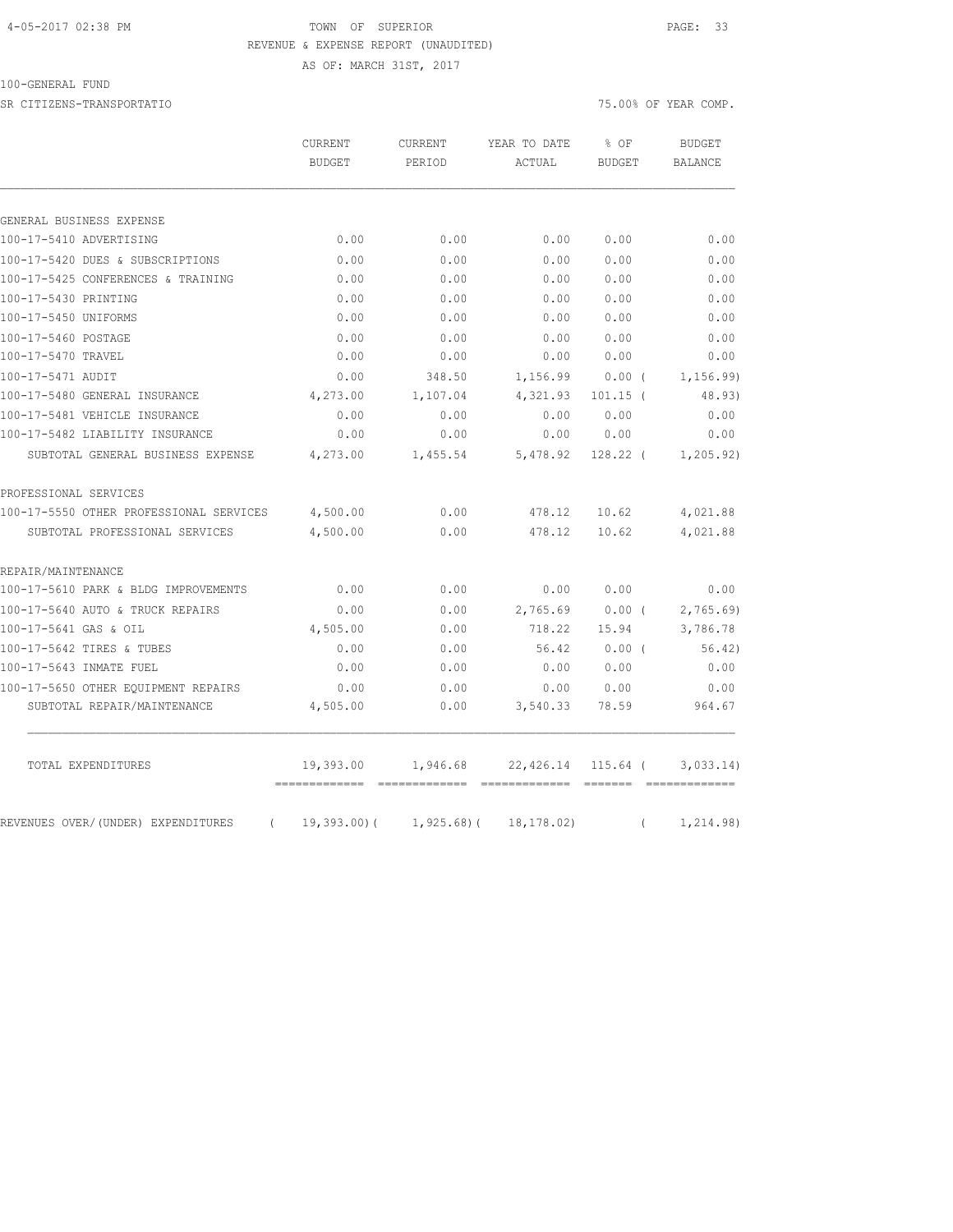### 4-05-2017 02:38 PM TOWN OF SUPERIOR PAGE: 33 REVENUE & EXPENSE REPORT (UNAUDITED)

AS OF: MARCH 31ST, 2017

100-GENERAL FUND

SR CITIZENS-TRANSPORTATIO 75.00% OF YEAR COMP.

|                                                | <b>CURRENT</b><br><b>BUDGET</b> | CURRENT<br>PERIOD | YEAR TO DATE<br>ACTUAL | % OF<br><b>BUDGET</b> | <b>BUDGET</b><br>BALANCE |
|------------------------------------------------|---------------------------------|-------------------|------------------------|-----------------------|--------------------------|
|                                                |                                 |                   |                        |                       |                          |
| GENERAL BUSINESS EXPENSE                       |                                 |                   |                        |                       |                          |
| 100-17-5410 ADVERTISING                        | 0.00                            | 0.00              | 0.00                   | 0.00                  | 0.00                     |
| 100-17-5420 DUES & SUBSCRIPTIONS               | 0.00                            | 0.00              | 0.00                   | 0.00                  | 0.00                     |
| 100-17-5425 CONFERENCES & TRAINING             | 0.00                            | 0.00              | 0.00                   | 0.00                  | 0.00                     |
| 100-17-5430 PRINTING                           | 0.00                            | 0.00              | 0.00                   | 0.00                  | 0.00                     |
| 100-17-5450 UNIFORMS                           | 0.00                            | 0.00              | 0.00                   | 0.00                  | 0.00                     |
| 100-17-5460 POSTAGE                            | 0.00                            | 0.00              | 0.00                   | 0.00                  | 0.00                     |
| 100-17-5470 TRAVEL                             | 0.00                            | 0.00              | 0.00                   | 0.00                  | 0.00                     |
| 100-17-5471 AUDIT                              | 0.00                            | 348.50            | 1,156.99               | 0.00(                 | 1, 156.99                |
| 100-17-5480 GENERAL INSURANCE                  | 4,273.00                        | 1,107.04          | 4,321.93               | $101.15$ (            | 48.93)                   |
| 100-17-5481 VEHICLE INSURANCE                  | 0.00                            | 0.00              | 0.00                   | 0.00                  | 0.00                     |
| 100-17-5482 LIABILITY INSURANCE                | 0.00                            | 0.00              | 0.00                   | 0.00                  | 0.00                     |
| SUBTOTAL GENERAL BUSINESS EXPENSE              | 4,273.00                        | 1,455.54          | 5,478.92               | $128.22$ (            | 1, 205.92)               |
| PROFESSIONAL SERVICES                          |                                 |                   |                        |                       |                          |
| 100-17-5550 OTHER PROFESSIONAL SERVICES        | 4,500.00                        | 0.00              | 478.12                 | 10.62                 | 4,021.88                 |
| SUBTOTAL PROFESSIONAL SERVICES                 | 4,500.00                        | 0.00              | 478.12                 | 10.62                 | 4,021.88                 |
| REPAIR/MAINTENANCE                             |                                 |                   |                        |                       |                          |
| 100-17-5610 PARK & BLDG IMPROVEMENTS           | 0.00                            | 0.00              | 0.00                   | 0.00                  | 0.00                     |
| 100-17-5640 AUTO & TRUCK REPAIRS               | 0.00                            | 0.00              | 2,765.69               | 0.00(                 | 2,765.69                 |
| 100-17-5641 GAS & OIL                          | 4,505.00                        | 0.00              | 718.22                 | 15.94                 | 3,786.78                 |
| 100-17-5642 TIRES & TUBES                      | 0.00                            | 0.00              | 56.42                  | 0.00(                 | 56.42)                   |
| 100-17-5643 INMATE FUEL                        | 0.00                            | 0.00              | 0.00                   | 0.00                  | 0.00                     |
| 100-17-5650 OTHER EQUIPMENT REPAIRS            | 0.00                            | 0.00              | 0.00                   | 0.00                  | 0.00                     |
| SUBTOTAL REPAIR/MAINTENANCE                    | 4,505.00                        | 0.00              | 3,540.33               | 78.59                 | 964.67                   |
| TOTAL EXPENDITURES                             | 19,393.00                       | 1,946.68          | 22,426.14              | 115.64 (              | 3,033.14)                |
| REVENUES OVER/(UNDER) EXPENDITURES<br>$\left($ | =============<br>$19,393.00$ (  | $1,925.68$ (      | 18, 178.02)            | $\left($              | 1, 214.98)               |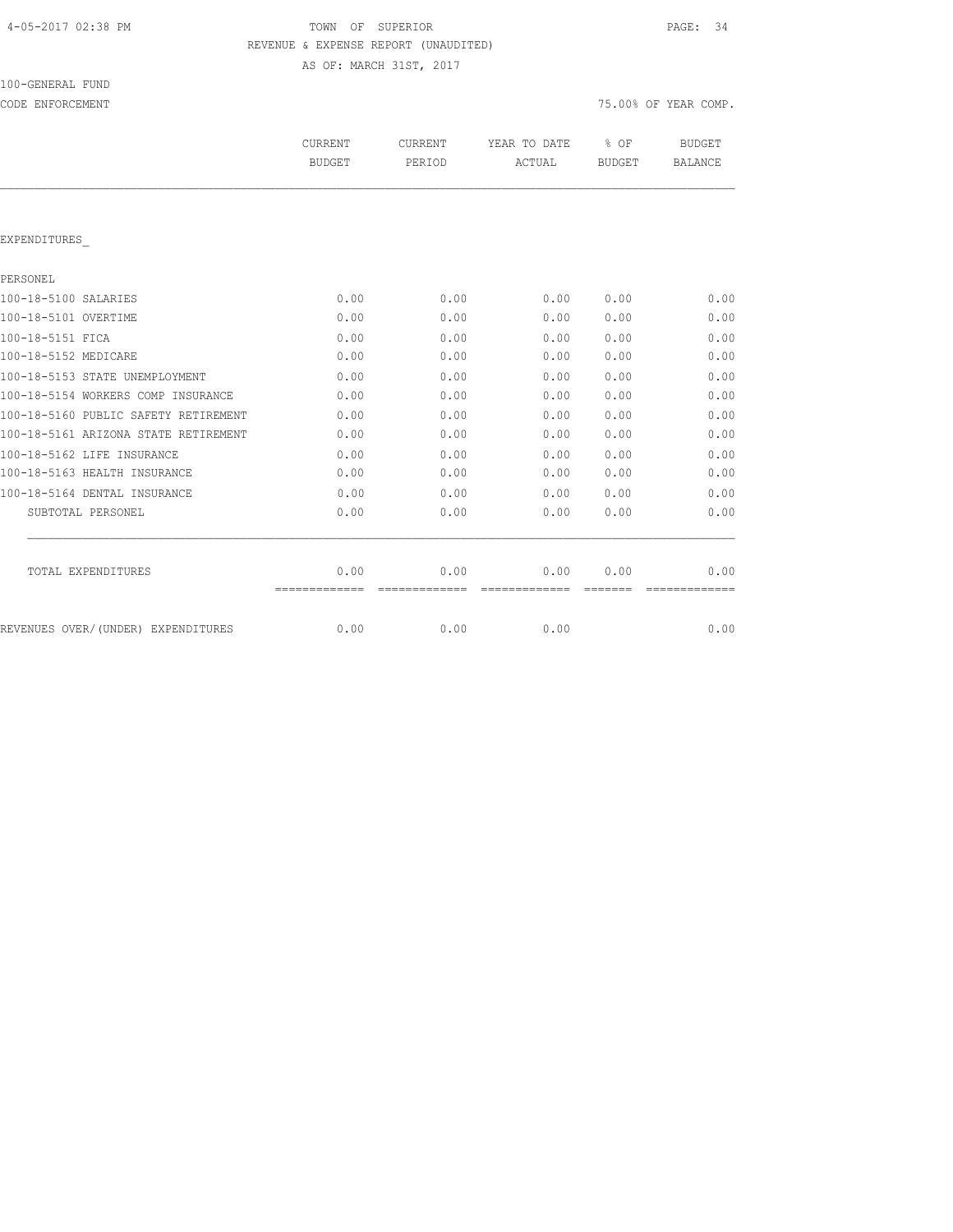| 4-05-2017 02:38 PM |  |  |  |
|--------------------|--|--|--|
|--------------------|--|--|--|

# TOWN OF SUPERIOR **PAGE:** 34 REVENUE & EXPENSE REPORT (UNAUDITED)

AS OF: MARCH 31ST, 2017

| 100-GENERAL FUND |  |
|------------------|--|
|                  |  |

|                                      | CURRENT<br><b>BUDGET</b> | <b>CURRENT</b><br>PERIOD | YEAR TO DATE<br>ACTUAL | % OF<br><b>BUDGET</b> | <b>BUDGET</b><br><b>BALANCE</b> |
|--------------------------------------|--------------------------|--------------------------|------------------------|-----------------------|---------------------------------|
|                                      |                          |                          |                        |                       |                                 |
| EXPENDITURES                         |                          |                          |                        |                       |                                 |
| PERSONEL                             |                          |                          |                        |                       |                                 |
| 100-18-5100 SALARIES                 | 0.00                     | 0.00                     | 0.00                   | 0.00                  | 0.00                            |
| 100-18-5101 OVERTIME                 | 0.00                     | 0.00                     | 0.00                   | 0.00                  | 0.00                            |
| 100-18-5151 FTCA                     | 0.00                     | 0.00                     | 0.00                   | 0.00                  | 0.00                            |
| 100-18-5152 MEDICARE                 | 0.00                     | 0.00                     | 0.00                   | 0.00                  | 0.00                            |
| 100-18-5153 STATE UNEMPLOYMENT       | 0.00                     | 0.00                     | 0.00                   | 0.00                  | 0.00                            |
| 100-18-5154 WORKERS COMP INSURANCE   | 0.00                     | 0.00                     | 0.00                   | 0.00                  | 0.00                            |
| 100-18-5160 PUBLIC SAFETY RETIREMENT | 0.00                     | 0.00                     | 0.00                   | 0.00                  | 0.00                            |
| 100-18-5161 ARIZONA STATE RETIREMENT | 0.00                     | 0.00                     | 0.00                   | 0.00                  | 0.00                            |
| 100-18-5162 LIFE INSURANCE           | 0.00                     | 0.00                     | 0.00                   | 0.00                  | 0.00                            |
| 100-18-5163 HEALTH INSURANCE         | 0.00                     | 0.00                     | 0.00                   | 0.00                  | 0.00                            |
| 100-18-5164 DENTAL INSURANCE         | 0.00                     | 0.00                     | 0.00                   | 0.00                  | 0.00                            |
| SUBTOTAL PERSONEL                    | 0.00                     | 0.00                     | 0.00                   | 0.00                  | 0.00                            |
| TOTAL EXPENDITURES                   | 0.00                     | 0.00                     | 0.00                   | 0.00                  | 0.00                            |
| REVENUES OVER/(UNDER) EXPENDITURES   | =============<br>0.00    | 0.00                     | 0.00                   |                       | -----------<br>0.00             |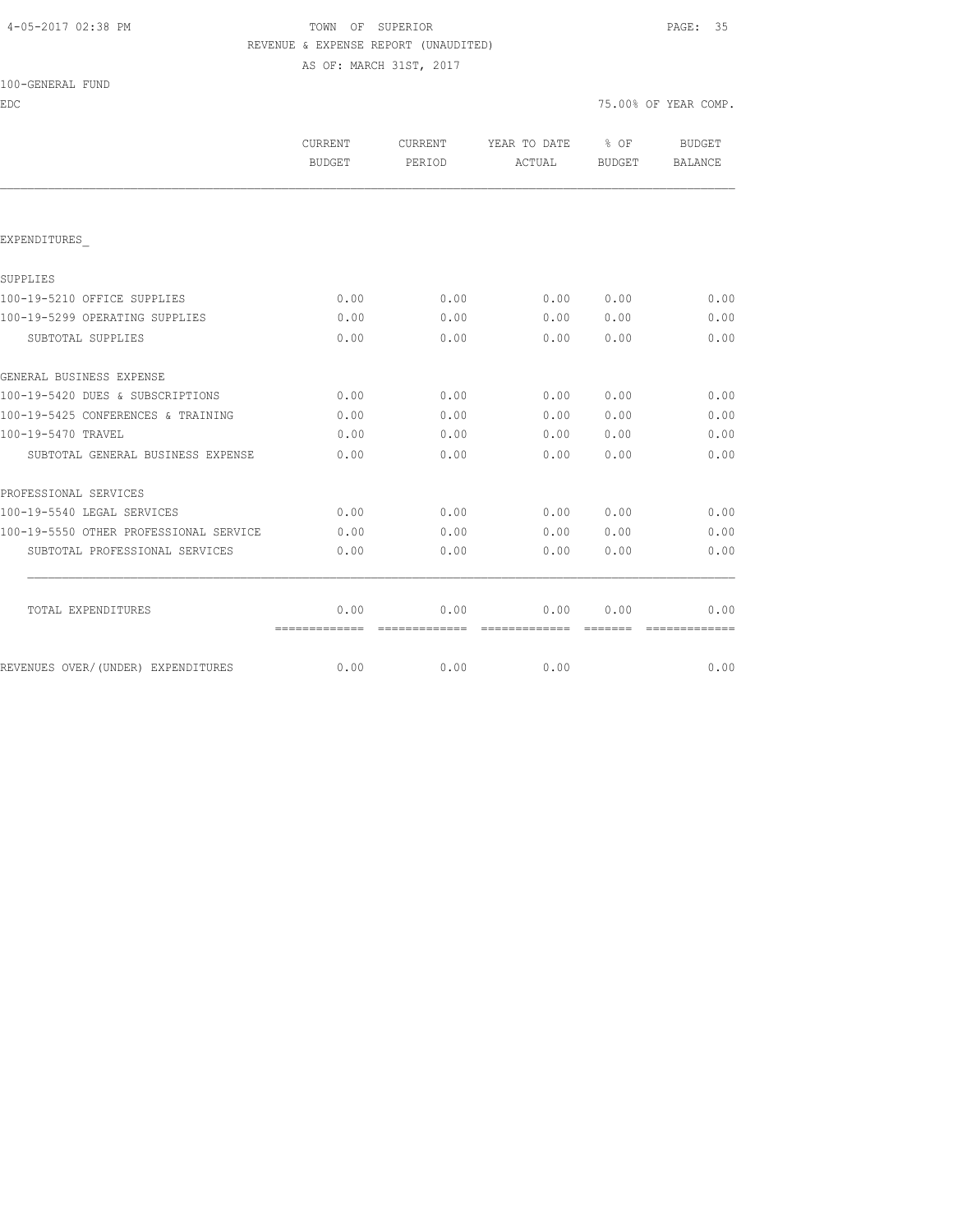### 4-05-2017 02:38 PM TOWN OF SUPERIOR PAGE: 35 REVENUE & EXPENSE REPORT (UNAUDITED)

AS OF: MARCH 31ST, 2017

| 100-GENERAL FUND |  |
|------------------|--|
|------------------|--|

EDC 75.00% OF YEAR COMP.

|                                        | CURRENT<br><b>BUDGET</b> | CURRENT<br>PERIOD | YEAR TO DATE<br>ACTUAL | 8 OF<br><b>BUDGET</b> | BUDGET<br>BALANCE |
|----------------------------------------|--------------------------|-------------------|------------------------|-----------------------|-------------------|
|                                        |                          |                   |                        |                       |                   |
| EXPENDITURES                           |                          |                   |                        |                       |                   |
| SUPPLIES                               |                          |                   |                        |                       |                   |
| 100-19-5210 OFFICE SUPPLIES            | 0.00                     | 0.00              | 0.00                   | 0.00                  | 0.00              |
| 100-19-5299 OPERATING SUPPLIES         | 0.00                     | 0.00              | 0.00                   | 0.00                  | 0.00              |
| SUBTOTAL SUPPLIES                      | 0.00                     | 0.00              | 0.00                   | 0.00                  | 0.00              |
| GENERAL BUSINESS EXPENSE               |                          |                   |                        |                       |                   |
| 100-19-5420 DUES & SUBSCRIPTIONS       | 0.00                     | 0.00              | 0.00                   | 0.00                  | 0.00              |
| 100-19-5425 CONFERENCES & TRAINING     | 0.00                     | 0.00              | 0.00                   | 0.00                  | 0.00              |
| 100-19-5470 TRAVEL                     | 0.00                     | 0.00              | 0.00                   | 0.00                  | 0.00              |
| SUBTOTAL GENERAL BUSINESS EXPENSE      | 0.00                     | 0.00              | 0.00                   | 0.00                  | 0.00              |
| PROFESSIONAL SERVICES                  |                          |                   |                        |                       |                   |
| 100-19-5540 LEGAL SERVICES             | 0.00                     | 0.00              | 0.00                   | 0.00                  | 0.00              |
| 100-19-5550 OTHER PROFESSIONAL SERVICE | 0.00                     | 0.00              | 0.00                   | 0.00                  | 0.00              |
| SUBTOTAL PROFESSIONAL SERVICES         | 0.00                     | 0.00              | 0.00                   | 0.00                  | 0.00              |
| TOTAL EXPENDITURES                     | 0.00                     | 0.00              | 0.00                   | 0.00                  | 0.00              |
|                                        | --------------           |                   | =============          |                       |                   |
| REVENUES OVER/(UNDER) EXPENDITURES     | 0.00                     | 0.00              | 0.00                   |                       | 0.00              |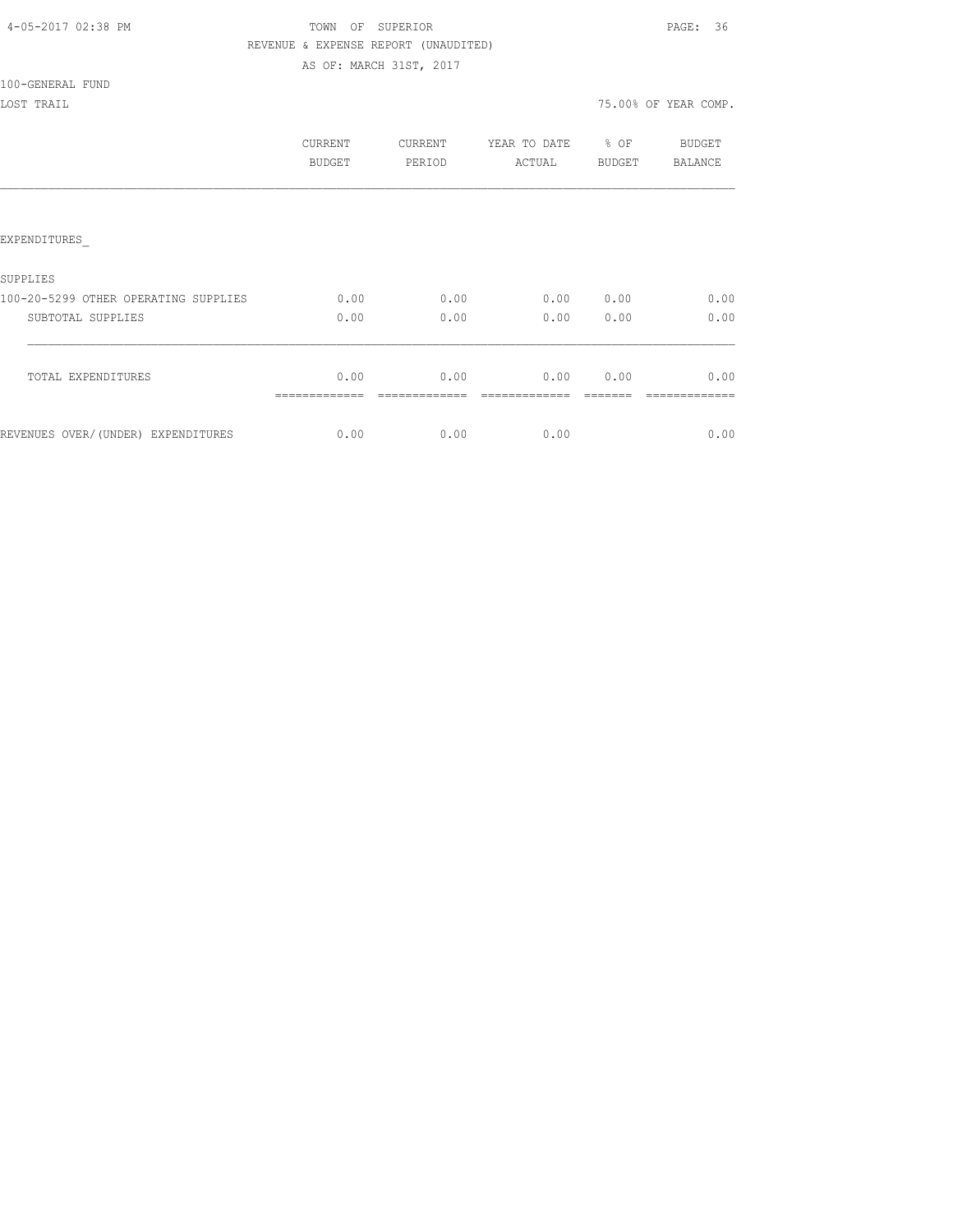| 4-05-2017 02:38 PM |  |
|--------------------|--|
|                    |  |

### TOWN OF SUPERIOR **PAGE:** 36 REVENUE & EXPENSE REPORT (UNAUDITED) AS OF: MARCH 31ST, 2017

100-GENERAL FUND

LOST TRAIL 75.00% OF YEAR COMP.

|                                      | CURRENT<br><b>BUDGET</b> | CURRENT<br>PERIOD | YEAR TO DATE<br>ACTUAL | % OF<br><b>BUDGET</b> | BUDGET<br><b>BALANCE</b> |
|--------------------------------------|--------------------------|-------------------|------------------------|-----------------------|--------------------------|
| <b>EXPENDITURES</b>                  |                          |                   |                        |                       |                          |
| SUPPLIES                             |                          |                   |                        |                       |                          |
| 100-20-5299 OTHER OPERATING SUPPLIES | 0.00                     | 0.00              | 0.00                   | 0.00                  | 0.00                     |
| SUBTOTAL SUPPLIES                    | 0.00                     | 0.00              | 0.00                   | 0.00                  | 0.00                     |
| TOTAL EXPENDITURES                   | 0.00                     | 0.00              | 0.00                   | 0.00                  | 0.00                     |
| REVENUES OVER/(UNDER) EXPENDITURES   | 0.00                     | 0.00              | 0.00                   |                       | 0.00                     |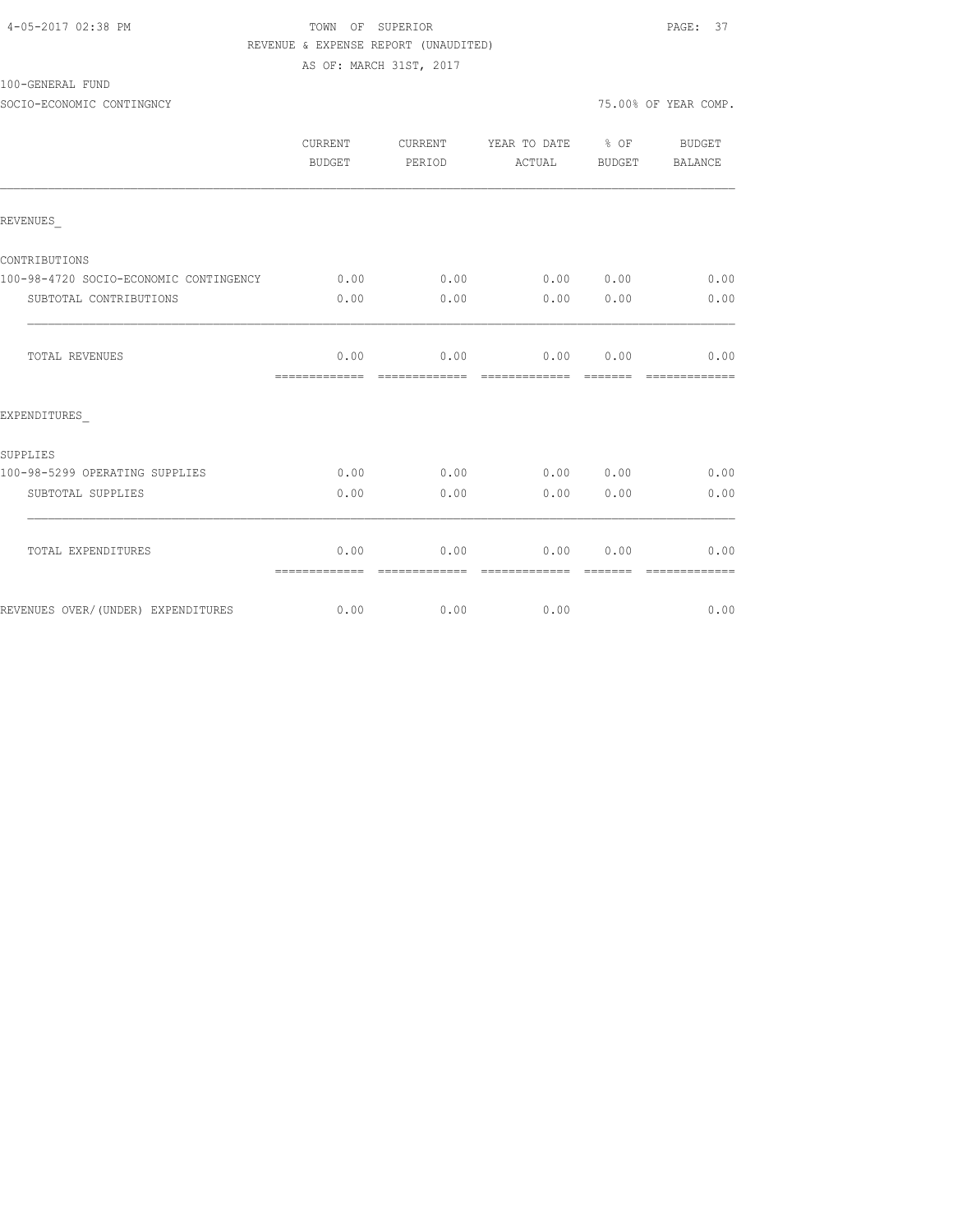#### TOWN OF SUPERIOR PAGE: 37 REVENUE & EXPENSE REPORT (UNAUDITED) AS OF: MARCH 31ST, 2017

100-GENERAL FUND

SOCIO-ECONOMIC CONTINGNCY **12000** CONTINGNCY

|                                        | CURRENT<br>BUDGET     | <b>CURRENT</b><br>PERIOD | YEAR TO DATE<br>ACTUAL | $\frac{6}{3}$ OF<br>BUDGET                                                                                                                                                                                                                                                                                                                                                                                                                                                                              | BUDGET<br><b>BALANCE</b> |
|----------------------------------------|-----------------------|--------------------------|------------------------|---------------------------------------------------------------------------------------------------------------------------------------------------------------------------------------------------------------------------------------------------------------------------------------------------------------------------------------------------------------------------------------------------------------------------------------------------------------------------------------------------------|--------------------------|
| REVENUES                               |                       |                          |                        |                                                                                                                                                                                                                                                                                                                                                                                                                                                                                                         |                          |
| CONTRIBUTIONS                          |                       |                          |                        |                                                                                                                                                                                                                                                                                                                                                                                                                                                                                                         |                          |
| 100-98-4720 SOCIO-ECONOMIC CONTINGENCY | 0.00                  | 0.00                     |                        | 0.00 0.00                                                                                                                                                                                                                                                                                                                                                                                                                                                                                               | 0.00                     |
| SUBTOTAL CONTRIBUTIONS                 | 0.00                  | 0.00                     | 0.00                   | 0.00                                                                                                                                                                                                                                                                                                                                                                                                                                                                                                    | 0.00                     |
| <b>TOTAL REVENUES</b>                  | 0.00                  | 0.00                     |                        | 0.00 0.00                                                                                                                                                                                                                                                                                                                                                                                                                                                                                               | 0.00                     |
| EXPENDITURES                           |                       |                          |                        |                                                                                                                                                                                                                                                                                                                                                                                                                                                                                                         |                          |
| SUPPLIES                               |                       |                          |                        |                                                                                                                                                                                                                                                                                                                                                                                                                                                                                                         |                          |
| 100-98-5299 OPERATING SUPPLIES         | 0.00                  | 0.00                     | 0.00                   | 0.00                                                                                                                                                                                                                                                                                                                                                                                                                                                                                                    | 0.00                     |
| SUBTOTAL SUPPLIES                      | 0.00                  | 0.00                     | 0.00                   | 0.00                                                                                                                                                                                                                                                                                                                                                                                                                                                                                                    | 0.00                     |
| TOTAL EXPENDITURES                     | 0.00<br>============= | 0.00<br>=============    | =============          | 0.00 0.00<br>$\qquad \qquad \qquad =\qquad \qquad =\qquad \qquad =\qquad \qquad =\qquad \qquad =\qquad \qquad =\qquad \qquad =\qquad \qquad =\qquad \qquad =\qquad \qquad =\qquad \qquad =\qquad \qquad =\qquad \qquad =\qquad \qquad =\qquad \qquad =\qquad \qquad =\qquad \qquad =\qquad \qquad =\qquad \qquad =\qquad \qquad =\qquad \qquad =\qquad \qquad =\qquad \qquad =\qquad \qquad =\qquad \qquad =\qquad \qquad =\qquad \qquad =\qquad \qquad =\qquad \qquad =\qquad \qquad =\qquad \qquad =$ | 0.00<br>=============    |

REVENUES OVER/(UNDER) EXPENDITURES 0.00 0.00 0.00 0.00 0.00 0.00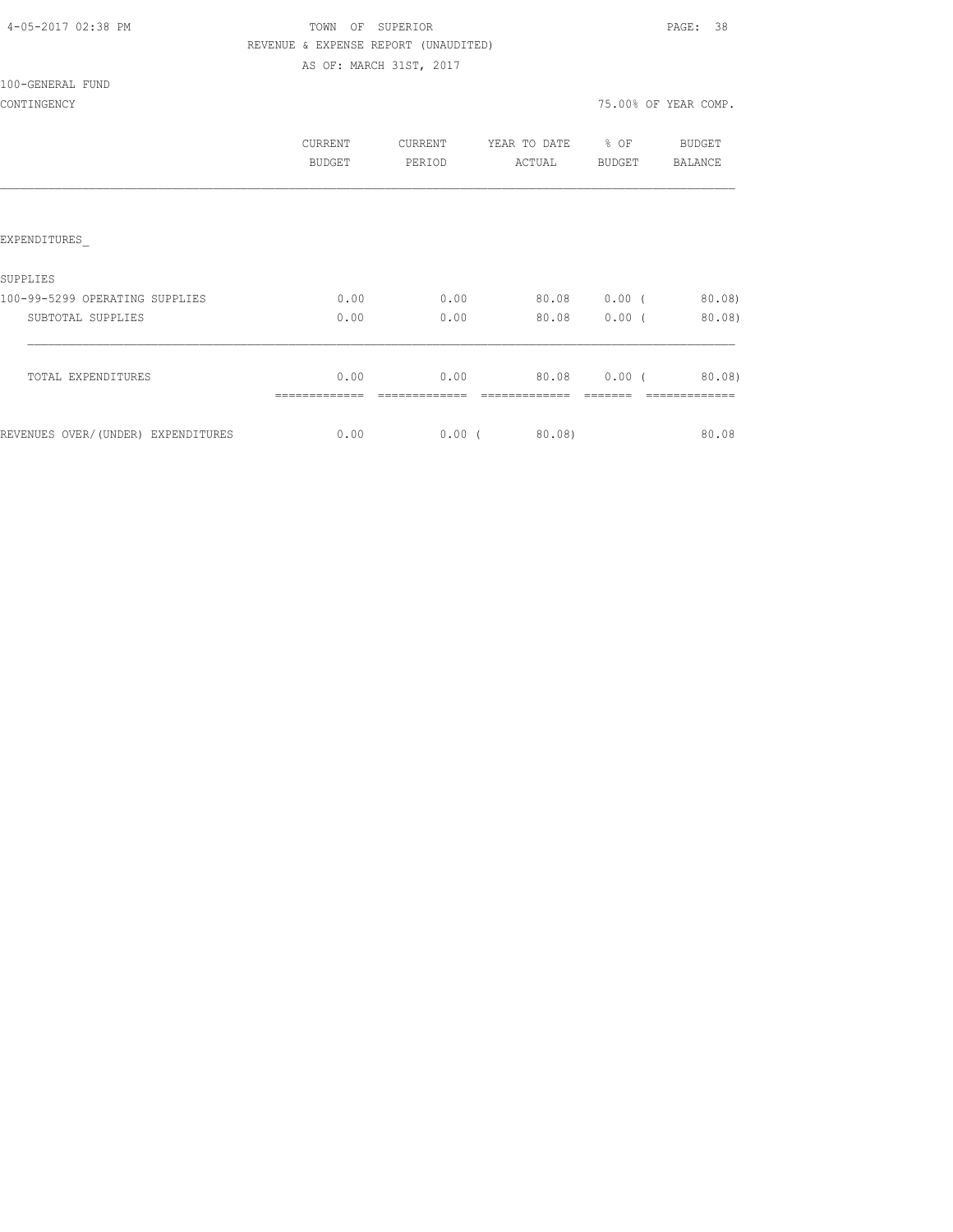| 4-05-2017 02:38 PM |  |
|--------------------|--|
|                    |  |

TOWN OF SUPERIOR **PAGE:** 38 REVENUE & EXPENSE REPORT (UNAUDITED) AS OF: MARCH 31ST, 2017

100-GENERAL FUND

|                                    | CURRENT<br><b>BUDGET</b> | CURRENT<br>PERIOD | YEAR TO DATE<br>ACTUAL | % OF<br>BUDGET | BUDGET<br><b>BALANCE</b> |
|------------------------------------|--------------------------|-------------------|------------------------|----------------|--------------------------|
|                                    |                          |                   |                        |                |                          |
| <b>EXPENDITURES</b>                |                          |                   |                        |                |                          |
| SUPPLIES                           |                          |                   |                        |                |                          |
| 100-99-5299 OPERATING SUPPLIES     | 0.00                     | 0.00              | 80.08                  | $0.00$ (       | 80.08                    |
| SUBTOTAL SUPPLIES                  | 0.00                     | 0.00              | 80.08                  | $0.00$ (       | $80.08$ )                |
| TOTAL EXPENDITURES                 | 0.00                     | 0.00              | 80.08                  | $0.00$ (       | $80.08$ )                |
| REVENUES OVER/(UNDER) EXPENDITURES | 0.00                     | $0.00$ (          | 80.08)                 |                | 80.08                    |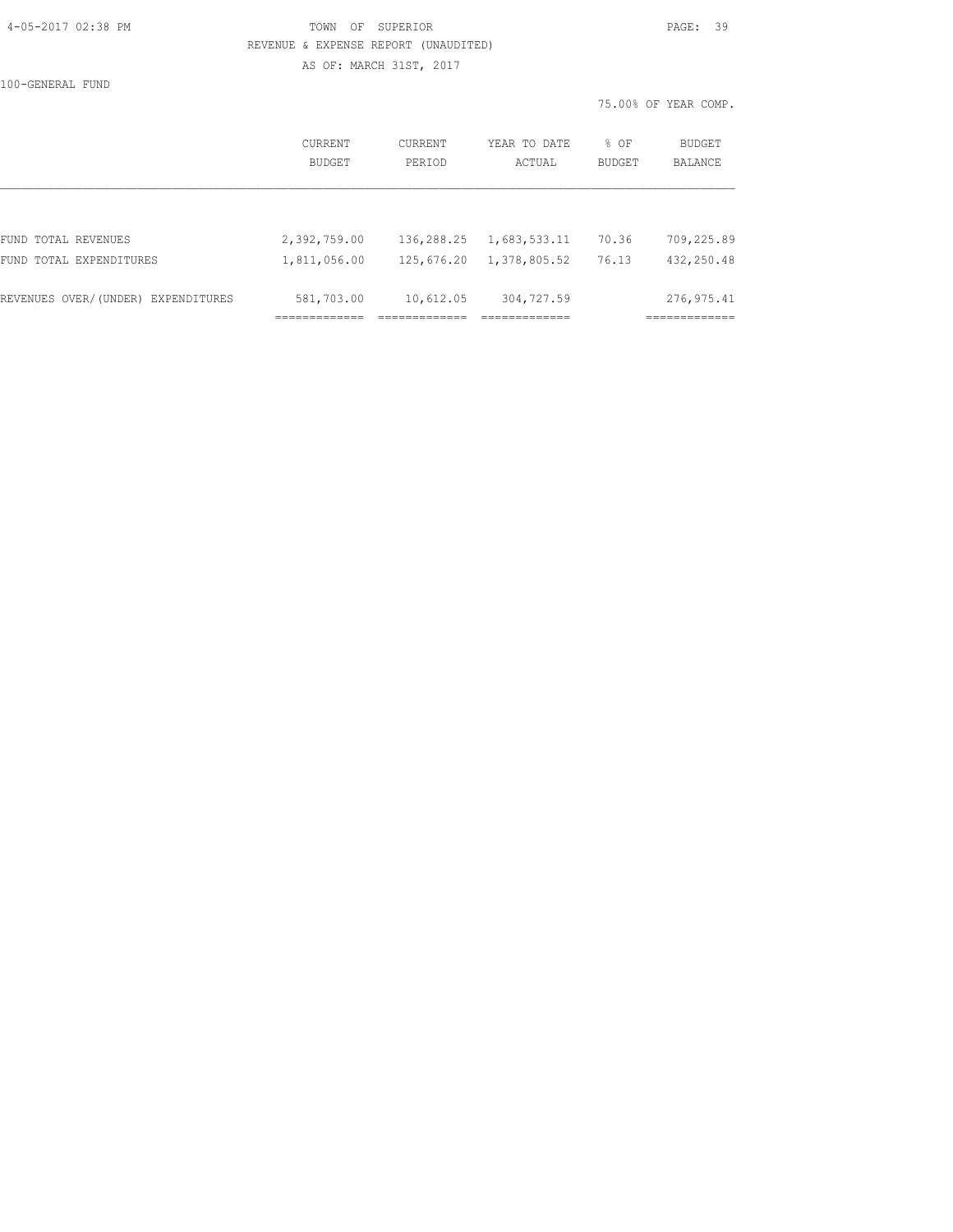#### 4-05-2017 02:38 PM TOWN OF SUPERIOR PAGE: 39 REVENUE & EXPENSE REPORT (UNAUDITED) AS OF: MARCH 31ST, 2017

|                                    |                          |                   |                        | 75.00% OF YEAR COMP. |                   |
|------------------------------------|--------------------------|-------------------|------------------------|----------------------|-------------------|
|                                    | <b>CURRENT</b><br>BUDGET | CURRENT<br>PERIOD | YEAR TO DATE<br>ACTUAL | % OF<br>BUDGET       | BUDGET<br>BALANCE |
|                                    |                          |                   |                        |                      |                   |
| FUND TOTAL REVENUES                | 2,392,759.00             | 136,288.25        | 1,683,533.11           | 70.36                | 709,225.89        |
| FUND TOTAL EXPENDITURES            | 1,811,056.00             | 125,676.20        | 1,378,805.52           | 76.13                | 432,250.48        |
| REVENUES OVER/(UNDER) EXPENDITURES | 581,703.00               | 10,612.05         | 304,727.59             |                      | 276, 975.41       |
|                                    | -----------              |                   | -------------          |                      | ------------      |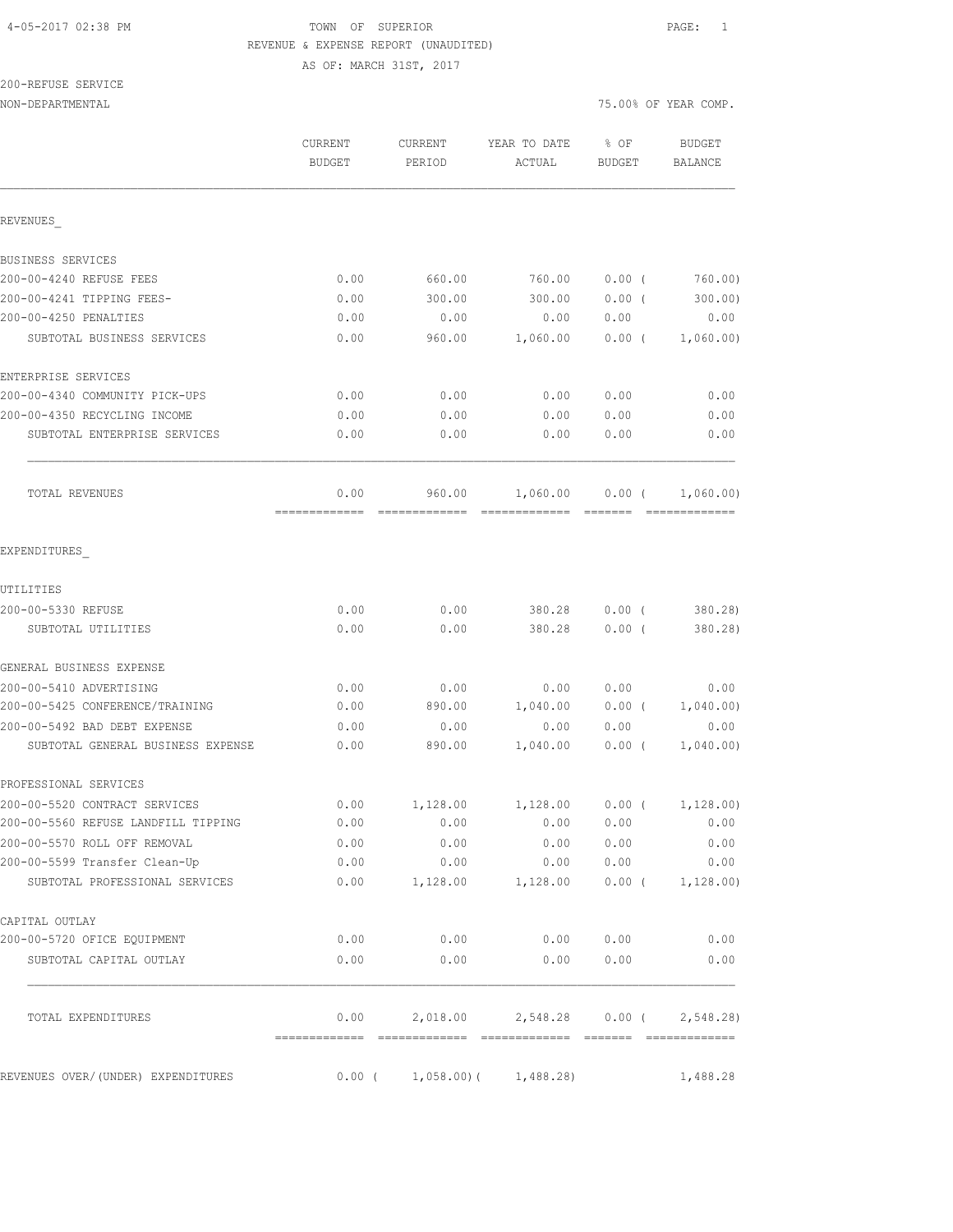# 4-05-2017 02:38 PM TOWN OF SUPERIOR PAGE: 1 REVENUE & EXPENSE REPORT (UNAUDITED)

AS OF: MARCH 31ST, 2017

# 200-REFUSE SERVICE

| NON-DEPARTMENTAL                    |                          |                          | 75.00% OF YEAR COMP.      |                |                          |
|-------------------------------------|--------------------------|--------------------------|---------------------------|----------------|--------------------------|
|                                     | CURRENT<br><b>BUDGET</b> | <b>CURRENT</b><br>PERIOD | YEAR TO DATE<br>ACTUAL    | % OF<br>BUDGET | <b>BUDGET</b><br>BALANCE |
| REVENUES                            |                          |                          |                           |                |                          |
| BUSINESS SERVICES                   |                          |                          |                           |                |                          |
| 200-00-4240 REFUSE FEES             | 0.00                     | 660.00                   | 760.00                    | $0.00$ (       | 760.00)                  |
| 200-00-4241 TIPPING FEES-           | 0.00                     | 300.00                   | 300.00                    | $0.00$ (       | 300.00)                  |
| 200-00-4250 PENALTIES               | 0.00                     | 0.00                     | 0.00                      | 0.00           | 0.00                     |
| SUBTOTAL BUSINESS SERVICES          | 0.00                     | 960.00                   | 1,060.00                  | $0.00$ (       | 1,060.00)                |
| ENTERPRISE SERVICES                 |                          |                          |                           |                |                          |
| 200-00-4340 COMMUNITY PICK-UPS      | 0.00                     | 0.00                     | 0.00                      | 0.00           | 0.00                     |
| 200-00-4350 RECYCLING INCOME        | 0.00                     | 0.00                     | 0.00                      | 0.00           | 0.00                     |
| SUBTOTAL ENTERPRISE SERVICES        | 0.00                     | 0.00                     | 0.00                      | 0.00           | 0.00                     |
| TOTAL REVENUES                      | 0.00                     | 960.00                   | 1,060.00                  | $0.00$ (       | 1,060.00)                |
| EXPENDITURES                        |                          |                          |                           |                |                          |
| UTILITIES                           |                          |                          |                           |                |                          |
| 200-00-5330 REFUSE                  | 0.00                     | 0.00                     | 380.28                    | 0.00(          | 380.28)                  |
| SUBTOTAL UTILITIES                  | 0.00                     | 0.00                     | 380.28                    | 0.00(          | 380.28)                  |
| GENERAL BUSINESS EXPENSE            |                          |                          |                           |                |                          |
| 200-00-5410 ADVERTISING             | 0.00                     | 0.00                     | 0.00                      | 0.00           | 0.00                     |
| 200-00-5425 CONFERENCE/TRAINING     | 0.00                     | 890.00                   | 1,040.00                  | $0.00$ (       | 1,040.00)                |
| 200-00-5492 BAD DEBT EXPENSE        | 0.00                     | 0.00                     | 0.00                      | 0.00           | 0.00                     |
| SUBTOTAL GENERAL BUSINESS EXPENSE   | 0.00                     | 890.00                   | 1,040.00                  | $0.00$ (       | 1,040.00)                |
| PROFESSIONAL SERVICES               |                          |                          |                           |                |                          |
| 200-00-5520 CONTRACT SERVICES       | 0.00                     | 1,128.00                 | 1,128.00                  | $0.00$ (       | 1,128.00)                |
| 200-00-5560 REFUSE LANDFILL TIPPING | 0.00                     | 0.00                     | 0.00                      | 0.00           | 0.00                     |
| 200-00-5570 ROLL OFF REMOVAL        | 0.00                     | 0.00                     | 0.00                      | 0.00           | 0.00                     |
| 200-00-5599 Transfer Clean-Up       | 0.00                     | 0.00                     | 0.00                      | 0.00           | 0.00                     |
| SUBTOTAL PROFESSIONAL SERVICES      | 0.00                     | 1,128.00                 | 1,128.00                  |                | $0.00$ ( $1,128.00$ )    |
| CAPITAL OUTLAY                      |                          |                          |                           |                |                          |
| 200-00-5720 OFICE EQUIPMENT         | 0.00                     | 0.00                     | 0.00                      | 0.00           | 0.00                     |
| SUBTOTAL CAPITAL OUTLAY             | 0.00                     | 0.00                     | 0.00                      | 0.00           | 0.00                     |
| TOTAL EXPENDITURES                  | 0.00                     | 2,018.00                 | 2,548.28                  | $0.00$ (       | 2,548.28)                |
| REVENUES OVER/(UNDER) EXPENDITURES  | $0.00$ (                 |                          | $1,058.00$ ( $1,488.28$ ) |                | 1,488.28                 |
|                                     |                          |                          |                           |                |                          |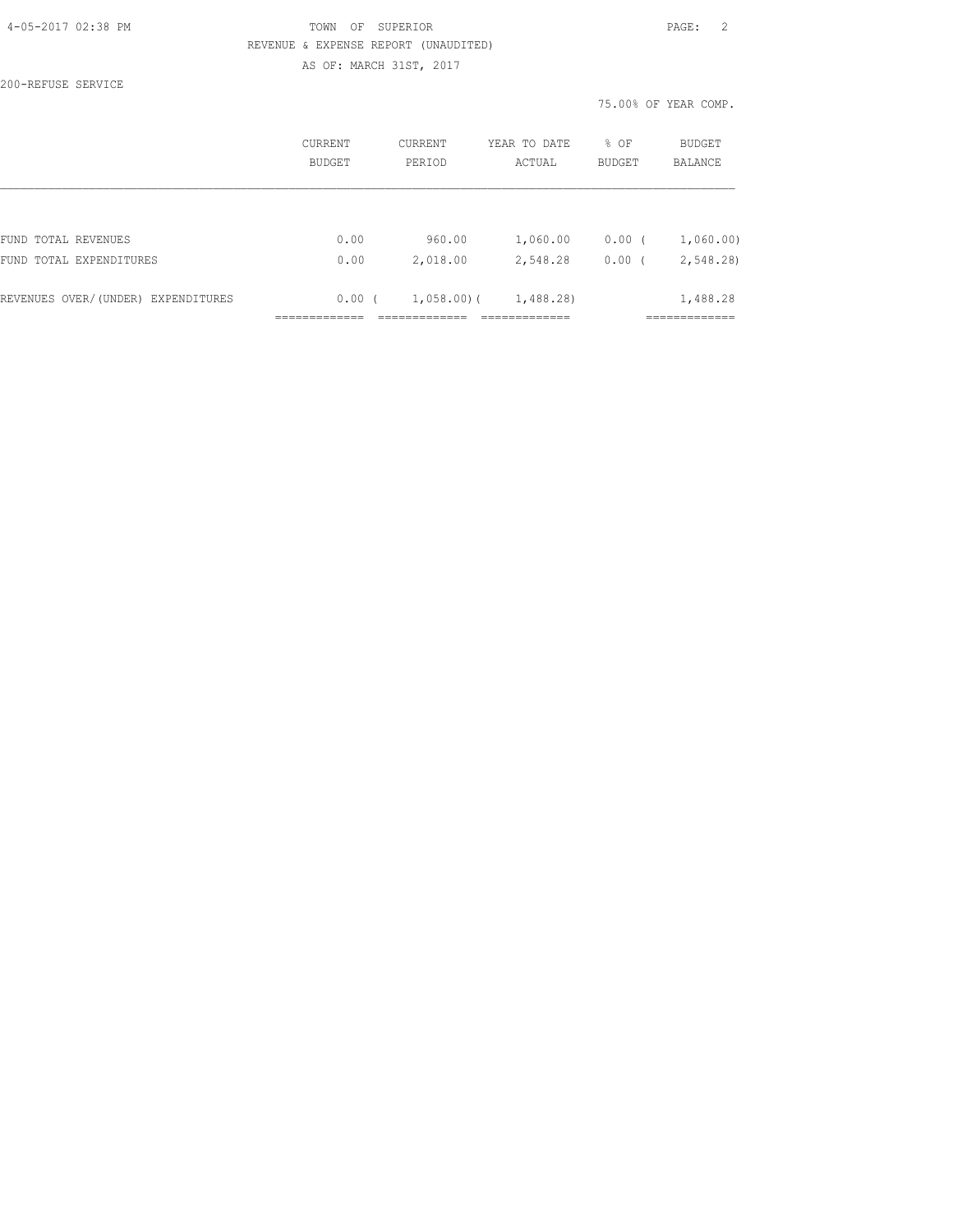#### 4-05-2017 02:38 PM TOWN OF SUPERIOR PAGE: 2 REVENUE & EXPENSE REPORT (UNAUDITED) AS OF: MARCH 31ST, 2017

200-REFUSE SERVICE

|                                    | CURRENT<br>BUDGET | <b>CURRENT</b><br>PERIOD | YEAR TO DATE<br>ACTUAL | % OF<br><b>BUDGET</b> | <b>BUDGET</b><br><b>BALANCE</b> |
|------------------------------------|-------------------|--------------------------|------------------------|-----------------------|---------------------------------|
|                                    |                   |                          |                        |                       |                                 |
| FUND TOTAL REVENUES                | 0.00              | 960.00                   | 1,060.00               | 0.00(                 | 1,060.00)                       |
| FUND TOTAL EXPENDITURES            | 0.00              | 2,018.00                 | 2,548.28               | 0.00(                 | 2,548.28)                       |
| REVENUES OVER/(UNDER) EXPENDITURES | 0.00(             | $1,058,00$ (             | 1,488.28)              |                       | 1,488.28                        |
|                                    |                   |                          |                        |                       |                                 |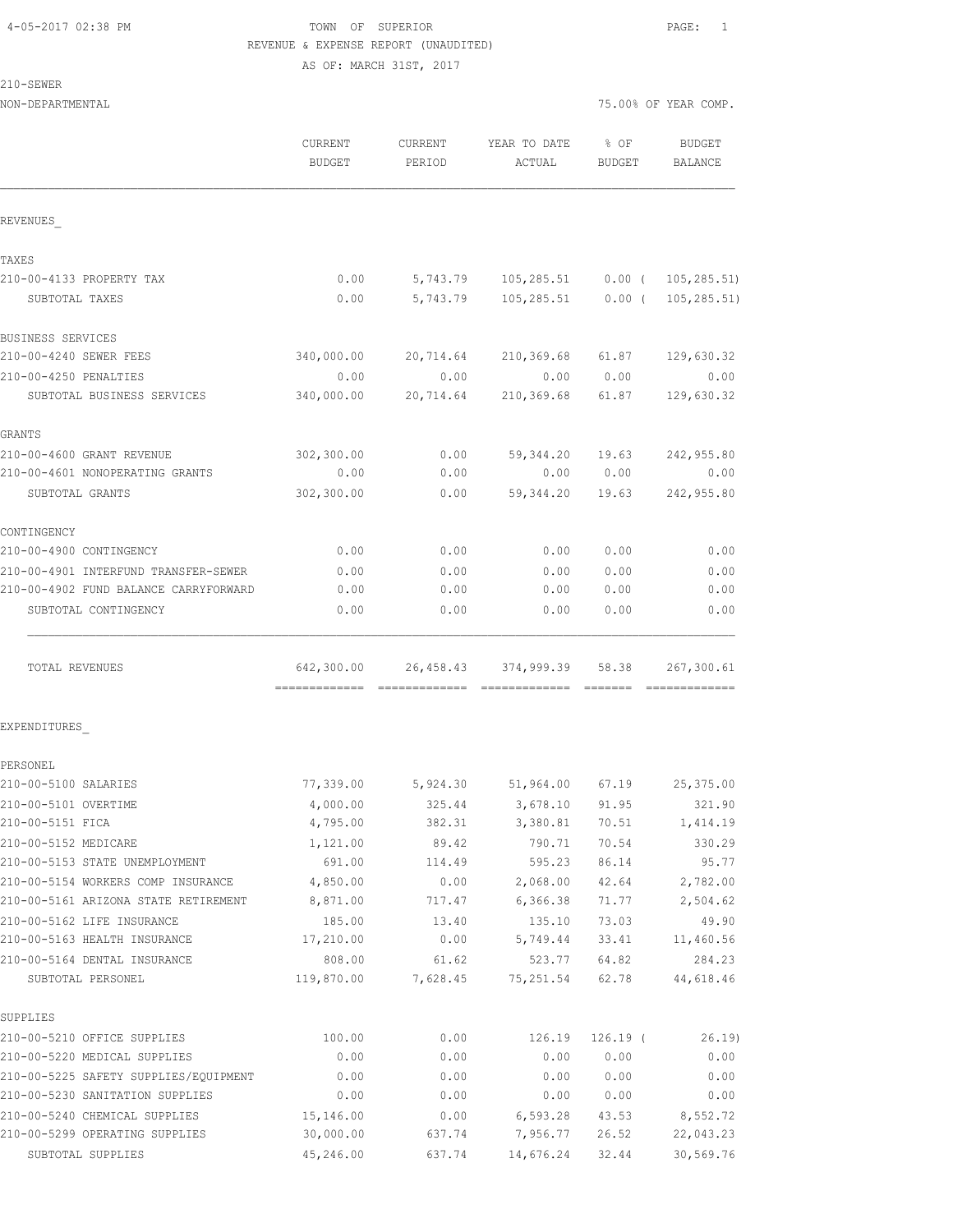#### 4-05-2017 02:38 PM TOWN OF SUPERIOR PAGE: 1 REVENUE & EXPENSE REPORT (UNAUDITED) AS OF: MARCH 31ST, 2017

 $2:$ 

| 210-SEWER                             |                                 |                   |                                 |                |                      |
|---------------------------------------|---------------------------------|-------------------|---------------------------------|----------------|----------------------|
| NON-DEPARTMENTAL                      |                                 |                   |                                 |                | 75.00% OF YEAR COMP. |
|                                       | <b>CURRENT</b><br><b>BUDGET</b> | CURRENT<br>PERIOD | YEAR TO DATE<br>ACTUAL          | % OF<br>BUDGET | BUDGET<br>BALANCE    |
| REVENUES                              |                                 |                   |                                 |                |                      |
| TAXES                                 |                                 |                   |                                 |                |                      |
| 210-00-4133 PROPERTY TAX              | 0.00                            |                   |                                 |                |                      |
| SUBTOTAL TAXES                        | 0.00                            | 5,743.79          | 105,285.51                      | $0.00$ (       | 105,285.51)          |
| BUSINESS SERVICES                     |                                 |                   |                                 |                |                      |
| 210-00-4240 SEWER FEES                | 340,000.00                      |                   | 20,714.64 210,369.68 61.87      |                | 129,630.32           |
| 210-00-4250 PENALTIES                 | 0.00                            | 0.00              | 0.00                            | 0.00           | 0.00                 |
| SUBTOTAL BUSINESS SERVICES            | 340,000.00                      | 20,714.64         | 210,369.68                      | 61.87          | 129,630.32           |
| GRANTS                                |                                 |                   |                                 |                |                      |
| 210-00-4600 GRANT REVENUE             | 302,300.00                      | 0.00              | 59,344.20                       | 19.63          | 242,955.80           |
| 210-00-4601 NONOPERATING GRANTS       | 0.00                            | 0.00              | 0.00                            | 0.00           | 0.00                 |
| SUBTOTAL GRANTS                       | 302,300.00                      | 0.00              | 59,344.20                       | 19.63          | 242,955.80           |
| CONTINGENCY                           |                                 |                   |                                 |                |                      |
| 210-00-4900 CONTINGENCY               | 0.00                            | 0.00              | 0.00                            | 0.00           | 0.00                 |
| 210-00-4901 INTERFUND TRANSFER-SEWER  | 0.00                            | 0.00              | 0.00                            | 0.00           | 0.00                 |
| 210-00-4902 FUND BALANCE CARRYFORWARD | 0.00                            | 0.00              | 0.00                            | 0.00           | 0.00                 |
| SUBTOTAL CONTINGENCY                  | 0.00                            | 0.00              | 0.00                            | 0.00           | 0.00                 |
| TOTAL REVENUES                        |                                 |                   | 642,300.00 26,458.43 374,999.39 | 58.38          | 267,300.61           |
| EXPENDITURES                          |                                 |                   |                                 |                |                      |
| PERSONEL                              |                                 |                   |                                 |                |                      |
| 210-00-5100 SALARIES                  | 77,339.00                       | 5,924.30          | 51,964.00                       | 67.19          | 25,375.00            |
| 210-00-5101 OVERTIME                  | 4,000.00                        | 325.44            | 3,678.10                        | 91.95          | 321.90               |
| 210-00-5151 FICA                      | 4,795.00                        | 382.31            | 3,380.81                        | 70.51          | 1,414.19             |
| 210-00-5152 MEDICARE                  | 1,121.00                        | 89.42             | 790.71                          | 70.54          | 330.29               |
| 210-00-5153 STATE UNEMPLOYMENT        | 691.00                          | 114.49            | 595.23                          | 86.14          | 95.77                |
| 210-00-5154 WORKERS COMP INSURANCE    | 4,850.00                        | 0.00              | 2,068.00                        | 42.64          | 2,782.00             |
| 210-00-5161 ARIZONA STATE RETIREMENT  | 8,871.00                        | 717.47            | 6,366.38                        | 71.77          | 2,504.62             |
| 210-00-5162 LIFE INSURANCE            | 185.00                          | 13.40             | 135.10                          | 73.03          | 49.90                |
| 210-00-5163 HEALTH INSURANCE          | 17,210.00                       | 0.00              | 5,749.44                        | 33.41          | 11,460.56            |
| 210-00-5164 DENTAL INSURANCE          | 808.00                          | 61.62             | 523.77                          | 64.82          | 284.23               |
| SUBTOTAL PERSONEL                     | 119,870.00                      | 7,628.45          | 75, 251.54                      | 62.78          | 44,618.46            |
| SUPPLIES                              |                                 |                   |                                 |                |                      |
| 210-00-5210 OFFICE SUPPLIES           | 100.00                          | 0.00              | 126.19                          | $126.19$ (     | 26.19)               |
| 210-00-5220 MEDICAL SUPPLIES          | 0.00                            | 0.00              | 0.00                            | 0.00           | 0.00                 |
| 210-00-5225 SAFETY SUPPLIES/EQUIPMENT | 0.00                            | 0.00              | 0.00                            | 0.00           | 0.00                 |

210-00-5230 SANITATION SUPPLIES 0.00 0.00 0.00 0.00 0.00 210-00-5240 CHEMICAL SUPPLIES 15,146.00 0.00 6,593.28 43.53 8,552.72 210-00-5299 OPERATING SUPPLIES 30,000.00 637.74 7,956.77 26.52 22,043.23 SUBTOTAL SUPPLIES 45,246.00 637.74 14,676.24 32.44 30,569.76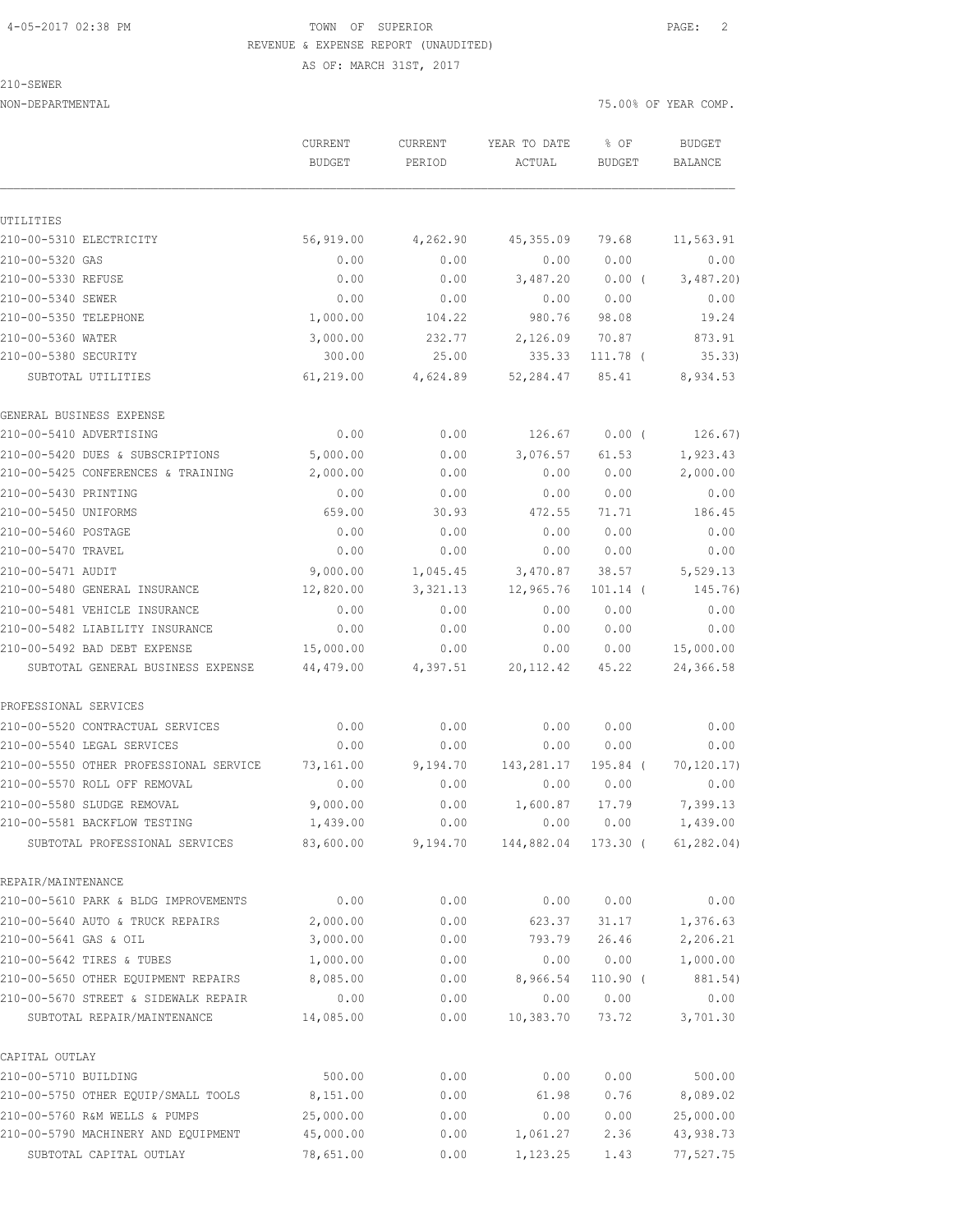#### 4-05-2017 02:38 PM TOWN OF SUPERIOR PAGE: 2 REVENUE & EXPENSE REPORT (UNAUDITED) AS OF: MARCH 31ST, 2017

210-SEWER

NON-DEPARTMENTAL 75.00% OF YEAR COMP.

|                                        | CURRENT<br><b>BUDGET</b> | CURRENT  | YEAR TO DATE        | % OF<br><b>BUDGET</b> | <b>BUDGET</b><br>BALANCE |
|----------------------------------------|--------------------------|----------|---------------------|-----------------------|--------------------------|
|                                        |                          | PERIOD   | ACTUAL              |                       |                          |
|                                        |                          |          |                     |                       |                          |
| UTILITIES                              |                          |          |                     |                       |                          |
| 210-00-5310 ELECTRICITY                | 56,919.00                | 4,262.90 | 45,355.09           | 79.68                 | 11, 563.91               |
| 210-00-5320 GAS                        | 0.00                     | 0.00     | 0.00                | 0.00                  | 0.00                     |
| 210-00-5330 REFUSE                     | 0.00                     | 0.00     | 3,487.20            | $0.00$ (              | 3,487.20                 |
| 210-00-5340 SEWER                      | 0.00                     | 0.00     | 0.00                | 0.00                  | 0.00                     |
| 210-00-5350 TELEPHONE                  | 1,000.00                 | 104.22   | 980.76              | 98.08                 | 19.24                    |
| 210-00-5360 WATER                      | 3,000.00                 | 232.77   | 2,126.09            | 70.87                 | 873.91                   |
| 210-00-5380 SECURITY                   | 300.00                   | 25.00    | 335.33              | 111.78 (              | 35.33                    |
| SUBTOTAL UTILITIES                     | 61,219.00                | 4,624.89 | 52,284.47           | 85.41                 | 8,934.53                 |
| GENERAL BUSINESS EXPENSE               |                          |          |                     |                       |                          |
| 210-00-5410 ADVERTISING                | 0.00                     | 0.00     | 126.67              | $0.00$ (              | 126.67)                  |
| 210-00-5420 DUES & SUBSCRIPTIONS       | 5,000.00                 | 0.00     | 3,076.57            | 61.53                 | 1,923.43                 |
| 210-00-5425 CONFERENCES & TRAINING     | 2,000.00                 | 0.00     | 0.00                | 0.00                  | 2,000.00                 |
| 210-00-5430 PRINTING                   | 0.00                     | 0.00     | 0.00                | 0.00                  | 0.00                     |
| 210-00-5450 UNIFORMS                   | 659.00                   | 30.93    | 472.55              | 71.71                 | 186.45                   |
| 210-00-5460 POSTAGE                    | 0.00                     | 0.00     | 0.00                | 0.00                  | 0.00                     |
| 210-00-5470 TRAVEL                     | 0.00                     | 0.00     | 0.00                | 0.00                  | 0.00                     |
| 210-00-5471 AUDIT                      | 9,000.00                 | 1,045.45 | 3,470.87            | 38.57                 | 5,529.13                 |
| 210-00-5480 GENERAL INSURANCE          | 12,820.00                | 3,321.13 | 12,965.76           | $101.14$ (            | 145.76)                  |
| 210-00-5481 VEHICLE INSURANCE          | 0.00                     | 0.00     | 0.00                | 0.00                  | 0.00                     |
| 210-00-5482 LIABILITY INSURANCE        | 0.00                     | 0.00     | 0.00                | 0.00                  | 0.00                     |
| 210-00-5492 BAD DEBT EXPENSE           | 15,000.00                | 0.00     | 0.00                | 0.00                  | 15,000.00                |
| SUBTOTAL GENERAL BUSINESS EXPENSE      | 44,479.00                | 4,397.51 | 20, 112.42          | 45.22                 | 24,366.58                |
| PROFESSIONAL SERVICES                  |                          |          |                     |                       |                          |
| 210-00-5520 CONTRACTUAL SERVICES       | 0.00                     | 0.00     | 0.00                | 0.00                  | 0.00                     |
| 210-00-5540 LEGAL SERVICES             | 0.00                     | 0.00     | 0.00                | 0.00                  | 0.00                     |
| 210-00-5550 OTHER PROFESSIONAL SERVICE | 73,161.00                | 9,194.70 | 143,281.17          | 195.84 (              | 70, 120.17)              |
| 210-00-5570 ROLL OFF REMOVAL           | 0.00                     | 0.00     | 0.00                | 0.00                  | 0.00                     |
| 210-00-5580 SLUDGE REMOVAL             | 9,000.00                 | 0.00     | 1,600.87            | 17.79                 | 7,399.13                 |
| 210-00-5581 BACKFLOW TESTING           | 1,439.00                 | 0.00     |                     | 0.00 0.00             | 1,439.00                 |
| SUBTOTAL PROFESSIONAL SERVICES         | 83,600.00                |          | 9,194.70 144,882.04 | 173.30 (              | 61, 282, 04)             |
| REPAIR/MAINTENANCE                     |                          |          |                     |                       |                          |
| 210-00-5610 PARK & BLDG IMPROVEMENTS   | 0.00                     | 0.00     | 0.00                | 0.00                  | 0.00                     |
| 210-00-5640 AUTO & TRUCK REPAIRS       | 2,000.00                 | 0.00     | 623.37              | 31.17                 | 1,376.63                 |
| 210-00-5641 GAS & OIL                  | 3,000.00                 | 0.00     | 793.79              | 26.46                 | 2,206.21                 |
| 210-00-5642 TIRES & TUBES              | 1,000.00                 | 0.00     | 0.00                | 0.00                  | 1,000.00                 |
| 210-00-5650 OTHER EQUIPMENT REPAIRS    | 8,085.00                 | 0.00     | 8,966.54            | $110.90$ (            | 881.54)                  |
| 210-00-5670 STREET & SIDEWALK REPAIR   | 0.00                     | 0.00     | 0.00                | 0.00                  | 0.00                     |
| SUBTOTAL REPAIR/MAINTENANCE            | 14,085.00                | 0.00     | 10,383.70           | 73.72                 | 3,701.30                 |
| CAPITAL OUTLAY                         |                          |          |                     |                       |                          |
| 210-00-5710 BUILDING                   | 500.00                   | 0.00     | 0.00                | 0.00                  | 500.00                   |
| 210-00-5750 OTHER EQUIP/SMALL TOOLS    | 8,151.00                 | 0.00     | 61.98               | 0.76                  | 8,089.02                 |
| 210-00-5760 R&M WELLS & PUMPS          | 25,000.00                | 0.00     | 0.00                | 0.00                  | 25,000.00                |
| 210-00-5790 MACHINERY AND EQUIPMENT    | 45,000.00                | 0.00     | 1,061.27            | 2.36                  | 43,938.73                |
| SUBTOTAL CAPITAL OUTLAY                | 78,651.00                | 0.00     | 1,123.25            | 1.43                  | 77,527.75                |
|                                        |                          |          |                     |                       |                          |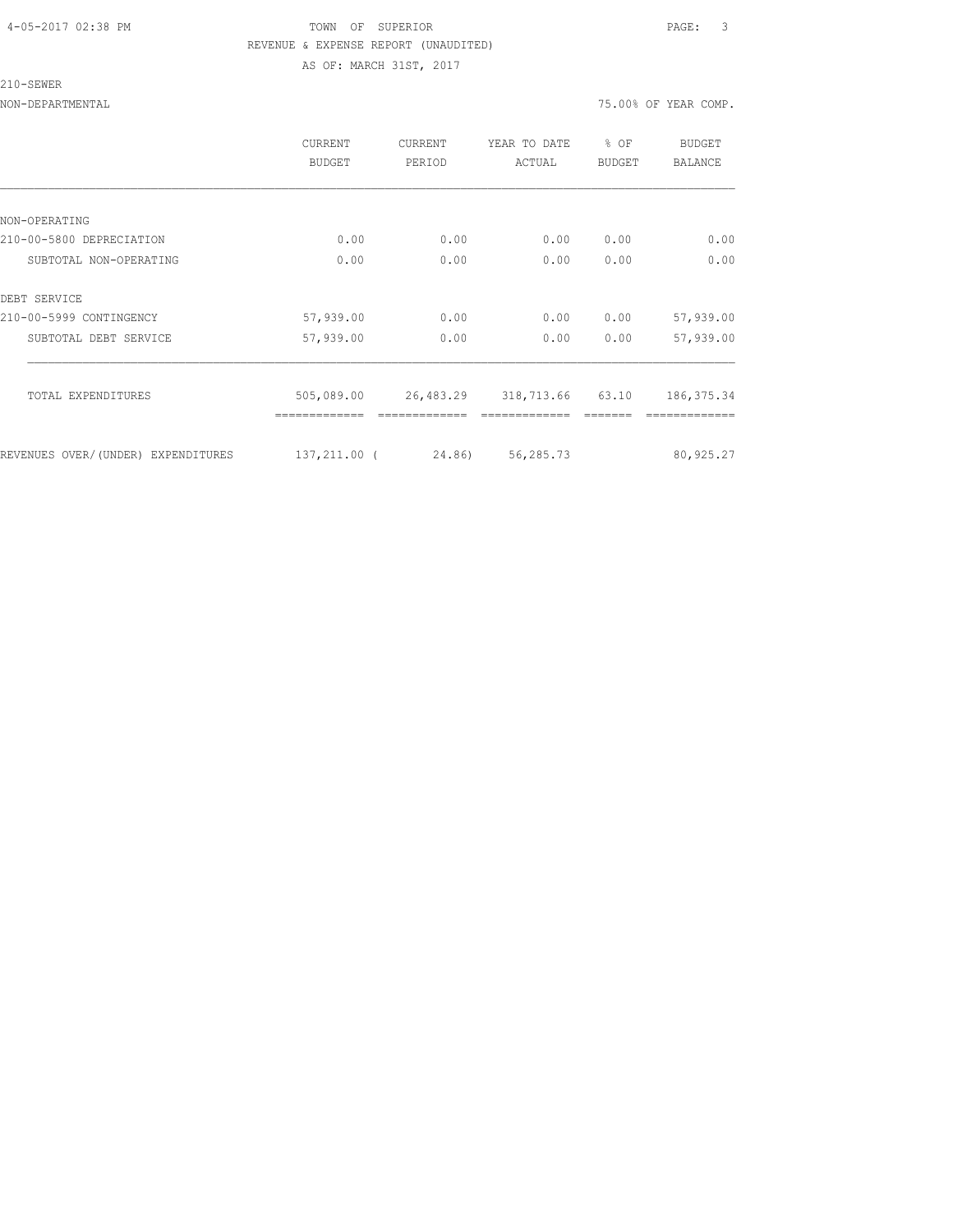#### 4-05-2017 02:38 PM TOWN OF SUPERIOR PAGE: 3 REVENUE & EXPENSE REPORT (UNAUDITED) AS OF: MARCH 31ST, 2017

#### 210-SEWER

NON-DEPARTMENTAL 75.00% OF YEAR COMP.

|                                    | <b>CURRENT</b><br><b>BUDGET</b> | CURRENT<br>PERIOD | YEAR TO DATE<br>ACTUAL | % OF<br><b>BUDGET</b> | <b>BUDGET</b><br><b>BALANCE</b> |
|------------------------------------|---------------------------------|-------------------|------------------------|-----------------------|---------------------------------|
|                                    |                                 |                   |                        |                       |                                 |
| NON-OPERATING                      |                                 |                   |                        |                       |                                 |
| 210-00-5800 DEPRECIATION           | 0.00                            | 0.00              | 0.00                   | 0.00                  | 0.00                            |
| SUBTOTAL NON-OPERATING             | 0.00                            | 0.00              | 0.00                   | 0.00                  | 0.00                            |
| DEBT SERVICE                       |                                 |                   |                        |                       |                                 |
| 210-00-5999 CONTINGENCY            | 57,939.00                       | 0.00              | 0.00                   | 0.00                  | 57,939.00                       |
| SUBTOTAL DEBT SERVICE              | 57,939.00                       | 0.00              | 0.00                   | 0.00                  | 57,939.00                       |
| TOTAL EXPENDITURES                 | 505,089.00                      | 26,483.29         | 318,713.66             | 63.10                 | 186, 375.34                     |
|                                    |                                 |                   |                        |                       |                                 |
| REVENUES OVER/(UNDER) EXPENDITURES | 137,211.00 (                    | 24,86)            | 56,285.73              |                       | 80,925.27                       |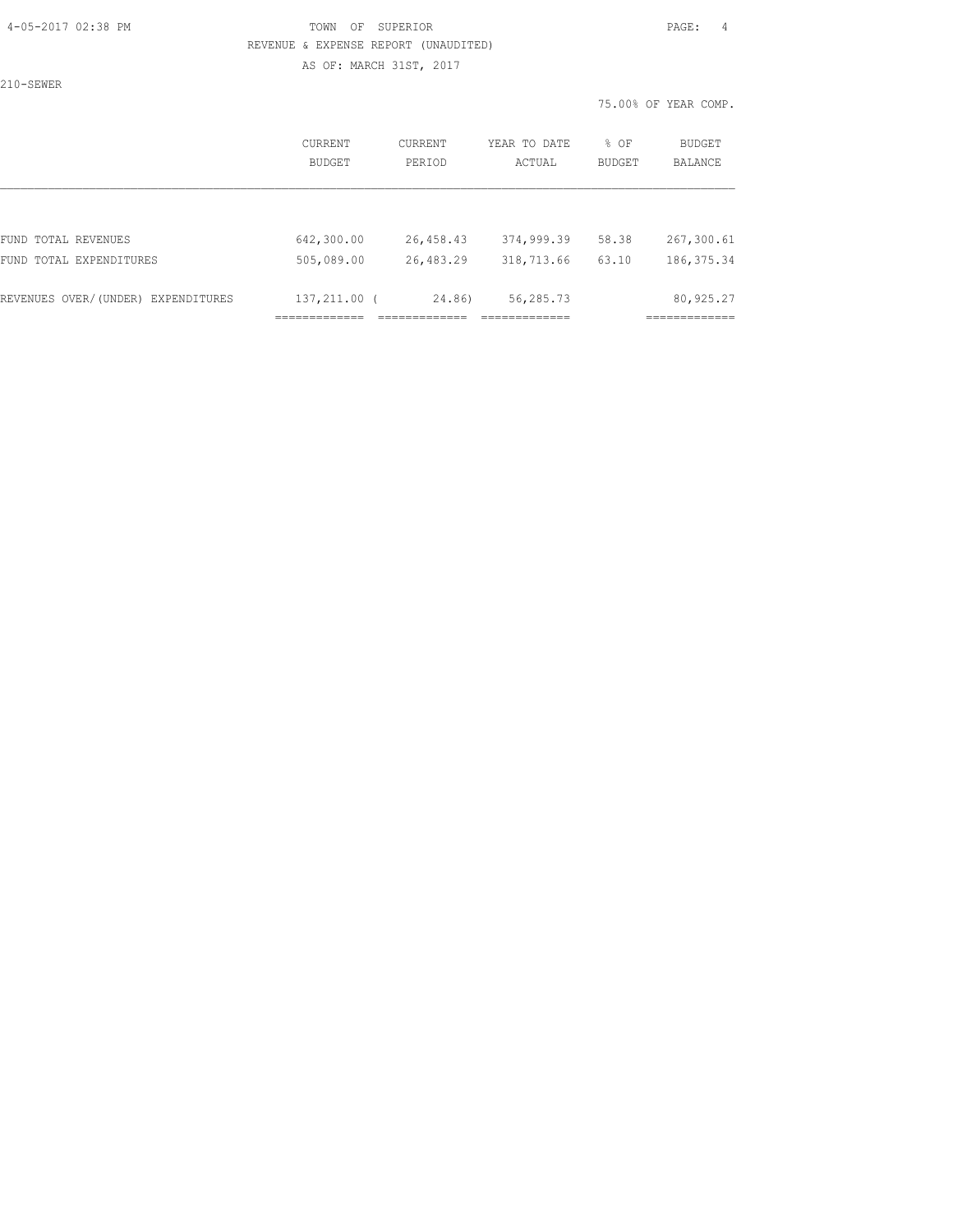#### 4-05-2017 02:38 PM TOWN OF SUPERIOR PAGE: 4 REVENUE & EXPENSE REPORT (UNAUDITED) AS OF: MARCH 31ST, 2017

210-SEWER

|                                       | CURRENT<br>BUDGET   | <b>CURRENT</b><br>PERTOD | YEAR TO DATE<br>ACTUAL | % OF<br><b>BUDGET</b> | <b>BUDGET</b><br>BALANCE   |
|---------------------------------------|---------------------|--------------------------|------------------------|-----------------------|----------------------------|
|                                       |                     |                          |                        |                       |                            |
| FUND TOTAL REVENUES                   | 642,300.00          | 26,458.43                | 374,999.39             | 58.38                 | 267,300.61                 |
| FUND TOTAL EXPENDITURES               | 505,089.00          | 26,483.29                | 318,713.66             | 63.10                 | 186, 375.34                |
|                                       |                     |                          |                        |                       |                            |
| REVENUES OVER/(UNDER)<br>EXPENDITURES | 137,211.00 (        | 24.86)                   | 56,285.73              |                       | 80,925.27                  |
|                                       | --------------<br>. |                          |                        |                       | ------------<br>---------- |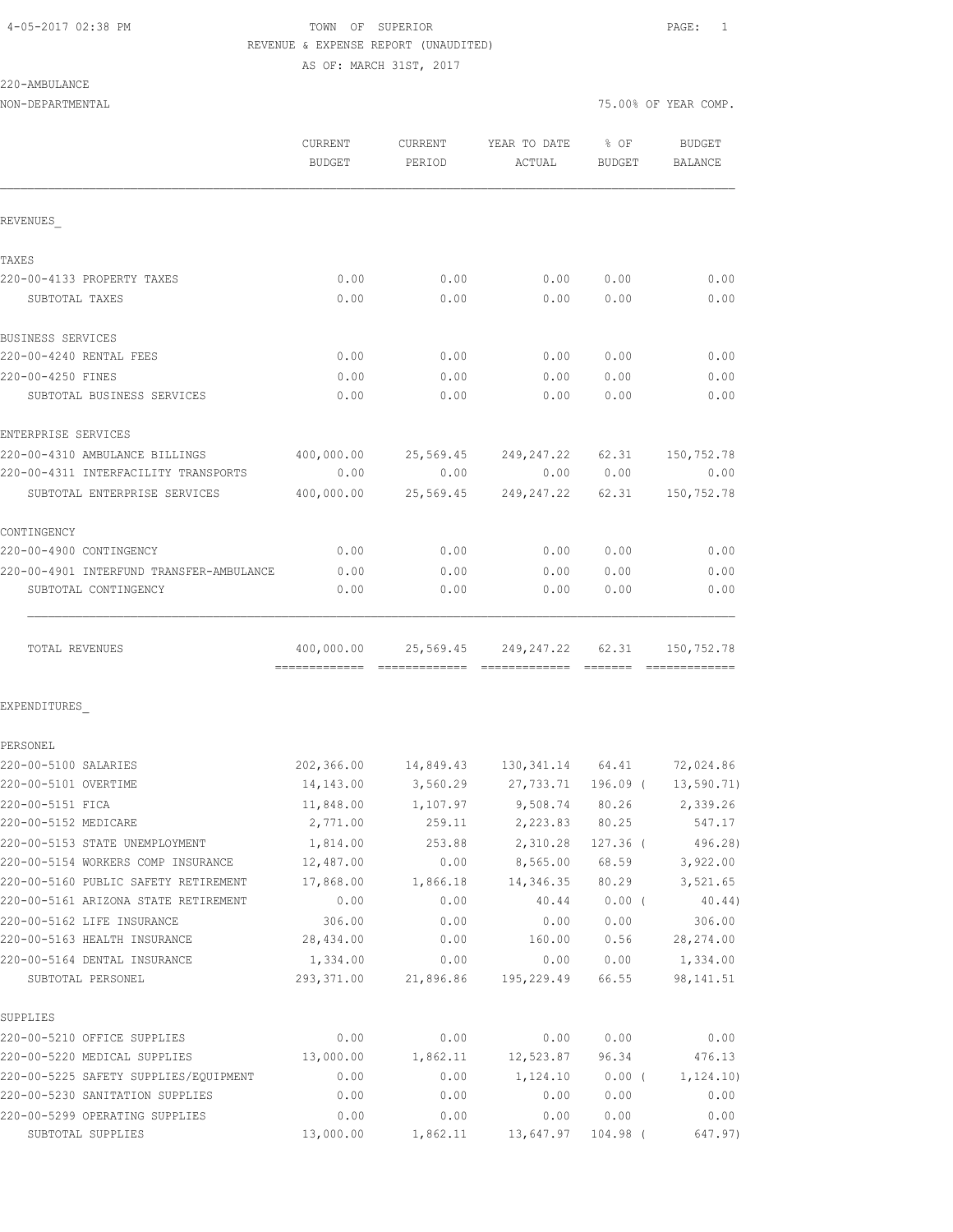# 4-05-2017 02:38 PM TOWN OF SUPERIOR PAGE: 1 REVENUE & EXPENSE REPORT (UNAUDITED)

AS OF: MARCH 31ST, 2017

| NON-DEPARTMENTAL                         |                   |           |                                       | 75.00% OF YEAR COMP. |                   |  |
|------------------------------------------|-------------------|-----------|---------------------------------------|----------------------|-------------------|--|
|                                          | CURRENT<br>BUDGET | PERIOD    | CURRENT YEAR TO DATE<br>ACTUAL        | $8$ OF<br>BUDGET     | BUDGET<br>BALANCE |  |
| REVENUES                                 |                   |           |                                       |                      |                   |  |
| TAXES                                    |                   |           |                                       |                      |                   |  |
| 220-00-4133 PROPERTY TAXES               | 0.00              | 0.00      | 0.00                                  | 0.00                 | 0.00              |  |
| SUBTOTAL TAXES                           | 0.00              | 0.00      | 0.00                                  | 0.00                 | 0.00              |  |
| BUSINESS SERVICES                        |                   |           |                                       |                      |                   |  |
| 220-00-4240 RENTAL FEES                  | 0.00              | 0.00      | 0.00                                  | 0.00                 | 0.00              |  |
| 220-00-4250 FINES                        | 0.00              | 0.00      | 0.00                                  | 0.00                 | 0.00              |  |
| SUBTOTAL BUSINESS SERVICES               | 0.00              | 0.00      | 0.00                                  | 0.00                 | 0.00              |  |
| ENTERPRISE SERVICES                      |                   |           |                                       |                      |                   |  |
| 220-00-4310 AMBULANCE BILLINGS           |                   |           | 400,000.00 25,569.45 249,247.22 62.31 |                      | 150,752.78        |  |
| 220-00-4311 INTERFACILITY TRANSPORTS     | 0.00              | 0.00      |                                       | 0.00 0.00            | 0.00              |  |
| SUBTOTAL ENTERPRISE SERVICES             | 400,000.00        |           | 25,569.45 249,247.22                  | 62.31                | 150,752.78        |  |
| CONTINGENCY                              |                   |           |                                       |                      |                   |  |
| 220-00-4900 CONTINGENCY                  | 0.00              | 0.00      | 0.00                                  | 0.00                 | 0.00              |  |
| 220-00-4901 INTERFUND TRANSFER-AMBULANCE | 0.00              | 0.00      | 0.00                                  | 0.00                 | 0.00              |  |
| SUBTOTAL CONTINGENCY                     | 0.00              | 0.00      | 0.00                                  | 0.00                 | 0.00              |  |
| TOTAL REVENUES                           |                   |           | 400,000.00 25,569.45 249,247.22 62.31 |                      | 150,752.78        |  |
| EXPENDITURES                             |                   |           |                                       |                      |                   |  |
| PERSONEL                                 |                   |           |                                       |                      |                   |  |
| 220-00-5100 SALARIES                     |                   |           | 202,366.00 14,849.43 130,341.14 64.41 |                      | 72,024.86         |  |
| 220-00-5101 OVERTIME                     | 14,143.00         | 3,560.29  | 27,733.71                             | 196.09 (             | 13,590.71)        |  |
| 220-00-5151 FICA                         | 11,848.00         | 1,107.97  | 9,508.74                              | 80.26                | 2,339.26          |  |
| 220-00-5152 MEDICARE                     | 2,771.00          | 259.11    | 2,223.83                              | 80.25                | 547.17            |  |
| 220-00-5153 STATE UNEMPLOYMENT           | 1,814.00          | 253.88    | 2,310.28                              | $127.36$ (           | 496.28)           |  |
| 220-00-5154 WORKERS COMP INSURANCE       | 12,487.00         | 0.00      | 8,565.00                              | 68.59                | 3,922.00          |  |
| 220-00-5160 PUBLIC SAFETY RETIREMENT     | 17,868.00         | 1,866.18  | 14,346.35                             | 80.29                | 3,521.65          |  |
| 220-00-5161 ARIZONA STATE RETIREMENT     | 0.00              | 0.00      | 40.44                                 | 0.00(                | 40.44)            |  |
| 220-00-5162 LIFE INSURANCE               | 306.00            | 0.00      | 0.00                                  | 0.00                 | 306.00            |  |
| 220-00-5163 HEALTH INSURANCE             | 28,434.00         | 0.00      | 160.00                                | 0.56                 | 28, 274.00        |  |
| 220-00-5164 DENTAL INSURANCE             | 1,334.00          | 0.00      | 0.00                                  | 0.00                 | 1,334.00          |  |
| SUBTOTAL PERSONEL                        | 293, 371.00       | 21,896.86 | 195,229.49                            | 66.55                | 98, 141.51        |  |
| SUPPLIES                                 |                   |           |                                       |                      |                   |  |
| 220-00-5210 OFFICE SUPPLIES              | 0.00              | 0.00      | 0.00                                  | 0.00                 | 0.00              |  |
| 220-00-5220 MEDICAL SUPPLIES             | 13,000.00         | 1,862.11  | 12,523.87                             | 96.34                | 476.13            |  |
| 220-00-5225 SAFETY SUPPLIES/EQUIPMENT    | 0.00              | 0.00      | 1,124.10                              | $0.00$ (             | 1, 124.10)        |  |
| 220-00-5230 SANITATION SUPPLIES          | 0.00              | 0.00      | 0.00                                  | 0.00                 | 0.00              |  |
| 220-00-5299 OPERATING SUPPLIES           | 0.00              | 0.00      | 0.00                                  | 0.00                 | 0.00              |  |

SUBTOTAL SUPPLIES 13,000.00 1,862.11 13,647.97 104.98 (647.97)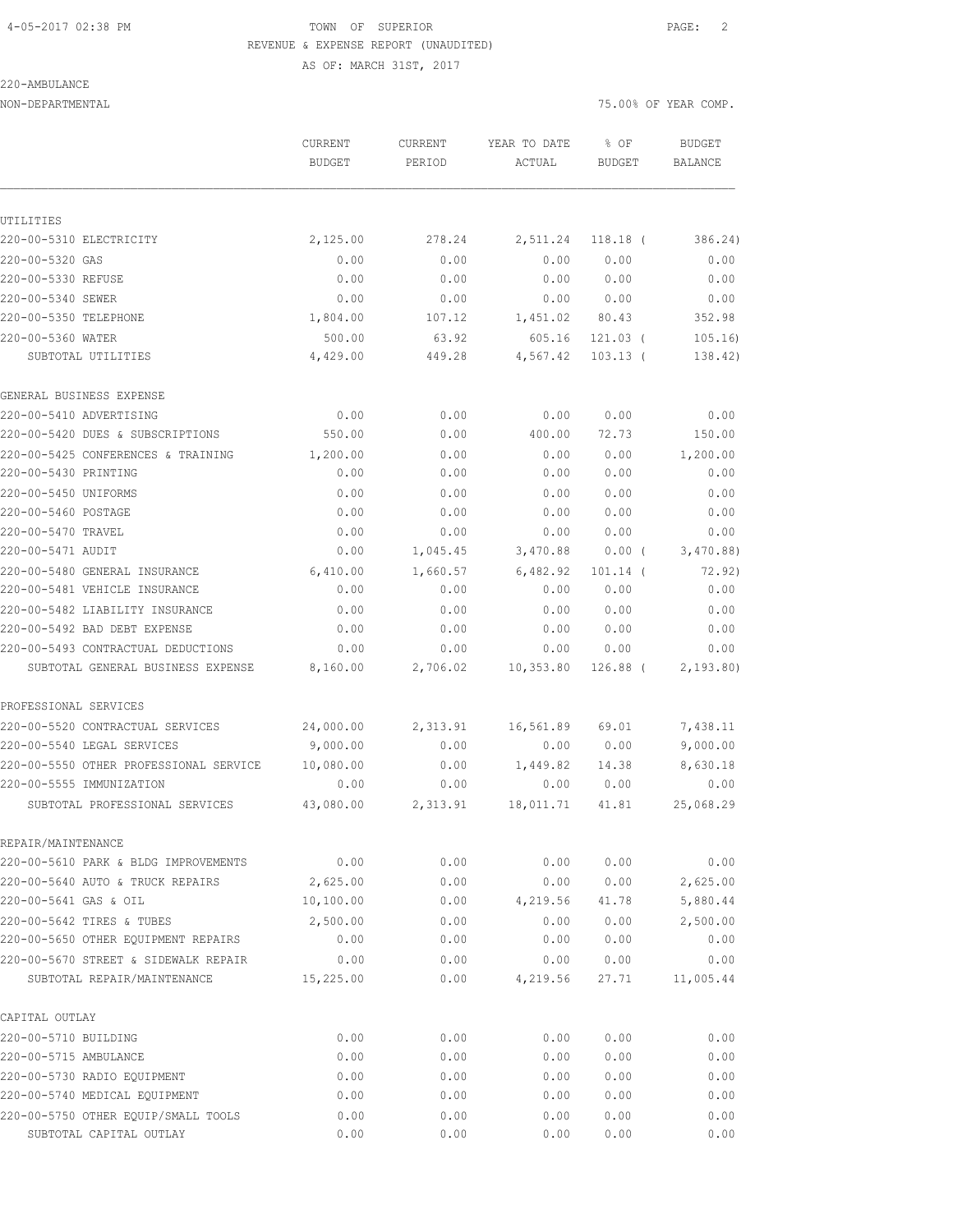## 4-05-2017 02:38 PM TOWN OF SUPERIOR PAGE: 2 REVENUE & EXPENSE REPORT (UNAUDITED)

#### 220-AMBULANCE

AS OF: MARCH 31ST, 2017

NON-DEPARTMENTAL 75.00% OF YEAR COMP.

|                                                                     | CURRENT<br><b>BUDGET</b> | CURRENT<br>PERIOD | YEAR TO DATE<br>ACTUAL | % OF<br><b>BUDGET</b> | <b>BUDGET</b><br>BALANCE |
|---------------------------------------------------------------------|--------------------------|-------------------|------------------------|-----------------------|--------------------------|
| UTILITIES                                                           |                          |                   |                        |                       |                          |
| 220-00-5310 ELECTRICITY                                             | 2,125.00                 | 278.24            | 2,511.24               | $118.18$ (            | 386.24)                  |
| 220-00-5320 GAS                                                     | 0.00                     | 0.00              | 0.00                   | 0.00                  | 0.00                     |
| 220-00-5330 REFUSE                                                  | 0.00                     | 0.00              | 0.00                   | 0.00                  | 0.00                     |
| 220-00-5340 SEWER                                                   | 0.00                     | 0.00              | 0.00                   | 0.00                  | 0.00                     |
| 220-00-5350 TELEPHONE                                               | 1,804.00                 | 107.12            | 1,451.02               | 80.43                 | 352.98                   |
| 220-00-5360 WATER                                                   | 500.00                   | 63.92             | 605.16                 | $121.03$ (            | 105.16                   |
| SUBTOTAL UTILITIES                                                  | 4,429.00                 | 449.28            | 4,567.42               | $103.13$ (            | 138.42)                  |
| GENERAL BUSINESS EXPENSE                                            |                          |                   |                        |                       |                          |
| 220-00-5410 ADVERTISING                                             | 0.00                     | 0.00              | 0.00                   | 0.00                  | 0.00                     |
| 220-00-5420 DUES & SUBSCRIPTIONS                                    | 550.00                   | 0.00              | 400.00                 | 72.73                 | 150.00                   |
| 220-00-5425 CONFERENCES & TRAINING                                  | 1,200.00                 | 0.00              | 0.00                   | 0.00                  | 1,200.00                 |
| 220-00-5430 PRINTING                                                | 0.00                     | 0.00              | 0.00                   | 0.00                  | 0.00                     |
| 220-00-5450 UNIFORMS                                                | 0.00                     | 0.00              | 0.00                   | 0.00                  | 0.00                     |
| 220-00-5460 POSTAGE                                                 | 0.00                     | 0.00              | 0.00                   | 0.00                  | 0.00                     |
| 220-00-5470 TRAVEL                                                  | 0.00                     | 0.00              | 0.00                   | 0.00                  | 0.00                     |
| 220-00-5471 AUDIT                                                   | 0.00                     | 1,045.45          | 3,470.88               | 0.00(                 | 3,470.88                 |
| 220-00-5480 GENERAL INSURANCE                                       | 6,410.00                 | 1,660.57          | 6,482.92               | $101.14$ (            | 72.92)                   |
| 220-00-5481 VEHICLE INSURANCE                                       | 0.00                     | 0.00              | 0.00                   | 0.00                  | 0.00                     |
| 220-00-5482 LIABILITY INSURANCE                                     | 0.00                     | 0.00              | 0.00                   | 0.00                  | 0.00                     |
| 220-00-5492 BAD DEBT EXPENSE                                        | 0.00                     | 0.00              | 0.00                   | 0.00                  | 0.00                     |
| 220-00-5493 CONTRACTUAL DEDUCTIONS                                  | 0.00                     | 0.00              | 0.00                   | 0.00                  | 0.00                     |
| SUBTOTAL GENERAL BUSINESS EXPENSE                                   | 8,160.00                 | 2,706.02          | 10, 353.80             | 126.88 (              | 2,193.80                 |
| PROFESSIONAL SERVICES                                               |                          |                   |                        |                       |                          |
| 220-00-5520 CONTRACTUAL SERVICES                                    | 24,000.00                | 2,313.91          | 16,561.89              | 69.01                 | 7,438.11                 |
| 220-00-5540 LEGAL SERVICES                                          | 9,000.00                 | 0.00              | 0.00                   | 0.00                  | 9,000.00                 |
| 220-00-5550 OTHER PROFESSIONAL SERVICE                              | 10,080.00                | 0.00              | 1,449.82               | 14.38                 | 8,630.18                 |
| 220-00-5555 IMMUNIZATION                                            | 0.00                     | 0.00              | 0.00                   | 0.00                  | 0.00                     |
| SUBTOTAL PROFESSIONAL SERVICES                                      | 43,080.00                | 2,313.91          | 18,011.71              | 41.81                 | 25,068.29                |
| REPAIR/MAINTENANCE                                                  |                          |                   |                        |                       |                          |
| 220-00-5610 PARK & BLDG IMPROVEMENTS                                | 0.00                     | 0.00              | 0.00                   | 0.00                  | 0.00                     |
| 220-00-5640 AUTO & TRUCK REPAIRS                                    | 2,625.00                 | 0.00              | 0.00                   | 0.00                  | 2,625.00                 |
| 220-00-5641 GAS & OIL                                               | 10,100.00                | 0.00              | 4,219.56               | 41.78                 | 5,880.44                 |
| 220-00-5642 TIRES & TUBES                                           | 2,500.00                 | 0.00              | 0.00                   | 0.00                  | 2,500.00                 |
| 220-00-5650 OTHER EQUIPMENT REPAIRS                                 | 0.00                     | 0.00              | 0.00                   | 0.00                  | 0.00                     |
| 220-00-5670 STREET & SIDEWALK REPAIR<br>SUBTOTAL REPAIR/MAINTENANCE | 0.00<br>15,225.00        | 0.00<br>0.00      | 0.00<br>4,219.56       | 0.00<br>27.71         | 0.00<br>11,005.44        |
|                                                                     |                          |                   |                        |                       |                          |
| CAPITAL OUTLAY                                                      |                          |                   |                        |                       |                          |
| 220-00-5710 BUILDING                                                | 0.00                     | 0.00              | 0.00                   | 0.00                  | 0.00                     |
| 220-00-5715 AMBULANCE                                               | 0.00                     | 0.00              | 0.00                   | 0.00                  | 0.00                     |
| 220-00-5730 RADIO EQUIPMENT                                         | 0.00                     | 0.00              | 0.00                   | 0.00                  | 0.00                     |
| 220-00-5740 MEDICAL EQUIPMENT                                       | 0.00                     | 0.00              | 0.00                   | 0.00                  | 0.00                     |
| 220-00-5750 OTHER EQUIP/SMALL TOOLS                                 | 0.00                     | 0.00              | 0.00                   | 0.00                  | 0.00                     |
| SUBTOTAL CAPITAL OUTLAY                                             | 0.00                     | 0.00              | 0.00                   | 0.00                  | 0.00                     |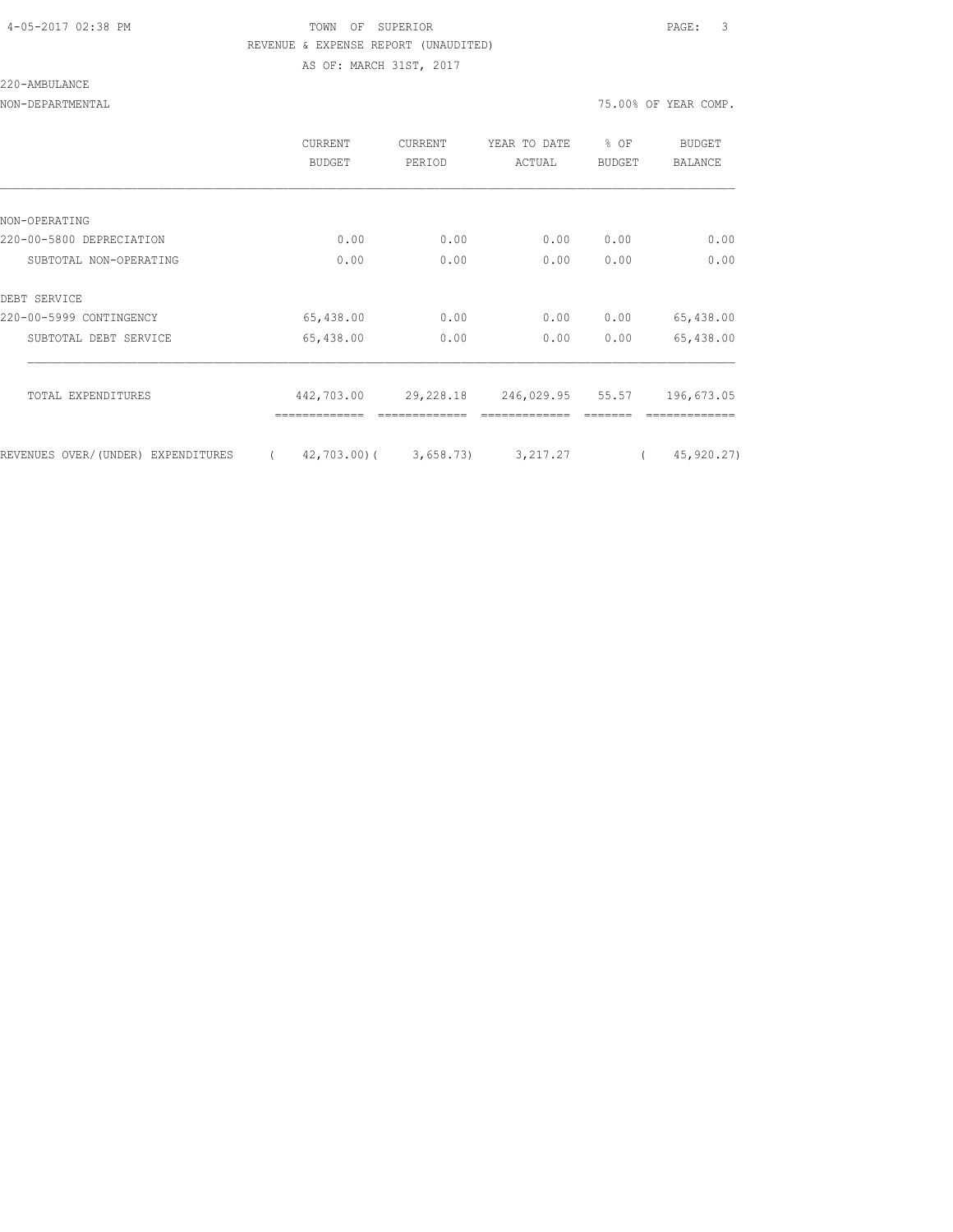#### 4-05-2017 02:38 PM TOWN OF SUPERIOR PAGE: 3 REVENUE & EXPENSE REPORT (UNAUDITED) AS OF: MARCH 31ST, 2017

#### 220-AMBULANCE

NON-DEPARTMENTAL 75.00% OF YEAR COMP.

|                                    | <b>CURRENT</b><br>BUDGET | <b>CURRENT</b><br>PERIOD | YEAR TO DATE<br>ACTUAL | % OF<br><b>BUDGET</b> | BUDGET<br>BALANCE |
|------------------------------------|--------------------------|--------------------------|------------------------|-----------------------|-------------------|
|                                    |                          |                          |                        |                       |                   |
| NON-OPERATING                      |                          |                          |                        |                       |                   |
| 220-00-5800 DEPRECIATION           | 0.00                     | 0.00                     | 0.00                   | 0.00                  | 0.00              |
| SUBTOTAL NON-OPERATING             | 0.00                     | 0.00                     | 0.00                   | 0.00                  | 0.00              |
| DEBT SERVICE                       |                          |                          |                        |                       |                   |
| 220-00-5999 CONTINGENCY            | 65,438.00                | 0.00                     | 0.00                   | 0.00                  | 65,438.00         |
| SUBTOTAL DEBT SERVICE              | 65,438.00                | 0.00                     | 0.00                   | 0.00                  | 65,438.00         |
| TOTAL EXPENDITURES                 | 442,703.00               | 29,228.18                | 246,029.95 55.57       |                       | 196,673.05        |
|                                    |                          |                          |                        |                       |                   |
| REVENUES OVER/(UNDER) EXPENDITURES | $\left($                 | $42,703,00$ ( 3,658.73)  | 3, 217.27              | $\left($              | 45, 920.27)       |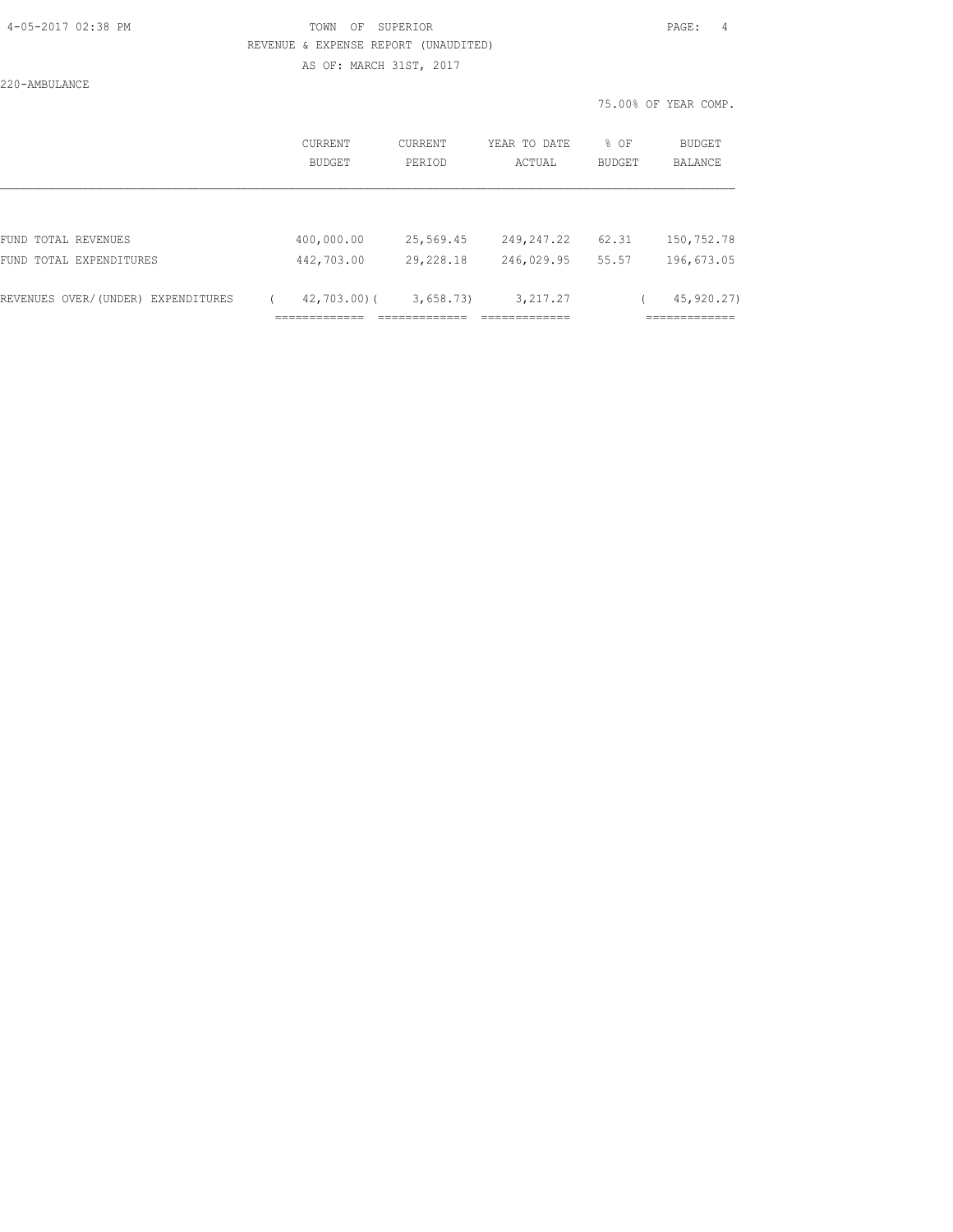#### 4-05-2017 02:38 PM TOWN OF SUPERIOR PAGE: 4 REVENUE & EXPENSE REPORT (UNAUDITED) AS OF: MARCH 31ST, 2017

220-AMBULANCE

|                                       | CURRENT<br>BUDGET                    | <b>CURRENT</b><br>PERIOD           | YEAR TO DATE<br>ACTUAL                     | % OF<br><b>BUDGET</b> | BUDGET<br>BALANCE               |
|---------------------------------------|--------------------------------------|------------------------------------|--------------------------------------------|-----------------------|---------------------------------|
|                                       |                                      |                                    |                                            |                       |                                 |
| FUND TOTAL REVENUES                   | 400,000.00                           | 25,569.45                          | 249,247.22                                 | 62.31                 | 150,752.78                      |
| FUND TOTAL EXPENDITURES               | 442,703.00                           | 29,228.18                          | 246,029.95                                 | 55.57                 | 196,673.05                      |
| REVENUES OVER/(UNDER)<br>EXPENDITURES | $42,703.00$ (<br>--------------<br>. | 3,658.73<br>__________<br>________ | 3, 217.27<br>_____________<br>------------ |                       | 45,920.27)<br>____________<br>. |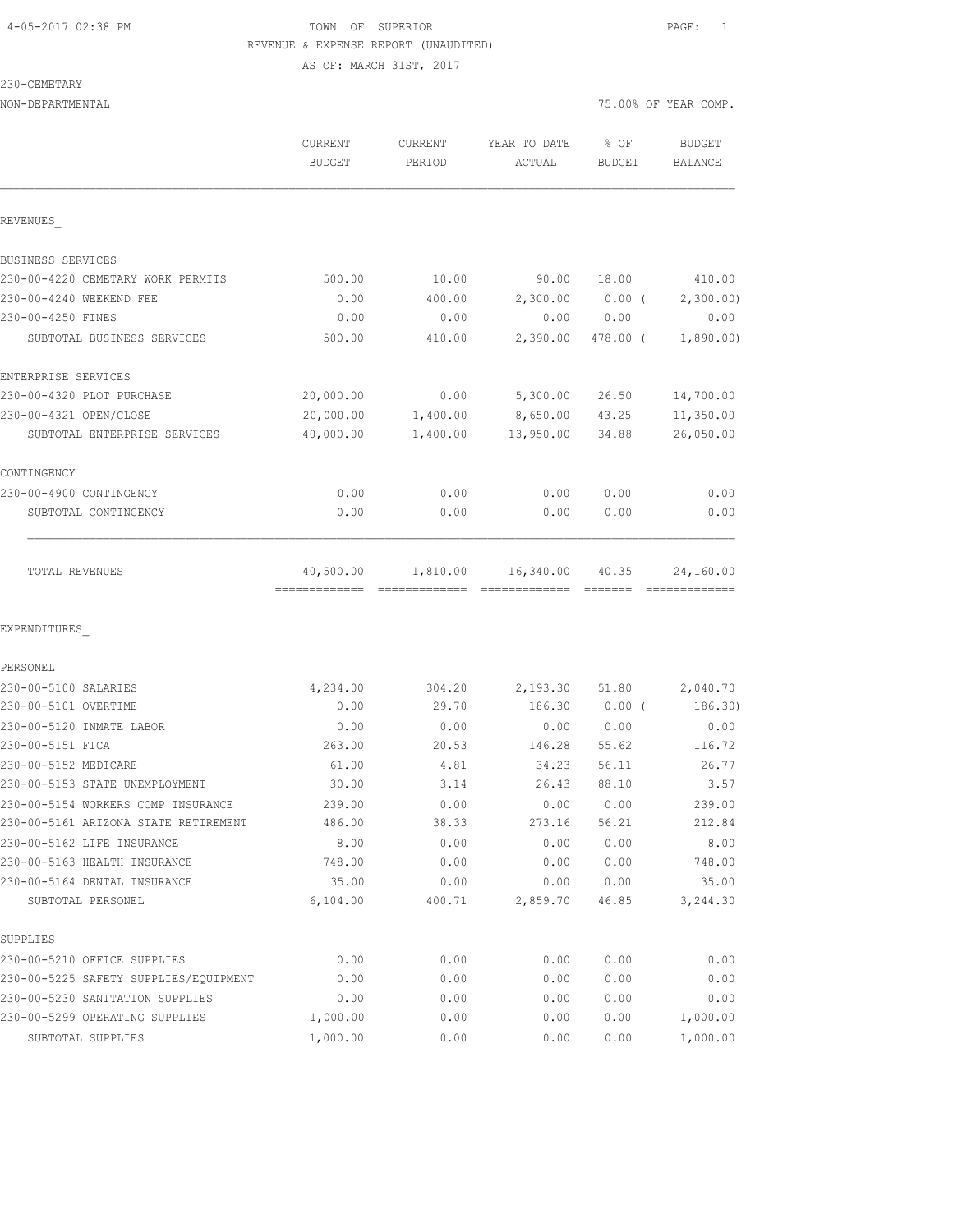#### 4-05-2017 02:38 PM TOWN OF SUPERIOR PAGE: 1 REVENUE & EXPENSE REPORT (UNAUDITED) AS OF: MARCH 31ST, 2017

230-CEMETAR

| 230-CEMETARY                          |               |          |              |                  |                            |
|---------------------------------------|---------------|----------|--------------|------------------|----------------------------|
| NON-DEPARTMENTAL                      |               |          |              |                  | 75.00% OF YEAR COMP.       |
|                                       | CURRENT       | CURRENT  | YEAR TO DATE | % OF             | <b>BUDGET</b>              |
|                                       | <b>BUDGET</b> | PERIOD   | ACTUAL       | <b>BUDGET</b>    | <b>BALANCE</b>             |
| REVENUES                              |               |          |              |                  |                            |
| BUSINESS SERVICES                     |               |          |              |                  |                            |
| 230-00-4220 CEMETARY WORK PERMITS     | 500.00        | 10.00    | 90.00        | 18.00            | 410.00                     |
| 230-00-4240 WEEKEND FEE               | 0.00          | 400.00   | 2,300.00     | $0.00$ (         | 2,300.00)                  |
| 230-00-4250 FINES                     | 0.00          | 0.00     | 0.00         | 0.00             | 0.00                       |
| SUBTOTAL BUSINESS SERVICES            | 500.00        | 410.00   | 2,390.00     | 478.00 (         | 1,890.00)                  |
| ENTERPRISE SERVICES                   |               |          |              |                  |                            |
| 230-00-4320 PLOT PURCHASE             | 20,000.00     | 0.00     | 5,300.00     | 26.50            | 14,700.00                  |
| 230-00-4321 OPEN/CLOSE                | 20,000.00     | 1,400.00 | 8,650.00     | 43.25            | 11,350.00                  |
| SUBTOTAL ENTERPRISE SERVICES          | 40,000.00     | 1,400.00 | 13,950.00    | 34.88            | 26,050.00                  |
| CONTINGENCY                           |               |          |              |                  |                            |
| 230-00-4900 CONTINGENCY               | 0.00          | 0.00     | 0.00         | 0.00             | 0.00                       |
| SUBTOTAL CONTINGENCY                  | 0.00          | 0.00     | 0.00         | 0.00             | 0.00                       |
| TOTAL REVENUES                        | 40,500.00     | 1,810.00 | 16,340.00    | 40.35<br>======= | 24,160.00<br>============= |
| EXPENDITURES                          |               |          |              |                  |                            |
| PERSONEL                              |               |          |              |                  |                            |
| 230-00-5100 SALARIES                  | 4,234.00      | 304.20   | 2,193.30     | 51.80            | 2,040.70                   |
| 230-00-5101 OVERTIME                  | 0.00          | 29.70    | 186.30       | $0.00$ (         | 186.30)                    |
| 230-00-5120 INMATE LABOR              | 0.00          | 0.00     | 0.00         | 0.00             | 0.00                       |
| 230-00-5151 FICA                      | 263.00        | 20.53    | 146.28       | 55.62            | 116.72                     |
| 230-00-5152 MEDICARE                  | 61.00         | 4.81     | 34.23        | 56.11            | 26.77                      |
| 230-00-5153 STATE UNEMPLOYMENT        | 30.00         | 3.14     | 26.43        | 88.10            | 3.57                       |
| 230-00-5154 WORKERS COMP INSURANCE    | 239.00        | 0.00     | 0.00         | 0.00             | 239.00                     |
| 230-00-5161 ARIZONA STATE RETIREMENT  | 486.00        | 38.33    | 273.16       | 56.21            | 212.84                     |
| 230-00-5162 LIFE INSURANCE            | 8.00          | 0.00     | 0.00         | 0.00             | 8.00                       |
| 230-00-5163 HEALTH INSURANCE          | 748.00        | 0.00     | 0.00         | 0.00             | 748.00                     |
| 230-00-5164 DENTAL INSURANCE          | 35.00         | 0.00     | 0.00         | 0.00             | 35.00                      |
| SUBTOTAL PERSONEL                     | 6,104.00      | 400.71   | 2,859.70     | 46.85            | 3,244.30                   |
| SUPPLIES                              |               |          |              |                  |                            |
| 230-00-5210 OFFICE SUPPLIES           | 0.00          | 0.00     | 0.00         | 0.00             | 0.00                       |
| 230-00-5225 SAFETY SUPPLIES/EQUIPMENT | 0.00          | 0.00     | 0.00         | 0.00             | 0.00                       |
| 230-00-5230 SANITATION SUPPLIES       | 0.00          | 0.00     | 0.00         | 0.00             | 0.00                       |

230-00-5299 OPERATING SUPPLIES 1,000.00 0.00 0.00 0.00 1,000.00 SUBTOTAL SUPPLIES 1,000.00 0.00 0.00 0.00 1,000.00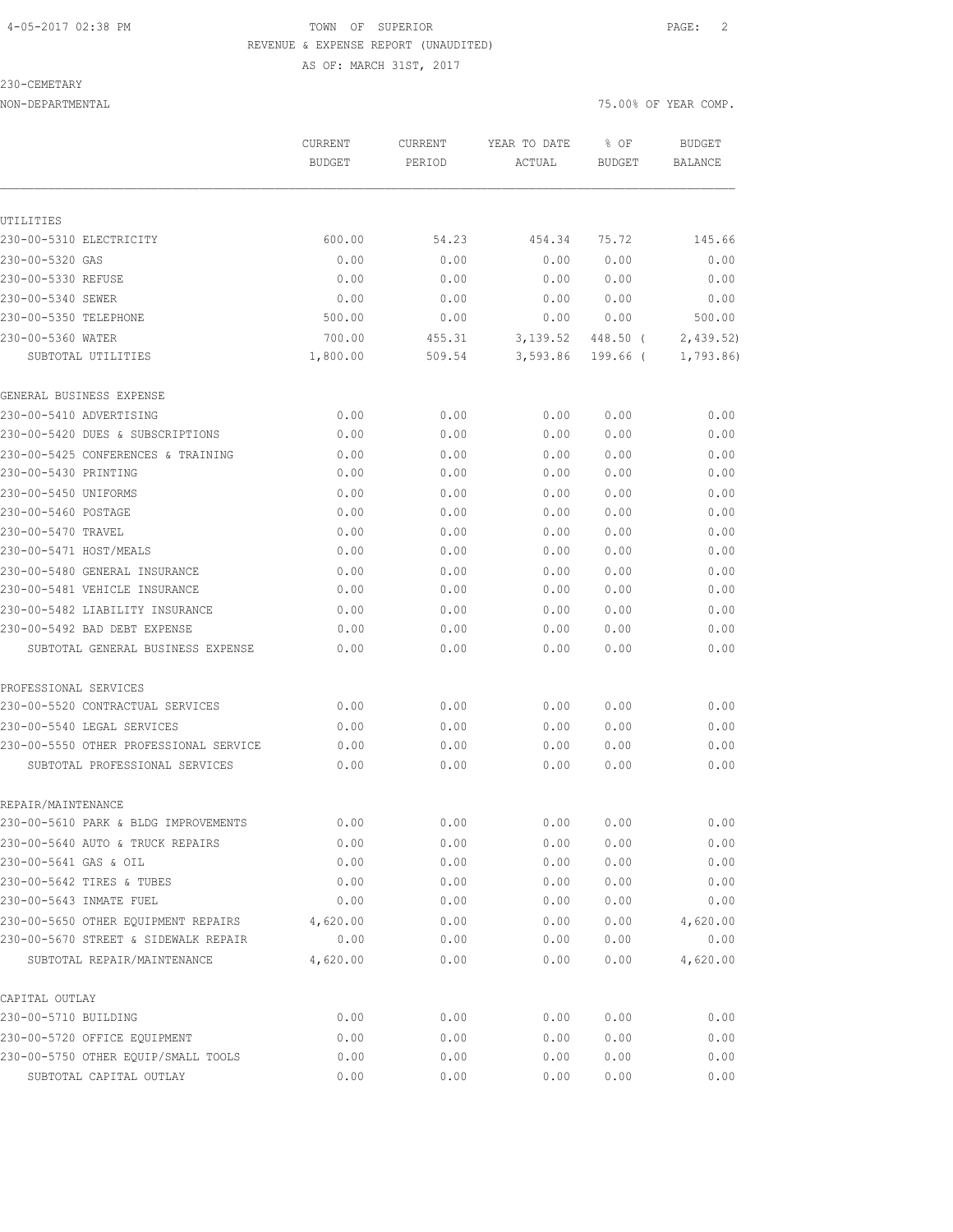#### 4-05-2017 02:38 PM TOWN OF SUPERIOR PAGE: 2 REVENUE & EXPENSE REPORT (UNAUDITED) AS OF: MARCH 31ST, 2017

#### 230-CEMETARY

|                                        | CURRENT<br><b>BUDGET</b> | CURRENT<br>PERIOD | YEAR TO DATE<br>ACTUAL | % OF<br><b>BUDGET</b> | <b>BUDGET</b><br>BALANCE |
|----------------------------------------|--------------------------|-------------------|------------------------|-----------------------|--------------------------|
|                                        |                          |                   |                        |                       |                          |
| UTILITIES                              |                          |                   |                        |                       |                          |
| 230-00-5310 ELECTRICITY                | 600.00                   | 54.23             | 454.34                 | 75.72                 | 145.66                   |
| 230-00-5320 GAS                        | 0.00                     | 0.00              | 0.00                   | 0.00                  | 0.00                     |
| 230-00-5330 REFUSE                     | 0.00                     | 0.00              | 0.00                   | 0.00                  | 0.00                     |
| 230-00-5340 SEWER                      | 0.00                     | 0.00              | 0.00                   | 0.00                  | 0.00                     |
| 230-00-5350 TELEPHONE                  | 500.00                   | 0.00              | 0.00                   | 0.00                  | 500.00                   |
| 230-00-5360 WATER                      | 700.00                   | 455.31            | 3,139.52               | 448.50 (              | 2,439.52)                |
| SUBTOTAL UTILITIES                     | 1,800.00                 | 509.54            | 3,593.86               | 199.66 (              | 1,793.86                 |
| GENERAL BUSINESS EXPENSE               |                          |                   |                        |                       |                          |
| 230-00-5410 ADVERTISING                | 0.00                     | 0.00              | 0.00                   | 0.00                  | 0.00                     |
| 230-00-5420 DUES & SUBSCRIPTIONS       | 0.00                     | 0.00              | 0.00                   | 0.00                  | 0.00                     |
| 230-00-5425 CONFERENCES & TRAINING     | 0.00                     | 0.00              | 0.00                   | 0.00                  | 0.00                     |
| 230-00-5430 PRINTING                   | 0.00                     | 0.00              | 0.00                   | 0.00                  | 0.00                     |
| 230-00-5450 UNIFORMS                   | 0.00                     | 0.00              | 0.00                   | 0.00                  | 0.00                     |
| 230-00-5460 POSTAGE                    | 0.00                     | 0.00              | 0.00                   | 0.00                  | 0.00                     |
| 230-00-5470 TRAVEL                     | 0.00                     | 0.00              | 0.00                   | 0.00                  | 0.00                     |
| 230-00-5471 HOST/MEALS                 | 0.00                     | 0.00              | 0.00                   | 0.00                  | 0.00                     |
| 230-00-5480 GENERAL INSURANCE          | 0.00                     | 0.00              | 0.00                   | 0.00                  | 0.00                     |
| 230-00-5481 VEHICLE INSURANCE          | 0.00                     | 0.00              | 0.00                   | 0.00                  | 0.00                     |
| 230-00-5482 LIABILITY INSURANCE        | 0.00                     | 0.00              | 0.00                   | 0.00                  | 0.00                     |
| 230-00-5492 BAD DEBT EXPENSE           | 0.00                     | 0.00              | 0.00                   | 0.00                  | 0.00                     |
| SUBTOTAL GENERAL BUSINESS EXPENSE      | 0.00                     | 0.00              | 0.00                   | 0.00                  | 0.00                     |
| PROFESSIONAL SERVICES                  |                          |                   |                        |                       |                          |
| 230-00-5520 CONTRACTUAL SERVICES       | 0.00                     | 0.00              | 0.00                   | 0.00                  | 0.00                     |
| 230-00-5540 LEGAL SERVICES             | 0.00                     | 0.00              | 0.00                   | 0.00                  | 0.00                     |
| 230-00-5550 OTHER PROFESSIONAL SERVICE | 0.00                     | 0.00              | 0.00                   | 0.00                  | 0.00                     |
| SUBTOTAL PROFESSIONAL SERVICES         | 0.00                     | 0.00              | 0.00                   | 0.00                  | 0.00                     |
| REPAIR/MAINTENANCE                     |                          |                   |                        |                       |                          |
| 230-00-5610 PARK & BLDG IMPROVEMENTS   | 0.00                     | 0.00              | 0.00                   | 0.00                  | 0.00                     |
| 230-00-5640 AUTO & TRUCK REPAIRS       | 0.00                     | 0.00              | 0.00                   | 0.00                  | 0.00                     |
| 230-00-5641 GAS & OIL                  | 0.00                     | 0.00              | 0.00                   | 0.00                  | 0.00                     |
| 230-00-5642 TIRES & TUBES              | 0.00                     | 0.00              | 0.00                   | 0.00                  | 0.00                     |
| 230-00-5643 INMATE FUEL                | 0.00                     | 0.00              | 0.00                   | 0.00                  | 0.00                     |
| 230-00-5650 OTHER EQUIPMENT REPAIRS    | 4,620.00                 | 0.00              | 0.00                   | 0.00                  | 4,620.00                 |
| 230-00-5670 STREET & SIDEWALK REPAIR   | 0.00                     | 0.00              | 0.00                   | 0.00                  | 0.00                     |
| SUBTOTAL REPAIR/MAINTENANCE            | 4,620.00                 | 0.00              | 0.00                   | 0.00                  | 4,620.00                 |
| CAPITAL OUTLAY                         |                          |                   |                        |                       |                          |
| 230-00-5710 BUILDING                   | 0.00                     | 0.00              | 0.00                   | 0.00                  | 0.00                     |
| 230-00-5720 OFFICE EQUIPMENT           | 0.00                     | 0.00              | 0.00                   | 0.00                  | 0.00                     |
| 230-00-5750 OTHER EQUIP/SMALL TOOLS    | 0.00                     | 0.00              | 0.00                   | 0.00                  | 0.00                     |
| SUBTOTAL CAPITAL OUTLAY                | 0.00                     | 0.00              | 0.00                   | 0.00                  | 0.00                     |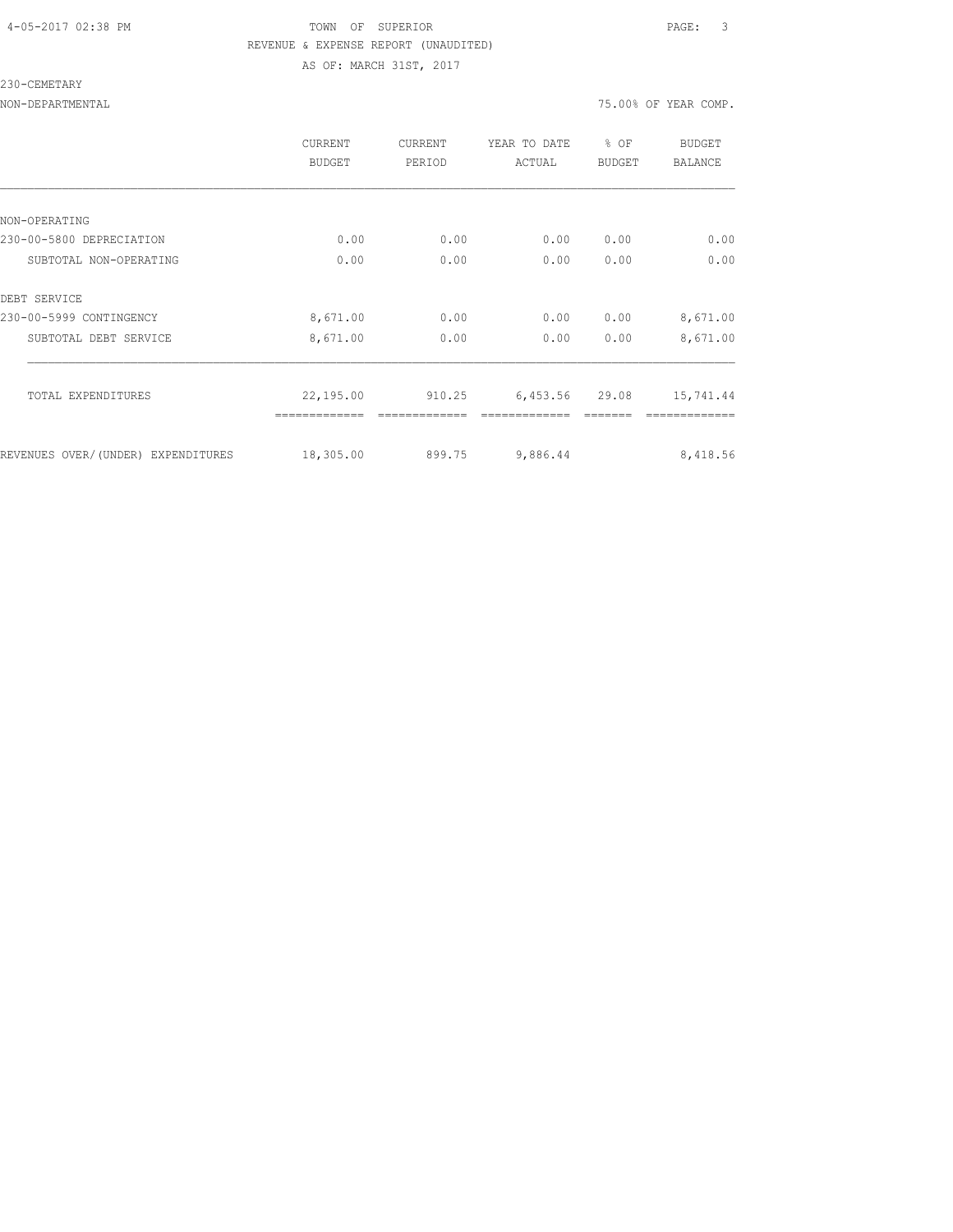#### 4-05-2017 02:38 PM TOWN OF SUPERIOR PAGE: 3 REVENUE & EXPENSE REPORT (UNAUDITED) AS OF: MARCH 31ST, 2017

#### 230-CEMETARY

| <b>CURRENT</b><br><b>BUDGET</b> | CURRENT<br>PERIOD | YEAR TO DATE<br>ACTUAL | % OF<br><b>BUDGET</b> | BUDGET<br><b>BALANCE</b> |
|---------------------------------|-------------------|------------------------|-----------------------|--------------------------|
|                                 |                   |                        |                       |                          |
|                                 |                   |                        |                       |                          |
| 0.00                            | 0.00              | 0.00                   | 0.00                  | 0.00                     |
| 0.00                            | 0.00              | 0.00                   | 0.00                  | 0.00                     |
|                                 |                   |                        |                       |                          |
| 8,671.00                        | 0.00              | 0.00                   | 0.00                  | 8,671.00                 |
| 8,671.00                        | 0.00              | 0.00                   | 0.00                  | 8,671.00                 |
| 22,195.00                       | 910.25            | 6,453.56               | 29.08                 | 15,741.44                |
|                                 |                   |                        |                       | 8,418.56                 |
|                                 | 18,305.00         | 899.75                 | 9,886.44              |                          |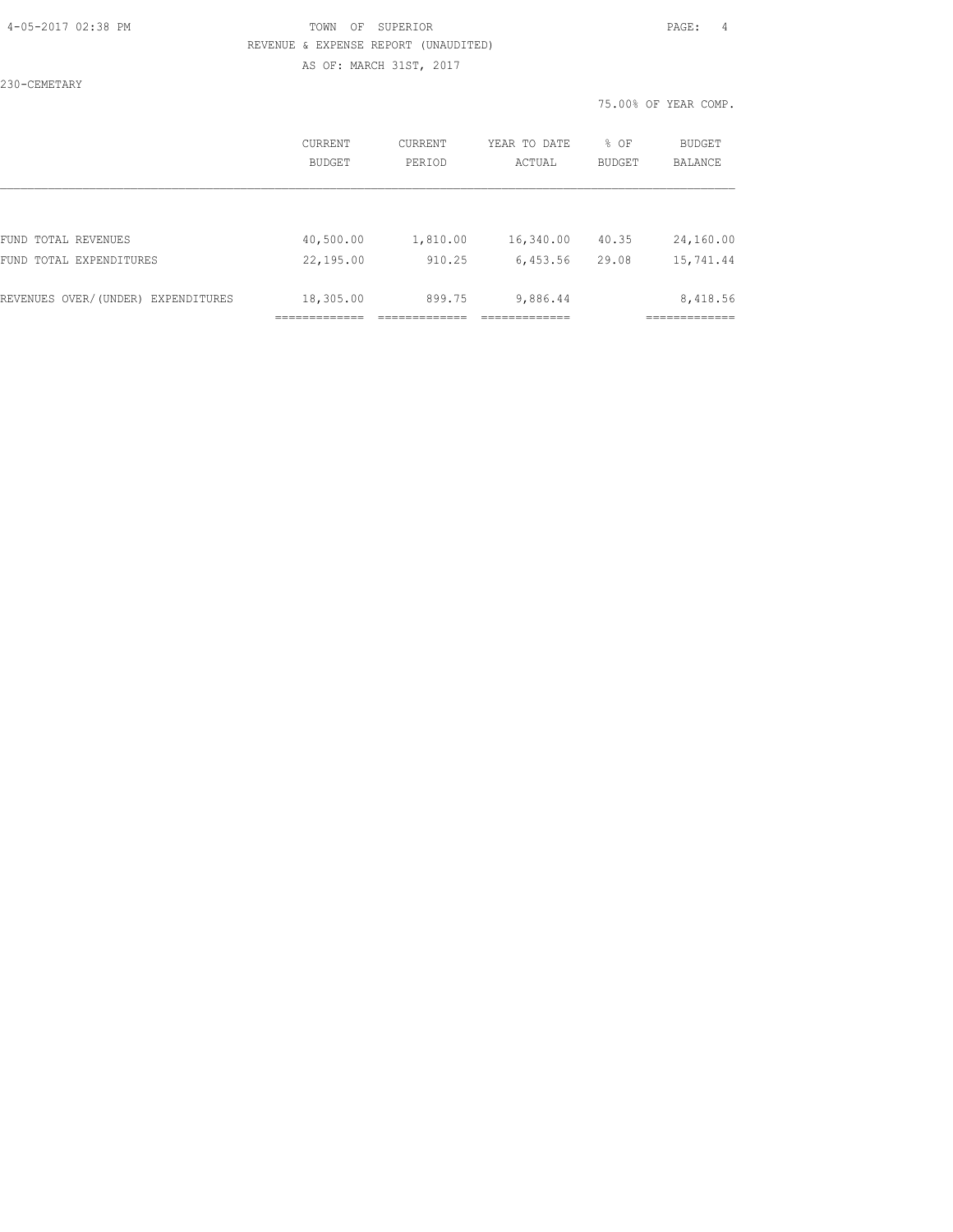#### 4-05-2017 02:38 PM TOWN OF SUPERIOR PAGE: 4 REVENUE & EXPENSE REPORT (UNAUDITED) AS OF: MARCH 31ST, 2017

230-CEMETARY

|                                    | <b>CURRENT</b> | CURRENT  | YEAR TO DATE | % OF          | <b>BUDGET</b>  |
|------------------------------------|----------------|----------|--------------|---------------|----------------|
|                                    | BUDGET         | PERIOD   | ACTUAL       | <b>BUDGET</b> | <b>BALANCE</b> |
| FUND TOTAL REVENUES                | 40,500.00      | 1,810.00 | 16,340.00    | 40.35         | 24,160.00      |
| FUND TOTAL EXPENDITURES            | 22,195.00      | 910.25   | 6,453.56     | 29.08         | 15,741.44      |
| REVENUES OVER/(UNDER) EXPENDITURES | 18,305.00      | 899.75   | 9,886.44     |               | 8,418.56       |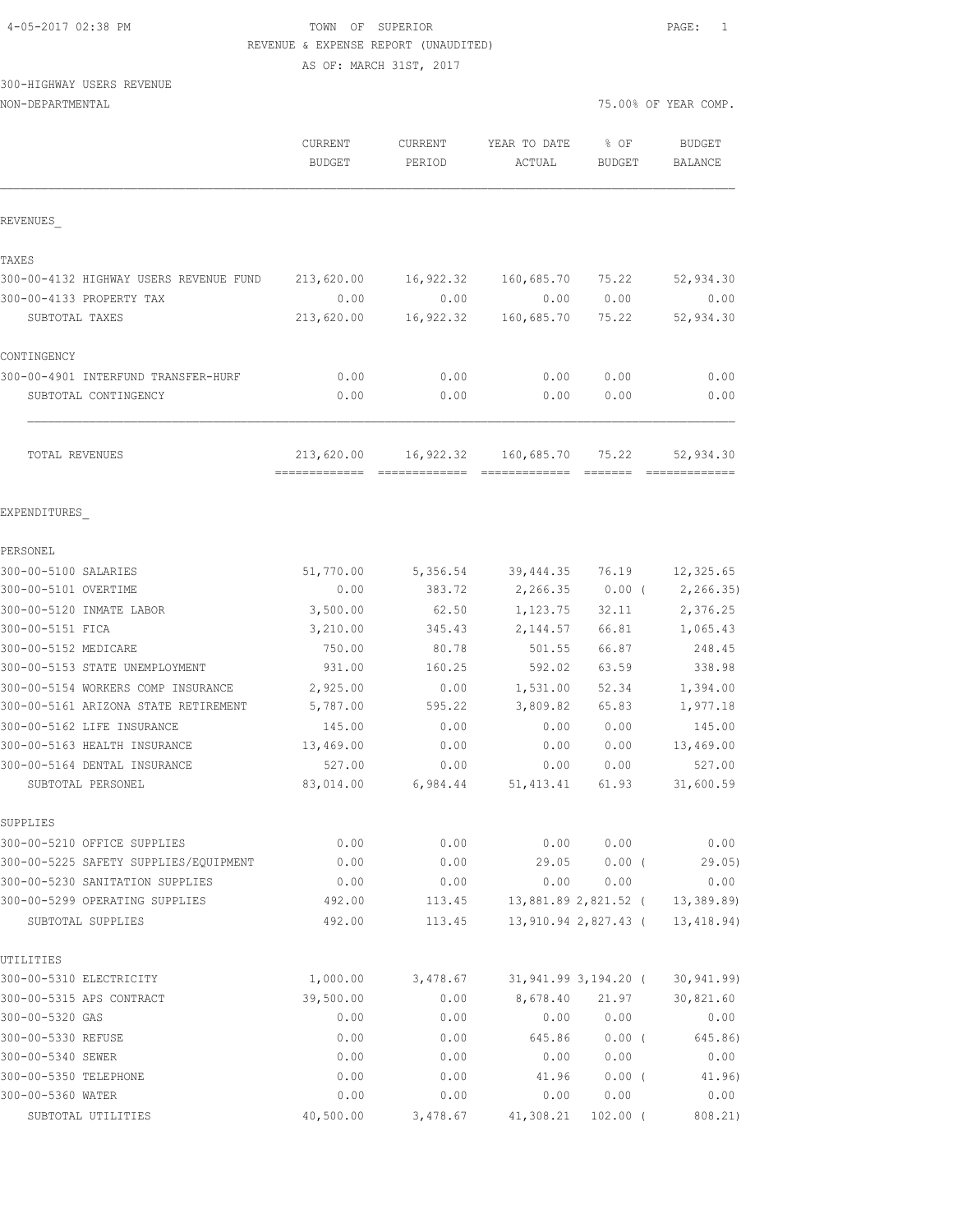| 4-05-2017 02:38 PM |  |  |
|--------------------|--|--|
|                    |  |  |

#### TOWN OF SUPERIOR **Example 2018** PAGE: 1 REVENUE & EXPENSE REPORT (UNAUDITED)

AS OF: MARCH 31ST, 2017

# 300-HIGHWAY USERS REVENUE

| NON-DEPARTMENTAL                       |                                 |                          |                        | 75.00% OF YEAR COMP.  |                            |  |
|----------------------------------------|---------------------------------|--------------------------|------------------------|-----------------------|----------------------------|--|
|                                        | <b>CURRENT</b><br><b>BUDGET</b> | <b>CURRENT</b><br>PERIOD | YEAR TO DATE<br>ACTUAL | % OF<br><b>BUDGET</b> | <b>BUDGET</b><br>BALANCE   |  |
| REVENUES                               |                                 |                          |                        |                       |                            |  |
| TAXES                                  |                                 |                          |                        |                       |                            |  |
| 300-00-4132 HIGHWAY USERS REVENUE FUND | 213,620.00                      | 16,922.32                | 160,685.70             | 75.22                 | 52,934.30                  |  |
| 300-00-4133 PROPERTY TAX               | 0.00                            | 0.00                     | 0.00                   | 0.00                  | 0.00                       |  |
| SUBTOTAL TAXES                         | 213,620.00                      | 16,922.32                | 160,685.70             | 75.22                 | 52,934.30                  |  |
| CONTINGENCY                            |                                 |                          |                        |                       |                            |  |
| 300-00-4901 INTERFUND TRANSFER-HURF    | 0.00                            | 0.00                     | 0.00                   | 0.00                  | 0.00                       |  |
| SUBTOTAL CONTINGENCY                   | 0.00                            | 0.00                     | 0.00                   | 0.00                  | 0.00                       |  |
| TOTAL REVENUES                         | 213,620.00<br>-------------     | 16,922.32                | 160,685.70             | 75.22                 | 52,934.30<br>============= |  |
| EXPENDITURES                           |                                 |                          |                        |                       |                            |  |
| PERSONEL                               |                                 |                          |                        |                       |                            |  |
| 300-00-5100 SALARIES                   | 51,770.00                       | 5,356.54                 | 39,444.35              | 76.19                 | 12,325.65                  |  |
| 300-00-5101 OVERTIME                   | 0.00                            | 383.72                   | 2,266.35               | $0.00$ (              | 2, 266.35                  |  |
| 300-00-5120 INMATE LABOR               | 3,500.00                        | 62.50                    | 1,123.75               | 32.11                 | 2,376.25                   |  |
| 300-00-5151 FICA                       | 3,210.00                        | 345.43                   | 2,144.57               | 66.81                 | 1,065.43                   |  |
| 300-00-5152 MEDICARE                   | 750.00                          | 80.78                    | 501.55                 | 66.87                 | 248.45                     |  |
| 300-00-5153 STATE UNEMPLOYMENT         | 931.00                          | 160.25                   | 592.02                 | 63.59                 | 338.98                     |  |
| 300-00-5154 WORKERS COMP INSURANCE     | 2,925.00                        | 0.00                     | 1,531.00               | 52.34                 | 1,394.00                   |  |
| 300-00-5161 ARIZONA STATE RETIREMENT   | 5,787.00                        | 595.22                   | 3,809.82               | 65.83                 | 1,977.18                   |  |
| 300-00-5162 LIFE INSURANCE             | 145.00                          | 0.00                     | 0.00                   | 0.00                  | 145.00                     |  |
| 300-00-5163 HEALTH INSURANCE           | 13,469.00                       | 0.00                     | 0.00                   | 0.00                  | 13,469.00                  |  |
| 300-00-5164 DENTAL INSURANCE           | 527.00                          | 0.00                     | 0.00                   | 0.00                  | 527.00                     |  |
| SUBTOTAL PERSONEL                      | 83,014.00                       | 6,984.44                 | 51, 413.41             | 61.93                 | 31,600.59                  |  |
| SUPPLIES                               |                                 |                          |                        |                       |                            |  |
| 300-00-5210 OFFICE SUPPLIES            | 0.00                            | 0.00                     | 0.00                   | 0.00                  | 0.00                       |  |
| 300-00-5225 SAFETY SUPPLIES/EQUIPMENT  | 0.00                            | 0.00                     | 29.05                  | $0.00$ (              | 29.05)                     |  |
| 300-00-5230 SANITATION SUPPLIES        | 0.00                            | 0.00                     | 0.00                   | 0.00                  | 0.00                       |  |
| 300-00-5299 OPERATING SUPPLIES         | 492.00                          | 113.45                   |                        | 13,881.89 2,821.52 (  | 13, 389.89)                |  |
| SUBTOTAL SUPPLIES                      | 492.00                          | 113.45                   |                        | 13,910.94 2,827.43 (  | 13,418.94)                 |  |
| UTILITIES                              |                                 |                          |                        |                       |                            |  |
| 300-00-5310 ELECTRICITY                | 1,000.00                        | 3,478.67                 |                        | 31,941.99 3,194.20 (  | 30, 941.99                 |  |
| 300-00-5315 APS CONTRACT               | 39,500.00                       | 0.00                     | 8,678.40               | 21.97                 | 30,821.60                  |  |
| 300-00-5320 GAS                        | 0.00                            | 0.00                     | 0.00                   | 0.00                  | 0.00                       |  |
| 300-00-5330 REFUSE                     | 0.00                            | 0.00                     | 645.86                 | $0.00$ (              | 645.86)                    |  |
| 300-00-5340 SEWER                      | 0.00                            | 0.00                     | 0.00                   | 0.00                  | 0.00                       |  |
| 300-00-5350 TELEPHONE                  | 0.00                            | 0.00                     | 41.96                  | 0.00(                 | 41.96)                     |  |
| 300-00-5360 WATER                      | 0.00                            | 0.00                     | 0.00                   | 0.00                  | 0.00                       |  |
| SUBTOTAL UTILITIES                     | 40,500.00                       | 3,478.67                 | 41,308.21              | $102.00$ (            | 808.21)                    |  |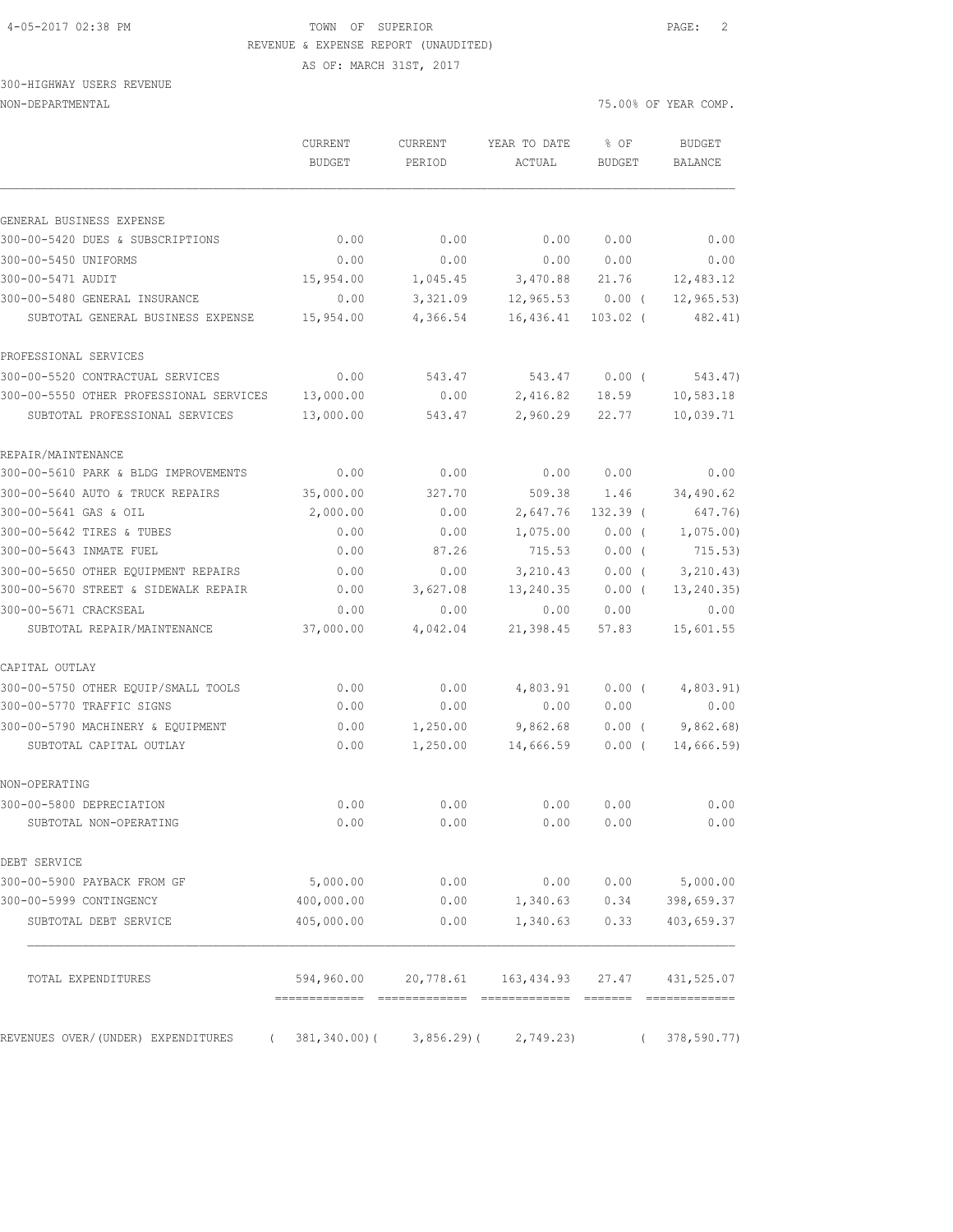#### 4-05-2017 02:38 PM TOWN OF SUPERIOR PAGE: 2 REVENUE & EXPENSE REPORT (UNAUDITED)

AS OF: MARCH 31ST, 2017

#### 300-HIGHWAY USERS REVENUE

NON-DEPARTMENTAL 75.00% OF YEAR COMP.

|                                                      | CURRENT<br><b>BUDGET</b>     | CURRENT<br>PERIOD             | YEAR TO DATE<br>ACTUAL                                   | % OF<br><b>BUDGET</b> | <b>BUDGET</b><br><b>BALANCE</b> |
|------------------------------------------------------|------------------------------|-------------------------------|----------------------------------------------------------|-----------------------|---------------------------------|
| GENERAL BUSINESS EXPENSE                             |                              |                               |                                                          |                       |                                 |
| 300-00-5420 DUES & SUBSCRIPTIONS                     | 0.00                         | 0.00                          | 0.00                                                     | 0.00                  | 0.00                            |
| 300-00-5450 UNIFORMS                                 | 0.00                         | 0.00                          | 0.00                                                     | 0.00                  | 0.00                            |
| 300-00-5471 AUDIT                                    | 15,954.00                    | 1,045.45                      | 3,470.88                                                 | 21.76                 | 12,483.12                       |
| 300-00-5480 GENERAL INSURANCE                        | 0.00                         | 3,321.09                      | 12,965.53                                                | $0.00$ (              | 12, 965.53                      |
| SUBTOTAL GENERAL BUSINESS EXPENSE                    | 15,954.00                    | 4,366.54                      | 16,436.41                                                | $103.02$ (            | 482.41)                         |
| PROFESSIONAL SERVICES                                |                              |                               |                                                          |                       |                                 |
| 300-00-5520 CONTRACTUAL SERVICES                     | 0.00                         | 543.47                        | 543.47                                                   | $0.00$ (              | 543.47)                         |
| 300-00-5550 OTHER PROFESSIONAL SERVICES              | 13,000.00                    | 0.00                          | 2,416.82                                                 | 18.59                 | 10,583.18                       |
| SUBTOTAL PROFESSIONAL SERVICES                       | 13,000.00                    | 543.47                        | 2,960.29                                                 | 22.77                 | 10,039.71                       |
| REPAIR/MAINTENANCE                                   |                              |                               |                                                          |                       |                                 |
| 300-00-5610 PARK & BLDG IMPROVEMENTS                 | 0.00                         | 0.00                          | 0.00                                                     | 0.00                  | 0.00                            |
| 300-00-5640 AUTO & TRUCK REPAIRS                     | 35,000.00                    | 327.70                        | 509.38                                                   | 1.46                  | 34,490.62                       |
| 300-00-5641 GAS & OIL                                | 2,000.00                     | 0.00                          | 2,647.76                                                 | $132.39$ (            | 647.76)                         |
| 300-00-5642 TIRES & TUBES                            | 0.00                         | 0.00                          | 1,075.00                                                 | 0.00(                 | 1,075.00                        |
| 300-00-5643 INMATE FUEL                              | 0.00                         | 87.26                         | 715.53                                                   | $0.00$ (              | 715.53)                         |
| 300-00-5650 OTHER EQUIPMENT REPAIRS                  | 0.00                         | 0.00                          | 3,210.43                                                 | 0.00(                 | 3, 210.43)                      |
| 300-00-5670 STREET & SIDEWALK REPAIR                 | 0.00                         | 3,627.08                      | 13,240.35                                                | $0.00$ (              | 13, 240.35)                     |
| 300-00-5671 CRACKSEAL<br>SUBTOTAL REPAIR/MAINTENANCE | 0.00<br>37,000.00            | 0.00<br>4,042.04              | 0.00<br>21,398.45                                        | 0.00<br>57.83         | 0.00<br>15,601.55               |
| CAPITAL OUTLAY                                       |                              |                               |                                                          |                       |                                 |
| 300-00-5750 OTHER EQUIP/SMALL TOOLS                  | 0.00                         | 0.00                          | 4,803.91                                                 | $0.00$ (              | 4,803.91)                       |
| 300-00-5770 TRAFFIC SIGNS                            | 0.00                         | 0.00                          | 0.00                                                     | 0.00                  | 0.00                            |
| 300-00-5790 MACHINERY & EQUIPMENT                    | 0.00                         | 1,250.00                      | 9,862.68                                                 | $0.00$ (              | 9,862.68                        |
| SUBTOTAL CAPITAL OUTLAY                              | 0.00                         | 1,250.00                      | 14,666.59                                                | $0.00$ (              | 14,666.59                       |
| NON-OPERATING                                        |                              |                               |                                                          |                       |                                 |
| 300-00-5800 DEPRECIATION                             | 0.00                         | 0.00                          | 0.00                                                     | 0.00                  | 0.00                            |
| SUBTOTAL NON-OPERATING                               | 0.00                         | 0.00                          | 0.00                                                     | 0.00                  | 0.00                            |
| DEBT SERVICE                                         |                              |                               |                                                          |                       |                                 |
| 300-00-5900 PAYBACK FROM GF                          | 5,000.00                     | 0.00                          | 0.00                                                     | 0.00                  | 5,000.00                        |
| 300-00-5999 CONTINGENCY                              | 400,000.00                   | 0.00                          | 1,340.63                                                 | 0.34                  | 398,659.37                      |
| SUBTOTAL DEBT SERVICE                                | 405,000.00                   | 0.00                          | 1,340.63                                                 | 0.33                  | 403,659.37                      |
| TOTAL EXPENDITURES                                   | ------------- -------------- |                               | 594,960.00 20,778.61 163,434.93<br>-------------- ------ | 27.47                 | 431,525.07                      |
|                                                      |                              |                               |                                                          |                       |                                 |
| REVENUES OVER/(UNDER) EXPENDITURES<br>$\sqrt{2}$     |                              | $381, 340.00$ ( $3, 856.29$ ( | 2,749.23)                                                | $\left($              | 378,590.77)                     |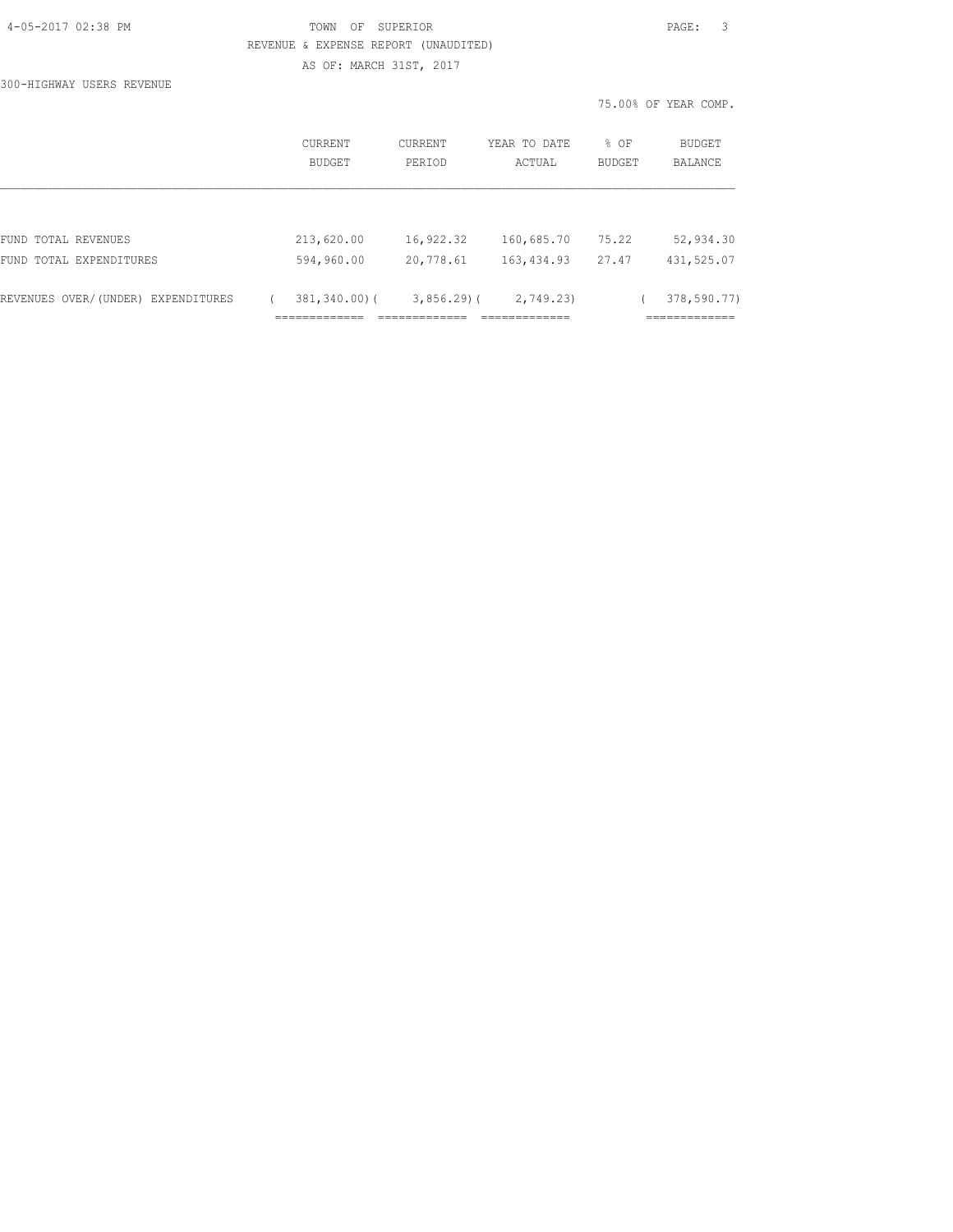|  | 4-05-2017 02:38 PM |  |  |
|--|--------------------|--|--|
|--|--------------------|--|--|

#### TOWN OF SUPERIOR **PAGE:** 3 REVENUE & EXPENSE REPORT (UNAUDITED) AS OF: MARCH 31ST, 2017

300-HIGHWAY USERS REVENUE

|                                    |                          |                          |                        |                | 75.00% OF YEAR COMP.         |
|------------------------------------|--------------------------|--------------------------|------------------------|----------------|------------------------------|
|                                    | <b>CURRENT</b><br>BUDGET | <b>CURRENT</b><br>PERIOD | YEAR TO DATE<br>ACTUAL | % OF<br>BUDGET | BUDGET<br>BALANCE            |
|                                    |                          |                          |                        |                |                              |
| FUND TOTAL REVENUES                | 213,620.00               | 16,922.32                | 160,685.70             | 75.22          | 52,934.30                    |
| FUND TOTAL EXPENDITURES            | 594,960.00               | 20,778.61                | 163,434.93             | 27.47          | 431,525.07                   |
| REVENUES OVER/(UNDER) EXPENDITURES | $381, 340.00$ (          | $3,856.29$ (             | 2,749.23)              |                | 378,590.77)<br>------------- |
|                                    | __________               |                          | -------------          |                | ---------                    |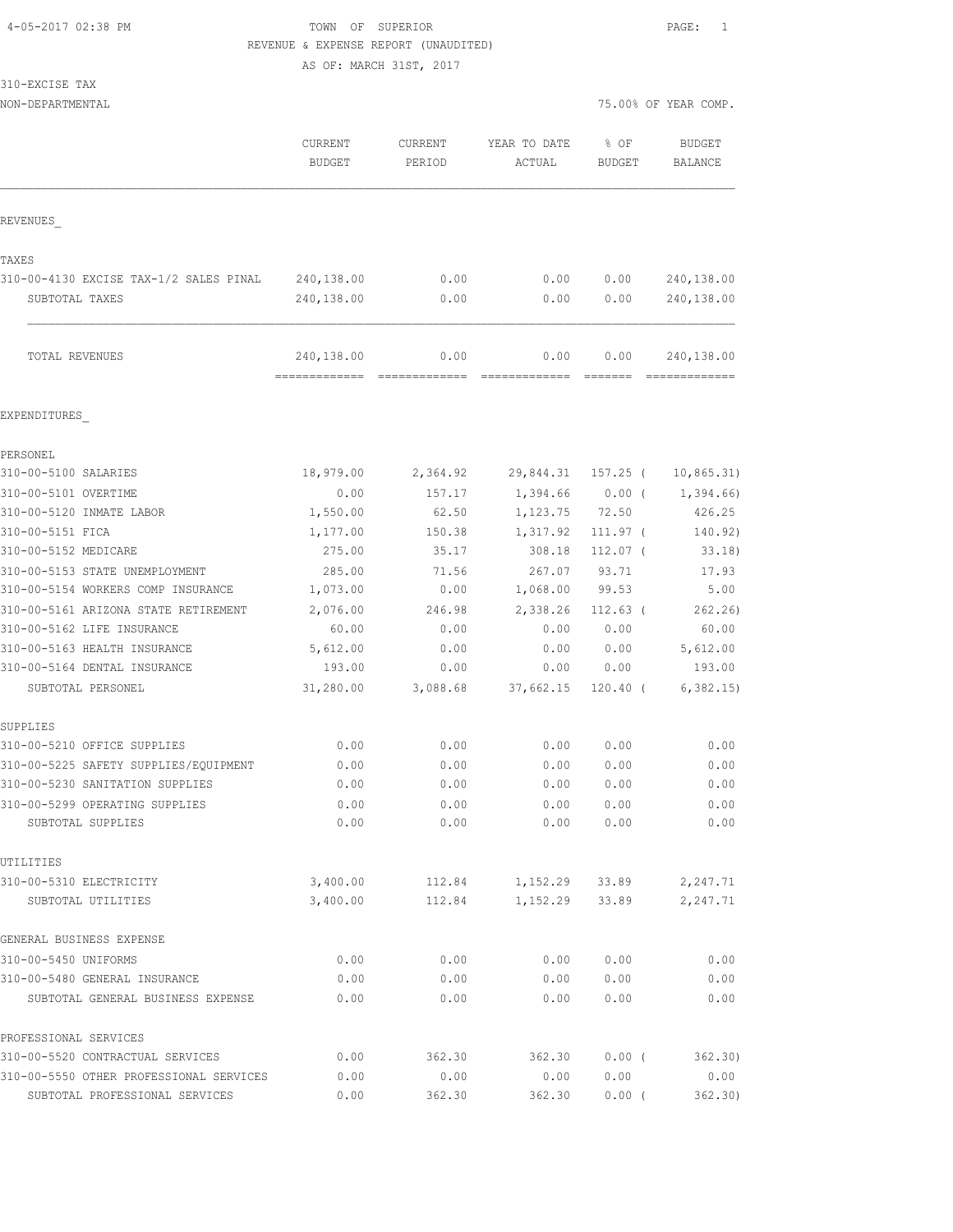### 4-05-2017 02:38 PM TOWN OF SUPERIOR PAGE: 1 REVENUE & EXPENSE REPORT (UNAUDITED)

AS OF: MARCH 31ST, 2017

| 310-EXCISE TAX                                                     |                             |                   |                        |                       |                                 |
|--------------------------------------------------------------------|-----------------------------|-------------------|------------------------|-----------------------|---------------------------------|
| NON-DEPARTMENTAL                                                   |                             |                   |                        |                       | 75.00% OF YEAR COMP.            |
|                                                                    | CURRENT<br><b>BUDGET</b>    | CURRENT<br>PERIOD | YEAR TO DATE<br>ACTUAL | % OF<br><b>BUDGET</b> | <b>BUDGET</b><br><b>BALANCE</b> |
| REVENUES                                                           |                             |                   |                        |                       |                                 |
|                                                                    |                             |                   |                        |                       |                                 |
| TAXES                                                              |                             |                   |                        |                       |                                 |
| 310-00-4130 EXCISE TAX-1/2 SALES PINAL                             | 240,138.00                  | 0.00              | 0.00                   | 0.00                  | 240,138.00                      |
| SUBTOTAL TAXES                                                     | 240,138.00                  | 0.00              | 0.00                   | 0.00                  | 240,138.00                      |
| TOTAL REVENUES                                                     | 240,138.00<br>------------- | 0.00              | 0.00                   | 0.00                  | 240,138.00                      |
| EXPENDITURES                                                       |                             |                   |                        |                       |                                 |
| PERSONEL                                                           |                             |                   |                        |                       |                                 |
| 310-00-5100 SALARIES                                               | 18,979.00                   | 2,364.92          | 29,844.31              | 157.25 (              | 10, 865.31)                     |
| 310-00-5101 OVERTIME                                               | 0.00                        | 157.17            | 1,394.66               | $0.00$ (              | 1,394.66)                       |
| 310-00-5120 INMATE LABOR                                           | 1,550.00                    | 62.50             | 1,123.75               | 72.50                 | 426.25                          |
| 310-00-5151 FICA                                                   | 1,177.00                    | 150.38            | 1,317.92               | 111.97 (              | 140.92)                         |
| 310-00-5152 MEDICARE                                               | 275.00                      | 35.17             | 308.18                 | $112.07$ (            | 33.18)                          |
| 310-00-5153 STATE UNEMPLOYMENT                                     | 285.00                      | 71.56             | 267.07                 | 93.71                 | 17.93                           |
| 310-00-5154 WORKERS COMP INSURANCE                                 | 1,073.00                    | 0.00              | 1,068.00               | 99.53                 | 5.00                            |
| 310-00-5161 ARIZONA STATE RETIREMENT<br>310-00-5162 LIFE INSURANCE | 2,076.00<br>60.00           | 246.98<br>0.00    | 2,338.26<br>0.00       | $112.63$ (<br>0.00    | 262.26<br>60.00                 |
| 310-00-5163 HEALTH INSURANCE                                       | 5,612.00                    | 0.00              | 0.00                   | 0.00                  | 5,612.00                        |
| 310-00-5164 DENTAL INSURANCE                                       | 193.00                      | 0.00              | 0.00                   | 0.00                  | 193.00                          |
| SUBTOTAL PERSONEL                                                  | 31,280.00                   | 3,088.68          | 37,662.15              | $120.40$ (            | 6, 382.15                       |
| SUPPLIES                                                           |                             |                   |                        |                       |                                 |
| 310-00-5210 OFFICE SUPPLIES                                        | 0.00                        | 0.00              | 0.00                   | 0.00                  | 0.00                            |
| 310-00-5225 SAFETY SUPPLIES/EQUIPMENT                              | 0.00                        | 0.00              | 0.00                   | 0.00                  | 0.00                            |
| 310-00-5230 SANITATION SUPPLIES                                    | 0.00                        | 0.00              | 0.00                   | 0.00                  | 0.00                            |
| 310-00-5299 OPERATING SUPPLIES                                     | 0.00                        | 0.00              | 0.00                   | 0.00                  | 0.00                            |
| SUBTOTAL SUPPLIES                                                  | 0.00                        | 0.00              | 0.00                   | 0.00                  | 0.00                            |
| UTILITIES                                                          |                             |                   |                        |                       |                                 |
| 310-00-5310 ELECTRICITY                                            | 3,400.00                    | 112.84            | 1,152.29               | 33.89                 | 2,247.71                        |
| SUBTOTAL UTILITIES                                                 | 3,400.00                    | 112.84            | 1,152.29               | 33.89                 | 2,247.71                        |
| GENERAL BUSINESS EXPENSE                                           |                             |                   |                        |                       |                                 |
| 310-00-5450 UNIFORMS                                               | 0.00                        | 0.00              | 0.00                   | 0.00                  | 0.00                            |
| 310-00-5480 GENERAL INSURANCE                                      | 0.00                        | 0.00              | 0.00                   | 0.00                  | 0.00                            |
| SUBTOTAL GENERAL BUSINESS EXPENSE                                  | 0.00                        | 0.00              | 0.00                   | 0.00                  | 0.00                            |
| PROFESSIONAL SERVICES                                              |                             |                   |                        |                       |                                 |
| 310-00-5520 CONTRACTUAL SERVICES                                   | 0.00                        | 362.30            | 362.30                 | 0.00(                 | 362.30)                         |
| 310-00-5550 OTHER PROFESSIONAL SERVICES                            | 0.00                        | 0.00              | 0.00                   | 0.00                  | 0.00                            |
| SUBTOTAL PROFESSIONAL SERVICES                                     | 0.00                        | 362.30            | 362.30                 | $0.00$ (              | 362.30)                         |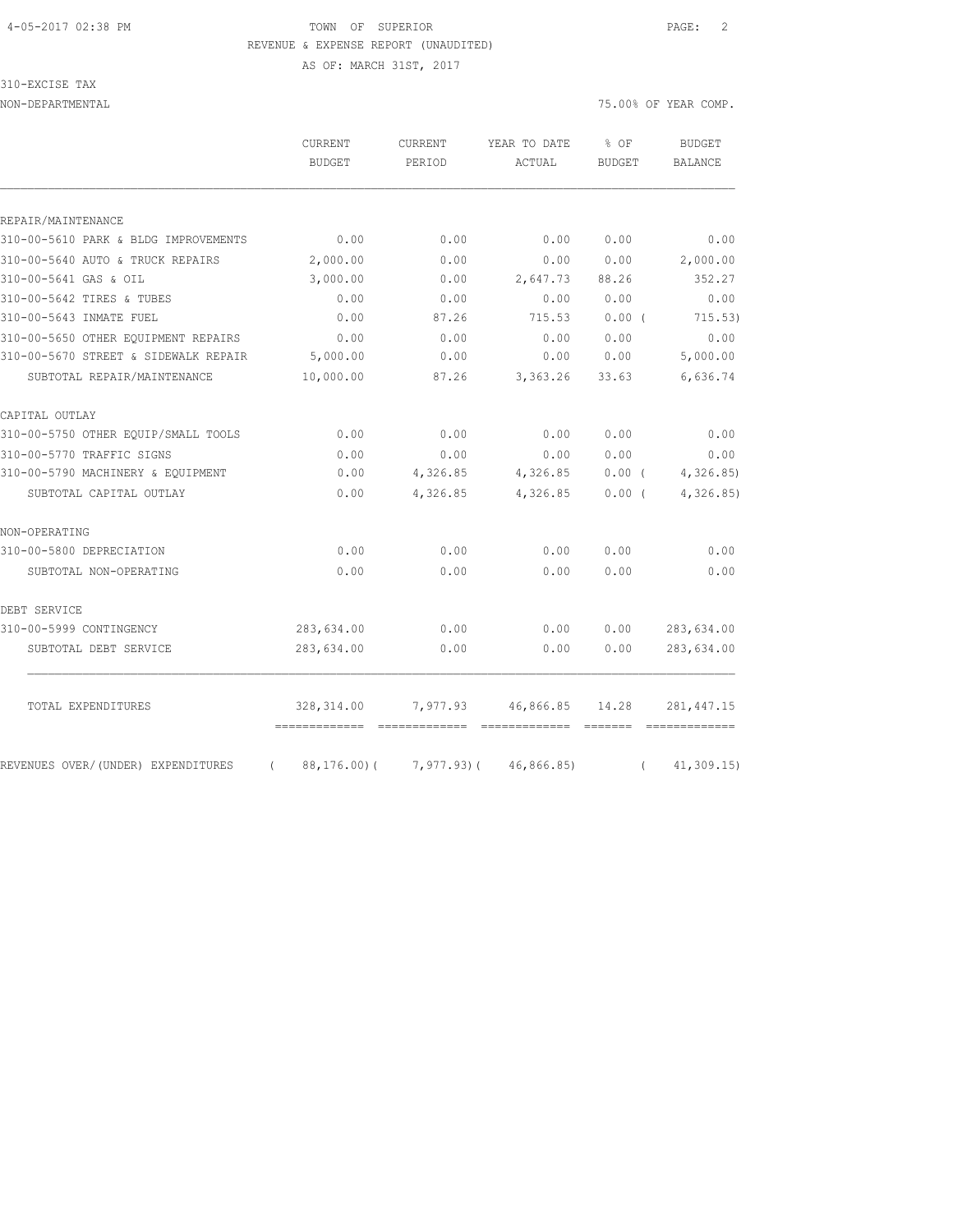# 4-05-2017 02:38 PM TOWN OF SUPERIOR PAGE: 2

310-EXCISE TAX

|  |                         |  | REVENUE & EXPENSE REPORT (UNAUDITED) |  |
|--|-------------------------|--|--------------------------------------|--|
|  | AS OF: MARCH 31ST, 2017 |  |                                      |  |

NON-DEPARTMENTAL 75.00% OF YEAR COMP.

| PERIOD<br>0.00<br>0.00<br>0.00<br>0.00<br>87.26<br>0.00<br>0.00 | ACTUAL<br>0.00<br>0.00<br>2,647.73<br>0.00<br>715.53 | <b>BUDGET</b><br>0.00<br>0.00<br>88.26<br>0.00<br>0.00( | <b>BALANCE</b><br>0.00<br>2,000.00<br>352.27<br>0.00 |
|-----------------------------------------------------------------|------------------------------------------------------|---------------------------------------------------------|------------------------------------------------------|
|                                                                 |                                                      |                                                         |                                                      |
|                                                                 |                                                      |                                                         |                                                      |
|                                                                 |                                                      |                                                         |                                                      |
|                                                                 |                                                      |                                                         |                                                      |
|                                                                 |                                                      |                                                         |                                                      |
|                                                                 |                                                      |                                                         |                                                      |
|                                                                 |                                                      |                                                         |                                                      |
|                                                                 |                                                      |                                                         | 715.53)                                              |
|                                                                 | 0.00                                                 | 0.00                                                    | 0.00                                                 |
|                                                                 | 0.00                                                 | 0.00                                                    | 5,000.00                                             |
| 87.26                                                           | 3,363.26                                             | 33.63                                                   | 6,636.74                                             |
|                                                                 |                                                      |                                                         |                                                      |
| 0.00                                                            | 0.00                                                 | 0.00                                                    | 0.00                                                 |
| 0.00                                                            | 0.00                                                 | 0.00                                                    | 0.00                                                 |
| 4,326.85                                                        | 4,326.85                                             | $0.00$ (                                                | 4,326.85)                                            |
| 4,326.85                                                        | 4,326.85                                             | $0.00$ (                                                | 4,326.85)                                            |
|                                                                 |                                                      |                                                         |                                                      |
| 0.00                                                            | 0.00                                                 | 0.00                                                    | 0.00                                                 |
| 0.00                                                            | 0.00                                                 | 0.00                                                    | 0.00                                                 |
|                                                                 |                                                      |                                                         |                                                      |
| 0.00                                                            | 0.00                                                 | 0.00                                                    | 283,634.00                                           |
| 0.00                                                            | 0.00                                                 | 0.00                                                    | 283,634.00                                           |
| 7,977.93                                                        | 46,866.85                                            | 14.28                                                   | 281, 447. 15                                         |
|                                                                 |                                                      |                                                         |                                                      |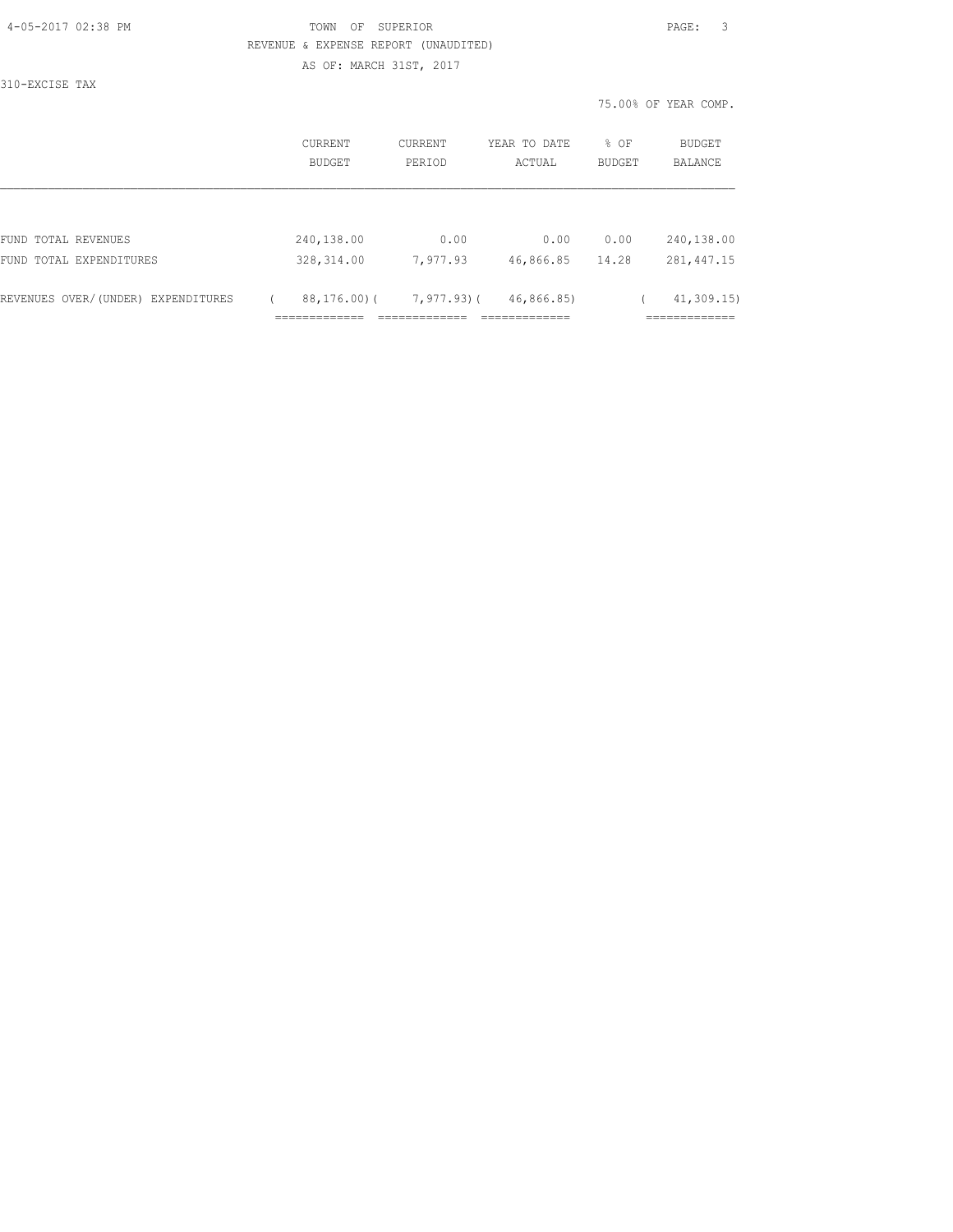| 4-05-2017 02:38 PM |  |
|--------------------|--|
|                    |  |

#### TOWN OF SUPERIOR **PAGE:** 3 REVENUE & EXPENSE REPORT (UNAUDITED) AS OF: MARCH 31ST, 2017

310-EXCISE TAX

|                                    | CURRENT<br><b>BUDGET</b> | CURRENT<br>PERIOD | YEAR TO DATE<br>ACTUAL | % OF<br><b>BUDGET</b> | BUDGET<br><b>BALANCE</b> |
|------------------------------------|--------------------------|-------------------|------------------------|-----------------------|--------------------------|
|                                    |                          |                   |                        |                       |                          |
| FUND TOTAL REVENUES                | 240,138.00               | 0.00              | 0.00                   | 0.00                  | 240,138.00               |
| FUND TOTAL EXPENDITURES            | 328, 314.00              | 7,977.93          | 46,866.85              | 14.28                 | 281, 447.15              |
| REVENUES OVER/(UNDER) EXPENDITURES | $88, 176, 00$ (          | 7,977.93)(        | 46,866.85)             |                       | 41, 309.15               |
|                                    |                          |                   |                        |                       |                          |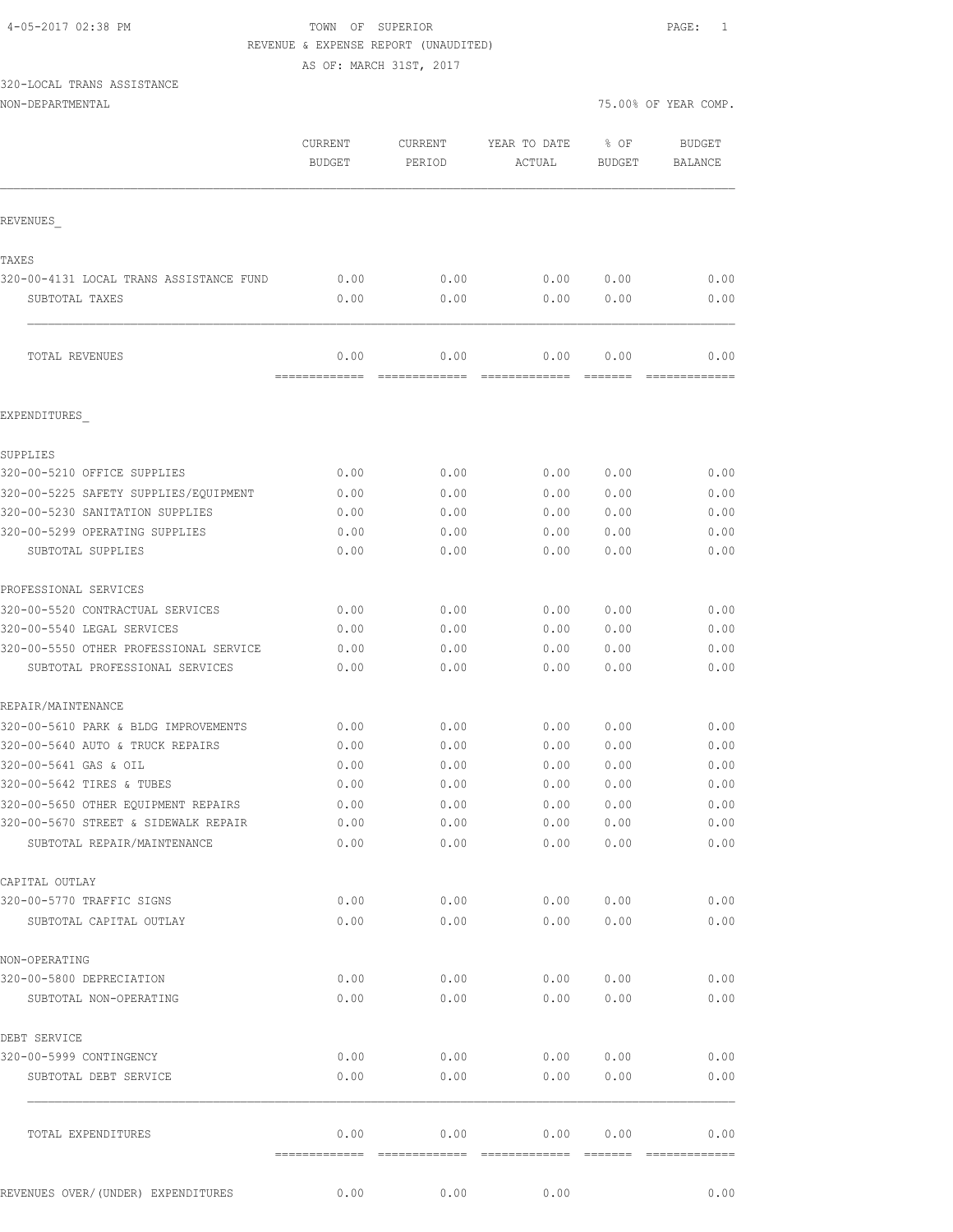# 4-05-2017 02:38 PM TOWN OF SUPERIOR PAGE: 1 REVENUE & EXPENSE REPORT (UNAUDITED)

AS OF: MARCH 31ST, 2017

# 320-LOCAL TRANS ASSISTANCE

| NON-DEPARTMENTAL |  |
|------------------|--|
|------------------|--|

|                                                  | CURRENT<br><b>BUDGET</b> | CURRENT<br>PERIOD      | YEAR TO DATE<br>ACTUAL | % OF<br><b>BUDGET</b> | <b>BUDGET</b><br><b>BALANCE</b> |
|--------------------------------------------------|--------------------------|------------------------|------------------------|-----------------------|---------------------------------|
| REVENUES                                         |                          |                        |                        |                       |                                 |
|                                                  |                          |                        |                        |                       |                                 |
| TAXES<br>320-00-4131 LOCAL TRANS ASSISTANCE FUND | 0.00                     | 0.00                   | 0.00                   | 0.00                  | 0.00                            |
| SUBTOTAL TAXES                                   | 0.00                     | 0.00                   | 0.00                   | 0.00                  | 0.00                            |
| TOTAL REVENUES                                   | 0.00                     | 0.00                   | 0.00                   | 0.00                  | 0.00                            |
| EXPENDITURES                                     | =======                  |                        |                        |                       |                                 |
|                                                  |                          |                        |                        |                       |                                 |
| SUPPLIES                                         |                          |                        |                        |                       |                                 |
| 320-00-5210 OFFICE SUPPLIES                      | 0.00                     | 0.00                   | 0.00                   | 0.00                  | 0.00                            |
| 320-00-5225 SAFETY SUPPLIES/EQUIPMENT            | 0.00                     | 0.00                   | 0.00                   | 0.00                  | 0.00                            |
| 320-00-5230 SANITATION SUPPLIES                  | 0.00                     | 0.00                   | 0.00                   | 0.00                  | 0.00                            |
| 320-00-5299 OPERATING SUPPLIES                   | 0.00                     | 0.00                   | 0.00                   | 0.00                  | 0.00                            |
| SUBTOTAL SUPPLIES                                | 0.00                     | 0.00                   | 0.00                   | 0.00                  | 0.00                            |
| PROFESSIONAL SERVICES                            |                          |                        |                        |                       |                                 |
| 320-00-5520 CONTRACTUAL SERVICES                 | 0.00                     | 0.00                   | 0.00                   | 0.00                  | 0.00                            |
| 320-00-5540 LEGAL SERVICES                       | 0.00                     | 0.00                   | 0.00                   | 0.00                  | 0.00                            |
| 320-00-5550 OTHER PROFESSIONAL SERVICE           | 0.00                     | 0.00                   | 0.00                   | 0.00                  | 0.00                            |
| SUBTOTAL PROFESSIONAL SERVICES                   | 0.00                     | 0.00                   | 0.00                   | 0.00                  | 0.00                            |
| REPAIR/MAINTENANCE                               |                          |                        |                        |                       |                                 |
| 320-00-5610 PARK & BLDG IMPROVEMENTS             | 0.00                     | 0.00                   | 0.00                   | 0.00                  | 0.00                            |
| 320-00-5640 AUTO & TRUCK REPAIRS                 | 0.00                     | 0.00                   | 0.00                   | 0.00                  | 0.00                            |
| 320-00-5641 GAS & OIL                            | 0.00                     | 0.00                   | 0.00                   | 0.00                  | 0.00                            |
| 320-00-5642 TIRES & TUBES                        | 0.00                     | 0.00                   | 0.00                   | 0.00                  | 0.00                            |
| 320-00-5650 OTHER EOUIPMENT REPAIRS              | 0.00                     | 0.00                   | 0.00                   | 0.00                  | 0.00                            |
| 320-00-5670 STREET & SIDEWALK REPAIR             | 0.00                     | 0.00                   | 0.00                   | 0.00                  | 0.00                            |
| SUBTOTAL REPAIR/MAINTENANCE                      | 0.00                     | 0.00                   | 0.00                   | 0.00                  | 0.00                            |
| CAPITAL OUTLAY                                   |                          |                        |                        |                       |                                 |
| 320-00-5770 TRAFFIC SIGNS                        | 0.00                     | 0.00                   | 0.00                   | 0.00                  | 0.00                            |
| SUBTOTAL CAPITAL OUTLAY                          | 0.00                     | 0.00                   | 0.00                   | 0.00                  | 0.00                            |
| NON-OPERATING                                    |                          |                        |                        |                       |                                 |
| 320-00-5800 DEPRECIATION                         | 0.00                     | 0.00                   | 0.00                   | 0.00                  | 0.00                            |
| SUBTOTAL NON-OPERATING                           | 0.00                     | 0.00                   | 0.00                   | 0.00                  | 0.00                            |
|                                                  |                          |                        |                        |                       |                                 |
| DEBT SERVICE                                     |                          |                        |                        |                       |                                 |
| 320-00-5999 CONTINGENCY                          | 0.00                     | 0.00                   | 0.00                   | 0.00                  | 0.00                            |
| SUBTOTAL DEBT SERVICE                            | 0.00                     | 0.00                   | 0.00                   | 0.00                  | 0.00                            |
| TOTAL EXPENDITURES                               | 0.00<br>=============    | 0.00<br>-------------- | 0.00<br>-------------- | 0.00<br>=======       | 0.00<br>--------------          |
| REVENUES OVER/ (UNDER) EXPENDITURES              | 0.00                     | 0.00                   | 0.00                   |                       | 0.00                            |
|                                                  |                          |                        |                        |                       |                                 |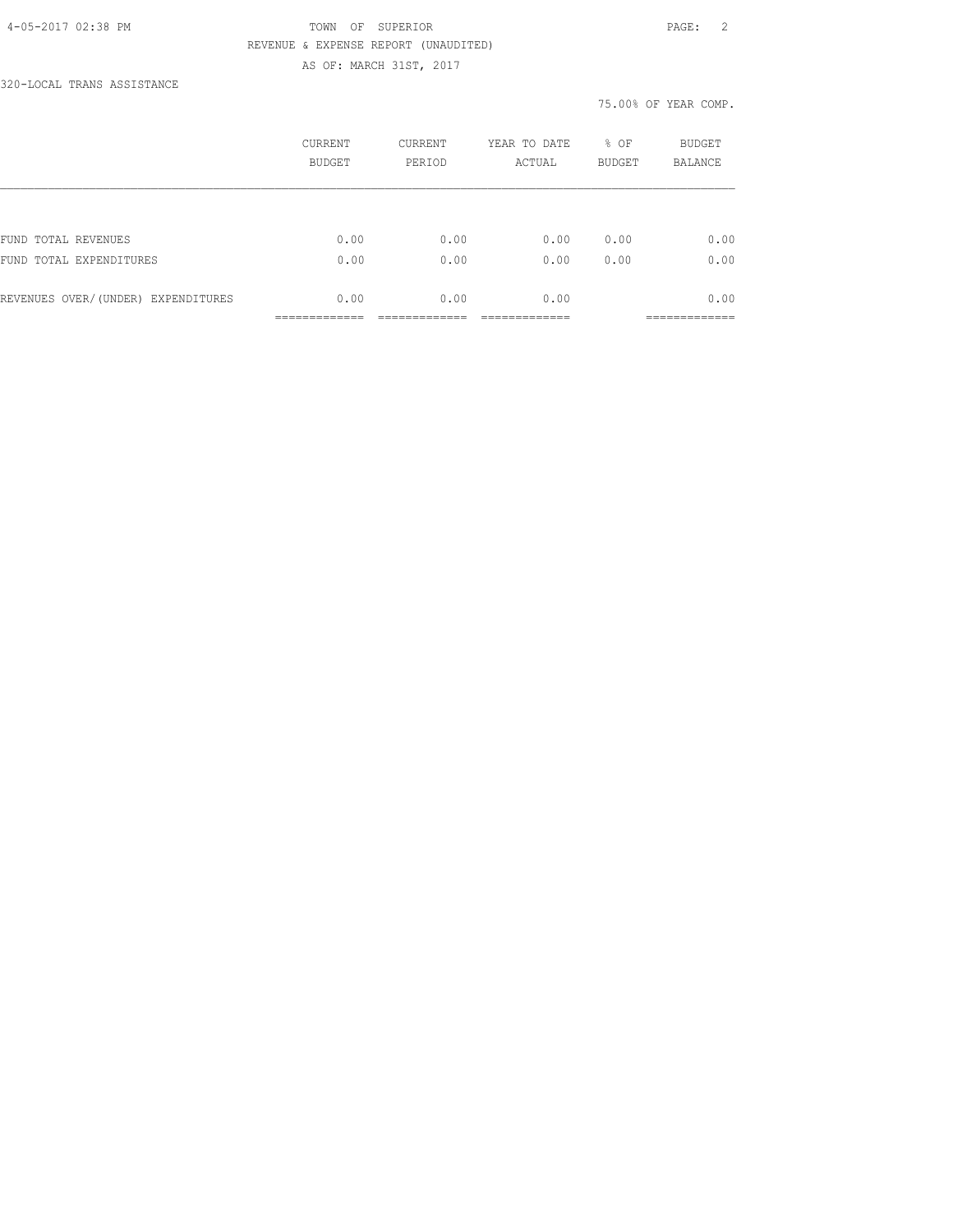#### 4-05-2017 02:38 PM TOWN OF SUPERIOR PAGE: 2 REVENUE & EXPENSE REPORT (UNAUDITED) AS OF: MARCH 31ST, 2017

320-LOCAL TRANS ASSISTANCE

| <b>CURRENT</b><br>BUDGET | CURRENT<br>PERIOD | YEAR TO DATE<br>ACTUAL | % OF<br><b>BUDGET</b> | BUDGET<br><b>BALANCE</b> |
|--------------------------|-------------------|------------------------|-----------------------|--------------------------|
|                          |                   |                        |                       |                          |
| 0.00                     | 0.00              | 0.00                   | 0.00                  | 0.00                     |
| 0.00                     | 0.00              | 0.00                   | 0.00                  | 0.00                     |
| 0.00                     | 0.00              | 0.00                   |                       | 0.00                     |
|                          |                   |                        |                       |                          |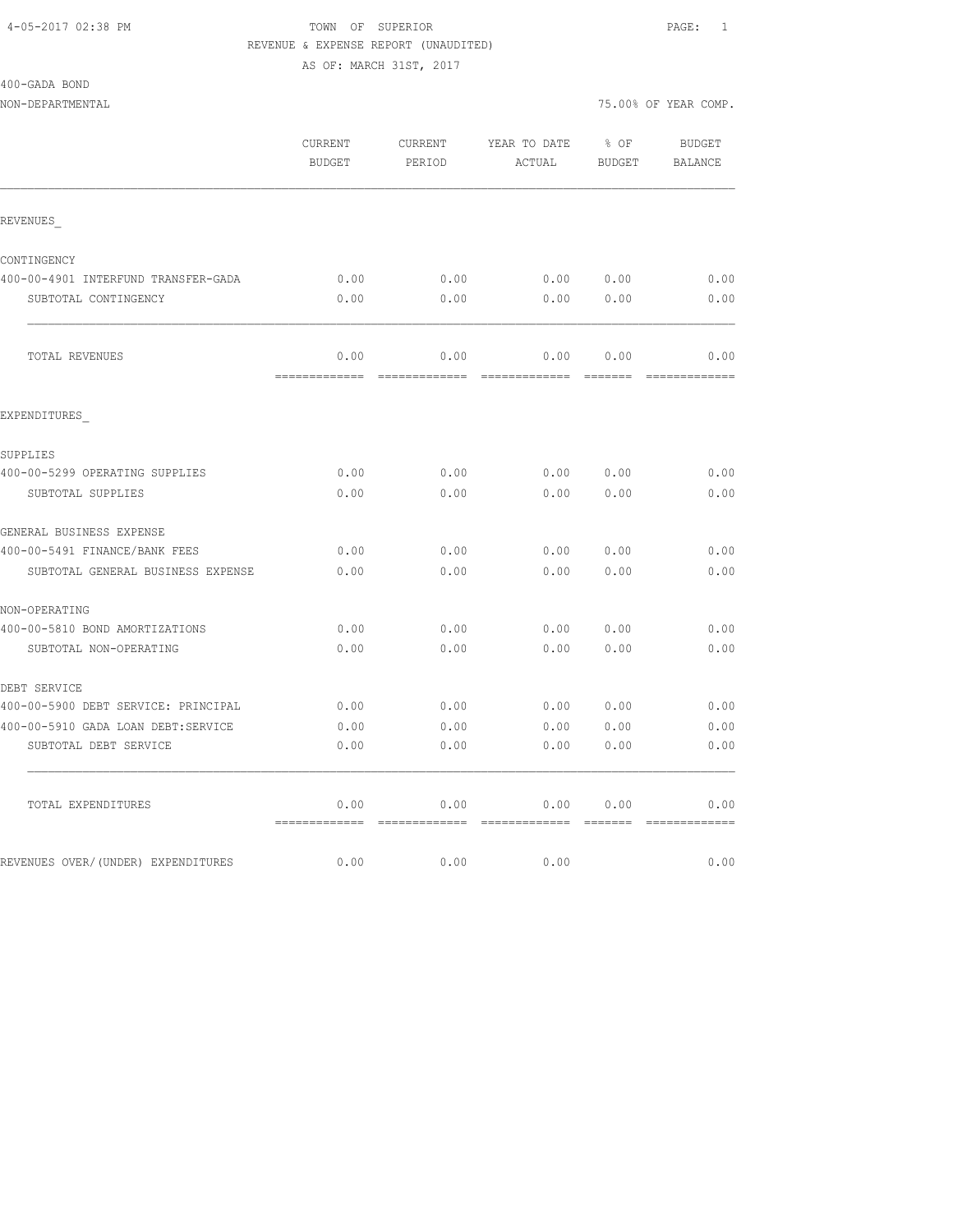#### 4-05-2017 02:38 PM TOWN OF SUPERIOR PAGE: 1 REVENUE & EXPENSE REPORT (UNAUDITED)

AS OF: MARCH 31ST, 2017

| 400-GADA BOND |  |
|---------------|--|
|---------------|--|

NON-DEPARTMENTAL 75.00% OF YEAR COMP.

|                                     | CURRENT<br><b>BUDGET</b> | CURRENT<br>PERIOD | YEAR TO DATE<br>ACTUAL | $8$ OF<br><b>BUDGET</b> | BUDGET<br><b>BALANCE</b> |
|-------------------------------------|--------------------------|-------------------|------------------------|-------------------------|--------------------------|
| REVENUES                            |                          |                   |                        |                         |                          |
| CONTINGENCY                         |                          |                   |                        |                         |                          |
| 400-00-4901 INTERFUND TRANSFER-GADA | 0.00                     | 0.00              | 0.00 0.00              |                         | 0.00                     |
| SUBTOTAL CONTINGENCY                | 0.00                     | 0.00              | 0.00                   | 0.00                    | 0.00                     |
| TOTAL REVENUES                      | 0.00                     | 0.00              | 0.00                   | 0.00                    | 0.00                     |
| EXPENDITURES                        |                          |                   |                        |                         |                          |
| SUPPLIES                            |                          |                   |                        |                         |                          |
| 400-00-5299 OPERATING SUPPLIES      | 0.00                     | 0.00              |                        | 0.00 0.00               | 0.00                     |
| SUBTOTAL SUPPLIES                   | 0.00                     | 0.00              | 0.00                   | 0.00                    | 0.00                     |
| GENERAL BUSINESS EXPENSE            |                          |                   |                        |                         |                          |
| 400-00-5491 FINANCE/BANK FEES       | 0.00                     | 0.00              | 0.00                   | 0.00                    | 0.00                     |
| SUBTOTAL GENERAL BUSINESS EXPENSE   | 0.00                     | 0.00              | 0.00                   | 0.00                    | 0.00                     |
| NON-OPERATING                       |                          |                   |                        |                         |                          |
| 400-00-5810 BOND AMORTIZATIONS      | 0.00                     | 0.00              | 0.00                   | 0.00                    | 0.00                     |
| SUBTOTAL NON-OPERATING              | 0.00                     | 0.00              | 0.00                   | 0.00                    | 0.00                     |
| DEBT SERVICE                        |                          |                   |                        |                         |                          |
| 400-00-5900 DEBT SERVICE: PRINCIPAL | 0.00                     | 0.00              | 0.00000000             |                         | 0.00                     |
| 400-00-5910 GADA LOAN DEBT:SERVICE  | 0.00                     | 0.00              | 0.00                   | 0.00                    | 0.00                     |
| SUBTOTAL DEBT SERVICE               | 0.00                     | 0.00              | 0.00                   | 0.00                    | 0.00                     |
| TOTAL EXPENDITURES                  | 0.00                     | 0.00              | 0.00                   | 0.00                    | 0.00                     |
| REVENUES OVER/(UNDER) EXPENDITURES  | 0.00                     | 0.00              | 0.00                   |                         | 0.00                     |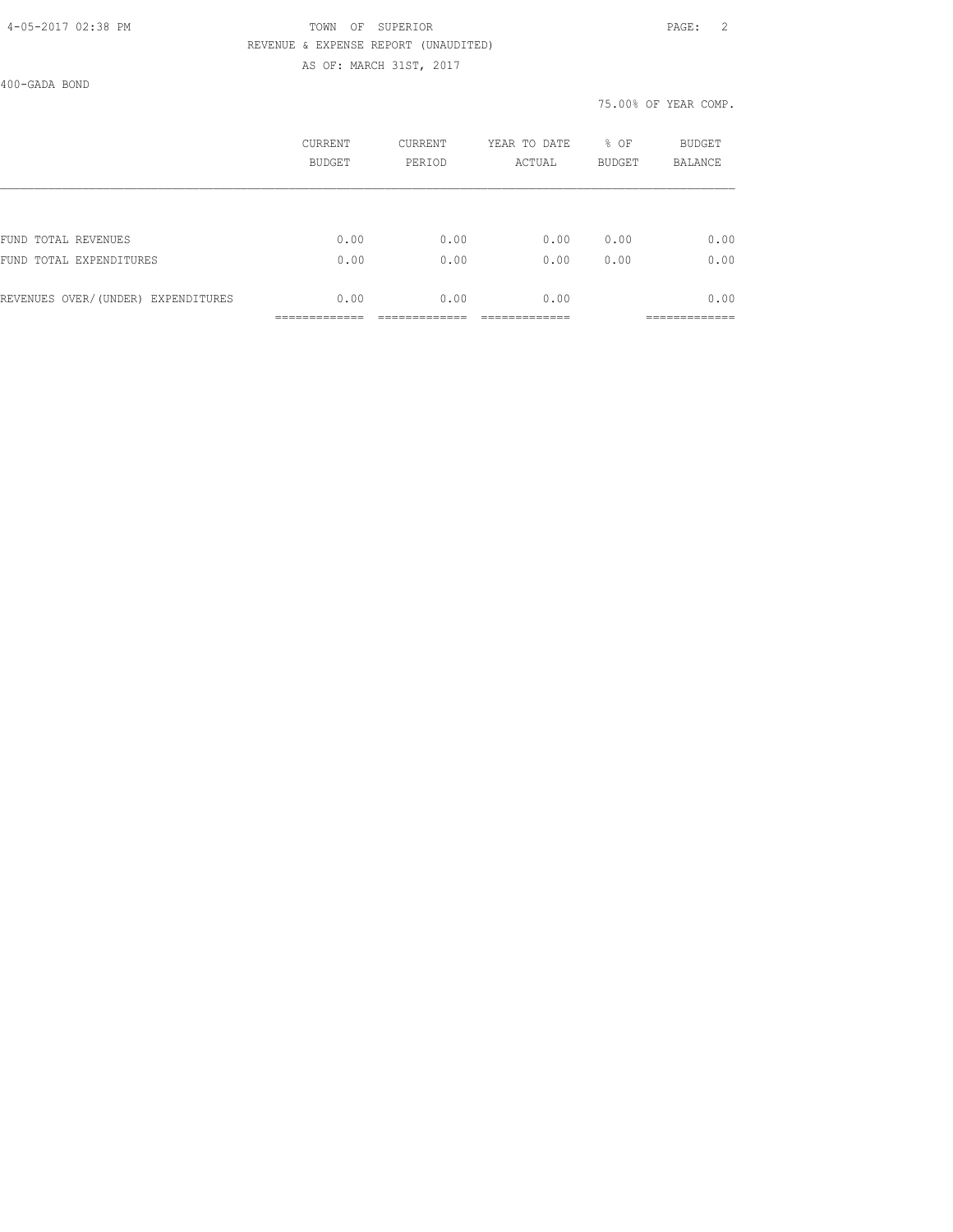#### 4-05-2017 02:38 PM TOWN OF SUPERIOR PAGE: 2 REVENUE & EXPENSE REPORT (UNAUDITED) AS OF: MARCH 31ST, 2017

400-GADA BOND

|                                    | CURRENT<br>BUDGET | CURRENT<br>PERIOD | YEAR TO DATE<br>ACTUAL | % OF<br><b>BUDGET</b> | BUDGET<br><b>BALANCE</b> |
|------------------------------------|-------------------|-------------------|------------------------|-----------------------|--------------------------|
|                                    |                   |                   |                        |                       |                          |
| FUND TOTAL REVENUES                | 0.00              | 0.00              | 0.00                   | 0.00                  | 0.00                     |
| FUND TOTAL EXPENDITURES            | 0.00              | 0.00              | 0.00                   | 0.00                  | 0.00                     |
| REVENUES OVER/(UNDER) EXPENDITURES | 0.00              | 0.00              | 0.00                   |                       | 0.00                     |
|                                    |                   |                   |                        |                       |                          |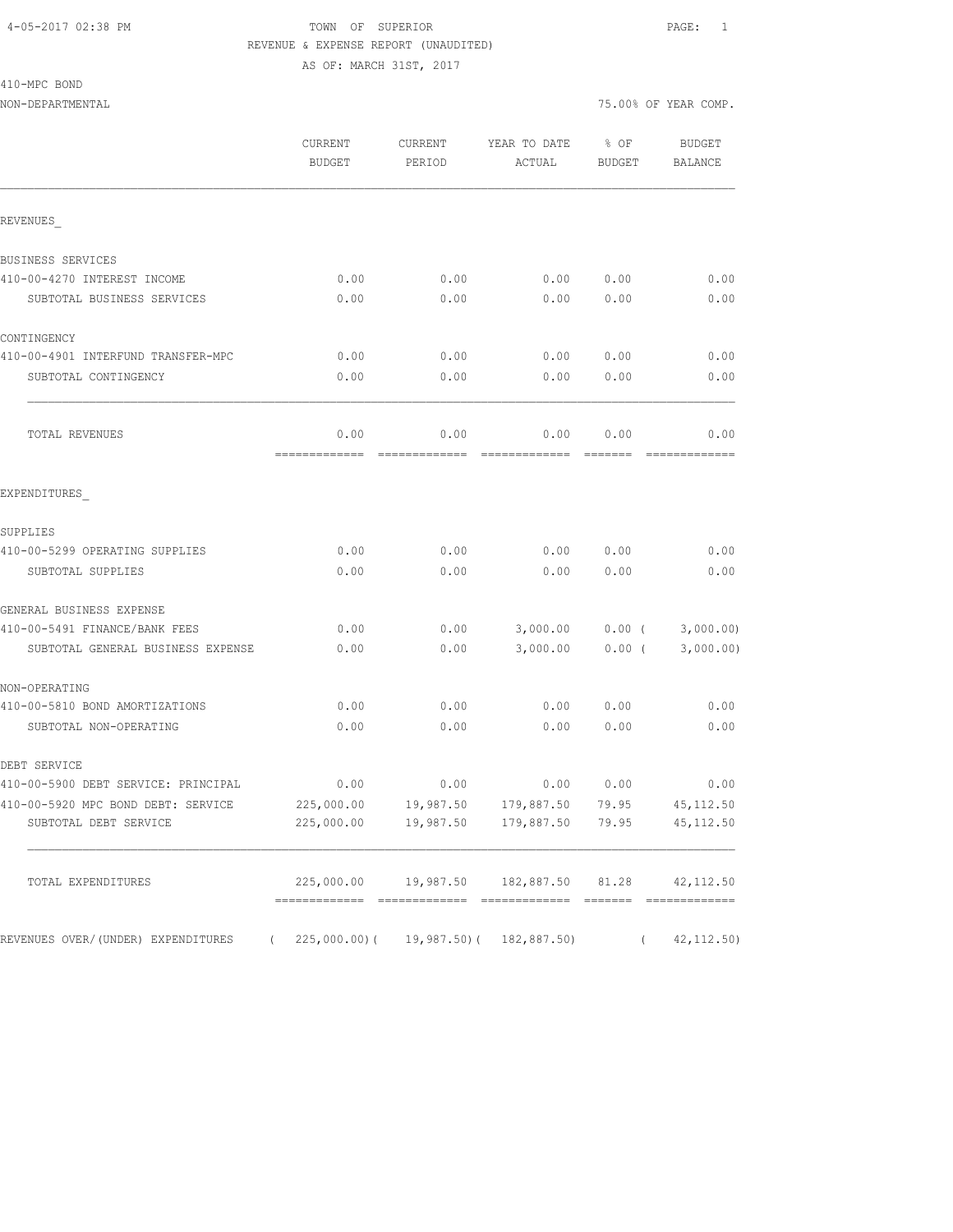#### 4-05-2017 02:38 PM TOWN OF SUPERIOR PAGE: 1 REVENUE & EXPENSE REPORT (UNAUDITED)

AS OF: MARCH 31ST, 2017

410-MPC BOND

|                                                   | CURRENT<br><b>BUDGET</b> | CURRENT<br>PERIOD     | YEAR TO DATE<br>ACTUAL   | % OF<br>BUDGET                  | <b>BUDGET</b><br>BALANCE |
|---------------------------------------------------|--------------------------|-----------------------|--------------------------|---------------------------------|--------------------------|
| REVENUES                                          |                          |                       |                          |                                 |                          |
| BUSINESS SERVICES                                 |                          |                       |                          |                                 |                          |
| 410-00-4270 INTEREST INCOME                       | 0.00                     | 0.00                  | 0.00                     | 0.00                            | 0.00                     |
| SUBTOTAL BUSINESS SERVICES                        | 0.00                     | 0.00                  | 0.00                     | 0.00                            | 0.00                     |
| CONTINGENCY                                       |                          |                       |                          |                                 |                          |
| 410-00-4901 INTERFUND TRANSFER-MPC                | 0.00                     | 0.00                  | 0.00                     | 0.00                            | 0.00                     |
| SUBTOTAL CONTINGENCY                              | 0.00                     | 0.00                  | 0.00                     | 0.00                            | 0.00                     |
| TOTAL REVENUES                                    | 0.00<br>-------------    | 0.00<br>------------- | 0.00                     | 0.00<br>$=$ $=$ $=$ $=$ $=$ $=$ | 0.00                     |
| EXPENDITURES                                      |                          |                       |                          |                                 |                          |
| SUPPLIES                                          |                          |                       |                          |                                 |                          |
| 410-00-5299 OPERATING SUPPLIES                    | 0.00                     | 0.00                  | 0.00                     | 0.00                            | 0.00                     |
| SUBTOTAL SUPPLIES                                 | 0.00                     | 0.00                  | 0.00                     | 0.00                            | 0.00                     |
| GENERAL BUSINESS EXPENSE                          |                          |                       |                          |                                 |                          |
| 410-00-5491 FINANCE/BANK FEES                     | 0.00                     | 0.00                  | 3,000.00                 |                                 | $0.00$ ( $3,000.00$ )    |
| SUBTOTAL GENERAL BUSINESS EXPENSE                 | 0.00                     | 0.00                  | 3,000.00                 | $0.00$ (                        | 3,000.00)                |
| NON-OPERATING                                     |                          |                       |                          |                                 |                          |
| 410-00-5810 BOND AMORTIZATIONS                    | 0.00                     | 0.00                  | 0.00                     | 0.00                            | 0.00                     |
| SUBTOTAL NON-OPERATING                            | 0.00                     | 0.00                  | 0.00                     | 0.00                            | 0.00                     |
| DEBT SERVICE                                      |                          |                       |                          |                                 |                          |
| 410-00-5900 DEBT SERVICE: PRINCIPAL               | 0.00                     | 0.00                  | 0.00                     | 0.00                            | 0.00                     |
| 410-00-5920 MPC BOND DEBT: SERVICE                | 225,000.00               | 19,987.50             | 179,887.50               | 79.95                           | 45, 112.50               |
| SUBTOTAL DEBT SERVICE                             | 225,000.00               | 19,987.50             | 179,887.50               | 79.95                           | 45, 112.50               |
| TOTAL EXPENDITURES                                | 225,000.00               | 19,987.50             | 182,887.50               | 81.28                           | 42, 112.50               |
| REVENUES OVER/ (UNDER) EXPENDITURES<br>$\sqrt{2}$ | $225,000.00)$ (          |                       | 19,987.50) ( 182,887.50) | $\left($                        | 42, 112.50               |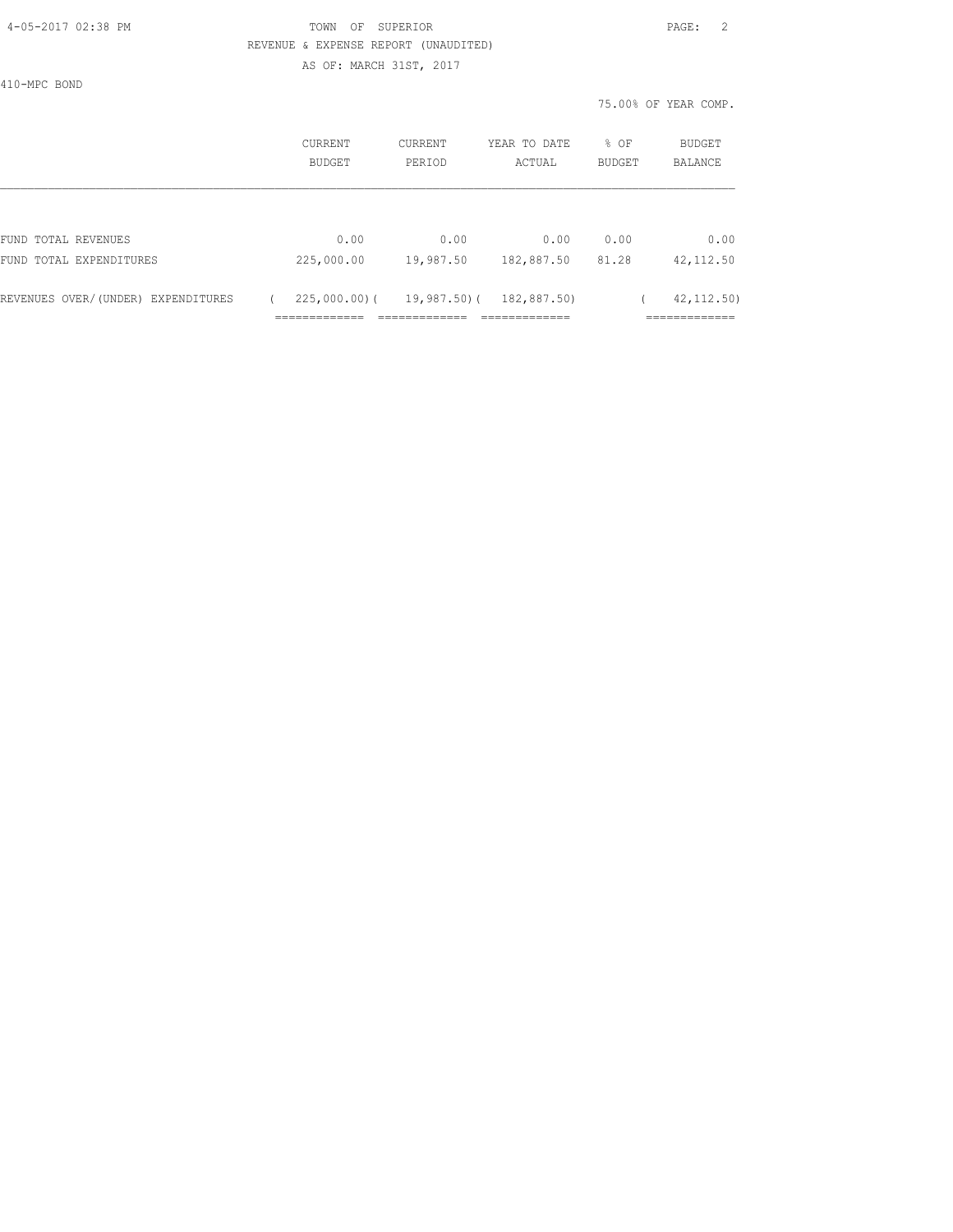| 4-05-2017 02:38 PM |  |
|--------------------|--|
|                    |  |

# TOWN OF SUPERIOR **PAGE:** 2 REVENUE & EXPENSE REPORT (UNAUDITED)

AS OF: MARCH 31ST, 2017

410-MPC BOND

|                                    | CURRENT<br>BUDGET | CURRENT<br>PERIOD | YEAR TO DATE<br>ACTUAL | % OF<br><b>BUDGET</b> | BUDGET<br><b>BALANCE</b> |
|------------------------------------|-------------------|-------------------|------------------------|-----------------------|--------------------------|
|                                    |                   |                   |                        |                       |                          |
| FUND TOTAL REVENUES                | 0.00              | 0.00              | 0.00                   | 0.00                  | 0.00                     |
| FUND TOTAL EXPENDITURES            | 225,000.00        | 19,987.50         | 182,887.50             | 81.28                 | 42, 112.50               |
| REVENUES OVER/(UNDER) EXPENDITURES | 225,000,00)(      | 19,987.50)(       | 182,887.50)            |                       | 42, 112, 50)             |
|                                    |                   |                   |                        |                       | ________                 |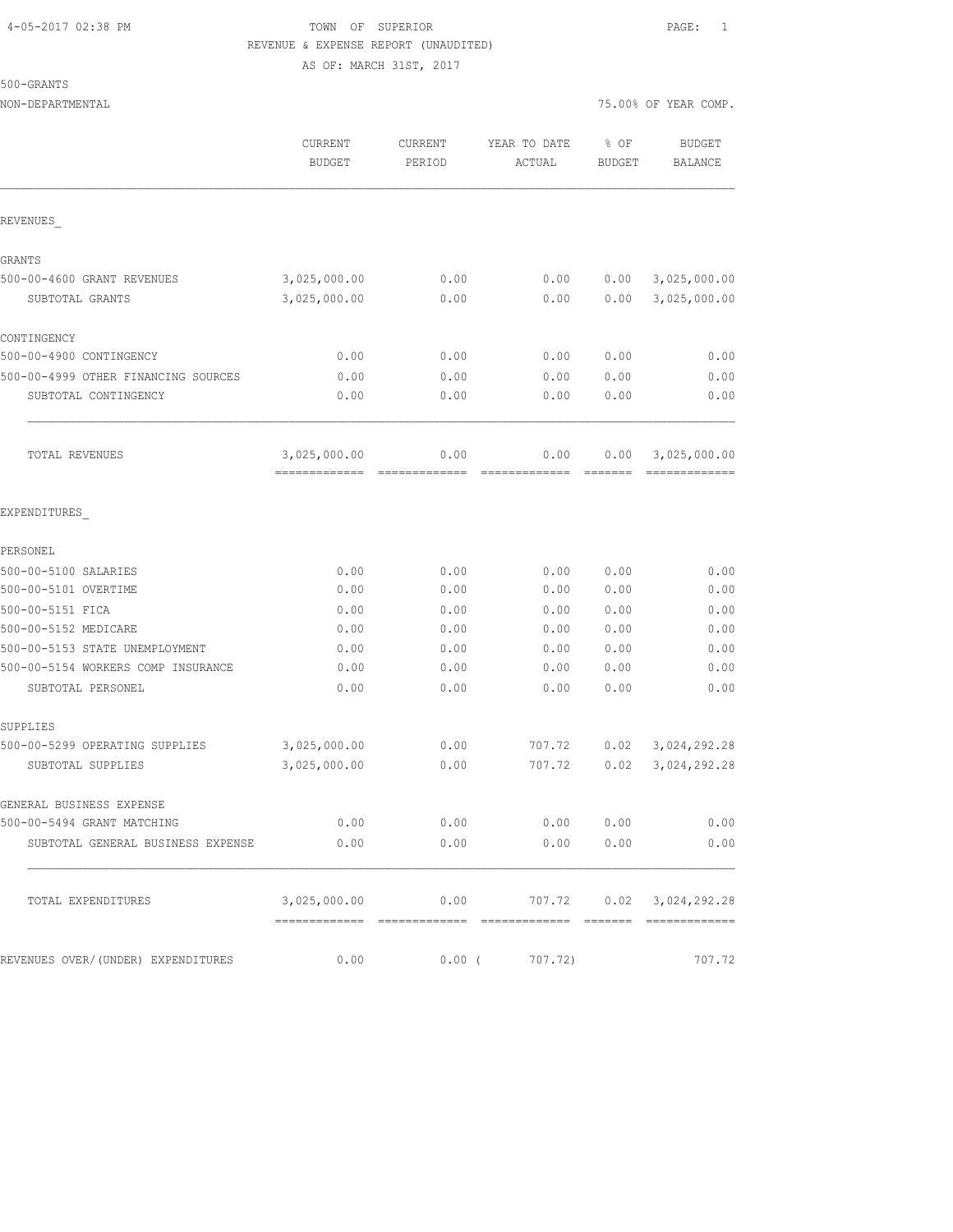#### 4-05-2017 02:38 PM TOWN OF SUPERIOR PAGE: 1 REVENUE & EXPENSE REPORT (UNAUDITED) AS OF: MARCH 31ST, 2017

NON-DEPARTMENTAL 75.00% OF YEAR COMP.

500-GRANTS

|                                     | CURRENT<br><b>BUDGET</b>                         | CURRENT<br>PERIOD                                                                                                                                                                                                                                                                                                                                                                                                                                                                              | YEAR TO DATE<br>ACTUAL | % OF<br><b>BUDGET</b> | <b>BUDGET</b><br>BALANCE      |
|-------------------------------------|--------------------------------------------------|------------------------------------------------------------------------------------------------------------------------------------------------------------------------------------------------------------------------------------------------------------------------------------------------------------------------------------------------------------------------------------------------------------------------------------------------------------------------------------------------|------------------------|-----------------------|-------------------------------|
| REVENUES                            |                                                  |                                                                                                                                                                                                                                                                                                                                                                                                                                                                                                |                        |                       |                               |
| GRANTS                              |                                                  |                                                                                                                                                                                                                                                                                                                                                                                                                                                                                                |                        |                       |                               |
| 500-00-4600 GRANT REVENUES          | 3,025,000.00                                     | 0.00                                                                                                                                                                                                                                                                                                                                                                                                                                                                                           | 0.00                   | 0.00                  | 3,025,000.00                  |
| SUBTOTAL GRANTS                     | 3,025,000.00                                     | 0.00                                                                                                                                                                                                                                                                                                                                                                                                                                                                                           | 0.00                   | 0.00                  | 3,025,000.00                  |
| CONTINGENCY                         |                                                  |                                                                                                                                                                                                                                                                                                                                                                                                                                                                                                |                        |                       |                               |
| 500-00-4900 CONTINGENCY             | 0.00                                             | 0.00                                                                                                                                                                                                                                                                                                                                                                                                                                                                                           | 0.00                   | 0.00                  | 0.00                          |
| 500-00-4999 OTHER FINANCING SOURCES | 0.00                                             | 0.00                                                                                                                                                                                                                                                                                                                                                                                                                                                                                           | 0.00                   | 0.00                  | 0.00                          |
| SUBTOTAL CONTINGENCY                | 0.00                                             | 0.00                                                                                                                                                                                                                                                                                                                                                                                                                                                                                           | 0.00                   | 0.00                  | 0.00                          |
| TOTAL REVENUES                      | 3,025,000.00<br>=============                    | 0.00<br>$\begin{array}{cccccccccccccc} \multicolumn{2}{c}{} & \multicolumn{2}{c}{} & \multicolumn{2}{c}{} & \multicolumn{2}{c}{} & \multicolumn{2}{c}{} & \multicolumn{2}{c}{} & \multicolumn{2}{c}{} & \multicolumn{2}{c}{} & \multicolumn{2}{c}{} & \multicolumn{2}{c}{} & \multicolumn{2}{c}{} & \multicolumn{2}{c}{} & \multicolumn{2}{c}{} & \multicolumn{2}{c}{} & \multicolumn{2}{c}{} & \multicolumn{2}{c}{} & \multicolumn{2}{c}{} & \multicolumn{2}{c}{} & \multicolumn{2}{c}{} & \$ | 0.00<br>=============  | 0.00                  | 3,025,000.00<br>============= |
| EXPENDITURES                        |                                                  |                                                                                                                                                                                                                                                                                                                                                                                                                                                                                                |                        |                       |                               |
| PERSONEL                            |                                                  |                                                                                                                                                                                                                                                                                                                                                                                                                                                                                                |                        |                       |                               |
| 500-00-5100 SALARIES                | 0.00                                             | 0.00                                                                                                                                                                                                                                                                                                                                                                                                                                                                                           | 0.00                   | 0.00                  | 0.00                          |
| 500-00-5101 OVERTIME                | 0.00                                             | 0.00                                                                                                                                                                                                                                                                                                                                                                                                                                                                                           | 0.00                   | 0.00                  | 0.00                          |
| 500-00-5151 FICA                    | 0.00                                             | 0.00                                                                                                                                                                                                                                                                                                                                                                                                                                                                                           | 0.00                   | 0.00                  | 0.00                          |
| 500-00-5152 MEDICARE                | 0.00                                             | 0.00                                                                                                                                                                                                                                                                                                                                                                                                                                                                                           | 0.00                   | 0.00                  | 0.00                          |
| 500-00-5153 STATE UNEMPLOYMENT      | 0.00                                             | 0.00                                                                                                                                                                                                                                                                                                                                                                                                                                                                                           | 0.00                   | 0.00                  | 0.00                          |
| 500-00-5154 WORKERS COMP INSURANCE  | 0.00                                             | 0.00                                                                                                                                                                                                                                                                                                                                                                                                                                                                                           | 0.00                   | 0.00                  | 0.00                          |
| SUBTOTAL PERSONEL                   | 0.00                                             | 0.00                                                                                                                                                                                                                                                                                                                                                                                                                                                                                           | 0.00                   | 0.00                  | 0.00                          |
| SUPPLIES                            |                                                  |                                                                                                                                                                                                                                                                                                                                                                                                                                                                                                |                        |                       |                               |
| 500-00-5299 OPERATING SUPPLIES      | 3,025,000.00                                     | 0.00                                                                                                                                                                                                                                                                                                                                                                                                                                                                                           | 707.72                 | 0.02                  | 3,024,292.28                  |
| SUBTOTAL SUPPLIES                   | 3,025,000.00                                     | 0.00                                                                                                                                                                                                                                                                                                                                                                                                                                                                                           | 707.72                 | 0.02                  | 3,024,292.28                  |
| GENERAL BUSINESS EXPENSE            |                                                  |                                                                                                                                                                                                                                                                                                                                                                                                                                                                                                |                        |                       |                               |
| 500-00-5494 GRANT MATCHING          | 0.00                                             | 0.00                                                                                                                                                                                                                                                                                                                                                                                                                                                                                           | 0.00                   | 0.00                  | 0.00                          |
| SUBTOTAL GENERAL BUSINESS EXPENSE   | 0.00                                             | 0.00                                                                                                                                                                                                                                                                                                                                                                                                                                                                                           |                        | 0.00 0.00             | 0.00                          |
| TOTAL EXPENDITURES                  | $3,025,000.00$ 0.00 $707.72$ 0.02 $3,024,292.28$ |                                                                                                                                                                                                                                                                                                                                                                                                                                                                                                |                        |                       |                               |
| REVENUES OVER/(UNDER) EXPENDITURES  | 0.00                                             |                                                                                                                                                                                                                                                                                                                                                                                                                                                                                                | $0.00$ ( $707.72$ )    |                       | 707.72                        |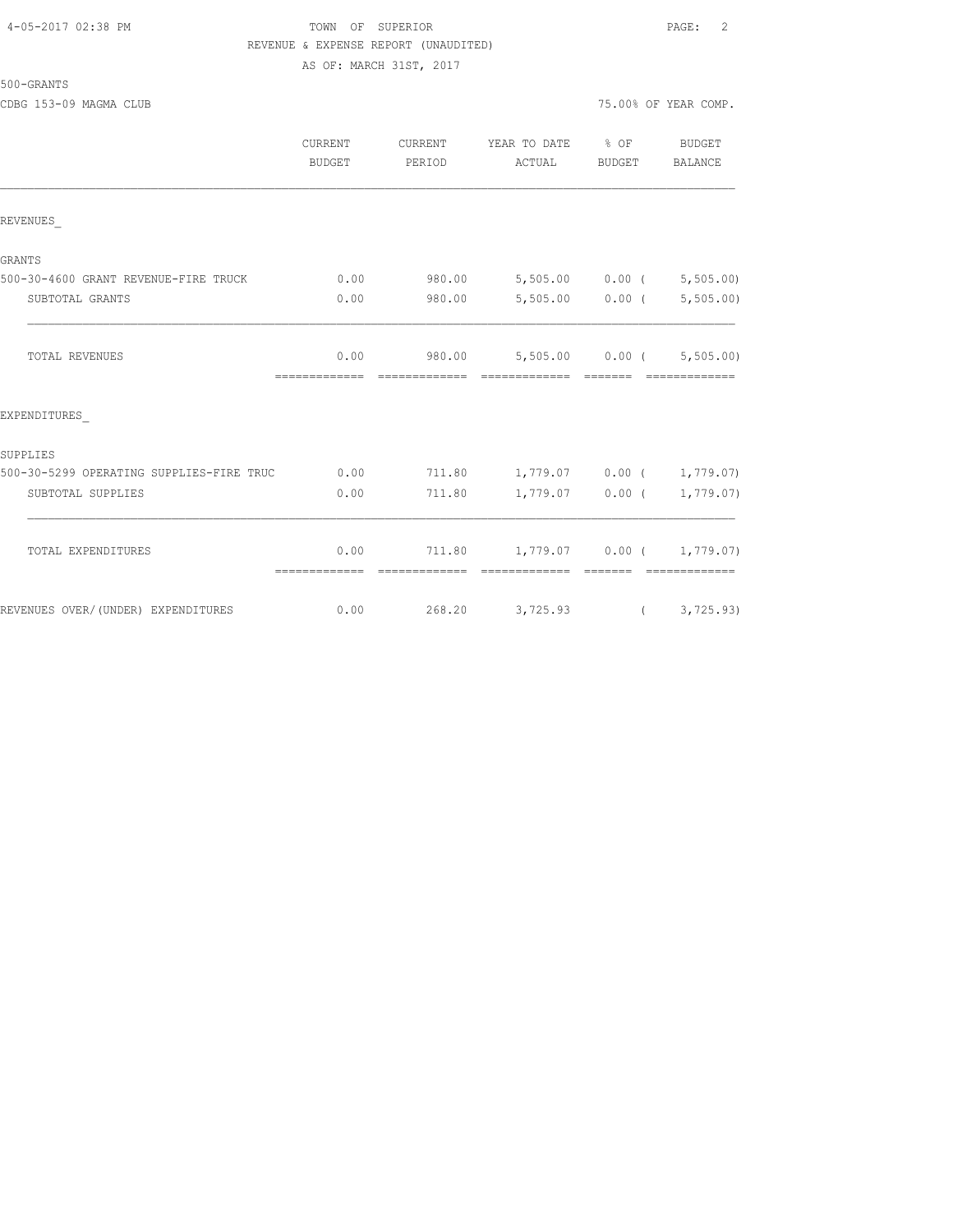#### 4-05-2017 02:38 PM TOWN OF SUPERIOR PAGE: 2 REVENUE & EXPENSE REPORT (UNAUDITED) AS OF: MARCH 31ST, 2017

| 500-GRANTS |  |
|------------|--|
|            |  |

CDBG 153-09 MAGMA CLUB 75.000 OF YEAR COMP. THE YEAR COMP. THE YEAR COMP.

|  |  | 5.00% OF YEAR COMP. |
|--|--|---------------------|
|  |  |                     |

|                                          | <b>CURRENT</b><br><b>BUDGET</b> | CURRENT<br>PERIOD | YEAR TO DATE % OF<br>ACTUAL                             | BUDGET | BUDGET<br>BALANCE              |
|------------------------------------------|---------------------------------|-------------------|---------------------------------------------------------|--------|--------------------------------|
| REVENUES                                 |                                 |                   |                                                         |        |                                |
| <b>GRANTS</b>                            |                                 |                   |                                                         |        |                                |
| 500-30-4600 GRANT REVENUE-FIRE TRUCK     | 0.00                            |                   | 980.00 5,505.00 0.00 ( 5,505.00)                        |        |                                |
| SUBTOTAL GRANTS                          | 0.00                            | 980.00            |                                                         |        | $5,505.00$ 0.00 ( $5,505.00$ ) |
| TOTAL REVENUES                           | 0.00<br>=============           | =============     | 980.00 5,505.00 0.00 ( 5,505.00)<br>accococococo cococo |        |                                |
| EXPENDITURES                             |                                 |                   |                                                         |        |                                |
| SUPPLIES                                 |                                 |                   |                                                         |        |                                |
| 500-30-5299 OPERATING SUPPLIES-FIRE TRUC | 0.00                            |                   | 711.80  1,779.07  0.00  1,779.07)                       |        |                                |
| SUBTOTAL SUPPLIES                        | 0.00                            | 711.80            |                                                         |        | $1,779.07$ 0.00 ( 1,779.07)    |
| TOTAL EXPENDITURES                       | 0.00                            |                   | 711.80    1,779.07    0.00    ( 1,779.07)               |        |                                |
| REVENUES OVER/ (UNDER) EXPENDITURES      | 0.00                            |                   | 268.20 3,725.93 (3,725.93)                              |        |                                |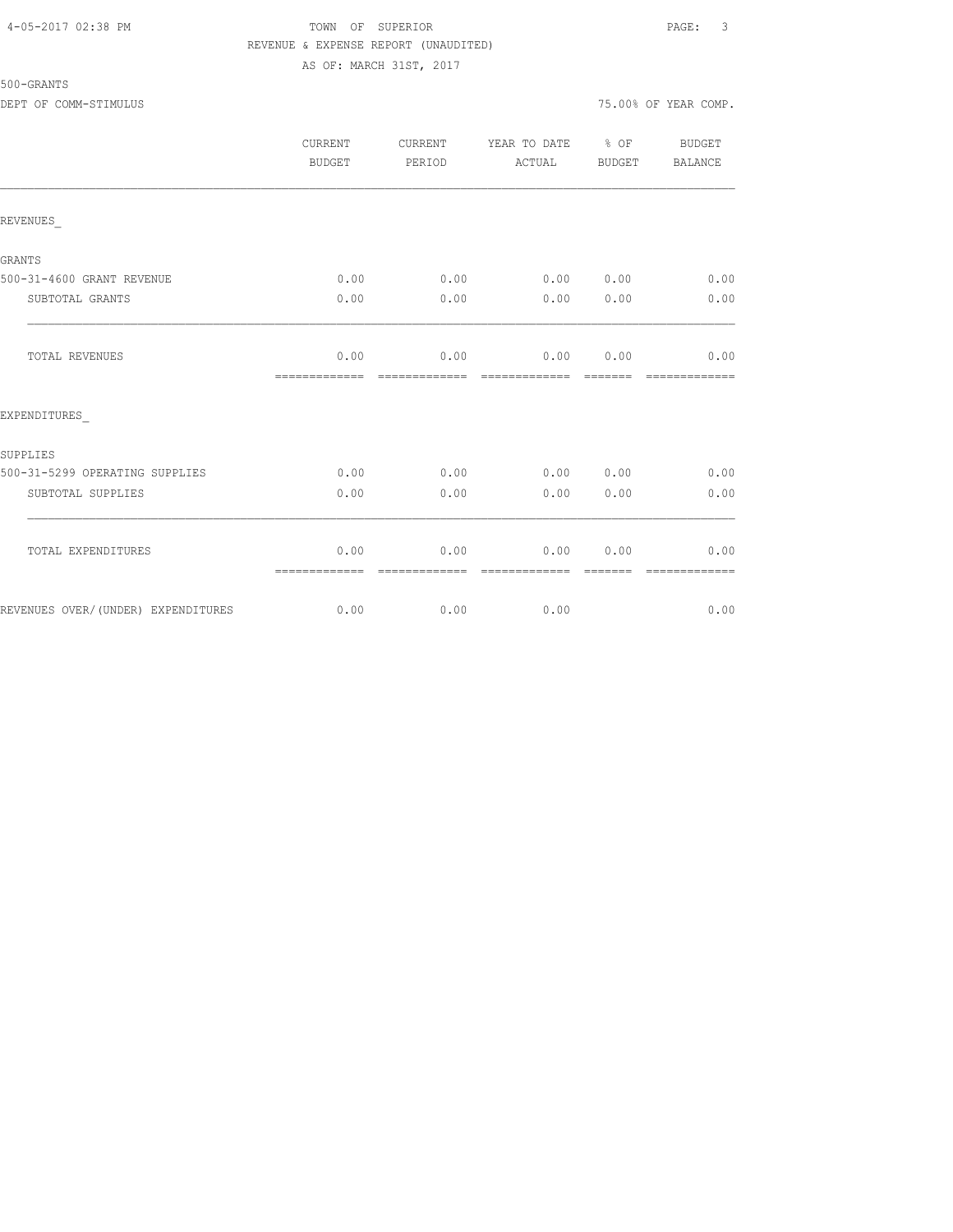#### 4-05-2017 02:38 PM TOWN OF SUPERIOR PAGE: 3 REVENUE & EXPENSE REPORT (UNAUDITED) AS OF: MARCH 31ST, 2017

500-GRANTS

|                                    | CURRENT<br><b>BUDGET</b> | CURRENT<br>PERIOD     | YEAR TO DATE % OF<br>ACTUAL | BUDGET | BUDGET<br><b>BALANCE</b> |
|------------------------------------|--------------------------|-----------------------|-----------------------------|--------|--------------------------|
| REVENUES                           |                          |                       |                             |        |                          |
| <b>GRANTS</b>                      |                          |                       |                             |        |                          |
| 500-31-4600 GRANT REVENUE          | 0.00                     | 0.00                  | 0.00 0.00                   |        | 0.00                     |
| SUBTOTAL GRANTS                    | 0.00                     | 0.00                  | 0.00                        | 0.00   | 0.00                     |
| TOTAL REVENUES                     | 0.00<br>=============    | 0.00<br>------------- | 0.00<br>-------------       | 0.00   | 0.00                     |
| EXPENDITURES                       |                          |                       |                             |        |                          |
| SUPPLIES                           |                          |                       |                             |        |                          |
| 500-31-5299 OPERATING SUPPLIES     | 0.00                     | 0.00                  | 0.00 0.00                   |        | 0.00                     |
| SUBTOTAL SUPPLIES                  | 0.00                     | 0.00                  | 0.00                        | 0.00   | 0.00                     |
| TOTAL EXPENDITURES                 | 0.00<br>=============    | 0.00<br>------------- | 0.00<br>-------------       | 0.00   | 0.00                     |
| REVENUES OVER/(UNDER) EXPENDITURES | 0.00                     | 0.00                  | 0.00                        |        | 0.00                     |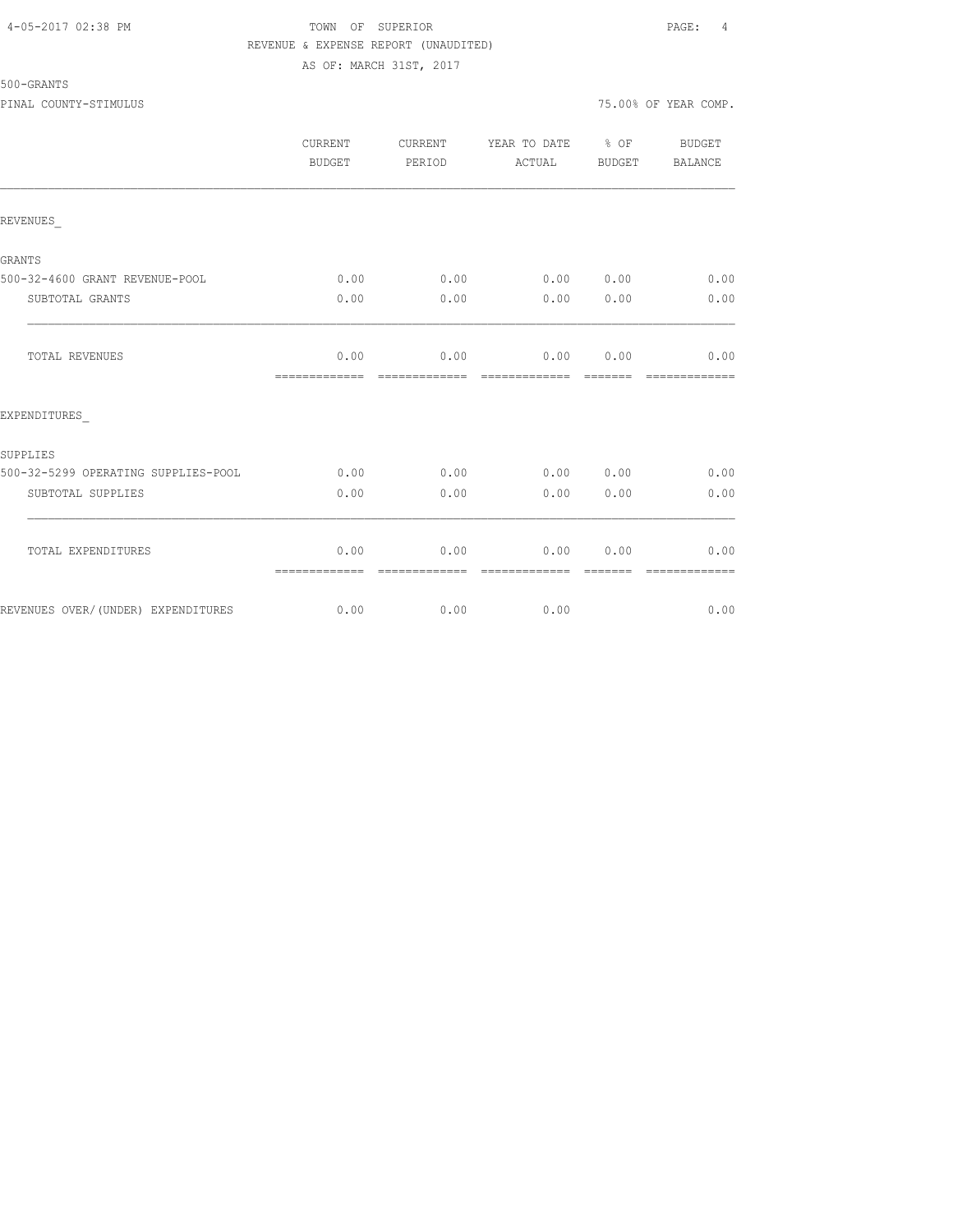#### 4-05-2017 02:38 PM TOWN OF SUPERIOR PAGE: 4 REVENUE & EXPENSE REPORT (UNAUDITED) AS OF: MARCH 31ST, 2017

500-GRANTS

|                                     | CURRENT<br><b>BUDGET</b> | CURRENT<br>PERIOD     | YEAR TO DATE % OF<br>ACTUAL | BUDGET | BUDGET<br><b>BALANCE</b> |
|-------------------------------------|--------------------------|-----------------------|-----------------------------|--------|--------------------------|
| REVENUES                            |                          |                       |                             |        |                          |
| <b>GRANTS</b>                       |                          |                       |                             |        |                          |
| 500-32-4600 GRANT REVENUE-POOL      | 0.00                     | 0.00                  | 0.00 0.00                   |        | 0.00                     |
| SUBTOTAL GRANTS                     | 0.00                     | 0.00                  | 0.00                        | 0.00   | 0.00                     |
| TOTAL REVENUES                      | 0.00<br>=============    | 0.00<br>------------- | 0.00<br>-------------       | 0.00   | 0.00                     |
| EXPENDITURES                        |                          |                       |                             |        |                          |
| SUPPLIES                            |                          |                       |                             |        |                          |
| 500-32-5299 OPERATING SUPPLIES-POOL | 0.00                     | 0.00                  | 0.00 0.00                   |        | 0.00                     |
| SUBTOTAL SUPPLIES                   | 0.00                     | 0.00                  | 0.00                        | 0.00   | 0.00                     |
| TOTAL EXPENDITURES                  | 0.00<br>=============    | 0.00<br>------------- | 0.00<br>-------------       | 0.00   | 0.00                     |
| REVENUES OVER/(UNDER) EXPENDITURES  | 0.00                     | 0.00                  | 0.00                        |        | 0.00                     |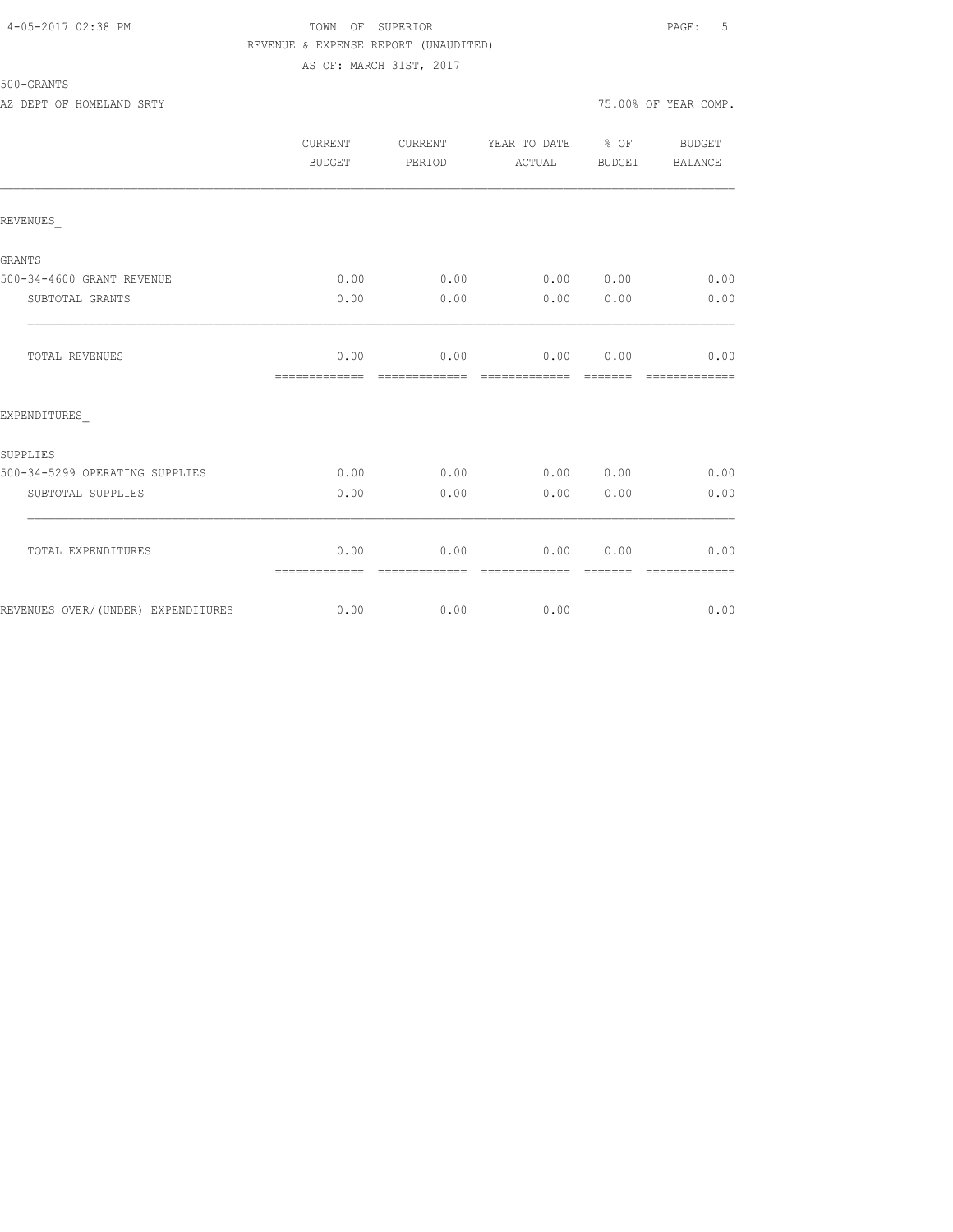#### 4-05-2017 02:38 PM TOWN OF SUPERIOR PAGE: 5 REVENUE & EXPENSE REPORT (UNAUDITED) AS OF: MARCH 31ST, 2017

500-GRANTS

AZ DEPT OF HOMELAND SRTY **1999** SRTY

|                                     | CURRENT<br><b>BUDGET</b> | CURRENT<br>PERIOD     | YEAR TO DATE % OF<br>ACTUAL | BUDGET           | BUDGET<br><b>BALANCE</b> |
|-------------------------------------|--------------------------|-----------------------|-----------------------------|------------------|--------------------------|
| REVENUES                            |                          |                       |                             |                  |                          |
| GRANTS                              |                          |                       |                             |                  |                          |
| 500-34-4600 GRANT REVENUE           | 0.00                     | 0.00                  | 0.00 0.00                   |                  | 0.00                     |
| SUBTOTAL GRANTS                     | 0.00                     | 0.00                  | 0.00                        | 0.00             | 0.00                     |
| TOTAL REVENUES                      | 0.00<br>-------------    | 0.00<br>============= | 0.00<br>=============       | 0.00<br>-------- | 0.00<br>-------------    |
| EXPENDITURES                        |                          |                       |                             |                  |                          |
| SUPPLIES                            |                          |                       |                             |                  |                          |
| 500-34-5299 OPERATING SUPPLIES      | 0.00                     | 0.00                  | 0.00 0.00                   |                  | 0.00                     |
| SUBTOTAL SUPPLIES                   | 0.00                     | 0.00                  | 0.00                        | 0.00             | 0.00                     |
| TOTAL EXPENDITURES                  | 0.00<br>=============    | 0.00<br>------------- | 0.00<br>-------------       | 0.00             | 0.00<br>-------------    |
| REVENUES OVER/ (UNDER) EXPENDITURES | 0.00                     |                       | $0.00$ 0.00                 |                  | 0.00                     |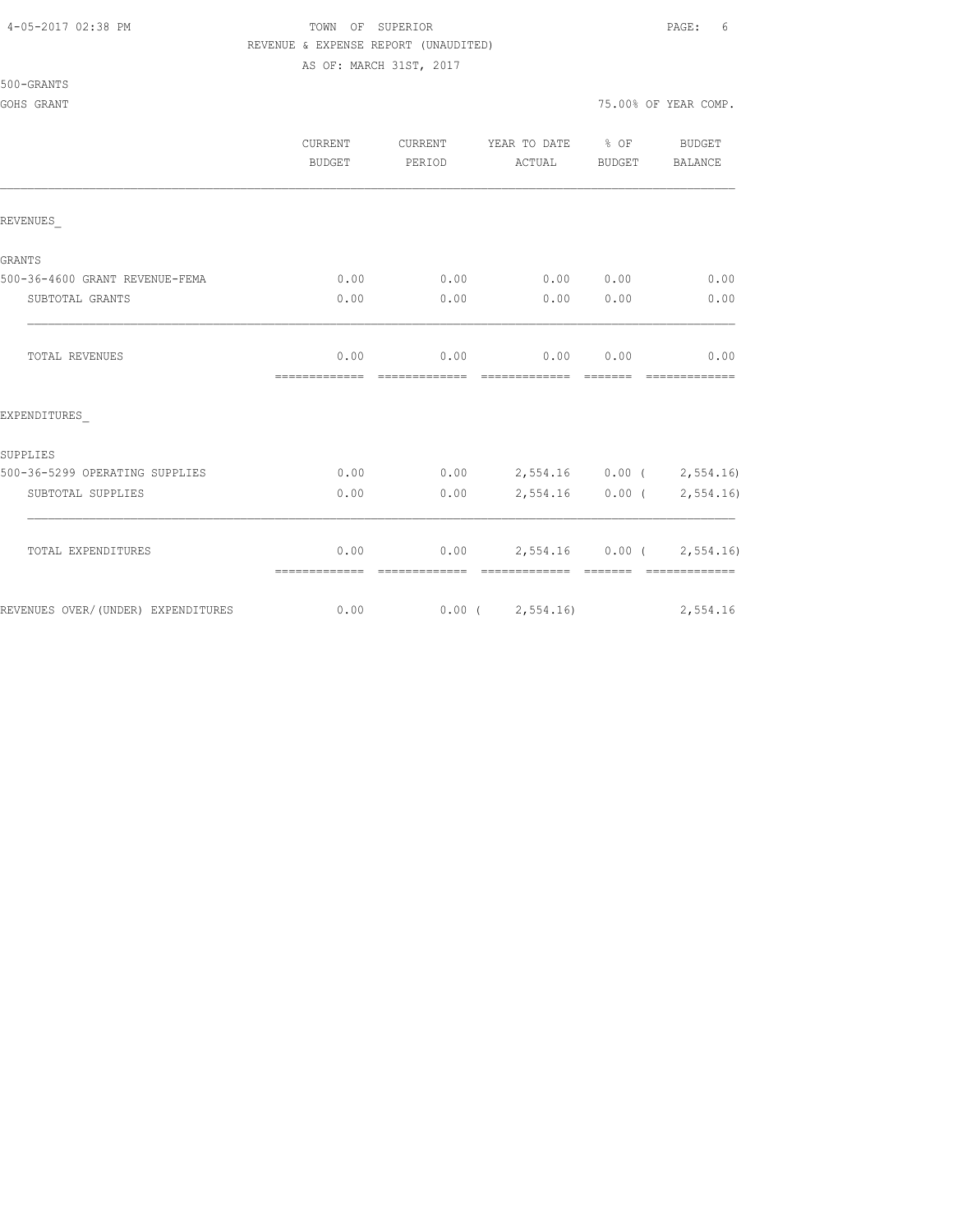#### 4-05-2017 02:38 PM TOWN OF SUPERIOR PAGE: 6 REVENUE & EXPENSE REPORT (UNAUDITED)

AS OF: MARCH 31ST, 2017

| 500-GRANTS |  |
|------------|--|
|------------|--|

|                                    | <b>CURRENT</b><br><b>BUDGET</b> | CURRENT<br>PERIOD | YEAR TO DATE % OF<br>ACTUAL                        | BUDGET      | BUDGET<br>BALANCE           |
|------------------------------------|---------------------------------|-------------------|----------------------------------------------------|-------------|-----------------------------|
| REVENUES                           |                                 |                   |                                                    |             |                             |
| <b>GRANTS</b>                      |                                 |                   |                                                    |             |                             |
| 500-36-4600 GRANT REVENUE-FEMA     | 0.00                            | 0.00              | 0.00 0.00                                          |             | 0.00                        |
| SUBTOTAL GRANTS                    | 0.00                            | 0.00              | 0.00                                               | 0.00        | 0.00                        |
| TOTAL REVENUES                     | 0.00                            |                   | $0.00$ $0.00$ $0.00$                               |             | 0.00                        |
| EXPENDITURES                       |                                 |                   |                                                    |             |                             |
| SUPPLIES                           |                                 |                   |                                                    |             |                             |
| 500-36-5299 OPERATING SUPPLIES     | 0.00                            |                   | $0.00$ 2,554.16 0.00 ( 2,554.16)                   |             |                             |
| SUBTOTAL SUPPLIES                  | 0.00                            | 0.00              |                                                    |             | $2,554.16$ 0.00 ( 2,554.16) |
| TOTAL EXPENDITURES                 | 0.00<br>-------------           |                   | $0.00$ 2,554.16 0.00 ( 2,554.16)<br>-------------- | $---------$ |                             |
| REVENUES OVER/(UNDER) EXPENDITURES |                                 |                   | $0.00$ $0.00$ $(2,554.16)$ $2,554.16$              |             |                             |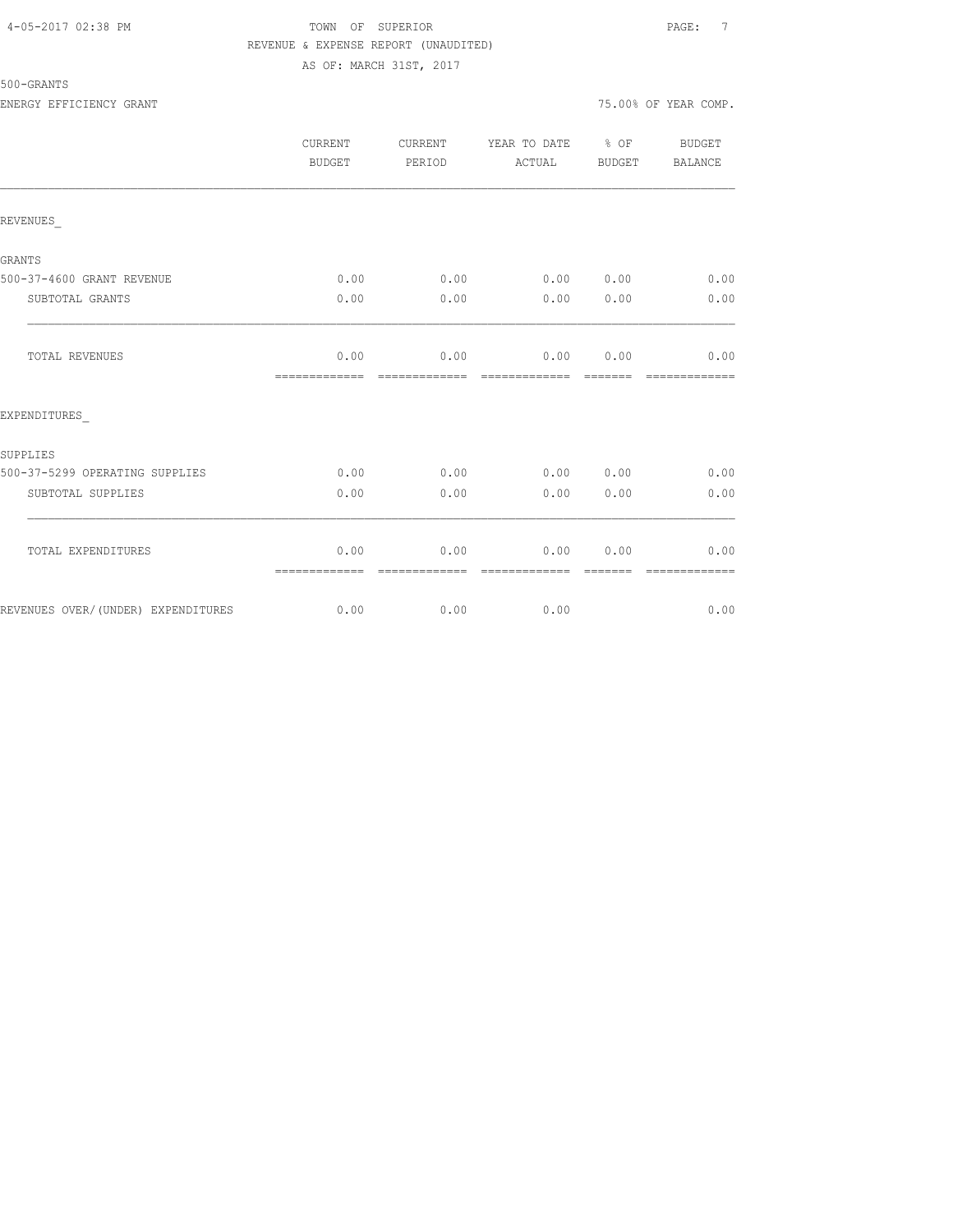#### 4-05-2017 02:38 PM TOWN OF SUPERIOR PAGE: 7 REVENUE & EXPENSE REPORT (UNAUDITED) AS OF: MARCH 31ST, 2017

# 500-GRANTS

|                                    | CURRENT<br>BUDGET     | CURRENT<br>PERIOD     | YEAR TO DATE % OF<br>ACTUAL | BUDGET           | BUDGET<br>BALANCE     |
|------------------------------------|-----------------------|-----------------------|-----------------------------|------------------|-----------------------|
| REVENUES                           |                       |                       |                             |                  |                       |
| <b>GRANTS</b>                      |                       |                       |                             |                  |                       |
| 500-37-4600 GRANT REVENUE          | 0.00                  | 0.00                  | 0.00 0.00                   |                  | 0.00                  |
| SUBTOTAL GRANTS                    | 0.00                  | 0.00                  | 0.00                        | 0.00             | 0.00                  |
| TOTAL REVENUES                     | 0.00<br>============= | 0.00<br>============= | 0.00 0.00<br>=============  |                  | 0.00<br>============= |
| EXPENDITURES                       |                       |                       |                             |                  |                       |
| SUPPLIES                           |                       |                       |                             |                  |                       |
| 500-37-5299 OPERATING SUPPLIES     | 0.00                  | 0.00                  | 0.00 0.00                   |                  | 0.00                  |
| SUBTOTAL SUPPLIES                  | 0.00                  | 0.00                  | 0.00                        | 0.00             | 0.00                  |
| TOTAL EXPENDITURES                 | 0.00<br>============= | 0.00<br>============= | 0.00<br>-------------       | 0.00<br>-------- | 0.00<br>============= |
| REVENUES OVER/(UNDER) EXPENDITURES | 0.00                  | 0.00                  | 0.00                        |                  | 0.00                  |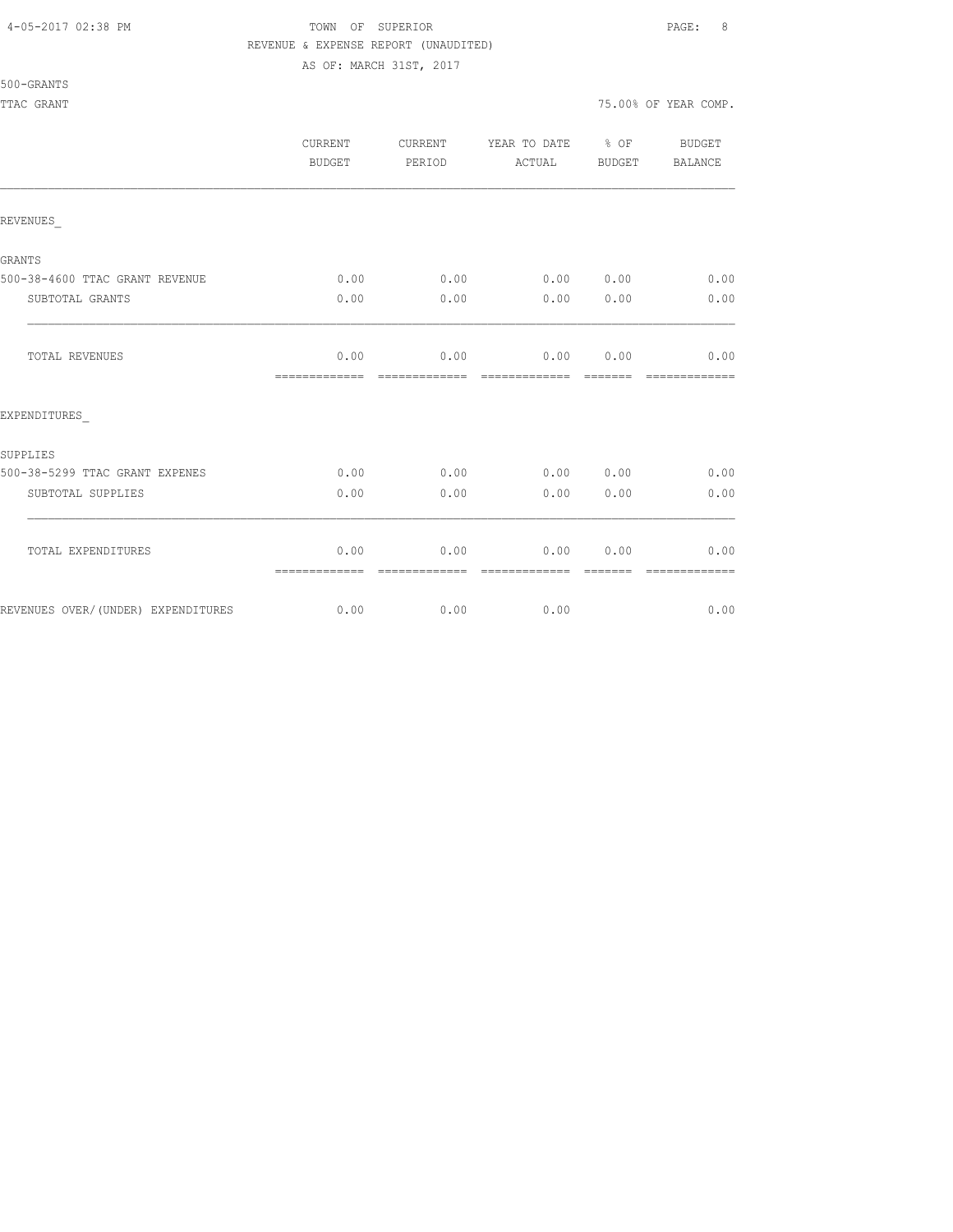### 4-05-2017 02:38 PM TOWN OF SUPERIOR PAGE: 8 REVENUE & EXPENSE REPORT (UNAUDITED)

AS OF: MARCH 31ST, 2017

|                                    | CURRENT<br><b>BUDGET</b> | CURRENT<br>PERIOD     | YEAR TO DATE % OF<br>ACTUAL                                                                                                                                                                                                                                                                                                                                                                                                                                                                    | BUDGET                                                                                                                                                                                                                                                                                                                                                                                                                                                                                                                                                                                                | BUDGET<br><b>BALANCE</b> |
|------------------------------------|--------------------------|-----------------------|------------------------------------------------------------------------------------------------------------------------------------------------------------------------------------------------------------------------------------------------------------------------------------------------------------------------------------------------------------------------------------------------------------------------------------------------------------------------------------------------|-------------------------------------------------------------------------------------------------------------------------------------------------------------------------------------------------------------------------------------------------------------------------------------------------------------------------------------------------------------------------------------------------------------------------------------------------------------------------------------------------------------------------------------------------------------------------------------------------------|--------------------------|
| REVENUES                           |                          |                       |                                                                                                                                                                                                                                                                                                                                                                                                                                                                                                |                                                                                                                                                                                                                                                                                                                                                                                                                                                                                                                                                                                                       |                          |
| GRANTS                             |                          |                       |                                                                                                                                                                                                                                                                                                                                                                                                                                                                                                |                                                                                                                                                                                                                                                                                                                                                                                                                                                                                                                                                                                                       |                          |
| 500-38-4600 TTAC GRANT REVENUE     | 0.00                     | 0.00                  | 0.00 0.00                                                                                                                                                                                                                                                                                                                                                                                                                                                                                      |                                                                                                                                                                                                                                                                                                                                                                                                                                                                                                                                                                                                       | 0.00                     |
| SUBTOTAL GRANTS                    | 0.00                     | 0.00                  | 0.00                                                                                                                                                                                                                                                                                                                                                                                                                                                                                           | 0.00                                                                                                                                                                                                                                                                                                                                                                                                                                                                                                                                                                                                  | 0.00                     |
| TOTAL REVENUES                     | 0.00<br>--------------   | 0.00<br>============= | 0.00<br>=============                                                                                                                                                                                                                                                                                                                                                                                                                                                                          | 0.00<br>$\qquad \qquad \overline{\qquad \qquad }=\overline{\qquad \qquad }=\overline{\qquad \qquad }=\overline{\qquad \qquad }=\overline{\qquad \qquad }=\overline{\qquad \qquad }=\overline{\qquad \qquad }=\overline{\qquad \qquad }=\overline{\qquad \qquad }=\overline{\qquad \qquad }=\overline{\qquad \qquad }=\overline{\qquad \qquad }=\overline{\qquad \qquad }=\overline{\qquad \qquad }=\overline{\qquad \qquad }=\overline{\qquad \qquad }=\overline{\qquad \qquad }=\overline{\qquad \qquad }=\overline{\qquad \qquad }=\overline{\qquad \qquad }=\overline{\qquad \qquad }=\overline{\$ | 0.00<br>-------------    |
| EXPENDITURES                       |                          |                       |                                                                                                                                                                                                                                                                                                                                                                                                                                                                                                |                                                                                                                                                                                                                                                                                                                                                                                                                                                                                                                                                                                                       |                          |
| SUPPLIES                           |                          |                       |                                                                                                                                                                                                                                                                                                                                                                                                                                                                                                |                                                                                                                                                                                                                                                                                                                                                                                                                                                                                                                                                                                                       |                          |
| 500-38-5299 TTAC GRANT EXPENES     | 0.00                     | 0.00                  | 0.00 0.00                                                                                                                                                                                                                                                                                                                                                                                                                                                                                      |                                                                                                                                                                                                                                                                                                                                                                                                                                                                                                                                                                                                       | 0.00                     |
| SUBTOTAL SUPPLIES                  | 0.00                     | 0.00                  | 0.00                                                                                                                                                                                                                                                                                                                                                                                                                                                                                           | 0.00                                                                                                                                                                                                                                                                                                                                                                                                                                                                                                                                                                                                  | 0.00                     |
| TOTAL EXPENDITURES                 | 0.00<br>=============    | 0.00<br>============= | 0.00<br>$\begin{array}{cccccccccc} \multicolumn{2}{c}{} & \multicolumn{2}{c}{} & \multicolumn{2}{c}{} & \multicolumn{2}{c}{} & \multicolumn{2}{c}{} & \multicolumn{2}{c}{} & \multicolumn{2}{c}{} & \multicolumn{2}{c}{} & \multicolumn{2}{c}{} & \multicolumn{2}{c}{} & \multicolumn{2}{c}{} & \multicolumn{2}{c}{} & \multicolumn{2}{c}{} & \multicolumn{2}{c}{} & \multicolumn{2}{c}{} & \multicolumn{2}{c}{} & \multicolumn{2}{c}{} & \multicolumn{2}{c}{} & \multicolumn{2}{c}{} & \mult$ | 0.00<br>--------                                                                                                                                                                                                                                                                                                                                                                                                                                                                                                                                                                                      | 0.00<br>--------------   |
| REVENUES OVER/(UNDER) EXPENDITURES | 0.00                     | 0.00                  | 0.00                                                                                                                                                                                                                                                                                                                                                                                                                                                                                           |                                                                                                                                                                                                                                                                                                                                                                                                                                                                                                                                                                                                       | 0.00                     |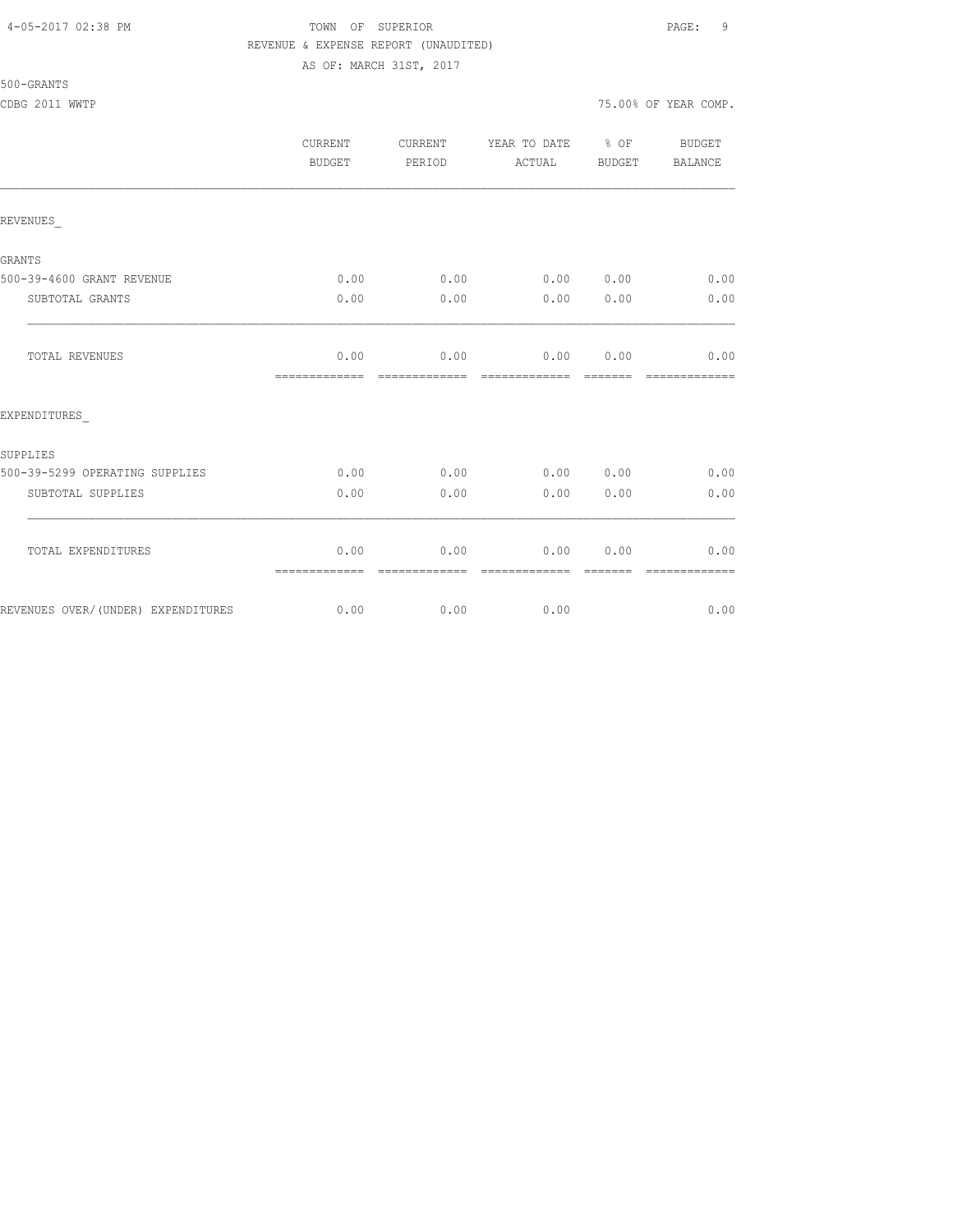|                                    | <b>CURRENT</b><br>BUDGET | <b>CURRENT</b><br>PERIOD | YEAR TO DATE<br>ACTUAL | $8$ OF<br>BUDGET | <b>BUDGET</b><br><b>BALANCE</b> |
|------------------------------------|--------------------------|--------------------------|------------------------|------------------|---------------------------------|
| REVENUES                           |                          |                          |                        |                  |                                 |
| GRANTS                             |                          |                          |                        |                  |                                 |
| 500-39-4600 GRANT REVENUE          | 0.00                     | 0.00                     | 0.00 0.00              |                  | 0.00                            |
| SUBTOTAL GRANTS                    | 0.00                     | 0.00                     | 0.00                   | 0.00             | 0.00                            |
| TOTAL REVENUES                     | 0.00<br>=============    | 0.00                     | 0.00                   | 0.00             | 0.00<br>=========               |
| EXPENDITURES                       |                          |                          |                        |                  |                                 |
| SUPPLIES                           |                          |                          |                        |                  |                                 |
| 500-39-5299 OPERATING SUPPLIES     | 0.00                     | 0.00                     | 0.00 0.00              |                  | 0.00                            |
| SUBTOTAL SUPPLIES                  | 0.00                     | 0.00                     | 0.00                   | 0.00             | 0.00                            |
| TOTAL EXPENDITURES                 | 0.00<br>=============    | 0.00                     | 0.00                   | 0.00             | 0.00                            |
| REVENUES OVER/(UNDER) EXPENDITURES | 0.00                     | 0.00                     | 0.00                   |                  | 0.00                            |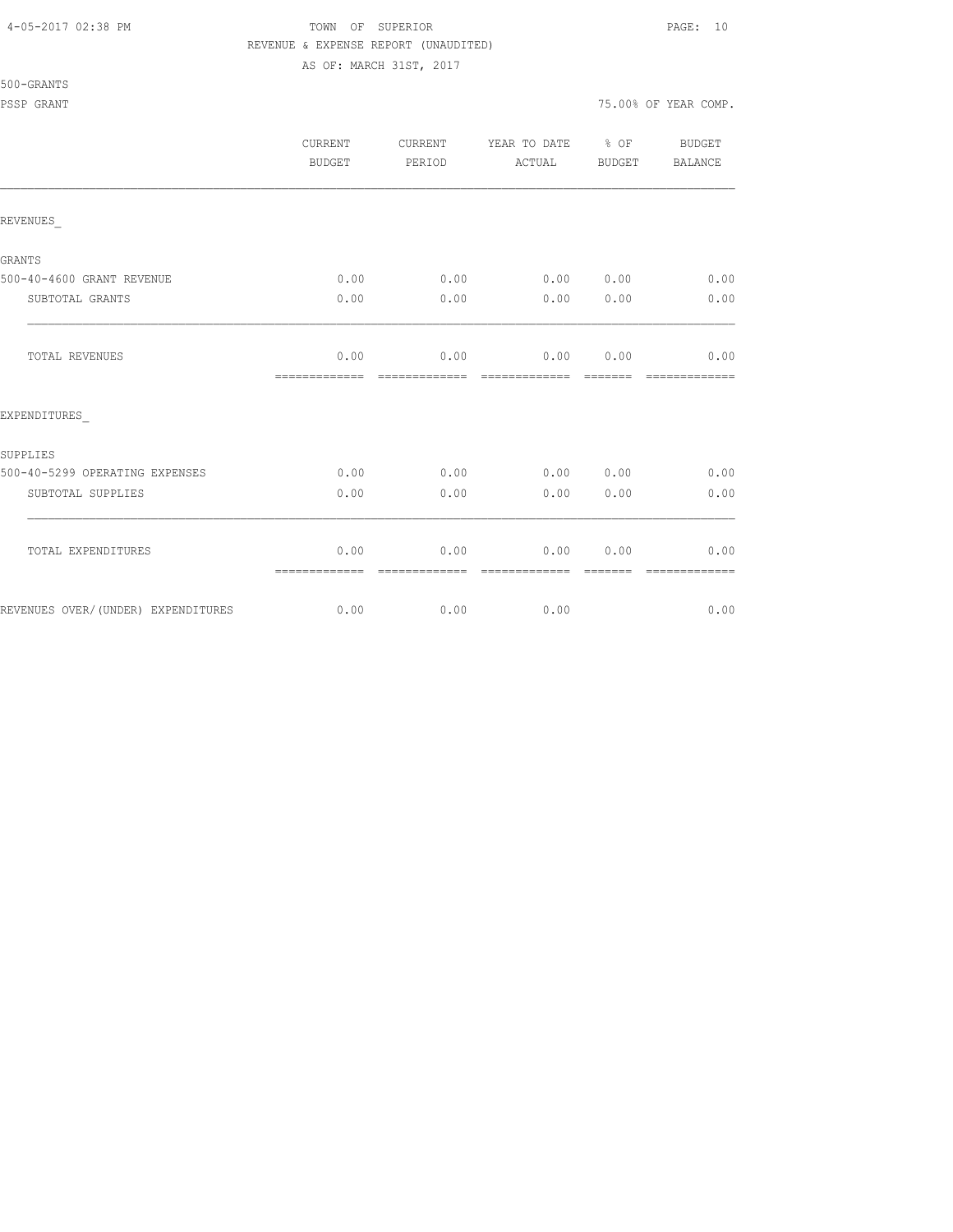### 4-05-2017 02:38 PM TOWN OF SUPERIOR PAGE: 10 REVENUE & EXPENSE REPORT (UNAUDITED)

AS OF: MARCH 31ST, 2017

|                                    | <b>CURRENT</b><br>BUDGET | <b>CURRENT</b><br>PERIOD | YEAR TO DATE % OF<br>ACTUAL | BUDGET           | BUDGET<br>BALANCE     |
|------------------------------------|--------------------------|--------------------------|-----------------------------|------------------|-----------------------|
| REVENUES                           |                          |                          |                             |                  |                       |
| GRANTS                             |                          |                          |                             |                  |                       |
| 500-40-4600 GRANT REVENUE          | 0.00                     | 0.00                     | 0.000000                    |                  | 0.00                  |
| SUBTOTAL GRANTS                    | 0.00                     | 0.00                     | 0.00                        | 0.00             | 0.00                  |
| TOTAL REVENUES                     | 0.00<br>=============    | 0.00<br>=============    | 0.00<br>=============       | 0.00<br>-------- | 0.00<br>============= |
| EXPENDITURES                       |                          |                          |                             |                  |                       |
| SUPPLIES                           |                          |                          |                             |                  |                       |
| 500-40-5299 OPERATING EXPENSES     | 0.00                     | 0.00                     | 0.00 0.00                   |                  | 0.00                  |
| SUBTOTAL SUPPLIES                  | 0.00                     | 0.00                     | 0.00                        | 0.00             | 0.00                  |
| TOTAL EXPENDITURES                 | 0.00<br>=============    | 0.00                     | 0.00                        | 0.00             | 0.00                  |
| REVENUES OVER/(UNDER) EXPENDITURES | 0.00                     | 0.00                     | 0.00                        |                  | 0.00                  |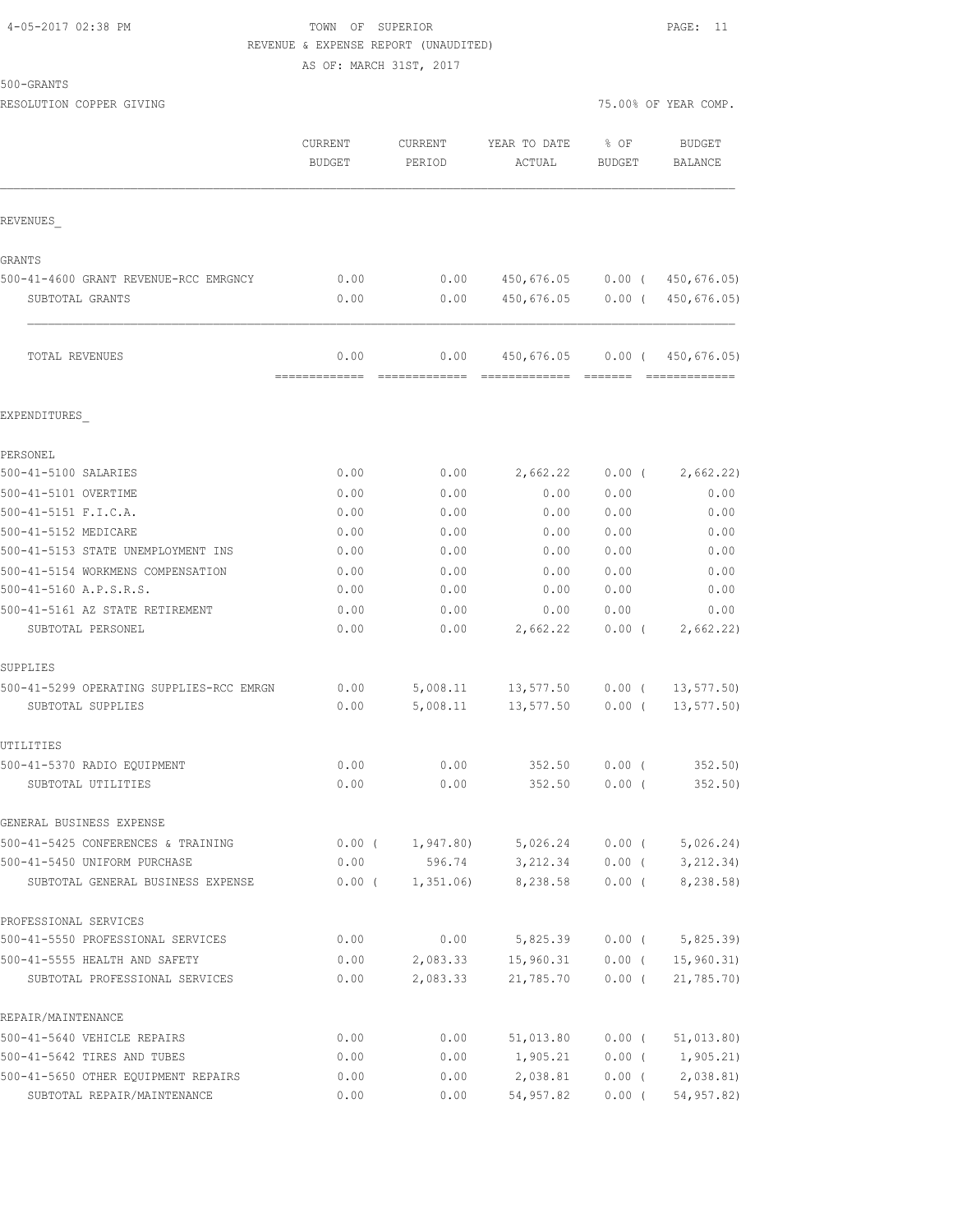# 4-05-2017 02:38 PM TOWN OF SUPERIOR PAGE: 11 REVENUE & EXPENSE REPORT (UNAUDITED)

AS OF: MARCH 31ST, 2017

| 500-GRANTS |  |
|------------|--|
|------------|--|

RESOLUTION COPPER GIVING THE SERVICE OF STRAINING TO A SERVICE OF THE SOLUTION OF YEAR COMP.

|                                                                   | CURRENT<br><b>BUDGET</b> | CURRENT<br>PERIOD     | YEAR TO DATE<br>ACTUAL       | % OF<br><b>BUDGET</b> | <b>BUDGET</b><br><b>BALANCE</b> |
|-------------------------------------------------------------------|--------------------------|-----------------------|------------------------------|-----------------------|---------------------------------|
| REVENUES                                                          |                          |                       |                              |                       |                                 |
| <b>GRANTS</b>                                                     |                          |                       |                              |                       |                                 |
| 500-41-4600 GRANT REVENUE-RCC EMRGNCY                             | 0.00                     | 0.00                  | 450,676.05 0.00 (450,676.05) |                       |                                 |
| SUBTOTAL GRANTS                                                   | 0.00                     | 0.00                  | 450,676.05                   | $0.00$ (              | 450,676.05)                     |
| TOTAL REVENUES                                                    | 0.00<br>-------------    | 0.00<br>------------- | 450,676.05                   | $0.00$ (              | 450,676.05)<br>--------------   |
| EXPENDITURES                                                      |                          |                       |                              |                       |                                 |
| PERSONEL                                                          |                          |                       |                              |                       |                                 |
| 500-41-5100 SALARIES                                              | 0.00                     | 0.00                  | 2,662.22                     | $0.00$ (              | 2,662.22)                       |
| 500-41-5101 OVERTIME                                              | 0.00                     | 0.00                  | 0.00                         | 0.00                  | 0.00                            |
| 500-41-5151 F.I.C.A.                                              | 0.00                     | 0.00                  | 0.00                         | 0.00                  | 0.00                            |
| 500-41-5152 MEDICARE                                              | 0.00                     | 0.00                  | 0.00                         | 0.00                  | 0.00                            |
| 500-41-5153 STATE UNEMPLOYMENT INS                                | 0.00                     | 0.00                  | 0.00                         | 0.00                  | 0.00                            |
| 500-41-5154 WORKMENS COMPENSATION                                 | 0.00                     | 0.00                  | 0.00                         | 0.00                  | 0.00                            |
| 500-41-5160 A.P.S.R.S.                                            | 0.00                     | 0.00                  | 0.00                         | 0.00                  | 0.00                            |
| 500-41-5161 AZ STATE RETIREMENT                                   | 0.00                     | 0.00                  | 0.00                         | 0.00                  | 0.00                            |
| SUBTOTAL PERSONEL                                                 | 0.00                     | 0.00                  | 2,662.22                     | $0.00$ (              | 2,662.22)                       |
| SUPPLIES                                                          |                          |                       |                              |                       |                                 |
| 500-41-5299 OPERATING SUPPLIES-RCC EMRGN                          | 0.00                     |                       | 5,008.11 13,577.50           | $0.00$ (              | 13, 577.50                      |
| SUBTOTAL SUPPLIES                                                 | 0.00                     | 5,008.11              | 13,577.50                    | $0.00$ (              | 13, 577.50                      |
| UTILITIES                                                         |                          |                       |                              |                       |                                 |
| 500-41-5370 RADIO EQUIPMENT                                       | 0.00                     | 0.00                  | 352.50                       | 0.00(                 | 352.50                          |
| SUBTOTAL UTILITIES                                                | 0.00                     | 0.00                  | 352.50                       | $0.00$ (              | 352.50                          |
| GENERAL BUSINESS EXPENSE                                          |                          |                       |                              |                       |                                 |
| 500-41-5425 CONFERENCES & TRAINING                                | $0.00$ (                 | 1,947.80)             | 5,026.24                     | $0.00$ (              | 5,026.24)                       |
| 500-41-5450 UNIFORM PURCHASE<br>SUBTOTAL GENERAL BUSINESS EXPENSE | 0.00<br>$0.00$ (         | 596.74<br>1,351.06)   | 3,212.34<br>8,238.58         | $0.00$ (<br>$0.00$ (  | 3, 212.34)<br>8,238.58)         |
|                                                                   |                          |                       |                              |                       |                                 |
| PROFESSIONAL SERVICES<br>500-41-5550 PROFESSIONAL SERVICES        | 0.00                     | 0.00                  | 5,825.39                     | $0.00$ (              | 5,825.39)                       |
| 500-41-5555 HEALTH AND SAFETY                                     | 0.00                     | 2,083.33              | 15,960.31                    | $0.00$ (              | 15,960.31                       |
| SUBTOTAL PROFESSIONAL SERVICES                                    | 0.00                     | 2,083.33              | 21,785.70                    | $0.00$ (              | 21,785.70                       |
| REPAIR/MAINTENANCE                                                |                          |                       |                              |                       |                                 |
| 500-41-5640 VEHICLE REPAIRS                                       | 0.00                     | 0.00                  | 51,013.80                    | $0.00$ (              | 51,013.80)                      |
| 500-41-5642 TIRES AND TUBES                                       | 0.00                     | 0.00                  | 1,905.21                     | $0.00$ (              | 1,905.21)                       |
| 500-41-5650 OTHER EQUIPMENT REPAIRS                               | 0.00                     | 0.00                  | 2,038.81                     | $0.00$ (              | 2,038.81)                       |
| SUBTOTAL REPAIR/MAINTENANCE                                       | 0.00                     | 0.00                  | 54,957.82                    | $0.00$ (              | 54,957.82)                      |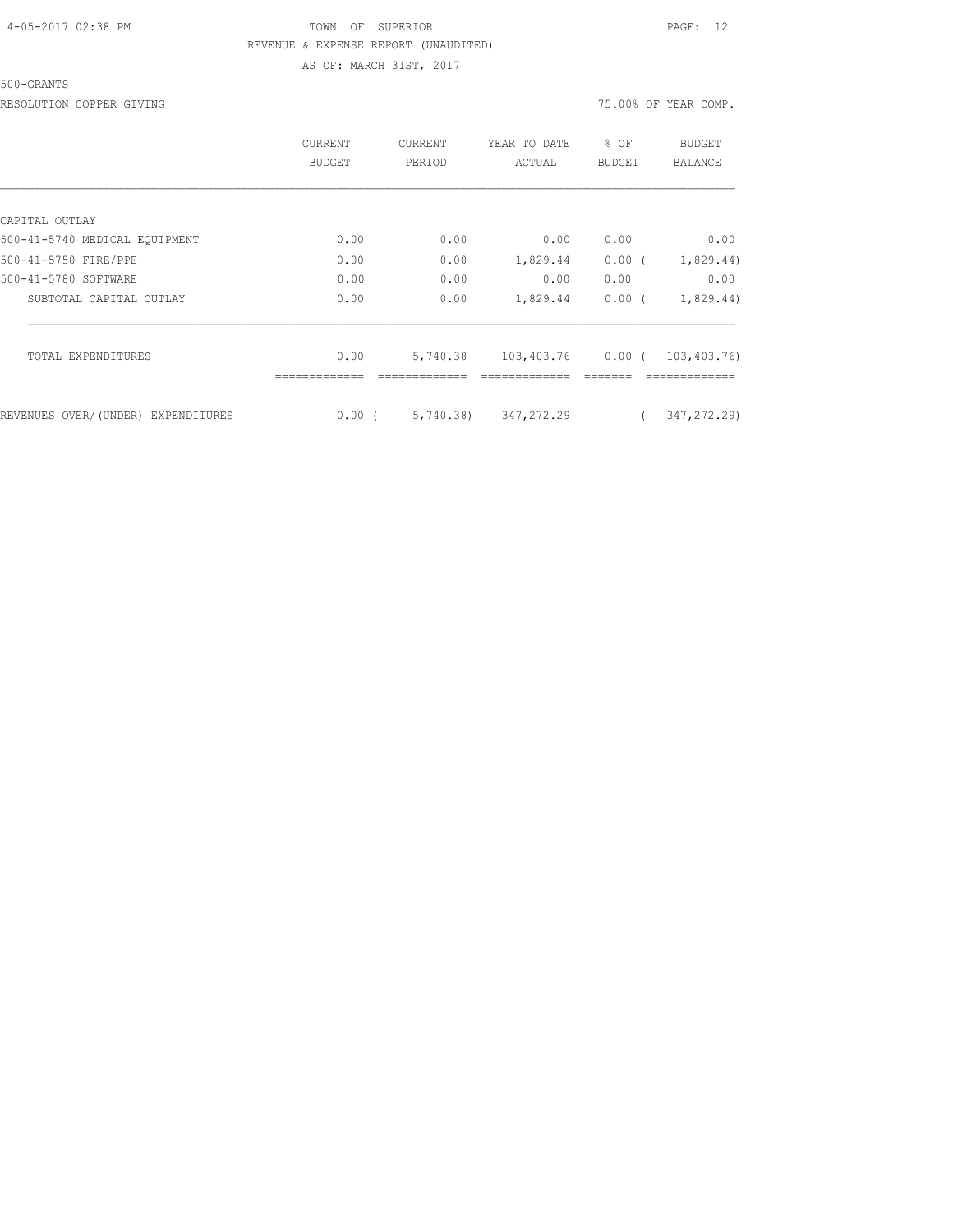#### 500-GRANTS

RESOLUTION COPPER GIVING **1999** COMP.

|                                    | CURRENT<br>BUDGET | <b>CURRENT</b><br>PERIOD | YEAR TO DATE<br>ACTUAL | $8$ OF<br>BUDGET | BUDGET<br><b>BALANCE</b> |
|------------------------------------|-------------------|--------------------------|------------------------|------------------|--------------------------|
|                                    |                   |                          |                        |                  |                          |
| CAPITAL OUTLAY                     |                   |                          |                        |                  |                          |
| 500-41-5740 MEDICAL EQUIPMENT      | 0.00              | 0.00                     | 0.00                   | 0.00             | 0.00                     |
| 500-41-5750 FIRE/PPE               | 0.00              | 0.00                     | 1,829.44               | $0.00$ (         | 1,829.44)                |
| 500-41-5780 SOFTWARE               | 0.00              | 0.00                     | 0.00                   | 0.00             | 0.00                     |
| SUBTOTAL CAPITAL OUTLAY            | 0.00              | 0.00                     | 1,829.44               | $0.00$ (         | 1,829.44)                |
| <b>TOTAL EXPENDITURES</b>          | 0.00              | 5,740.38                 | 103,403.76 0.00 (      |                  | 103,403.76)              |
|                                    |                   |                          |                        |                  |                          |
| REVENUES OVER/(UNDER) EXPENDITURES | 0.00(             | 5,740.38)                | 347,272.29             |                  | 347, 272, 29)            |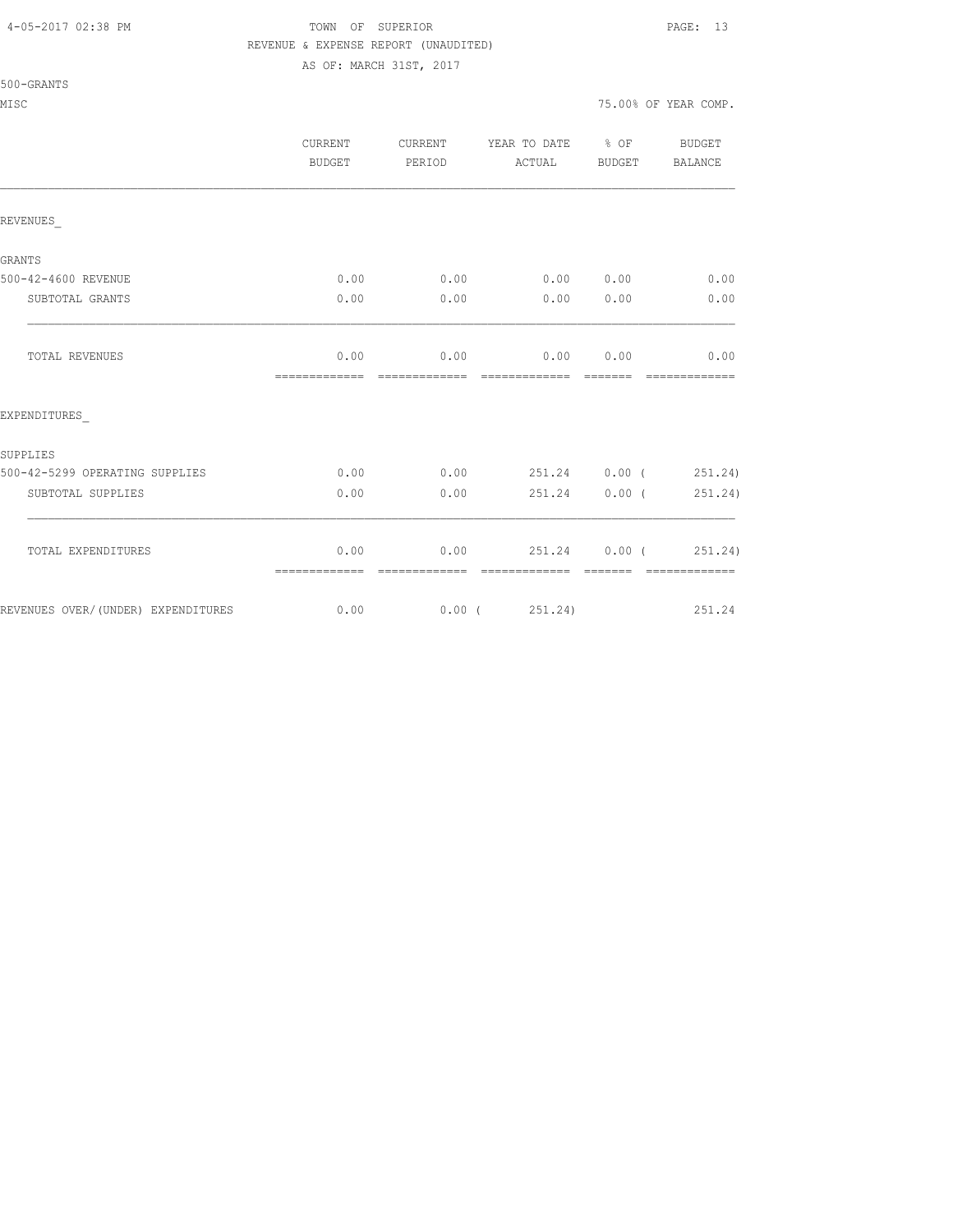#### 4-05-2017 02:38 PM TOWN OF SUPERIOR PAGE: 13 REVENUE & EXPENSE REPORT (UNAUDITED)

AS OF: MARCH 31ST, 2017

| 500-GRANTS |  |
|------------|--|
|            |  |

|                                    | <b>CURRENT</b><br>BUDGET | CURRENT<br>PERIOD     | YEAR TO DATE % OF<br>ACTUAL        | BUDGET        | BUDGET<br>BALANCE             |
|------------------------------------|--------------------------|-----------------------|------------------------------------|---------------|-------------------------------|
| REVENUES                           |                          |                       |                                    |               |                               |
| GRANTS                             |                          |                       |                                    |               |                               |
| 500-42-4600 REVENUE                | 0.00                     | 0.00                  | 0.00 0.00                          |               | 0.00                          |
| SUBTOTAL GRANTS                    | 0.00                     | 0.00                  | 0.00                               | 0.00          | 0.00                          |
| TOTAL REVENUES                     | 0.00<br>=============    | =============         | $0.00$ 0.00<br>eccessessess essess | 0.00          | 0.00<br>=============         |
| EXPENDITURES                       |                          |                       |                                    |               |                               |
| SUPPLIES                           |                          |                       |                                    |               |                               |
| 500-42-5299 OPERATING SUPPLIES     | 0.00                     |                       | $0.00$ 251.24 0.00 ( 251.24)       |               |                               |
| SUBTOTAL SUPPLIES                  | 0.00                     | 0.00                  | 251.24                             | 0.00(         | 251.24)                       |
| TOTAL EXPENDITURES                 | 0.00<br>=============    | 0.00<br>============= | 251.24<br>=============            | <b>BEBEER</b> | 0.00(251.24)<br>============= |
| REVENUES OVER/(UNDER) EXPENDITURES | 0.00                     |                       | $0.00$ ( $251.24$ )                |               | 251.24                        |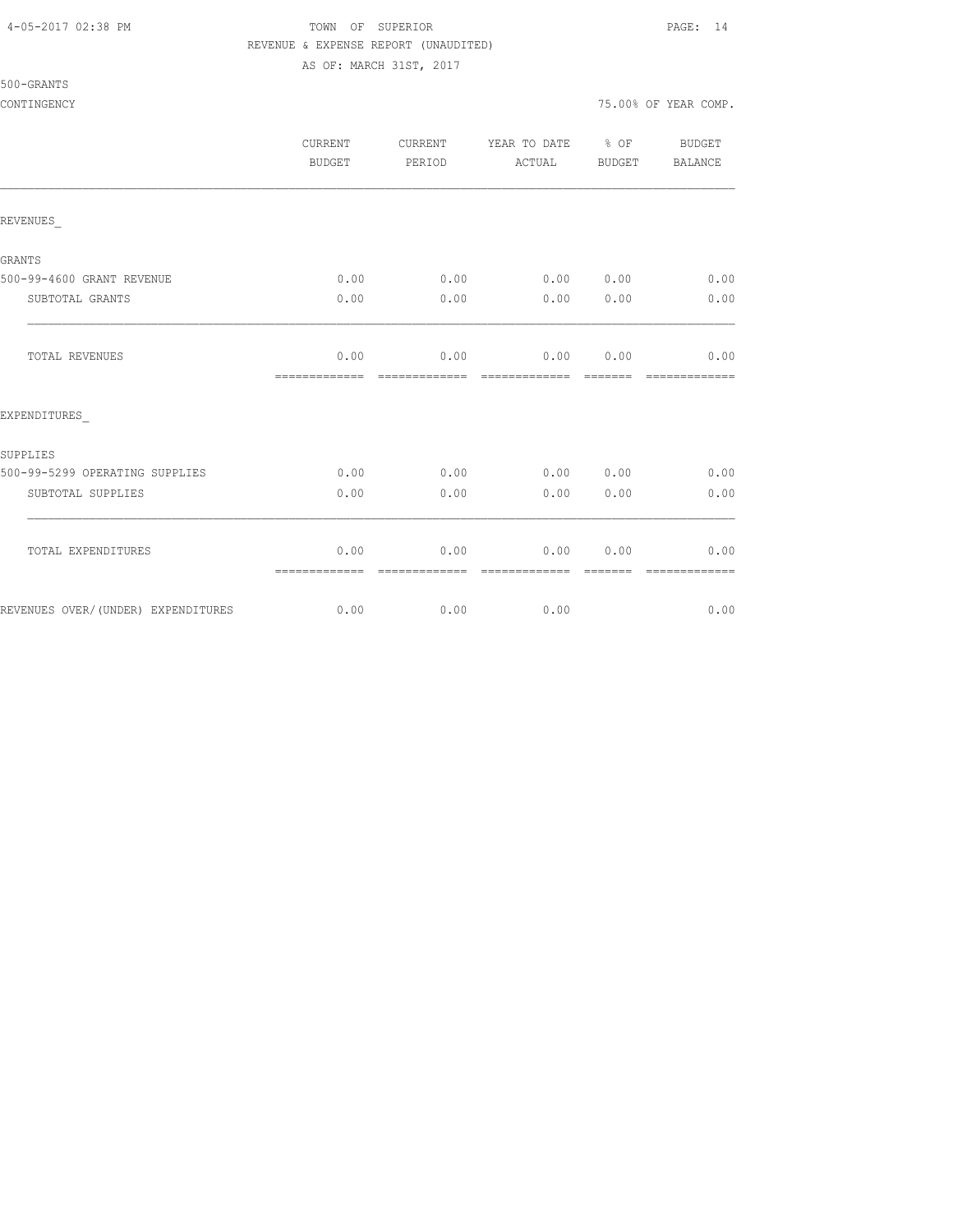500-GRANTS

#### 4-05-2017 02:38 PM TOWN OF SUPERIOR PAGE: 14 REVENUE & EXPENSE REPORT (UNAUDITED)

AS OF: MARCH 31ST, 2017

CONTINGENCY 75.00% OF YEAR COMP.

|                                    | CURRENT<br><b>BUDGET</b> | <b>CURRENT</b><br>PERIOD | YEAR TO DATE % OF<br>ACTUAL  | BUDGET                                                                                                                                                                                                                                                                                                                                                                                                                                                                                 | BUDGET<br>BALANCE     |
|------------------------------------|--------------------------|--------------------------|------------------------------|----------------------------------------------------------------------------------------------------------------------------------------------------------------------------------------------------------------------------------------------------------------------------------------------------------------------------------------------------------------------------------------------------------------------------------------------------------------------------------------|-----------------------|
| REVENUES                           |                          |                          |                              |                                                                                                                                                                                                                                                                                                                                                                                                                                                                                        |                       |
| <b>GRANTS</b>                      |                          |                          |                              |                                                                                                                                                                                                                                                                                                                                                                                                                                                                                        |                       |
| 500-99-4600 GRANT REVENUE          | 0.00                     |                          | $0.00$ $0.00$ $0.00$         |                                                                                                                                                                                                                                                                                                                                                                                                                                                                                        | 0.00                  |
| SUBTOTAL GRANTS                    | 0.00                     | 0.00                     | 0.00                         | 0.00                                                                                                                                                                                                                                                                                                                                                                                                                                                                                   | 0.00                  |
| TOTAL REVENUES                     | 0.00<br>=============    | 0.00<br>=============    | 0.00 0.00<br>- ============= | $\begin{array}{cccccccccc} \multicolumn{2}{c}{} & \multicolumn{2}{c}{} & \multicolumn{2}{c}{} & \multicolumn{2}{c}{} & \multicolumn{2}{c}{} & \multicolumn{2}{c}{} & \multicolumn{2}{c}{} & \multicolumn{2}{c}{} & \multicolumn{2}{c}{} & \multicolumn{2}{c}{} & \multicolumn{2}{c}{} & \multicolumn{2}{c}{} & \multicolumn{2}{c}{} & \multicolumn{2}{c}{} & \multicolumn{2}{c}{} & \multicolumn{2}{c}{} & \multicolumn{2}{c}{} & \multicolumn{2}{c}{} & \multicolumn{2}{c}{} & \mult$ | 0.00<br>============= |
| EXPENDITURES                       |                          |                          |                              |                                                                                                                                                                                                                                                                                                                                                                                                                                                                                        |                       |
| SUPPLIES                           |                          |                          |                              |                                                                                                                                                                                                                                                                                                                                                                                                                                                                                        |                       |
| 500-99-5299 OPERATING SUPPLIES     | 0.00                     | 0.00                     | 0.00 0.00                    |                                                                                                                                                                                                                                                                                                                                                                                                                                                                                        | 0.00                  |
| SUBTOTAL SUPPLIES                  | 0.00                     | 0.00                     | 0.00                         | 0.00                                                                                                                                                                                                                                                                                                                                                                                                                                                                                   | 0.00                  |
| TOTAL EXPENDITURES                 | 0.00<br>=============    | 0.00<br>=============    | 0.00<br>=============        | 0.00<br>--------                                                                                                                                                                                                                                                                                                                                                                                                                                                                       | 0.00<br>============= |
| REVENUES OVER/(UNDER) EXPENDITURES | 0.00                     |                          | 0.00<br>0.00                 |                                                                                                                                                                                                                                                                                                                                                                                                                                                                                        | 0.00                  |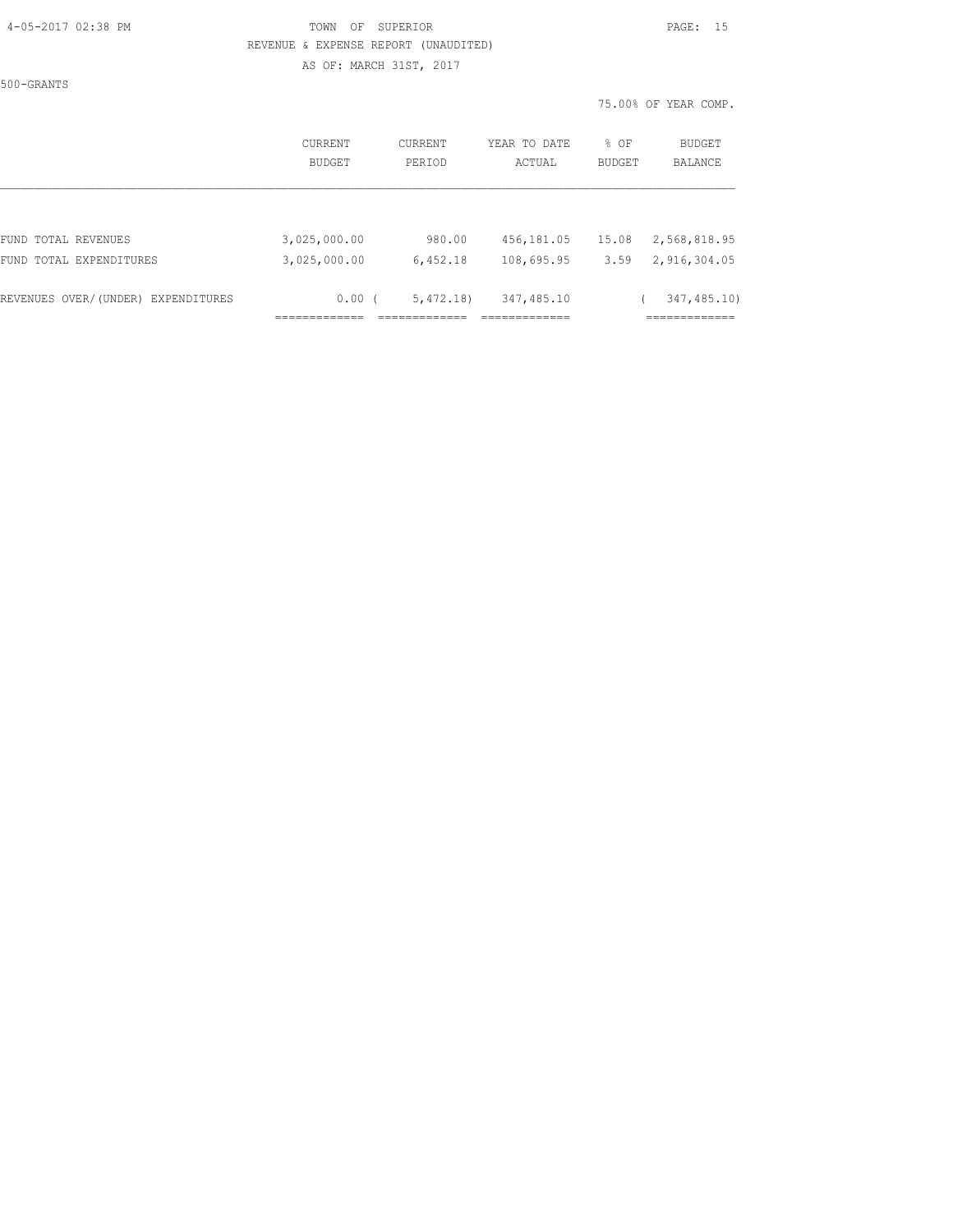# 4-05-2017 02:38 PM TOWN OF SUPERIOR PAGE: 15 REVENUE & EXPENSE REPORT (UNAUDITED)

AS OF: MARCH 31ST, 2017

|                                    |              |          |               |        | 75.00% OF YEAR COMP. |
|------------------------------------|--------------|----------|---------------|--------|----------------------|
|                                    | CURRENT      | CURRENT  | YEAR TO DATE  | % OF   | BUDGET               |
|                                    | BUDGET       | PERIOD   | ACTUAL        | BUDGET | BALANCE              |
|                                    |              |          |               |        |                      |
| FUND TOTAL REVENUES                | 3,025,000.00 | 980.00   | 456,181.05    | 15.08  | 2,568,818.95         |
| FUND TOTAL EXPENDITURES            | 3,025,000.00 | 6,452.18 | 108,695.95    | 3.59   | 2,916,304.05         |
| REVENUES OVER/(UNDER) EXPENDITURES | 0.00(        | 5,472,18 | 347,485.10    |        | 347, 485.10)         |
|                                    |              |          | _____________ |        | ===========          |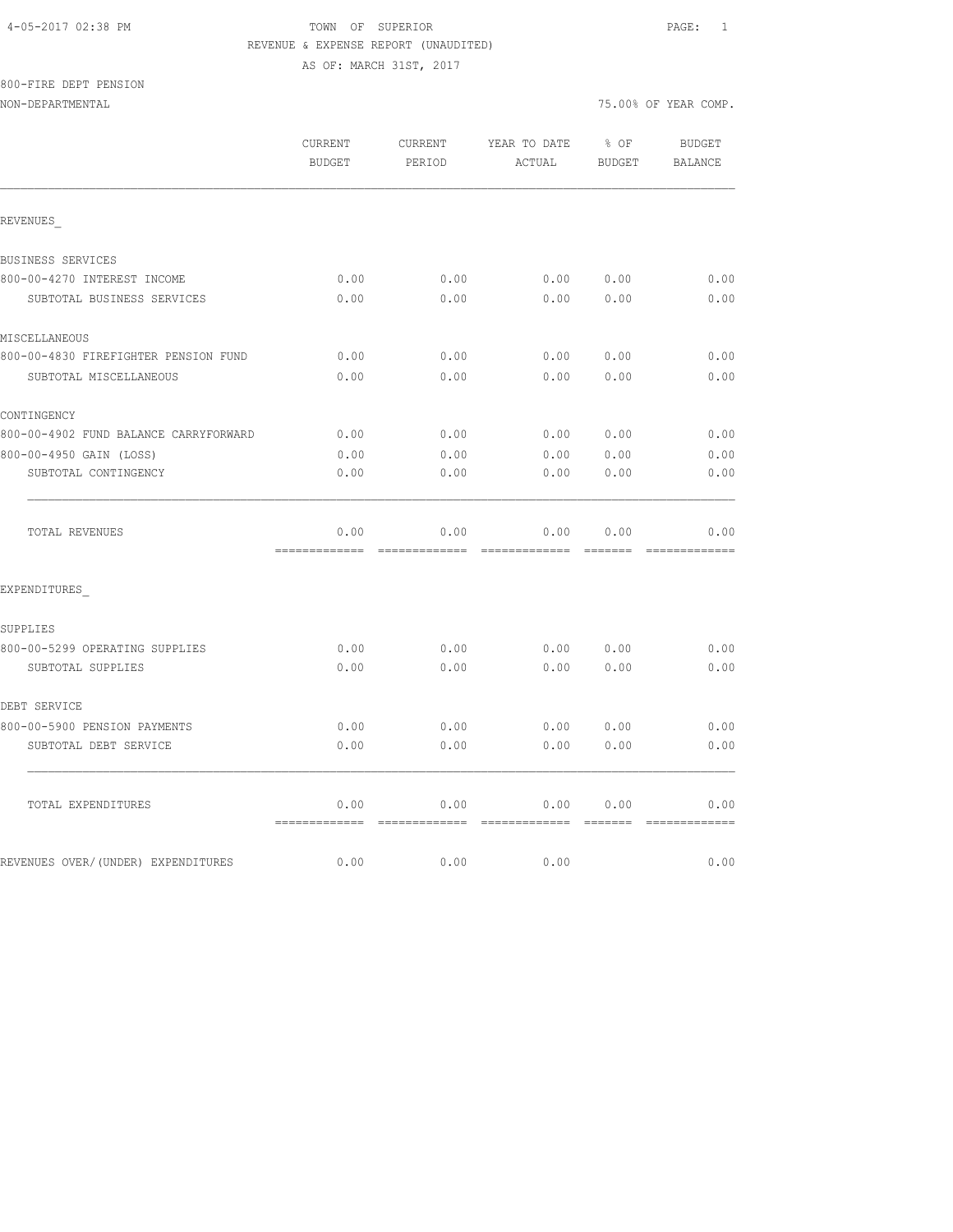800-FIRE DEPT PENSION

NON-DEPARTMENTAL 75.00% OF YEAR COMP.

|                                       | CURRENT<br><b>BUDGET</b> | CURRENT<br>PERIOD     | YEAR TO DATE<br>ACTUAL | % OF<br><b>BUDGET</b> | <b>BUDGET</b><br><b>BALANCE</b> |
|---------------------------------------|--------------------------|-----------------------|------------------------|-----------------------|---------------------------------|
| REVENUES                              |                          |                       |                        |                       |                                 |
| BUSINESS SERVICES                     |                          |                       |                        |                       |                                 |
| 800-00-4270 INTEREST INCOME           | 0.00                     | 0.00                  | 0.00                   | 0.00                  | 0.00                            |
| SUBTOTAL BUSINESS SERVICES            | 0.00                     | 0.00                  | 0.00                   | 0.00                  | 0.00                            |
| MISCELLANEOUS                         |                          |                       |                        |                       |                                 |
| 800-00-4830 FIREFIGHTER PENSION FUND  | 0.00                     | 0.00                  | 0.00                   | 0.00                  | 0.00                            |
| SUBTOTAL MISCELLANEOUS                | 0.00                     | 0.00                  | 0.00                   | 0.00                  | 0.00                            |
| CONTINGENCY                           |                          |                       |                        |                       |                                 |
| 800-00-4902 FUND BALANCE CARRYFORWARD | 0.00                     | 0.00                  | 0.00                   | 0.00                  | 0.00                            |
| 800-00-4950 GAIN (LOSS)               | 0.00                     | 0.00                  | 0.00                   | 0.00                  | 0.00                            |
| SUBTOTAL CONTINGENCY                  | 0.00                     | 0.00                  | 0.00                   | 0.00                  | 0.00                            |
| TOTAL REVENUES                        | 0.00<br>=============    | 0.00<br>============= | 0.00<br>=============  | 0.00<br><b>BEECEE</b> | 0.00                            |
| EXPENDITURES                          |                          |                       |                        |                       |                                 |
| SUPPLIES                              |                          |                       |                        |                       |                                 |
| 800-00-5299 OPERATING SUPPLIES        | 0.00                     | 0.00                  | 0.00                   | 0.00                  | 0.00                            |
| SUBTOTAL SUPPLIES                     | 0.00                     | 0.00                  | 0.00                   | 0.00                  | 0.00                            |
| DEBT SERVICE                          |                          |                       |                        |                       |                                 |
| 800-00-5900 PENSION PAYMENTS          | 0.00                     | 0.00                  | 0.00                   | 0.00                  | 0.00                            |
| SUBTOTAL DEBT SERVICE                 | 0.00                     | 0.00                  | 0.00                   | 0.00                  | 0.00                            |
|                                       |                          |                       |                        |                       |                                 |

REVENUES OVER/(UNDER) EXPENDITURES 0.00 0.00 0.00 0.00 0.00 0.00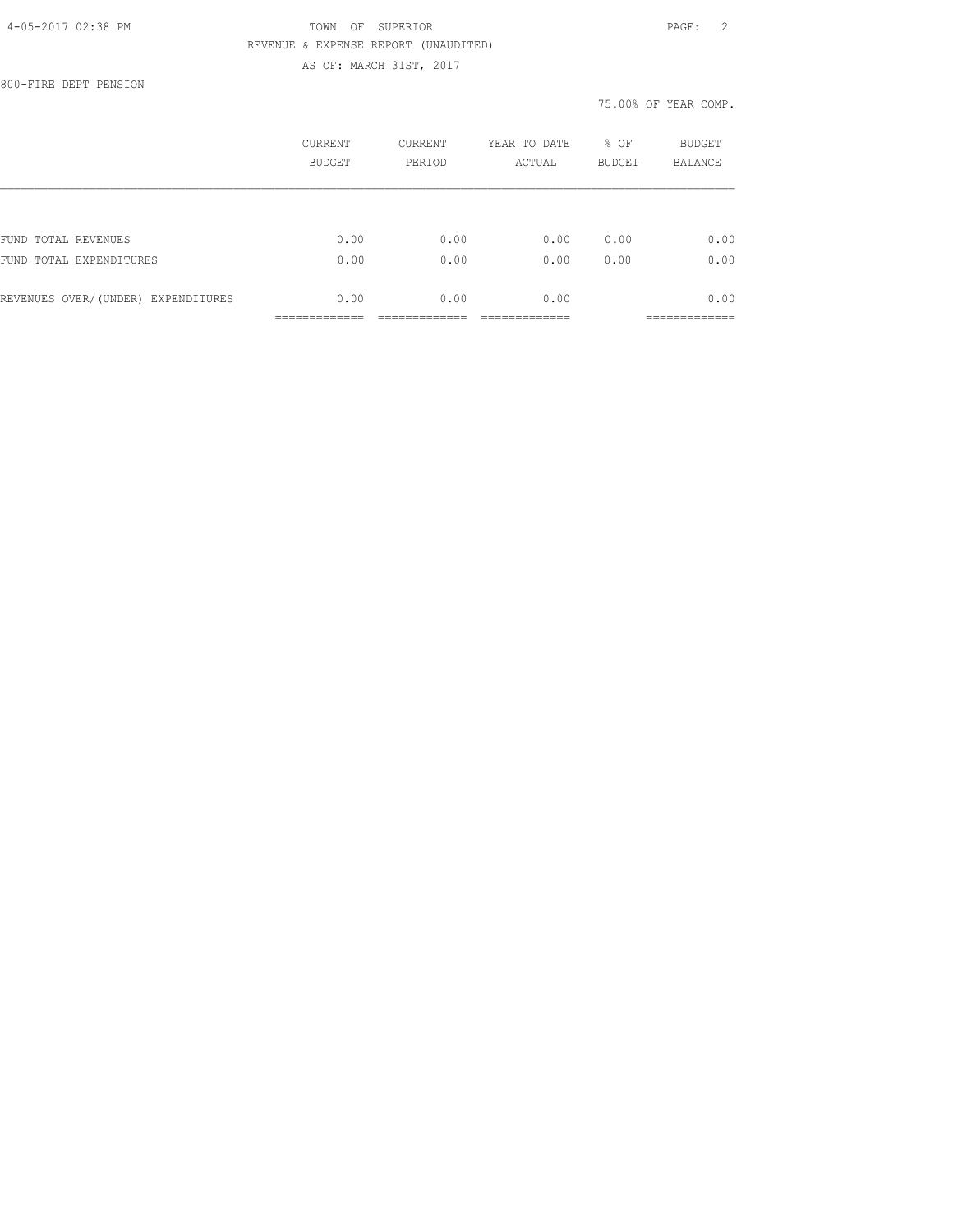800-FIRE DEPT PENSION

|                                    | CURRENT<br><b>BUDGET</b> | CURRENT<br>PERIOD | YEAR TO DATE<br>ACTUAL | % OF<br><b>BUDGET</b> | <b>BUDGET</b><br><b>BALANCE</b> |
|------------------------------------|--------------------------|-------------------|------------------------|-----------------------|---------------------------------|
|                                    |                          |                   |                        |                       |                                 |
| FUND TOTAL REVENUES                | 0.00                     | 0.00              | 0.00                   | 0.00                  | 0.00                            |
| FUND TOTAL EXPENDITURES            | 0.00                     | 0.00              | 0.00                   | 0.00                  | 0.00                            |
| REVENUES OVER/(UNDER) EXPENDITURES | 0.00                     | 0.00              | 0.00                   |                       | 0.00                            |
|                                    |                          |                   |                        |                       |                                 |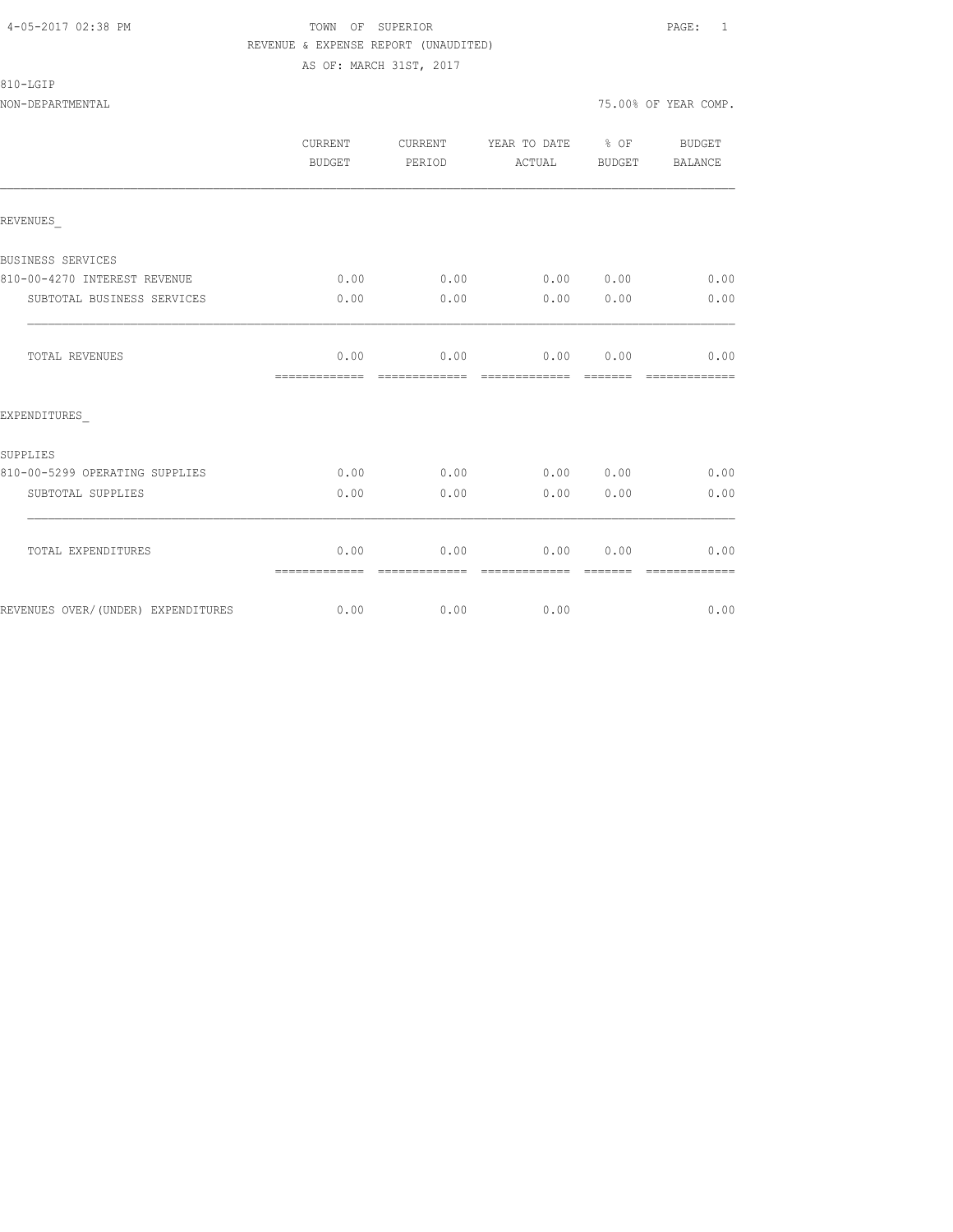810-LGIP

|                                    | CURRENT<br>BUDGET     | CURRENT<br>PERIOD     | YEAR TO DATE % OF<br>ACTUAL           | BUDGET  | BUDGET<br><b>BALANCE</b> |
|------------------------------------|-----------------------|-----------------------|---------------------------------------|---------|--------------------------|
| REVENUES                           |                       |                       |                                       |         |                          |
| BUSINESS SERVICES                  |                       |                       |                                       |         |                          |
| 810-00-4270 INTEREST REVENUE       | 0.00                  | 0.00                  | 0.00 0.00                             |         | 0.00                     |
| SUBTOTAL BUSINESS SERVICES         | 0.00                  | 0.00                  | 0.00                                  | 0.00    | 0.00                     |
| TOTAL REVENUES                     | 0.00<br>============= | =============         | $0.00$ $0.00$ $0.00$<br>============= | ======= | 0.00                     |
| EXPENDITURES                       |                       |                       |                                       |         |                          |
| SUPPLIES                           |                       |                       |                                       |         |                          |
| 810-00-5299 OPERATING SUPPLIES     | 0.00                  | 0.00                  | 0.00 0.00                             |         | 0.00                     |
| SUBTOTAL SUPPLIES                  | 0.00                  | 0.00                  | 0.00                                  | 0.00    | 0.00                     |
| TOTAL EXPENDITURES                 | 0.00<br>============= | 0.00<br>------------- | 0.00<br>-------------                 | 0.00    | 0.00<br>-------------    |
| REVENUES OVER/(UNDER) EXPENDITURES | 0.00                  | 0.00                  | 0.00                                  |         | 0.00                     |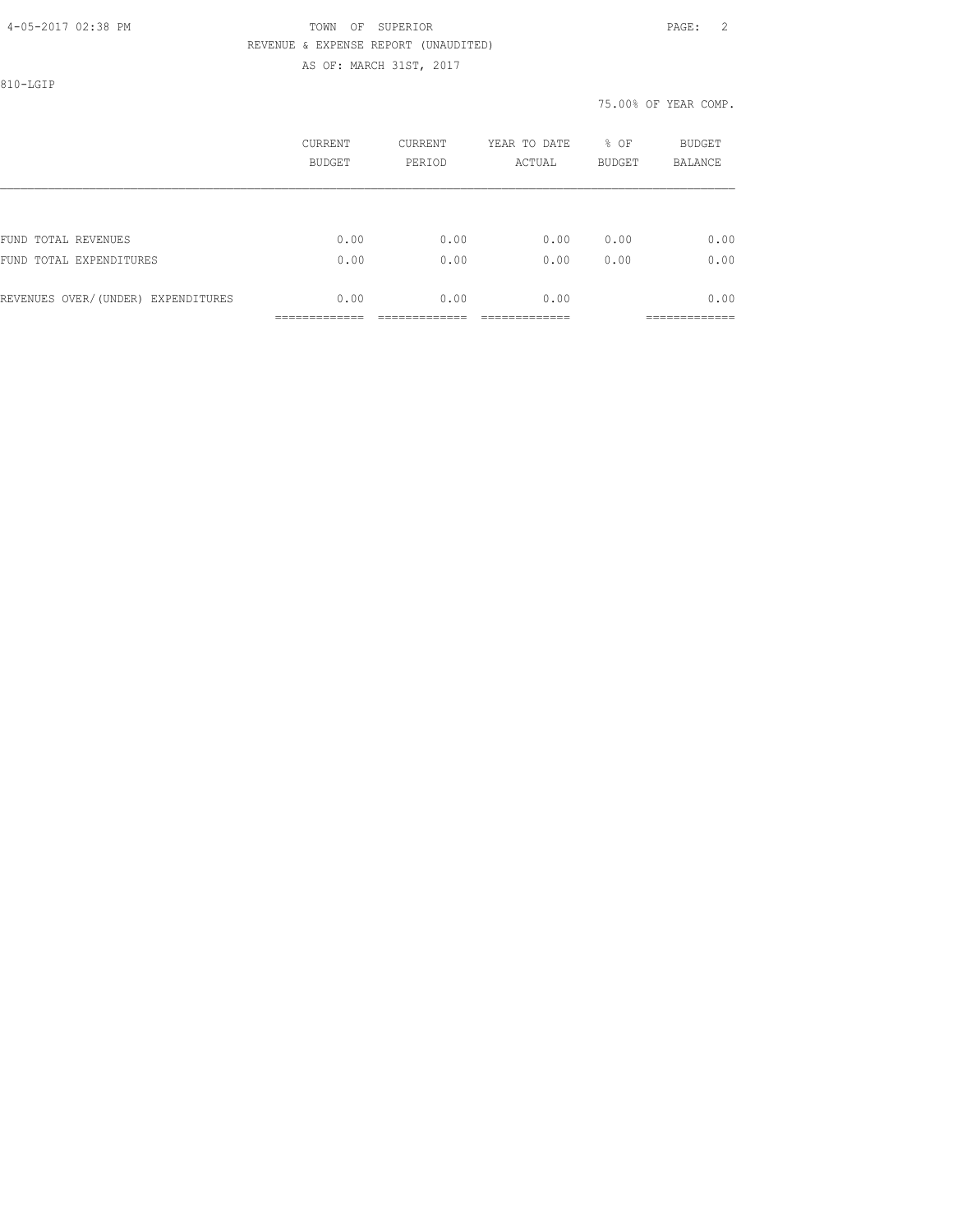# 4-05-2017 02:38 PM TOWN OF SUPERIOR PAGE: 2 REVENUE & EXPENSE REPORT (UNAUDITED)

AS OF: MARCH 31ST, 2017

810-LGIP

| CURRENT<br>BUDGET | CURRENT<br>PERIOD | YEAR TO DATE<br>ACTUAL | % OF<br><b>BUDGET</b> | <b>BUDGET</b><br><b>BALANCE</b> |
|-------------------|-------------------|------------------------|-----------------------|---------------------------------|
|                   |                   |                        |                       |                                 |
| 0.00              | 0.00              | 0.00                   | 0.00                  | 0.00                            |
| 0.00              | 0.00              | 0.00                   | 0.00                  | 0.00                            |
| 0.00              | 0.00              | 0.00                   |                       | 0.00<br>------------            |
|                   |                   |                        |                       |                                 |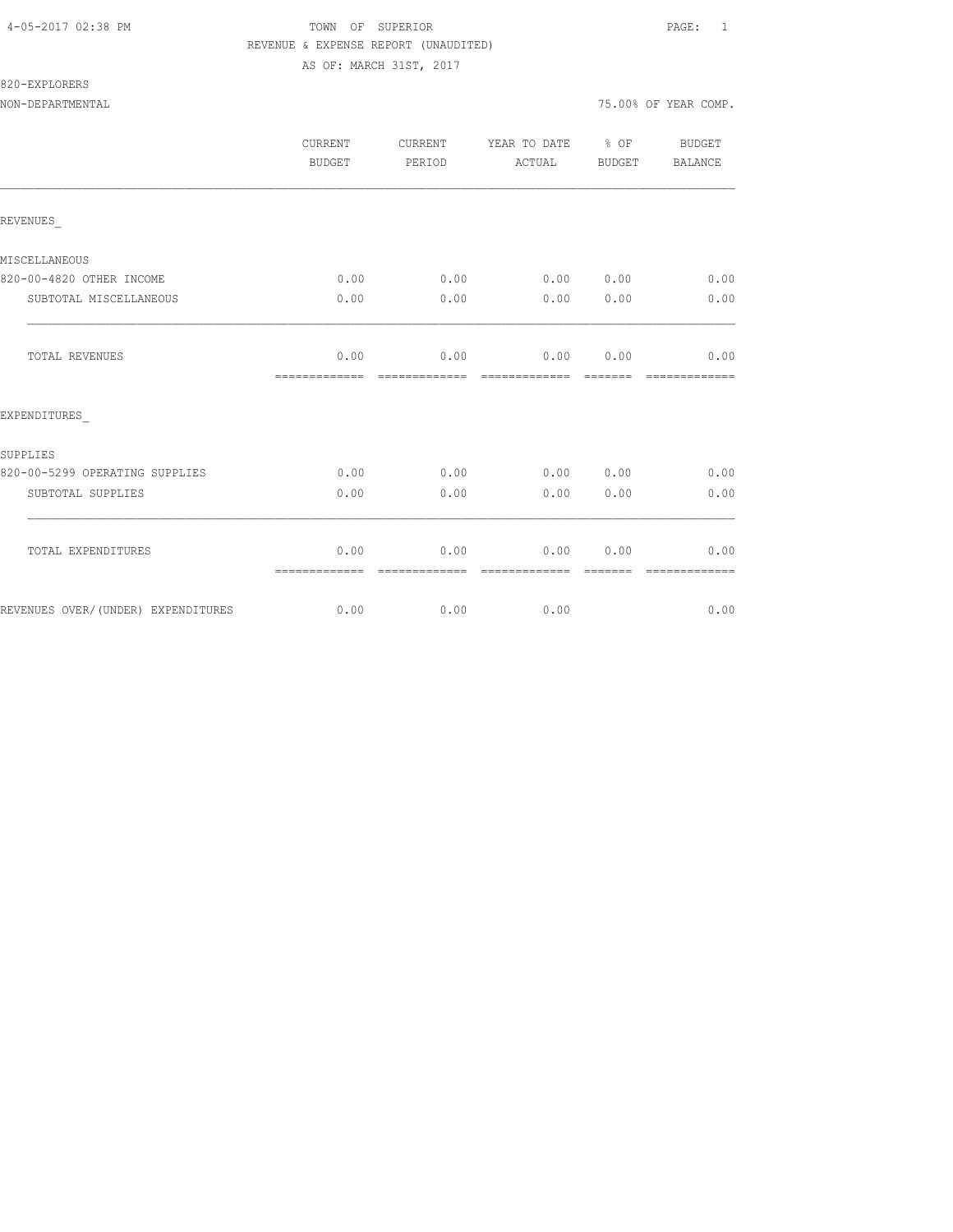# 4-05-2017 02:38 PM TOWN OF SUPERIOR PAGE: 1 REVENUE & EXPENSE REPORT (UNAUDITED)

AS OF: MARCH 31ST, 2017

NON-DEPARTMENTAL 75.00% OF YEAR COMP.

|                                    | CURRENT<br>BUDGET     | CURRENT<br>PERIOD      | YEAR TO DATE % OF<br>ACTUAL | BUDGET          | BUDGET<br>BALANCE      |
|------------------------------------|-----------------------|------------------------|-----------------------------|-----------------|------------------------|
| REVENUES                           |                       |                        |                             |                 |                        |
| MISCELLANEOUS                      |                       |                        |                             |                 |                        |
| 820-00-4820 OTHER INCOME           | 0.00                  | 0.00                   | 0.00 0.00                   |                 | 0.00                   |
| SUBTOTAL MISCELLANEOUS             | 0.00                  | 0.00                   | 0.00                        | 0.00            | 0.00                   |
| TOTAL REVENUES                     | 0.00<br>============= | 0.00<br>=============  | 0.00<br>assessessesse       | 0.00<br>------- | 0.00<br>=============  |
| EXPENDITURES                       |                       |                        |                             |                 |                        |
| SUPPLIES                           |                       |                        |                             |                 |                        |
| 820-00-5299 OPERATING SUPPLIES     | 0.00                  | 0.00                   | 0.00 0.00                   |                 | 0.00                   |
| SUBTOTAL SUPPLIES                  | 0.00                  | 0.00                   | 0.00                        | 0.00            | 0.00                   |
| TOTAL EXPENDITURES                 | 0.00<br>============= | 0.00<br>-------------- | 0.00<br>--------------      | 0.00            | 0.00<br>-------------- |
| REVENUES OVER/(UNDER) EXPENDITURES | 0.00                  | 0.00                   | 0.00                        |                 | 0.00                   |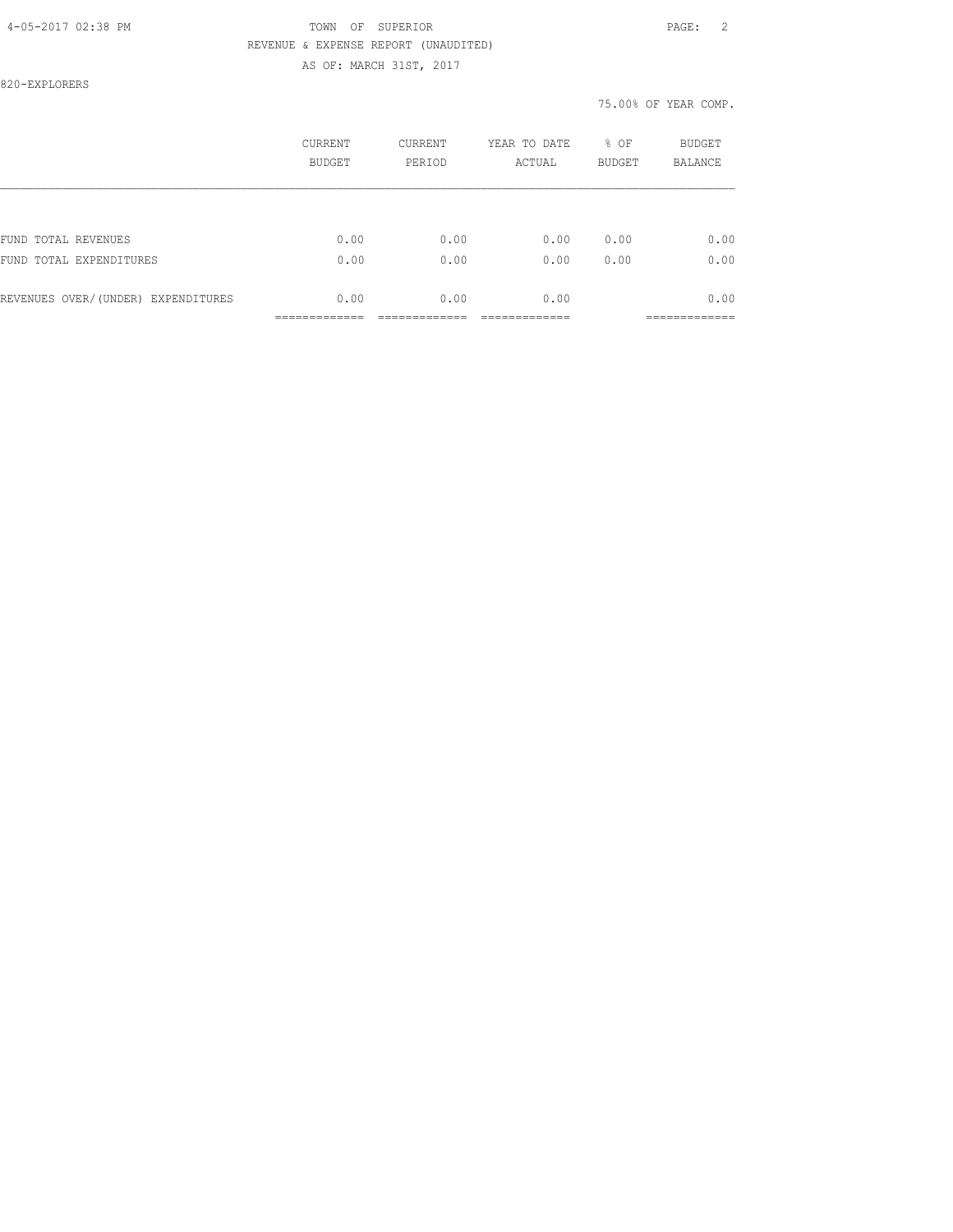820-EXPLORERS

|                                    | CURRENT<br>BUDGET | CURRENT<br>PERIOD | YEAR TO DATE<br>ACTUAL | % OF<br><b>BUDGET</b> | BUDGET<br><b>BALANCE</b> |
|------------------------------------|-------------------|-------------------|------------------------|-----------------------|--------------------------|
|                                    |                   |                   |                        |                       |                          |
| FUND TOTAL REVENUES                | 0.00              | 0.00              | 0.00                   | 0.00                  | 0.00                     |
| FUND TOTAL EXPENDITURES            | 0.00              | 0.00              | 0.00                   | 0.00                  | 0.00                     |
| REVENUES OVER/(UNDER) EXPENDITURES | 0.00              | 0.00              | 0.00                   |                       | 0.00                     |
|                                    |                   |                   |                        |                       | _________                |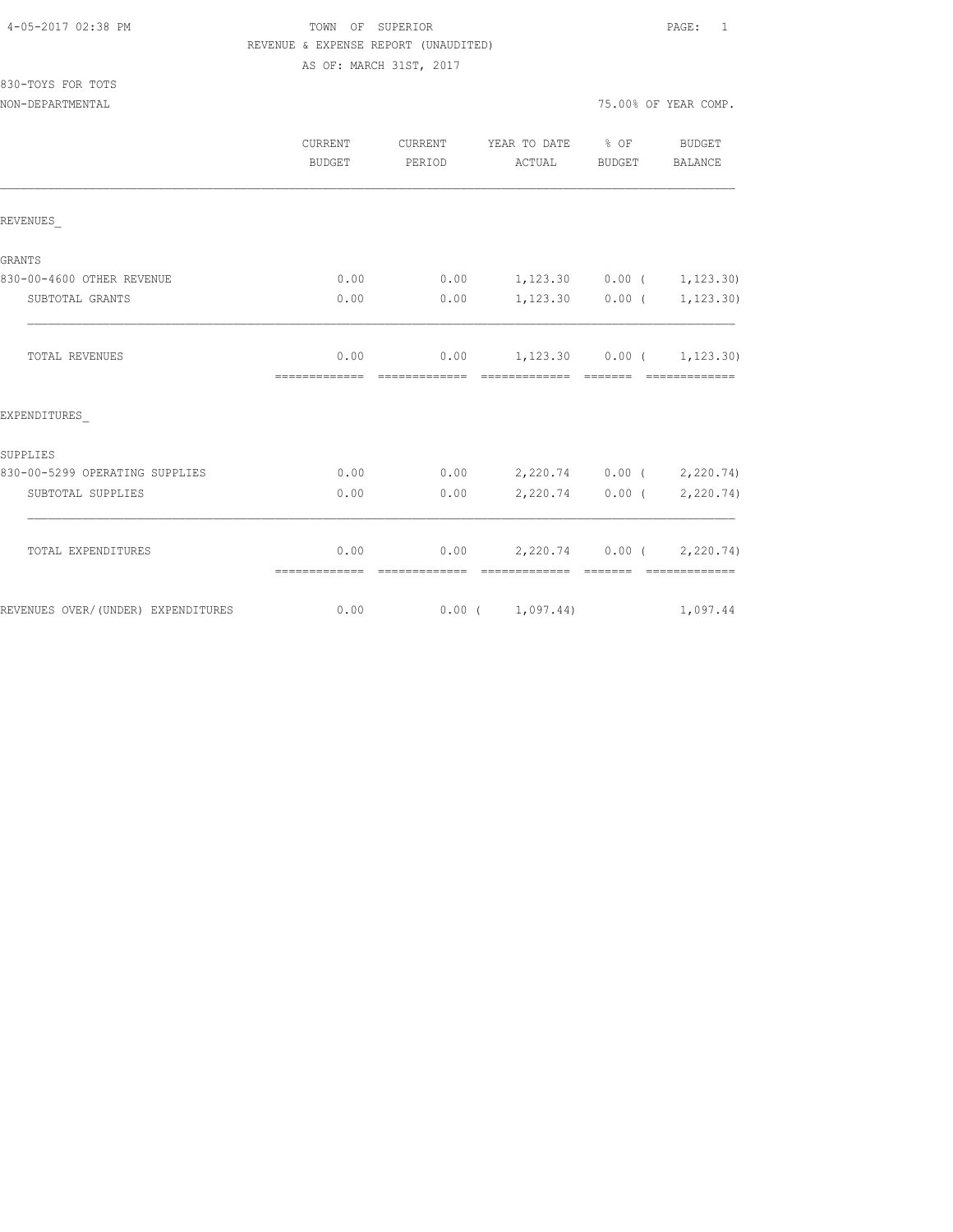| 4-05-2017 02:38 PM |  |  |
|--------------------|--|--|
|                    |  |  |

# TOWN OF SUPERIOR **Example 2018** PAGE: 1 REVENUE & EXPENSE REPORT (UNAUDITED)

AS OF: MARCH 31ST, 2017

| 830-TOYS FOR TOTS |  |  |
|-------------------|--|--|
|                   |  |  |

|                                    | <b>CURRENT</b><br><b>BUDGET</b> | <b>CURRENT</b><br>PERIOD | YEAR TO DATE % OF<br>ACTUAL                             | BUDGET            | <b>BUDGET</b><br><b>BALANCE</b>                                                                                                                                                                                                                                                                                                                                                                                                                                                        |
|------------------------------------|---------------------------------|--------------------------|---------------------------------------------------------|-------------------|----------------------------------------------------------------------------------------------------------------------------------------------------------------------------------------------------------------------------------------------------------------------------------------------------------------------------------------------------------------------------------------------------------------------------------------------------------------------------------------|
| REVENUES                           |                                 |                          |                                                         |                   |                                                                                                                                                                                                                                                                                                                                                                                                                                                                                        |
| GRANTS                             |                                 |                          |                                                         |                   |                                                                                                                                                                                                                                                                                                                                                                                                                                                                                        |
| 830-00-4600 OTHER REVENUE          | 0.00                            | 0.00                     | $1,123.30$ $0.00$ ( $1,123.30$ )                        |                   |                                                                                                                                                                                                                                                                                                                                                                                                                                                                                        |
| SUBTOTAL GRANTS                    | 0.00                            | 0.00                     |                                                         | $1,123.30$ 0.00 ( | 1,123.30)                                                                                                                                                                                                                                                                                                                                                                                                                                                                              |
| TOTAL REVENUES                     | 0.00<br>=============           | -------------            | $0.00$ 1, 123.30 0.00 ( 1, 123.30)<br>=============     | <b>COSSESS</b>    | $\begin{array}{cccccccccccccc} \multicolumn{2}{c}{} & \multicolumn{2}{c}{} & \multicolumn{2}{c}{} & \multicolumn{2}{c}{} & \multicolumn{2}{c}{} & \multicolumn{2}{c}{} & \multicolumn{2}{c}{} & \multicolumn{2}{c}{} & \multicolumn{2}{c}{} & \multicolumn{2}{c}{} & \multicolumn{2}{c}{} & \multicolumn{2}{c}{} & \multicolumn{2}{c}{} & \multicolumn{2}{c}{} & \multicolumn{2}{c}{} & \multicolumn{2}{c}{} & \multicolumn{2}{c}{} & \multicolumn{2}{c}{} & \multicolumn{2}{c}{} & \$ |
| EXPENDITURES                       |                                 |                          |                                                         |                   |                                                                                                                                                                                                                                                                                                                                                                                                                                                                                        |
| SUPPLIES                           |                                 |                          |                                                         |                   |                                                                                                                                                                                                                                                                                                                                                                                                                                                                                        |
| 830-00-5299 OPERATING SUPPLIES     | 0.00                            | 0.00                     | 2,220.74 0.00 ( 2,220.74)                               |                   |                                                                                                                                                                                                                                                                                                                                                                                                                                                                                        |
| SUBTOTAL SUPPLIES                  | 0.00                            | 0.00                     |                                                         | $2,220.74$ 0.00 ( | 2,220.74)                                                                                                                                                                                                                                                                                                                                                                                                                                                                              |
| TOTAL EXPENDITURES                 | 0.00<br>=============           |                          | $0.00$ 2,220.74 0.00 ( 2,220.74)<br>eccessessess essess |                   | - cooccooccooc                                                                                                                                                                                                                                                                                                                                                                                                                                                                         |
| REVENUES OVER/(UNDER) EXPENDITURES | 0.00                            |                          | 0.00(1,097.44)                                          |                   | 1,097.44                                                                                                                                                                                                                                                                                                                                                                                                                                                                               |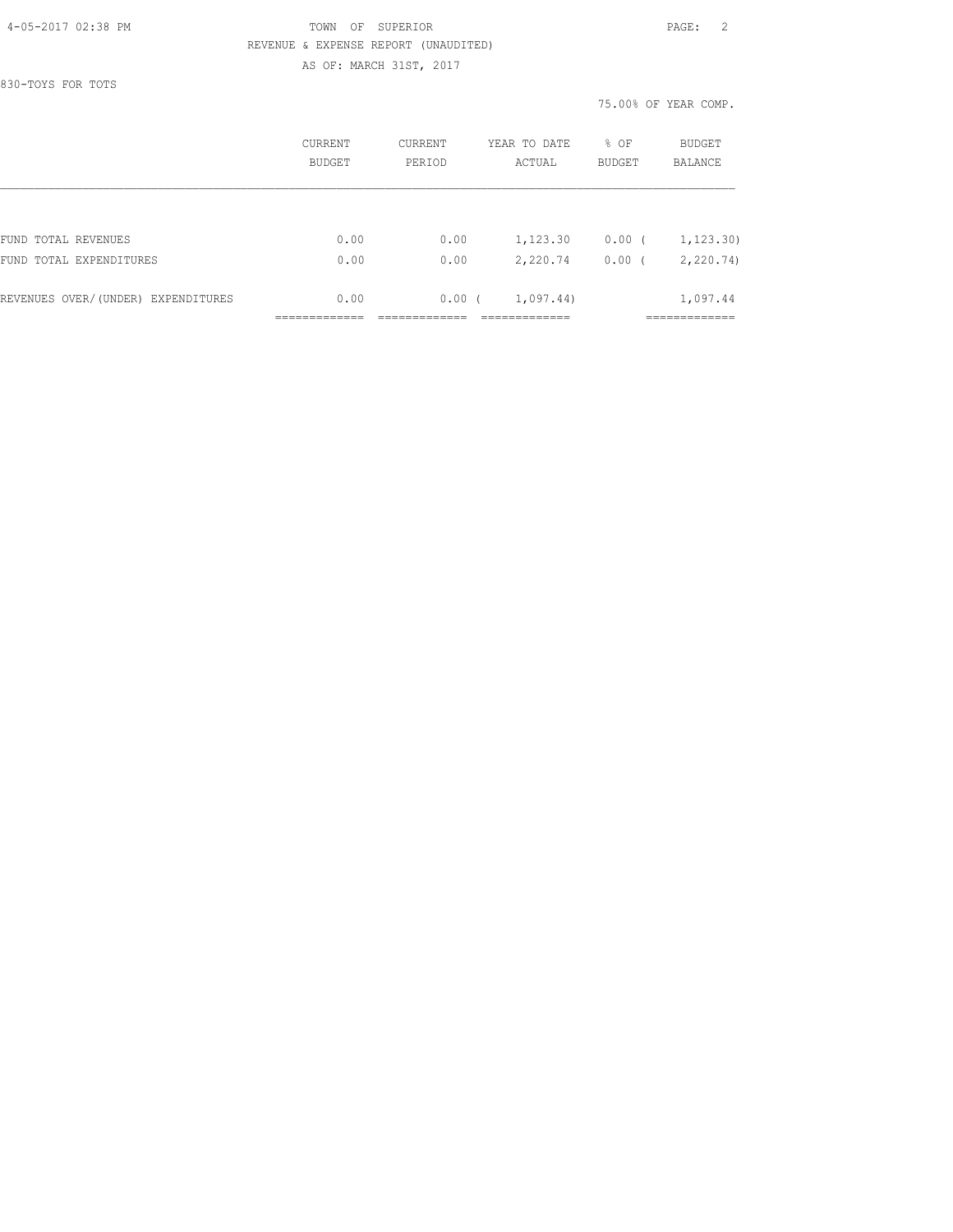830-TOYS FOR TOTS

|                                    | CURRENT<br>BUDGET | CURRENT<br>PERIOD | YEAR TO DATE<br>ACTUAL | % OF<br><b>BUDGET</b> | <b>BUDGET</b><br>BALANCE |
|------------------------------------|-------------------|-------------------|------------------------|-----------------------|--------------------------|
|                                    |                   |                   |                        |                       |                          |
| FUND TOTAL REVENUES                | 0.00              | 0.00              | 1,123.30               | $0.00$ (              | 1, 123, 30)              |
| FUND TOTAL EXPENDITURES            | 0.00              | 0.00              | 2,220.74               | $0.00$ (              | 2, 220.74                |
| REVENUES OVER/(UNDER) EXPENDITURES | 0.00              | $0.00$ (          | 1,097.44)              |                       | 1,097.44                 |
|                                    |                   |                   |                        |                       |                          |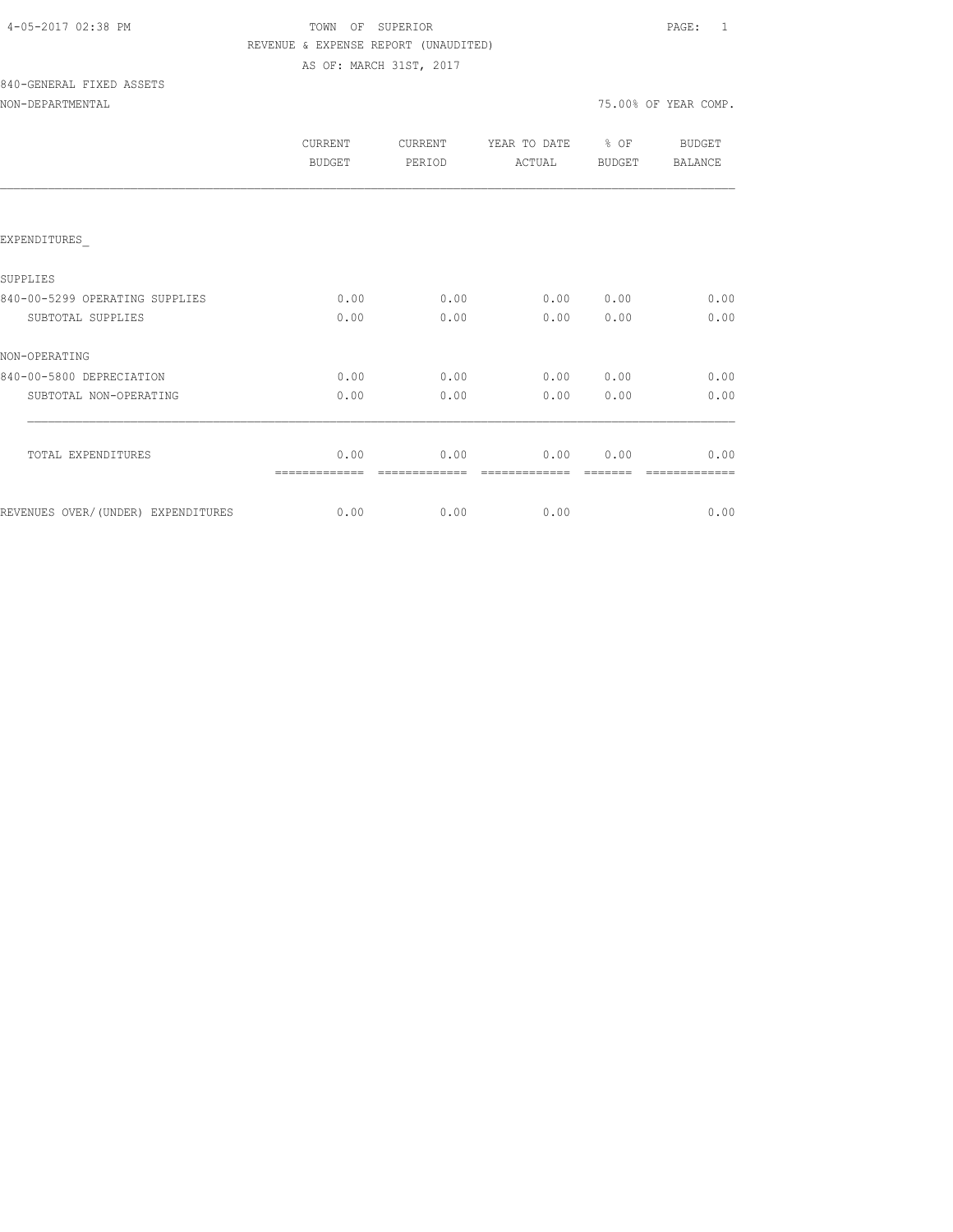# TOWN OF SUPERIOR **PAGE:** 1 REVENUE & EXPENSE REPORT (UNAUDITED) AS OF: MARCH 31ST, 2017

# 840-GENERAL FIXED ASSETS

| CURRENT<br><b>BUDGET</b> | CURRENT<br>PERIOD | YEAR TO DATE<br>ACTUAL | % OF<br><b>BUDGET</b> | <b>BUDGET</b><br><b>BALANCE</b> |
|--------------------------|-------------------|------------------------|-----------------------|---------------------------------|
|                          |                   |                        |                       |                                 |
|                          |                   |                        |                       |                                 |
|                          |                   |                        |                       |                                 |
| 0.00                     | 0.00              | 0.00                   | 0.00                  | 0.00                            |
| 0.00                     | 0.00              | 0.00                   | 0.00                  | 0.00                            |
|                          |                   |                        |                       |                                 |
| 0.00                     | 0.00              | 0.00                   | 0.00                  | 0.00                            |
| 0.00                     | 0.00              | 0.00                   | 0.00                  | 0.00                            |
|                          |                   |                        |                       |                                 |
| 0.00                     | 0.00              | 0.00                   | 0.00                  | 0.00                            |
|                          |                   |                        |                       | 0.00                            |
|                          | 0.00              |                        | 0.00<br>0.00          |                                 |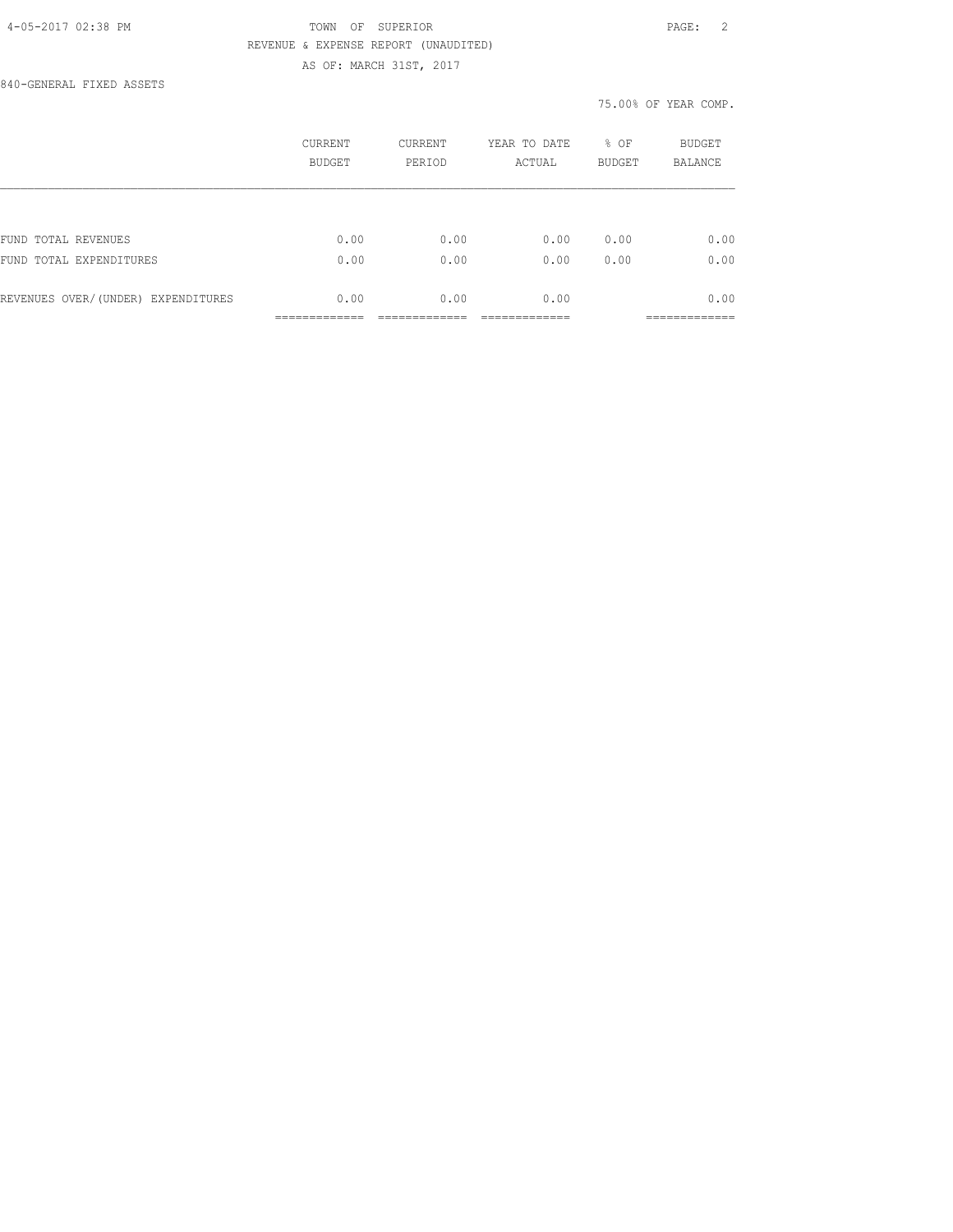840-GENERAL FIXED ASSETS

|                                    | <b>CURRENT</b><br><b>BUDGET</b> | CURRENT<br>PERIOD | YEAR TO DATE<br>ACTUAL | % OF<br><b>BUDGET</b> | <b>BUDGET</b><br><b>BALANCE</b> |
|------------------------------------|---------------------------------|-------------------|------------------------|-----------------------|---------------------------------|
|                                    |                                 |                   |                        |                       |                                 |
| FUND TOTAL REVENUES                | 0.00                            | 0.00              | 0.00                   | 0.00                  | 0.00                            |
| FUND TOTAL EXPENDITURES            | 0.00                            | 0.00              | 0.00                   | 0.00                  | 0.00                            |
| REVENUES OVER/(UNDER) EXPENDITURES | 0.00                            | 0.00              | 0.00                   |                       | 0.00<br>-------------           |
|                                    | _____________                   |                   |                        |                       | -------------                   |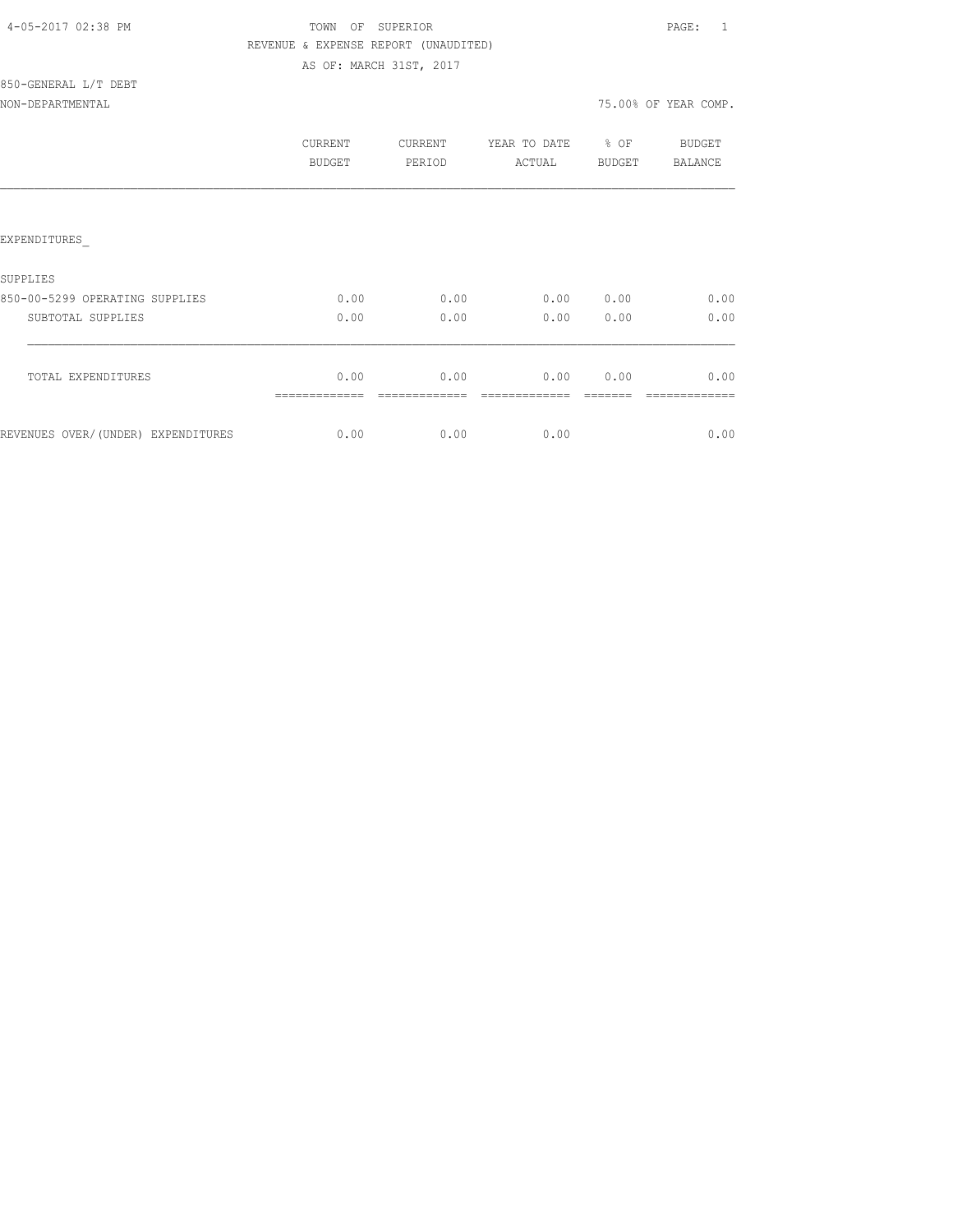|  | 4-05-2017 02:38 PM |  |  |
|--|--------------------|--|--|
|--|--------------------|--|--|

# TOWN OF SUPERIOR **PAGE:** 1 REVENUE & EXPENSE REPORT (UNAUDITED) AS OF: MARCH 31ST, 2017

# 850-GENERAL L/T DEBT

# NON-DEPARTMENTAL 75.00% OF YEAR COMP.

|                                     | CURRENT<br><b>BUDGET</b> | CURRENT<br>PERIOD | YEAR TO DATE<br>ACTUAL | % OF<br><b>BUDGET</b> | <b>BUDGET</b><br><b>BALANCE</b> |
|-------------------------------------|--------------------------|-------------------|------------------------|-----------------------|---------------------------------|
|                                     |                          |                   |                        |                       |                                 |
| EXPENDITURES                        |                          |                   |                        |                       |                                 |
| SUPPLIES                            |                          |                   |                        |                       |                                 |
| 850-00-5299 OPERATING SUPPLIES      | 0.00                     | 0.00              | 0.00                   | 0.00                  | 0.00                            |
| SUBTOTAL SUPPLIES                   | 0.00                     | 0.00              | 0.00                   | 0.00                  | 0.00                            |
| TOTAL EXPENDITURES                  | 0.00                     | 0.00              | 0.00                   | 0.00                  | 0.00                            |
| REVENUES OVER/ (UNDER) EXPENDITURES | 0.00                     | 0.00              | 0.00                   |                       | 0.00                            |